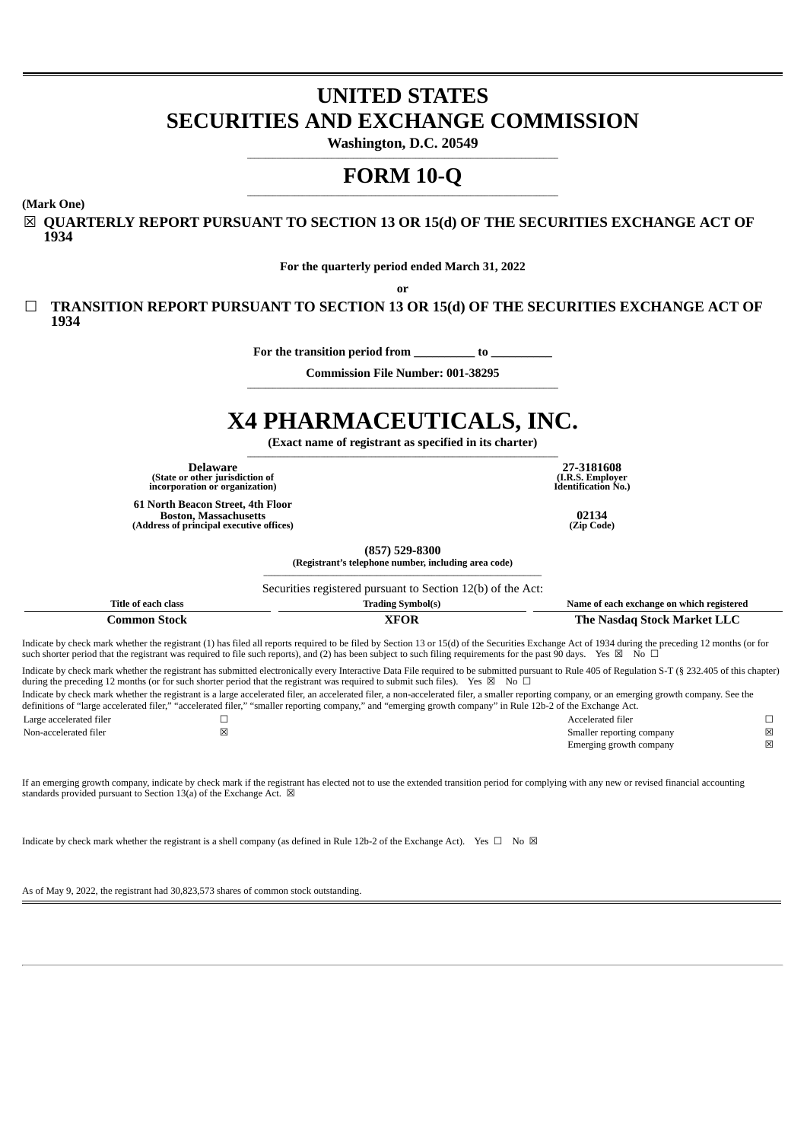# **UNITED STATES SECURITIES AND EXCHANGE COMMISSION**

**Washington, D.C. 20549 \_\_\_\_\_\_\_\_\_\_\_\_\_\_\_\_\_\_\_\_\_\_\_\_\_\_\_\_\_\_\_\_\_\_\_\_\_\_\_\_\_\_\_\_\_\_\_\_\_\_\_\_\_\_\_\_\_\_\_\_\_\_\_\_\_\_\_\_\_\_\_\_\_\_\_\_\_\_\_\_\_\_\_\_\_**

# **FORM 10-Q \_\_\_\_\_\_\_\_\_\_\_\_\_\_\_\_\_\_\_\_\_\_\_\_\_\_\_\_\_\_\_\_\_\_\_\_\_\_\_\_\_\_\_\_\_\_\_\_\_\_\_\_\_\_\_\_\_\_\_\_\_\_\_\_\_\_\_\_\_\_\_\_\_\_\_\_\_\_\_\_\_\_\_\_\_**

**(Mark One)**

☒ **QUARTERLY REPORT PURSUANT TO SECTION 13 OR 15(d) OF THE SECURITIES EXCHANGE ACT OF 1934**

**For the quarterly period ended March 31, 2022**

**or**

☐ **TRANSITION REPORT PURSUANT TO SECTION 13 OR 15(d) OF THE SECURITIES EXCHANGE ACT OF 1934**

**For the transition period from \_\_\_\_\_\_\_\_\_\_ to \_\_\_\_\_\_\_\_\_\_**

**Commission File Number: 001-38295 \_\_\_\_\_\_\_\_\_\_\_\_\_\_\_\_\_\_\_\_\_\_\_\_\_\_\_\_\_\_\_\_\_\_\_\_\_\_\_\_\_\_\_\_\_\_\_\_\_\_\_\_\_\_\_\_\_\_\_\_\_\_\_\_\_\_\_\_\_\_\_\_\_\_\_\_\_\_\_\_\_\_\_\_\_**

# **X4 PHARMACEUTICALS, INC.**

**(Exact name of registrant as specified in its charter) \_\_\_\_\_\_\_\_\_\_\_\_\_\_\_\_\_\_\_\_\_\_\_\_\_\_\_\_\_\_\_\_\_\_\_\_\_\_\_\_\_\_\_\_\_\_\_\_\_\_\_\_\_\_\_\_\_\_\_\_\_\_\_\_\_\_\_\_\_\_\_\_\_\_\_\_\_\_\_\_\_\_\_\_\_**

**Delaware (State or other jurisdiction of incorporation or organization)**

**61 North Beacon Street, 4th Floor Boston, Massachusetts (Address of principal executive offices)** **27-3181608 (I.R.S. Employer Identification No.)**

**02134 (Zip Code)**

**(857) 529-8300**

**(Registrant's telephone number, including area code) \_\_\_\_\_\_\_\_\_\_\_\_\_\_\_\_\_\_\_\_\_\_\_\_\_\_\_\_\_\_\_\_\_\_\_\_\_\_\_\_\_\_\_\_\_\_\_\_\_\_\_\_\_\_\_\_\_\_\_\_\_\_\_\_\_\_\_\_\_\_\_\_\_\_\_\_**

Securities registered pursuant to Section 12(b) of the Act:

| Name of each exchange on which registered                                                                                                                                                                                                                                                                                                                                             |
|---------------------------------------------------------------------------------------------------------------------------------------------------------------------------------------------------------------------------------------------------------------------------------------------------------------------------------------------------------------------------------------|
| The Nasdag Stock Market LLC                                                                                                                                                                                                                                                                                                                                                           |
| Indicate by check mark whether the registrant (1) has filed all reports required to be filed by Section 13 or 15(d) of the Securities Exchange Act of 1934 during the preceding 12 months (or for<br>such shorter period that the registrant was required to file such reports), and (2) has been subject to such filing requirements for the past 90 days. Yes $\boxtimes$ No $\Box$ |
| Indicate by check mark whether the registrant has submitted electronically every Interactive Data File required to be submitted pursuant to Rule 405 of Regulation S-T (§ 232.405 of this chapter)                                                                                                                                                                                    |
| Indicate by check mark whether the registrant is a large accelerated filer, an accelerated filer, a non-accelerated filer, a smaller reporting company, or an emerging growth company. See the                                                                                                                                                                                        |
|                                                                                                                                                                                                                                                                                                                                                                                       |
| ⊠<br>Smaller reporting company                                                                                                                                                                                                                                                                                                                                                        |
| X<br>Emerging growth company                                                                                                                                                                                                                                                                                                                                                          |
|                                                                                                                                                                                                                                                                                                                                                                                       |
| definitions of "large accelerated filer," "accelerated filer," "smaller reporting company," and "emerging growth company" in Rule 12b-2 of the Exchange Act.<br>Accelerated filer                                                                                                                                                                                                     |

If an emerging growth company, indicate by check mark if the registrant has elected not to use the extended transition period for complying with any new or revised financial accounting standards provided pursuant to Section 13(a) of the Exchange Act.  $\boxtimes$ 

Indicate by check mark whether the registrant is a shell company (as defined in Rule 12b-2 of the Exchange Act). Yes  $\Box$  No  $\boxtimes$ 

As of May 9, 2022, the registrant had 30,823,573 shares of common stock outstanding.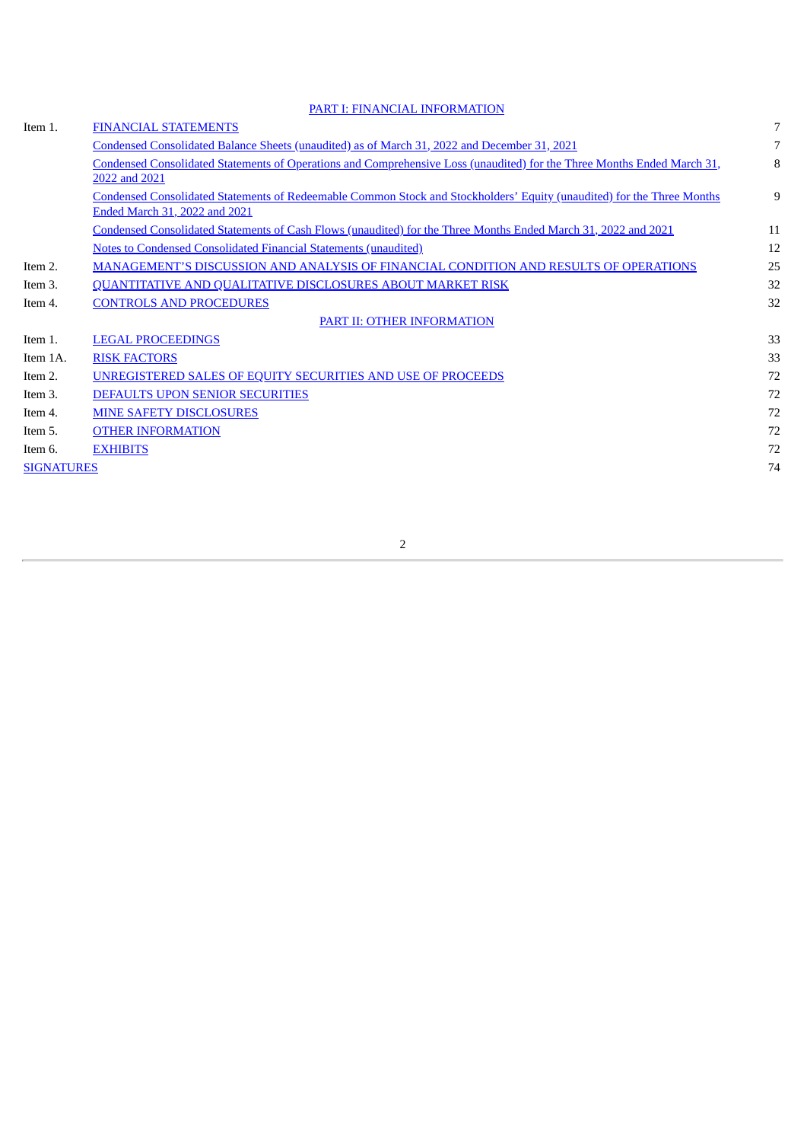# PART I: FINANCIAL [INFORMATION](#page-5-0)

| Item 1.           | <b>FINANCIAL STATEMENTS</b>                                                                                                                             | 7  |
|-------------------|---------------------------------------------------------------------------------------------------------------------------------------------------------|----|
|                   | Condensed Consolidated Balance Sheets (unaudited) as of March 31, 2022 and December 31, 2021                                                            | 7  |
|                   | Condensed Consolidated Statements of Operations and Comprehensive Loss (unaudited) for the Three Months Ended March 31,<br>2022 and 2021                | 8  |
|                   | Condensed Consolidated Statements of Redeemable Common Stock and Stockholders' Equity (unaudited) for the Three Months<br>Ended March 31, 2022 and 2021 | 9  |
|                   | Condensed Consolidated Statements of Cash Flows (unaudited) for the Three Months Ended March 31, 2022 and 2021                                          | 11 |
|                   | Notes to Condensed Consolidated Financial Statements (unaudited)                                                                                        | 12 |
| Item 2.           | MANAGEMENT'S DISCUSSION AND ANALYSIS OF FINANCIAL CONDITION AND RESULTS OF OPERATIONS                                                                   | 25 |
| Item 3.           | <b>QUANTITATIVE AND QUALITATIVE DISCLOSURES ABOUT MARKET RISK</b>                                                                                       | 32 |
| Item 4.           | <b>CONTROLS AND PROCEDURES</b>                                                                                                                          | 32 |
|                   | PART II: OTHER INFORMATION                                                                                                                              |    |
| Item 1.           | <b>LEGAL PROCEEDINGS</b>                                                                                                                                | 33 |
| Item 1A.          | <b>RISK FACTORS</b>                                                                                                                                     | 33 |
| Item 2.           | UNREGISTERED SALES OF EQUITY SECURITIES AND USE OF PROCEEDS                                                                                             | 72 |
| Item 3.           | <b>DEFAULTS UPON SENIOR SECURITIES</b>                                                                                                                  | 72 |
| Item 4.           | <b>MINE SAFETY DISCLOSURES</b>                                                                                                                          | 72 |
| Item 5.           | <b>OTHER INFORMATION</b>                                                                                                                                | 72 |
| Item 6.           | <b>EXHIBITS</b>                                                                                                                                         | 72 |
| <b>SIGNATURES</b> |                                                                                                                                                         | 74 |
|                   |                                                                                                                                                         |    |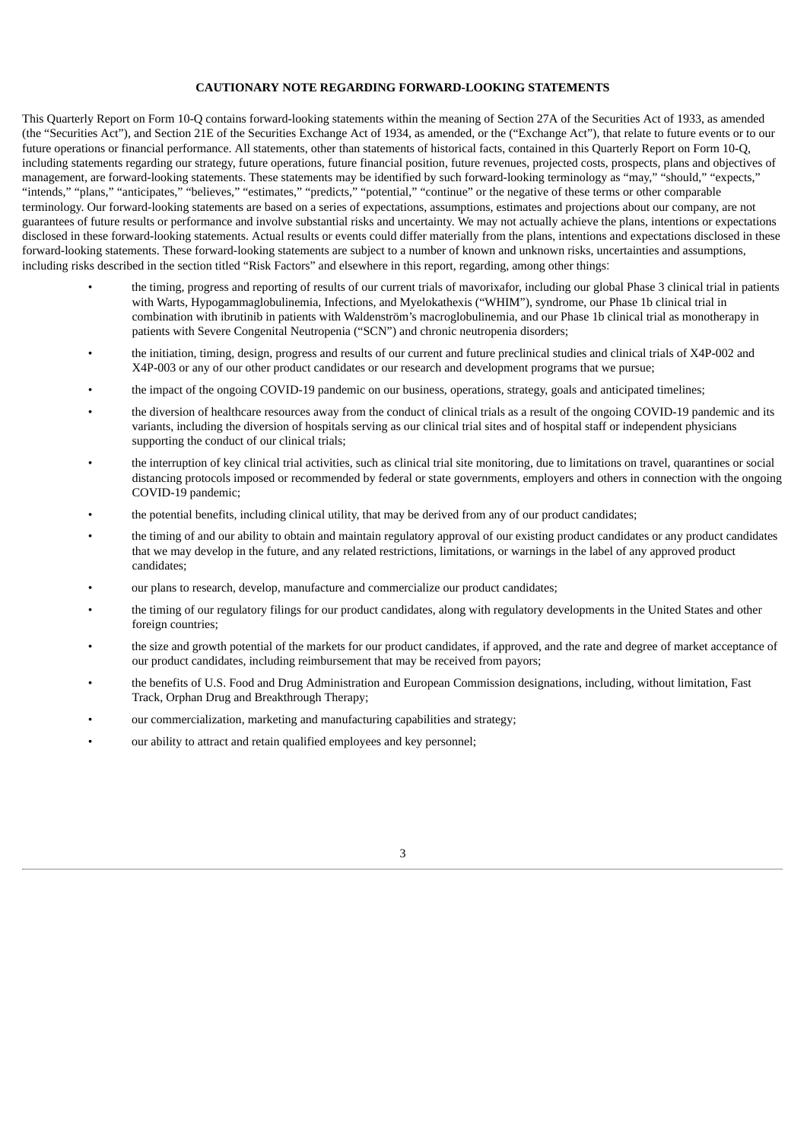#### **CAUTIONARY NOTE REGARDING FORWARD-LOOKING STATEMENTS**

This Quarterly Report on Form 10-Q contains forward-looking statements within the meaning of Section 27A of the Securities Act of 1933, as amended (the "Securities Act"), and Section 21E of the Securities Exchange Act of 1934, as amended, or the ("Exchange Act"), that relate to future events or to our future operations or financial performance. All statements, other than statements of historical facts, contained in this Quarterly Report on Form 10-Q, including statements regarding our strategy, future operations, future financial position, future revenues, projected costs, prospects, plans and objectives of management, are forward-looking statements. These statements may be identified by such forward-looking terminology as "may," "should," "expects," "intends," "plans," "anticipates," "believes," "estimates," "predicts," "potential," "continue" or the negative of these terms or other comparable terminology. Our forward-looking statements are based on a series of expectations, assumptions, estimates and projections about our company, are not guarantees of future results or performance and involve substantial risks and uncertainty. We may not actually achieve the plans, intentions or expectations disclosed in these forward-looking statements. Actual results or events could differ materially from the plans, intentions and expectations disclosed in these forward-looking statements. These forward-looking statements are subject to a number of known and unknown risks, uncertainties and assumptions, including risks described in the section titled "Risk Factors" and elsewhere in this report, regarding, among other things:

- the timing, progress and reporting of results of our current trials of mavorixafor, including our global Phase 3 clinical trial in patients with Warts, Hypogammaglobulinemia, Infections, and Myelokathexis ("WHIM"), syndrome, our Phase 1b clinical trial in combination with ibrutinib in patients with Waldenström's macroglobulinemia, and our Phase 1b clinical trial as monotherapy in patients with Severe Congenital Neutropenia ("SCN") and chronic neutropenia disorders;
- the initiation, timing, design, progress and results of our current and future preclinical studies and clinical trials of X4P-002 and X4P-003 or any of our other product candidates or our research and development programs that we pursue;
- the impact of the ongoing COVID-19 pandemic on our business, operations, strategy, goals and anticipated timelines;
- the diversion of healthcare resources away from the conduct of clinical trials as a result of the ongoing COVID-19 pandemic and its variants, including the diversion of hospitals serving as our clinical trial sites and of hospital staff or independent physicians supporting the conduct of our clinical trials;
- the interruption of key clinical trial activities, such as clinical trial site monitoring, due to limitations on travel, quarantines or social distancing protocols imposed or recommended by federal or state governments, employers and others in connection with the ongoing COVID-19 pandemic;
- the potential benefits, including clinical utility, that may be derived from any of our product candidates;
- the timing of and our ability to obtain and maintain regulatory approval of our existing product candidates or any product candidates that we may develop in the future, and any related restrictions, limitations, or warnings in the label of any approved product candidates;
- our plans to research, develop, manufacture and commercialize our product candidates;
- the timing of our regulatory filings for our product candidates, along with regulatory developments in the United States and other foreign countries;
- the size and growth potential of the markets for our product candidates, if approved, and the rate and degree of market acceptance of our product candidates, including reimbursement that may be received from payors;
- the benefits of U.S. Food and Drug Administration and European Commission designations, including, without limitation, Fast Track, Orphan Drug and Breakthrough Therapy;
- our commercialization, marketing and manufacturing capabilities and strategy;
- our ability to attract and retain qualified employees and key personnel;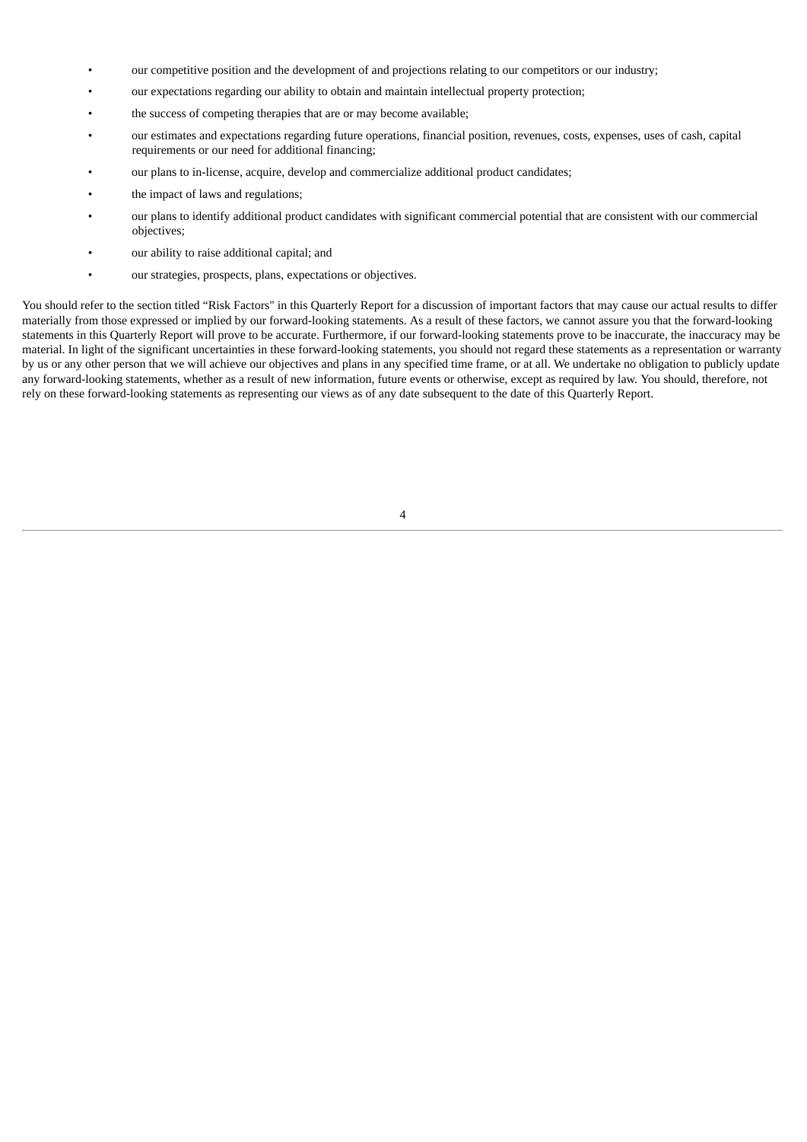- our competitive position and the development of and projections relating to our competitors or our industry;
- our expectations regarding our ability to obtain and maintain intellectual property protection;
- the success of competing therapies that are or may become available;
- our estimates and expectations regarding future operations, financial position, revenues, costs, expenses, uses of cash, capital requirements or our need for additional financing;
- our plans to in-license, acquire, develop and commercialize additional product candidates;
- the impact of laws and regulations;
- our plans to identify additional product candidates with significant commercial potential that are consistent with our commercial objectives;
- our ability to raise additional capital; and
- our strategies, prospects, plans, expectations or objectives.

You should refer to the section titled "Risk Factors" in this Quarterly Report for a discussion of important factors that may cause our actual results to differ materially from those expressed or implied by our forward-looking statements. As a result of these factors, we cannot assure you that the forward-looking statements in this Quarterly Report will prove to be accurate. Furthermore, if our forward-looking statements prove to be inaccurate, the inaccuracy may be material. In light of the significant uncertainties in these forward-looking statements, you should not regard these statements as a representation or warranty by us or any other person that we will achieve our objectives and plans in any specified time frame, or at all. We undertake no obligation to publicly update any forward-looking statements, whether as a result of new information, future events or otherwise, except as required by law. You should, therefore, not rely on these forward-looking statements as representing our views as of any date subsequent to the date of this Quarterly Report.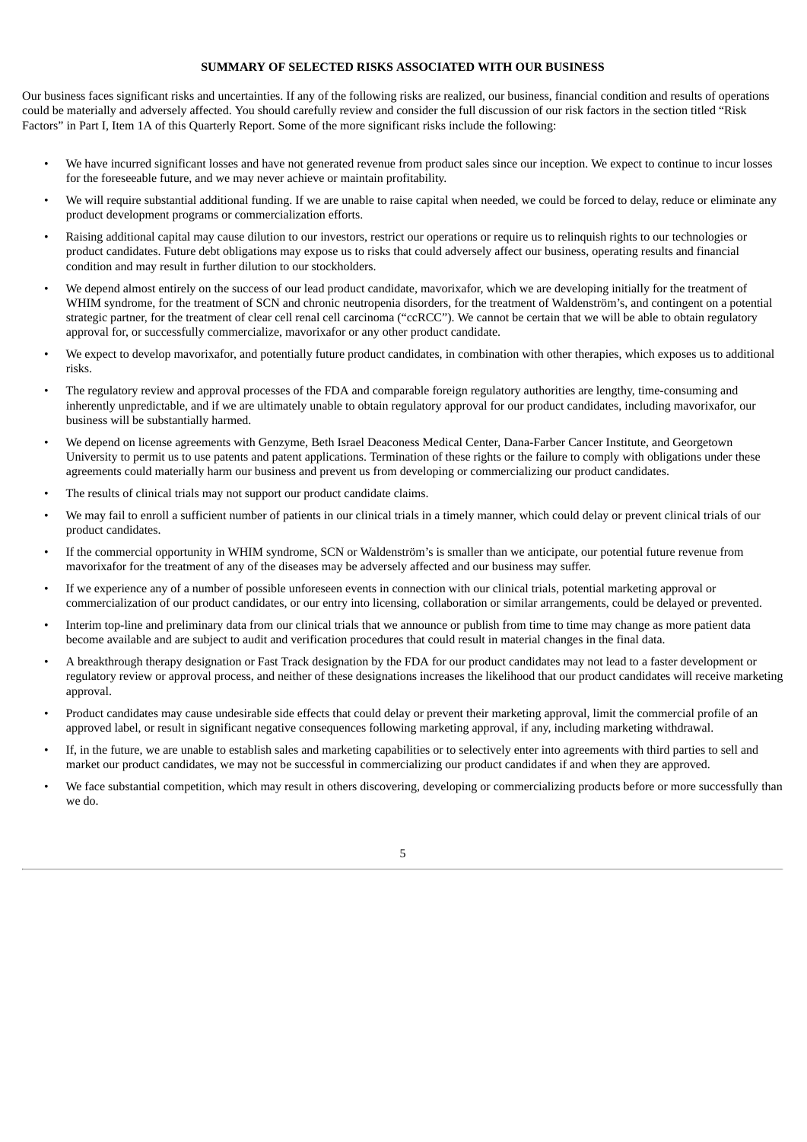#### **SUMMARY OF SELECTED RISKS ASSOCIATED WITH OUR BUSINESS**

Our business faces significant risks and uncertainties. If any of the following risks are realized, our business, financial condition and results of operations could be materially and adversely affected. You should carefully review and consider the full discussion of our risk factors in the section titled "Risk Factors" in Part I, Item 1A of this Quarterly Report. Some of the more significant risks include the following:

- We have incurred significant losses and have not generated revenue from product sales since our inception. We expect to continue to incur losses for the foreseeable future, and we may never achieve or maintain profitability.
- We will require substantial additional funding. If we are unable to raise capital when needed, we could be forced to delay, reduce or eliminate any product development programs or commercialization efforts.
- Raising additional capital may cause dilution to our investors, restrict our operations or require us to relinquish rights to our technologies or product candidates. Future debt obligations may expose us to risks that could adversely affect our business, operating results and financial condition and may result in further dilution to our stockholders.
- We depend almost entirely on the success of our lead product candidate, mavorixafor, which we are developing initially for the treatment of WHIM syndrome, for the treatment of SCN and chronic neutropenia disorders, for the treatment of Waldenström's, and contingent on a potential strategic partner, for the treatment of clear cell renal cell carcinoma ("ccRCC"). We cannot be certain that we will be able to obtain regulatory approval for, or successfully commercialize, mavorixafor or any other product candidate.
- We expect to develop mavorixafor, and potentially future product candidates, in combination with other therapies, which exposes us to additional risks.
- The regulatory review and approval processes of the FDA and comparable foreign regulatory authorities are lengthy, time-consuming and inherently unpredictable, and if we are ultimately unable to obtain regulatory approval for our product candidates, including mavorixafor, our business will be substantially harmed.
- We depend on license agreements with Genzyme, Beth Israel Deaconess Medical Center, Dana-Farber Cancer Institute, and Georgetown University to permit us to use patents and patent applications. Termination of these rights or the failure to comply with obligations under these agreements could materially harm our business and prevent us from developing or commercializing our product candidates.
- The results of clinical trials may not support our product candidate claims.
- We may fail to enroll a sufficient number of patients in our clinical trials in a timely manner, which could delay or prevent clinical trials of our product candidates.
- If the commercial opportunity in WHIM syndrome, SCN or Waldenström's is smaller than we anticipate, our potential future revenue from mavorixafor for the treatment of any of the diseases may be adversely affected and our business may suffer.
- If we experience any of a number of possible unforeseen events in connection with our clinical trials, potential marketing approval or commercialization of our product candidates, or our entry into licensing, collaboration or similar arrangements, could be delayed or prevented.
- Interim top-line and preliminary data from our clinical trials that we announce or publish from time to time may change as more patient data become available and are subject to audit and verification procedures that could result in material changes in the final data.
- A breakthrough therapy designation or Fast Track designation by the FDA for our product candidates may not lead to a faster development or regulatory review or approval process, and neither of these designations increases the likelihood that our product candidates will receive marketing approval.
- Product candidates may cause undesirable side effects that could delay or prevent their marketing approval, limit the commercial profile of an approved label, or result in significant negative consequences following marketing approval, if any, including marketing withdrawal.
- If, in the future, we are unable to establish sales and marketing capabilities or to selectively enter into agreements with third parties to sell and market our product candidates, we may not be successful in commercializing our product candidates if and when they are approved.
- We face substantial competition, which may result in others discovering, developing or commercializing products before or more successfully than we do.

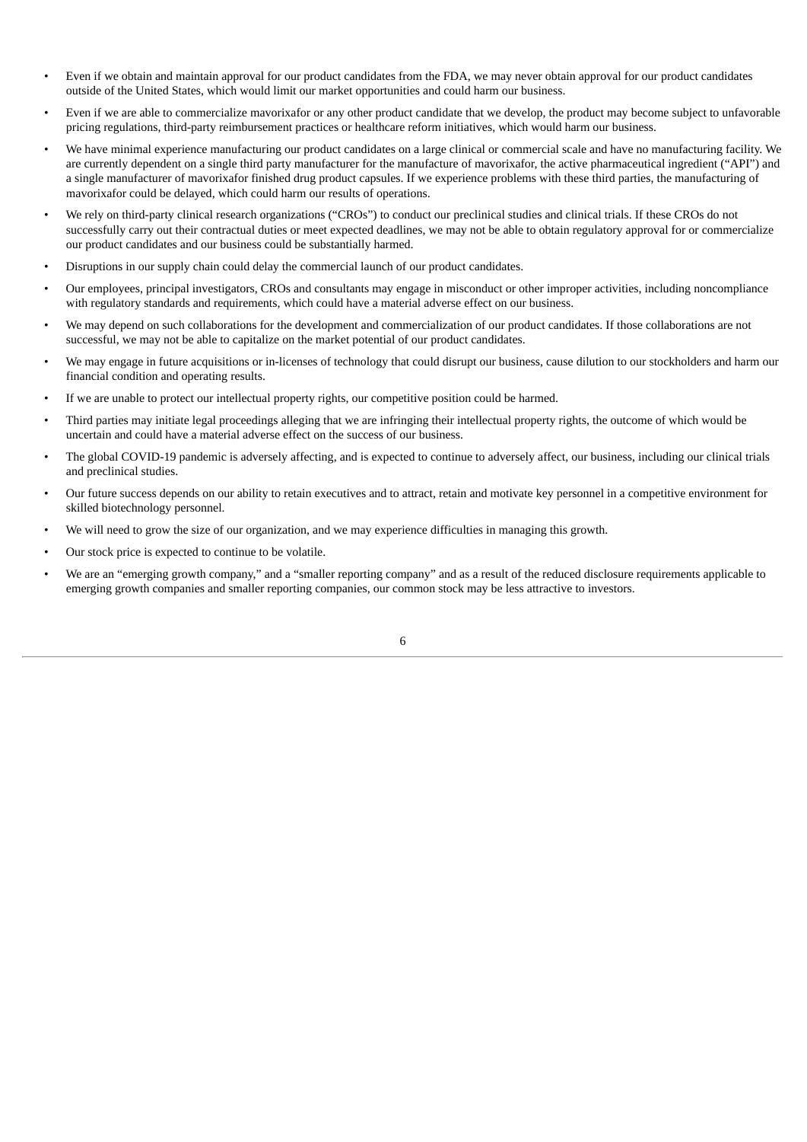- Even if we obtain and maintain approval for our product candidates from the FDA, we may never obtain approval for our product candidates outside of the United States, which would limit our market opportunities and could harm our business.
- Even if we are able to commercialize mavorixafor or any other product candidate that we develop, the product may become subject to unfavorable pricing regulations, third-party reimbursement practices or healthcare reform initiatives, which would harm our business.
- We have minimal experience manufacturing our product candidates on a large clinical or commercial scale and have no manufacturing facility. We are currently dependent on a single third party manufacturer for the manufacture of mavorixafor, the active pharmaceutical ingredient ("API") and a single manufacturer of mavorixafor finished drug product capsules. If we experience problems with these third parties, the manufacturing of mavorixafor could be delayed, which could harm our results of operations.
- We rely on third-party clinical research organizations ("CROs") to conduct our preclinical studies and clinical trials. If these CROs do not successfully carry out their contractual duties or meet expected deadlines, we may not be able to obtain regulatory approval for or commercialize our product candidates and our business could be substantially harmed.
- Disruptions in our supply chain could delay the commercial launch of our product candidates.
- Our employees, principal investigators, CROs and consultants may engage in misconduct or other improper activities, including noncompliance with regulatory standards and requirements, which could have a material adverse effect on our business.
- We may depend on such collaborations for the development and commercialization of our product candidates. If those collaborations are not successful, we may not be able to capitalize on the market potential of our product candidates.
- We may engage in future acquisitions or in-licenses of technology that could disrupt our business, cause dilution to our stockholders and harm our financial condition and operating results.
- If we are unable to protect our intellectual property rights, our competitive position could be harmed.
- Third parties may initiate legal proceedings alleging that we are infringing their intellectual property rights, the outcome of which would be uncertain and could have a material adverse effect on the success of our business.
- The global COVID-19 pandemic is adversely affecting, and is expected to continue to adversely affect, our business, including our clinical trials and preclinical studies.
- Our future success depends on our ability to retain executives and to attract, retain and motivate key personnel in a competitive environment for skilled biotechnology personnel.
- We will need to grow the size of our organization, and we may experience difficulties in managing this growth.
- Our stock price is expected to continue to be volatile.
- <span id="page-5-0"></span>• We are an "emerging growth company," and a "smaller reporting company" and as a result of the reduced disclosure requirements applicable to emerging growth companies and smaller reporting companies, our common stock may be less attractive to investors.

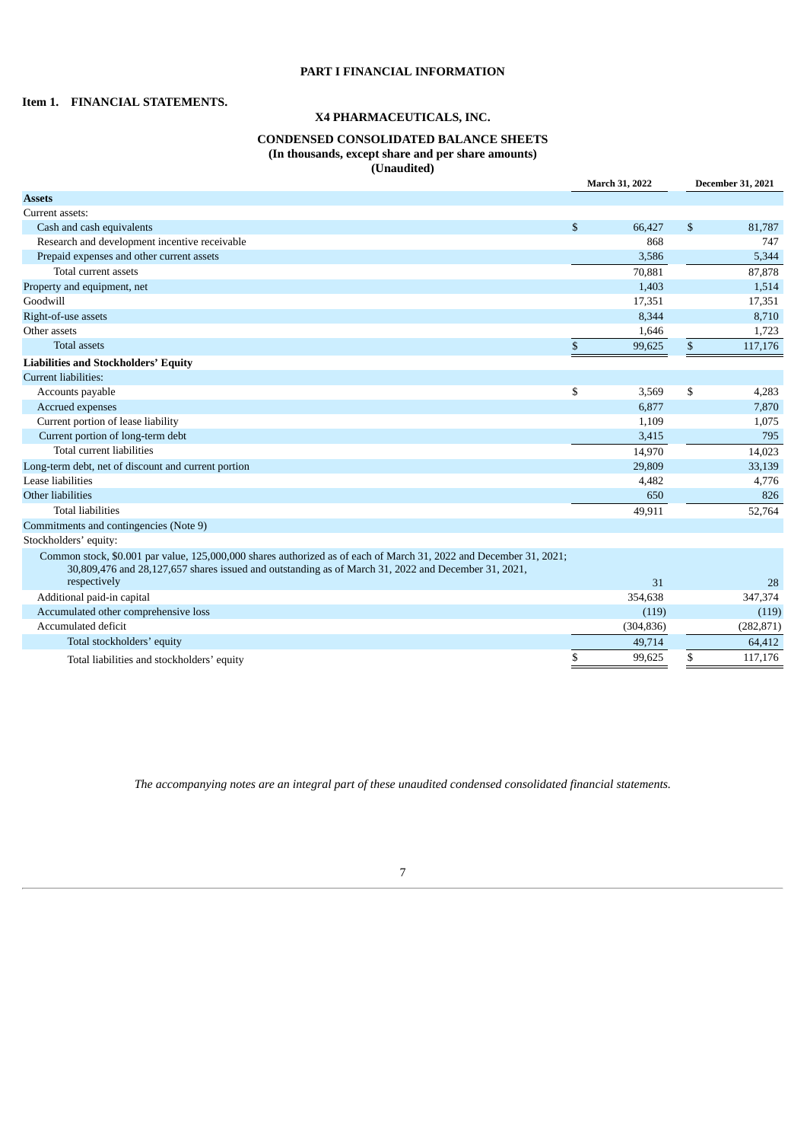# **PART I FINANCIAL INFORMATION**

## <span id="page-6-1"></span><span id="page-6-0"></span>**Item 1. FINANCIAL STATEMENTS.**

# **X4 PHARMACEUTICALS, INC.**

# **CONDENSED CONSOLIDATED BALANCE SHEETS (In thousands, except share and per share amounts) (Unaudited)**

|                                                                                                                                                                                                                           | March 31, 2022 | <b>December 31, 2021</b> |
|---------------------------------------------------------------------------------------------------------------------------------------------------------------------------------------------------------------------------|----------------|--------------------------|
| <b>Assets</b>                                                                                                                                                                                                             |                |                          |
| Current assets:                                                                                                                                                                                                           |                |                          |
| Cash and cash equivalents                                                                                                                                                                                                 | \$<br>66,427   | \$<br>81,787             |
| Research and development incentive receivable                                                                                                                                                                             | 868            | 747                      |
| Prepaid expenses and other current assets                                                                                                                                                                                 | 3,586          | 5,344                    |
| Total current assets                                                                                                                                                                                                      | 70,881         | 87,878                   |
| Property and equipment, net                                                                                                                                                                                               | 1,403          | 1,514                    |
| Goodwill                                                                                                                                                                                                                  | 17,351         | 17,351                   |
| Right-of-use assets                                                                                                                                                                                                       | 8,344          | 8,710                    |
| Other assets                                                                                                                                                                                                              | 1,646          | 1,723                    |
| <b>Total assets</b>                                                                                                                                                                                                       | \$<br>99,625   | \$<br>117,176            |
| <b>Liabilities and Stockholders' Equity</b>                                                                                                                                                                               |                |                          |
| Current liabilities:                                                                                                                                                                                                      |                |                          |
| Accounts payable                                                                                                                                                                                                          | \$<br>3,569    | \$<br>4,283              |
| Accrued expenses                                                                                                                                                                                                          | 6,877          | 7,870                    |
| Current portion of lease liability                                                                                                                                                                                        | 1,109          | 1,075                    |
| Current portion of long-term debt                                                                                                                                                                                         | 3,415          | 795                      |
| Total current liabilities                                                                                                                                                                                                 | 14,970         | 14,023                   |
| Long-term debt, net of discount and current portion                                                                                                                                                                       | 29,809         | 33,139                   |
| Lease liabilities                                                                                                                                                                                                         | 4,482          | 4,776                    |
| Other liabilities                                                                                                                                                                                                         | 650            | 826                      |
| <b>Total liabilities</b>                                                                                                                                                                                                  | 49,911         | 52,764                   |
| Commitments and contingencies (Note 9)                                                                                                                                                                                    |                |                          |
| Stockholders' equity:                                                                                                                                                                                                     |                |                          |
| Common stock, \$0.001 par value, 125,000,000 shares authorized as of each of March 31, 2022 and December 31, 2021;<br>30,809,476 and 28,127,657 shares issued and outstanding as of March 31, 2022 and December 31, 2021, |                |                          |
| respectively                                                                                                                                                                                                              | 31             | 28                       |
| Additional paid-in capital                                                                                                                                                                                                | 354,638        | 347,374                  |
| Accumulated other comprehensive loss                                                                                                                                                                                      | (119)          | (119)                    |
| Accumulated deficit                                                                                                                                                                                                       | (304, 836)     | (282, 871)               |
| Total stockholders' equity                                                                                                                                                                                                | 49,714         | 64,412                   |
| Total liabilities and stockholders' equity                                                                                                                                                                                | \$<br>99,625   | \$<br>117,176            |

<span id="page-6-2"></span>*The accompanying notes are an integral part of these unaudited condensed consolidated financial statements.*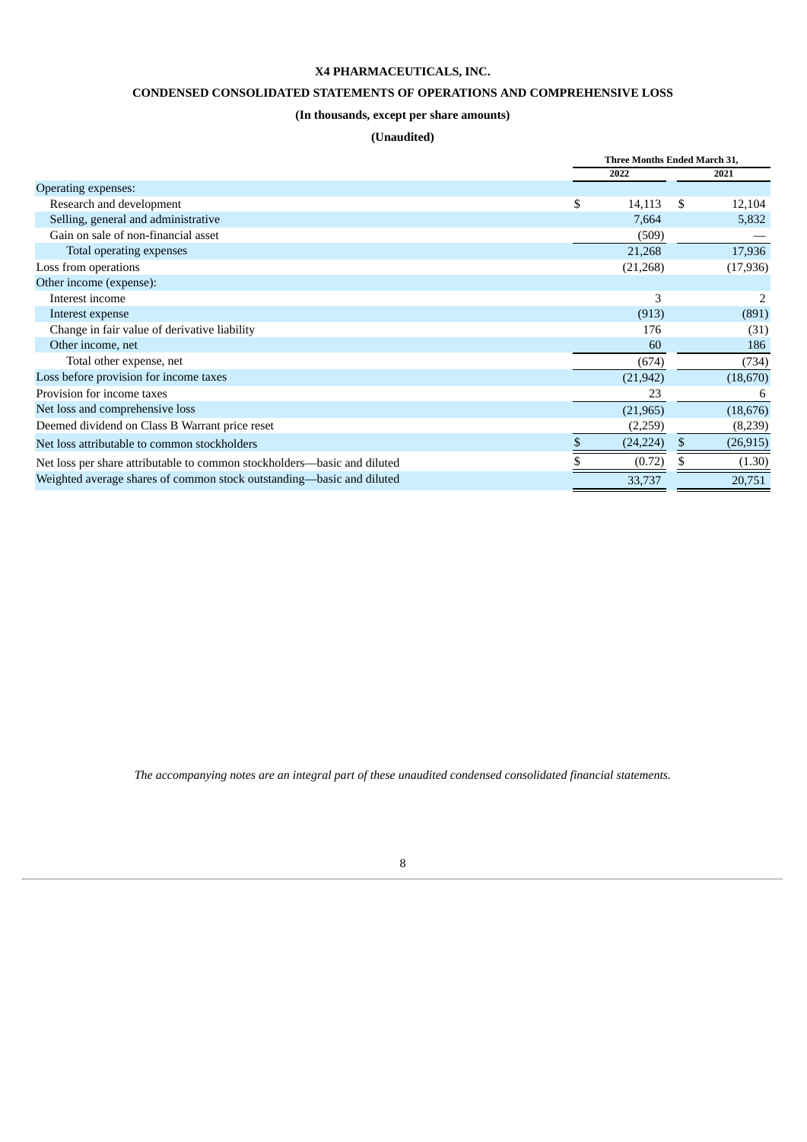# **X4 PHARMACEUTICALS, INC.**

# **CONDENSED CONSOLIDATED STATEMENTS OF OPERATIONS AND COMPREHENSIVE LOSS**

# **(In thousands, except per share amounts)**

# **(Unaudited)**

|                                                                          | <b>Three Months Ended March 31.</b> |     |           |
|--------------------------------------------------------------------------|-------------------------------------|-----|-----------|
|                                                                          | 2022                                |     | 2021      |
| Operating expenses:                                                      |                                     |     |           |
| Research and development                                                 | \$<br>14,113                        | \$. | 12,104    |
| Selling, general and administrative                                      | 7,664                               |     | 5,832     |
| Gain on sale of non-financial asset                                      | (509)                               |     |           |
| Total operating expenses                                                 | 21,268                              |     | 17,936    |
| Loss from operations                                                     | (21, 268)                           |     | (17, 936) |
| Other income (expense):                                                  |                                     |     |           |
| Interest income                                                          | 3                                   |     | 2         |
| Interest expense                                                         | (913)                               |     | (891)     |
| Change in fair value of derivative liability                             | 176                                 |     | (31)      |
| Other income, net                                                        | 60                                  |     | 186       |
| Total other expense, net                                                 | (674)                               |     | (734)     |
| Loss before provision for income taxes                                   | (21, 942)                           |     | (18,670)  |
| Provision for income taxes                                               | 23                                  |     | 6         |
| Net loss and comprehensive loss                                          | (21, 965)                           |     | (18, 676) |
| Deemed dividend on Class B Warrant price reset                           | (2,259)                             |     | (8,239)   |
| Net loss attributable to common stockholders                             | (24, 224)                           | \$  | (26, 915) |
| Net loss per share attributable to common stockholders—basic and diluted | (0.72)                              |     | (1.30)    |
| Weighted average shares of common stock outstanding—basic and diluted    | 33,737                              |     | 20,751    |

<span id="page-7-0"></span>*The accompanying notes are an integral part of these unaudited condensed consolidated financial statements.*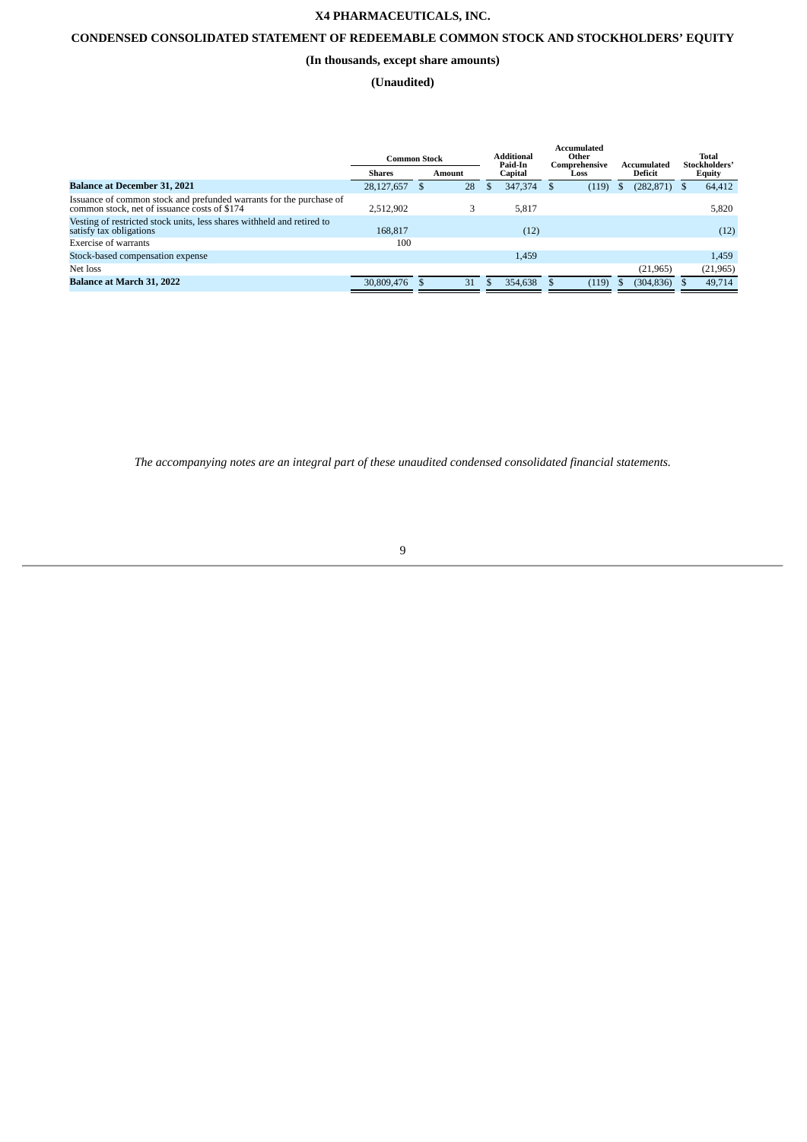# **X4 PHARMACEUTICALS, INC.**

# **CONDENSED CONSOLIDATED STATEMENT OF REDEEMABLE COMMON STOCK AND STOCKHOLDERS' EQUITY**

# **(In thousands, except share amounts)**

**(Unaudited)**

|                                                                                                                     | <b>Common Stock</b> |        |    | <b>Additional</b><br>Paid-In | Accumulated<br>Other<br>Comprehensive | Accumulated     | Total<br>Stockholders' |
|---------------------------------------------------------------------------------------------------------------------|---------------------|--------|----|------------------------------|---------------------------------------|-----------------|------------------------|
|                                                                                                                     | <b>Shares</b>       | Amount |    | Capital                      | <b>LOSS</b>                           | Deficit         | <b>Equity</b>          |
| <b>Balance at December 31, 2021</b>                                                                                 | 28,127,657          | 28     |    | 347,374                      | (119)                                 | $(282, 871)$ \$ | 64,412                 |
| Issuance of common stock and prefunded warrants for the purchase of<br>common stock, net of issuance costs of \$174 | 2.512.902           |        |    | 5.817                        |                                       |                 | 5.820                  |
| Vesting of restricted stock units, less shares withheld and retired to<br>satisfy tax obligations                   | 168,817             |        |    | (12)                         |                                       |                 | (12)                   |
| Exercise of warrants                                                                                                | 100                 |        |    |                              |                                       |                 |                        |
| Stock-based compensation expense                                                                                    |                     |        |    | 1.459                        |                                       |                 | 1,459                  |
| Net loss                                                                                                            |                     |        |    |                              |                                       | (21,965)        | (21,965)               |
| <b>Balance at March 31, 2022</b>                                                                                    | 30,809,476          | 31     | S. | 354,638                      | (119)                                 | (304, 836)      | 49,714                 |

*The accompanying notes are an integral part of these unaudited condensed consolidated financial statements.*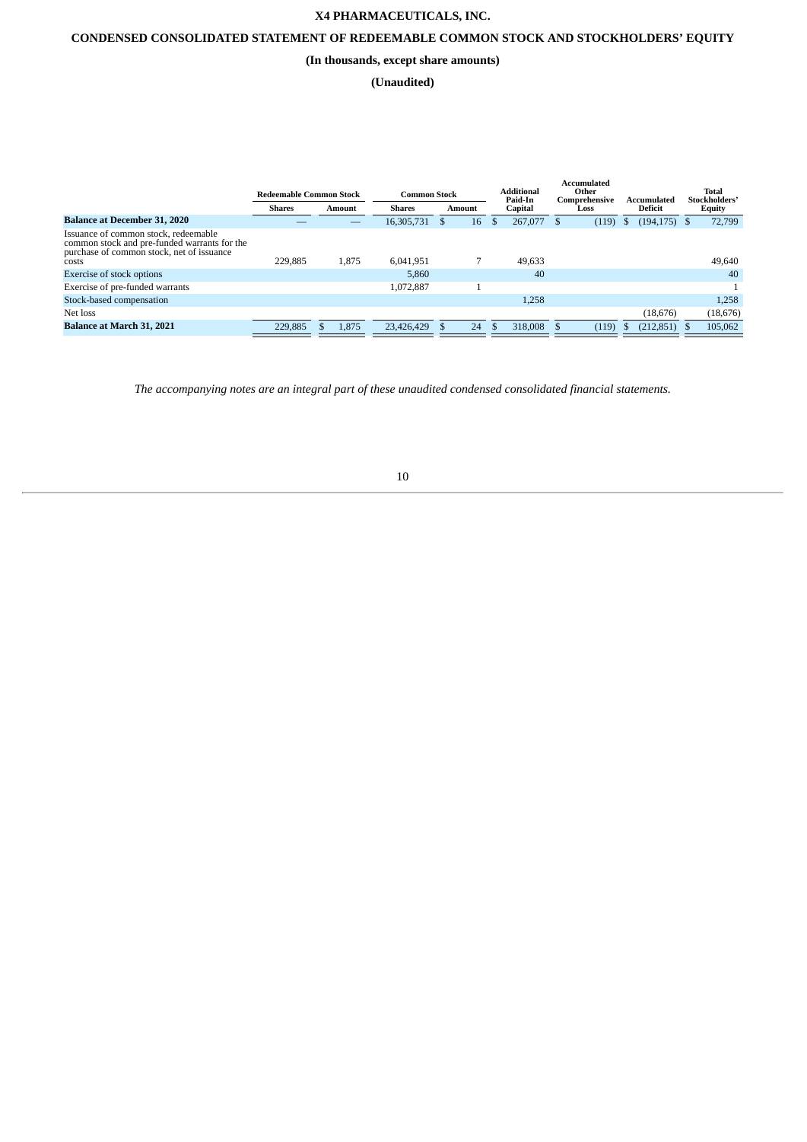# **X4 PHARMACEUTICALS, INC.**

# **CONDENSED CONSOLIDATED STATEMENT OF REDEEMABLE COMMON STOCK AND STOCKHOLDERS' EQUITY**

# **(In thousands, except share amounts)**

# **(Unaudited)**

|                                                                                                                                            | <b>Redeemable Common Stock</b> |               |       | <b>Common Stock</b> |    |               |   | <b>Additional</b><br>Paid-In |  | Accumulated<br>Other<br>Comprehensive |   | Accumulated     | Total<br>Stockholders' |  |  |  |  |  |  |  |  |  |  |  |  |  |  |      |  |         |        |
|--------------------------------------------------------------------------------------------------------------------------------------------|--------------------------------|---------------|-------|---------------------|----|---------------|---|------------------------------|--|---------------------------------------|---|-----------------|------------------------|--|--|--|--|--|--|--|--|--|--|--|--|--|--|------|--|---------|--------|
|                                                                                                                                            | <b>Shares</b>                  | <b>Amount</b> |       | <b>Shares</b>       |    | <b>Amount</b> |   | Capital                      |  |                                       |   |                 |                        |  |  |  |  |  |  |  |  |  |  |  |  |  |  | Loss |  | Deficit | Equity |
| <b>Balance at December 31, 2020</b>                                                                                                        |                                |               |       | 16,305,731          | -S | 16            | S | 267,077                      |  | (119)                                 | ъ | $(194, 175)$ \$ | 72,799                 |  |  |  |  |  |  |  |  |  |  |  |  |  |  |      |  |         |        |
| Issuance of common stock, redeemable<br>common stock and pre-funded warrants for the<br>purchase of common stock, net of issuance<br>costs | 229,885                        |               | 1.875 | 6,041,951           |    |               |   | 49,633                       |  |                                       |   |                 | 49,640                 |  |  |  |  |  |  |  |  |  |  |  |  |  |  |      |  |         |        |
| Exercise of stock options                                                                                                                  |                                |               |       | 5,860               |    |               |   | 40                           |  |                                       |   |                 | 40                     |  |  |  |  |  |  |  |  |  |  |  |  |  |  |      |  |         |        |
| Exercise of pre-funded warrants                                                                                                            |                                |               |       | 1,072,887           |    |               |   |                              |  |                                       |   |                 |                        |  |  |  |  |  |  |  |  |  |  |  |  |  |  |      |  |         |        |
| Stock-based compensation                                                                                                                   |                                |               |       |                     |    |               |   | 1,258                        |  |                                       |   |                 | 1,258                  |  |  |  |  |  |  |  |  |  |  |  |  |  |  |      |  |         |        |
| Net loss                                                                                                                                   |                                |               |       |                     |    |               |   |                              |  |                                       |   | (18, 676)       | (18, 676)              |  |  |  |  |  |  |  |  |  |  |  |  |  |  |      |  |         |        |
| <b>Balance at March 31, 2021</b>                                                                                                           | 229.885                        |               | 1.875 | 23,426,429          |    | 24            |   | 318,008                      |  | (119)                                 |   | $(212, 851)$ \$ | 105,062                |  |  |  |  |  |  |  |  |  |  |  |  |  |  |      |  |         |        |

<span id="page-9-0"></span>*The accompanying notes are an integral part of these unaudited condensed consolidated financial statements.*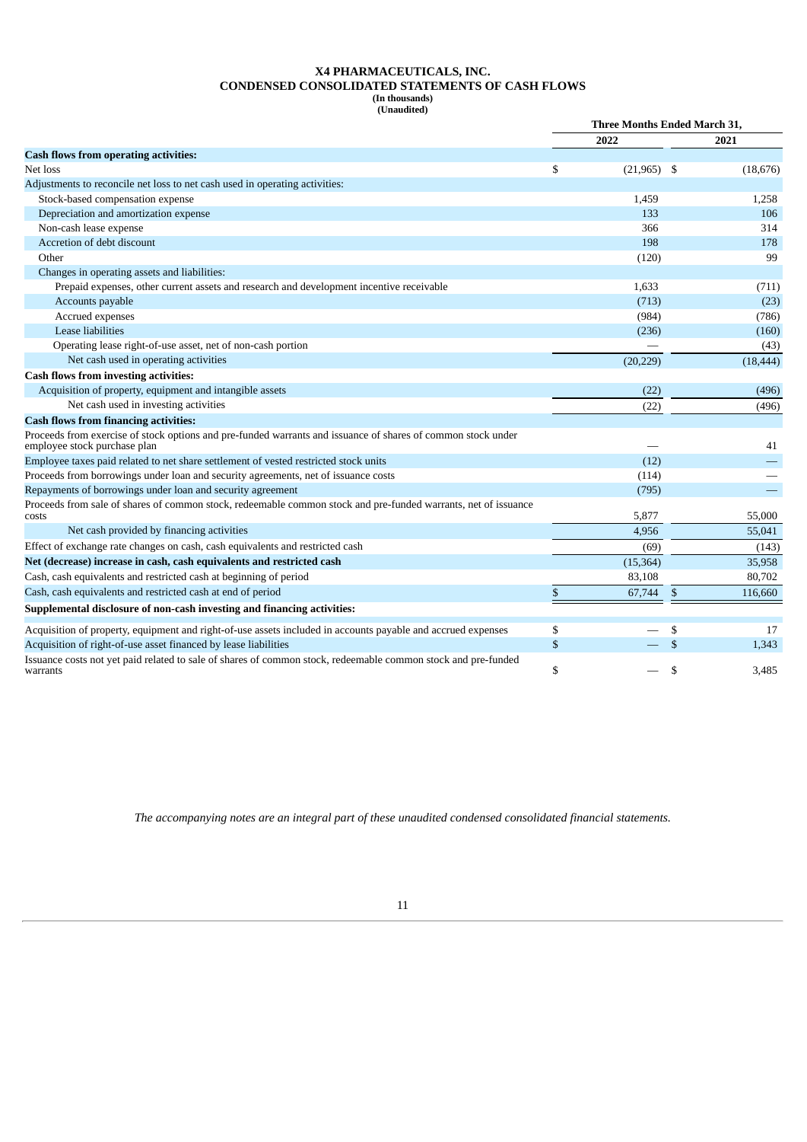#### **X4 PHARMACEUTICALS, INC. CONDENSED CONSOLIDATED STATEMENTS OF CASH FLOWS (In thousands)**

**(Unaudited)**

|                                                                                                                                              | <b>Three Months Ended March 31,</b> |              |           |
|----------------------------------------------------------------------------------------------------------------------------------------------|-------------------------------------|--------------|-----------|
|                                                                                                                                              | 2022                                |              | 2021      |
| <b>Cash flows from operating activities:</b>                                                                                                 |                                     |              |           |
| Net loss                                                                                                                                     | \$<br>$(21,965)$ \$                 |              | (18, 676) |
| Adjustments to reconcile net loss to net cash used in operating activities:                                                                  |                                     |              |           |
| Stock-based compensation expense                                                                                                             | 1,459                               |              | 1,258     |
| Depreciation and amortization expense                                                                                                        | 133                                 |              | 106       |
| Non-cash lease expense                                                                                                                       | 366                                 |              | 314       |
| Accretion of debt discount                                                                                                                   | 198                                 |              | 178       |
| Other                                                                                                                                        | (120)                               |              | 99        |
| Changes in operating assets and liabilities:                                                                                                 |                                     |              |           |
| Prepaid expenses, other current assets and research and development incentive receivable                                                     | 1,633                               |              | (711)     |
| Accounts payable                                                                                                                             | (713)                               |              | (23)      |
| Accrued expenses                                                                                                                             | (984)                               |              | (786)     |
| Lease liabilities                                                                                                                            | (236)                               |              | (160)     |
| Operating lease right-of-use asset, net of non-cash portion                                                                                  |                                     |              | (43)      |
| Net cash used in operating activities                                                                                                        | (20, 229)                           |              | (18, 444) |
| <b>Cash flows from investing activities:</b>                                                                                                 |                                     |              |           |
| Acquisition of property, equipment and intangible assets                                                                                     | (22)                                |              | (496)     |
| Net cash used in investing activities                                                                                                        | (22)                                |              | (496)     |
| <b>Cash flows from financing activities:</b>                                                                                                 |                                     |              |           |
| Proceeds from exercise of stock options and pre-funded warrants and issuance of shares of common stock under<br>employee stock purchase plan |                                     |              | 41        |
| Employee taxes paid related to net share settlement of vested restricted stock units                                                         | (12)                                |              |           |
| Proceeds from borrowings under loan and security agreements, net of issuance costs                                                           | (114)                               |              |           |
| Repayments of borrowings under loan and security agreement                                                                                   | (795)                               |              |           |
| Proceeds from sale of shares of common stock, redeemable common stock and pre-funded warrants, net of issuance<br>costs                      | 5,877                               |              | 55,000    |
| Net cash provided by financing activities                                                                                                    | 4,956                               |              | 55,041    |
| Effect of exchange rate changes on cash, cash equivalents and restricted cash                                                                | (69)                                |              | (143)     |
| Net (decrease) increase in cash, cash equivalents and restricted cash                                                                        | (15, 364)                           |              | 35,958    |
| Cash, cash equivalents and restricted cash at beginning of period                                                                            | 83,108                              |              | 80,702    |
| Cash, cash equivalents and restricted cash at end of period                                                                                  | \$<br>67,744                        | \$           | 116,660   |
| Supplemental disclosure of non-cash investing and financing activities:                                                                      |                                     |              |           |
| Acquisition of property, equipment and right-of-use assets included in accounts payable and accrued expenses                                 | \$                                  | \$           | 17        |
| Acquisition of right-of-use asset financed by lease liabilities                                                                              | \$                                  | $\mathbf{s}$ | 1,343     |
| Issuance costs not yet paid related to sale of shares of common stock, redeemable common stock and pre-funded<br>warrants                    | \$                                  | \$           | 3,485     |

<span id="page-10-0"></span>*The accompanying notes are an integral part of these unaudited condensed consolidated financial statements.*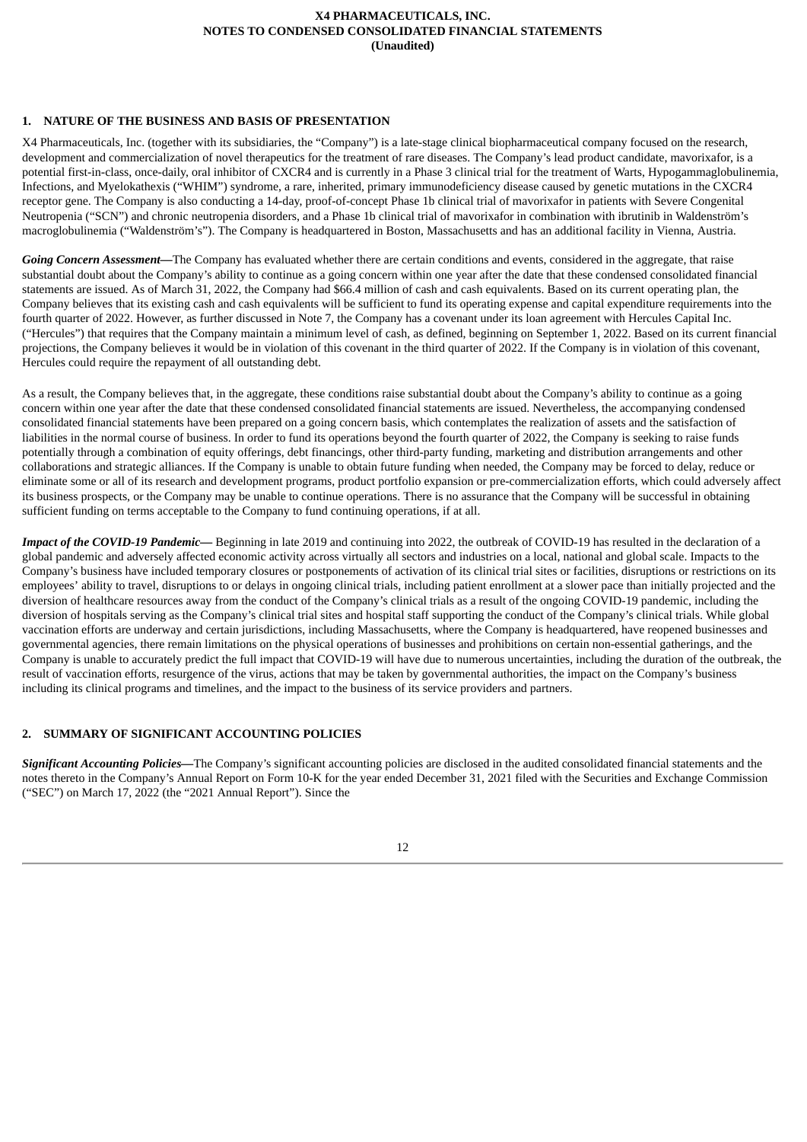#### **1. NATURE OF THE BUSINESS AND BASIS OF PRESENTATION**

X4 Pharmaceuticals, Inc. (together with its subsidiaries, the "Company") is a late-stage clinical biopharmaceutical company focused on the research, development and commercialization of novel therapeutics for the treatment of rare diseases. The Company's lead product candidate, mavorixafor, is a potential first-in-class, once-daily, oral inhibitor of CXCR4 and is currently in a Phase 3 clinical trial for the treatment of Warts, Hypogammaglobulinemia, Infections, and Myelokathexis ("WHIM") syndrome, a rare, inherited, primary immunodeficiency disease caused by genetic mutations in the CXCR4 receptor gene. The Company is also conducting a 14-day, proof-of-concept Phase 1b clinical trial of mavorixafor in patients with Severe Congenital Neutropenia ("SCN") and chronic neutropenia disorders, and a Phase 1b clinical trial of mavorixafor in combination with ibrutinib in Waldenström's macroglobulinemia ("Waldenström's"). The Company is headquartered in Boston, Massachusetts and has an additional facility in Vienna, Austria.

*Going Concern Assessment—*The Company has evaluated whether there are certain conditions and events, considered in the aggregate, that raise substantial doubt about the Company's ability to continue as a going concern within one year after the date that these condensed consolidated financial statements are issued. As of March 31, 2022, the Company had \$66.4 million of cash and cash equivalents. Based on its current operating plan, the Company believes that its existing cash and cash equivalents will be sufficient to fund its operating expense and capital expenditure requirements into the fourth quarter of 2022. However, as further discussed in Note 7, the Company has a covenant under its loan agreement with Hercules Capital Inc. ("Hercules") that requires that the Company maintain a minimum level of cash, as defined, beginning on September 1, 2022. Based on its current financial projections, the Company believes it would be in violation of this covenant in the third quarter of 2022. If the Company is in violation of this covenant, Hercules could require the repayment of all outstanding debt.

As a result, the Company believes that, in the aggregate, these conditions raise substantial doubt about the Company's ability to continue as a going concern within one year after the date that these condensed consolidated financial statements are issued. Nevertheless, the accompanying condensed consolidated financial statements have been prepared on a going concern basis, which contemplates the realization of assets and the satisfaction of liabilities in the normal course of business. In order to fund its operations beyond the fourth quarter of 2022, the Company is seeking to raise funds potentially through a combination of equity offerings, debt financings, other third-party funding, marketing and distribution arrangements and other collaborations and strategic alliances. If the Company is unable to obtain future funding when needed, the Company may be forced to delay, reduce or eliminate some or all of its research and development programs, product portfolio expansion or pre-commercialization efforts, which could adversely affect its business prospects, or the Company may be unable to continue operations. There is no assurance that the Company will be successful in obtaining sufficient funding on terms acceptable to the Company to fund continuing operations, if at all.

*Impact* of the COVID-19 Pandemic— Beginning in late 2019 and continuing into 2022, the outbreak of COVID-19 has resulted in the declaration of a global pandemic and adversely affected economic activity across virtually all sectors and industries on a local, national and global scale. Impacts to the Company's business have included temporary closures or postponements of activation of its clinical trial sites or facilities, disruptions or restrictions on its employees' ability to travel, disruptions to or delays in ongoing clinical trials, including patient enrollment at a slower pace than initially projected and the diversion of healthcare resources away from the conduct of the Company's clinical trials as a result of the ongoing COVID-19 pandemic, including the diversion of hospitals serving as the Company's clinical trial sites and hospital staff supporting the conduct of the Company's clinical trials. While global vaccination efforts are underway and certain jurisdictions, including Massachusetts, where the Company is headquartered, have reopened businesses and governmental agencies, there remain limitations on the physical operations of businesses and prohibitions on certain non-essential gatherings, and the Company is unable to accurately predict the full impact that COVID-19 will have due to numerous uncertainties, including the duration of the outbreak, the result of vaccination efforts, resurgence of the virus, actions that may be taken by governmental authorities, the impact on the Company's business including its clinical programs and timelines, and the impact to the business of its service providers and partners.

# **2. SUMMARY OF SIGNIFICANT ACCOUNTING POLICIES**

*Significant Accounting Policies—*The Company's significant accounting policies are disclosed in the audited consolidated financial statements and the notes thereto in the Company's Annual Report on Form 10-K for the year ended December 31, 2021 filed with the Securities and Exchange Commission ("SEC") on March 17, 2022 (the "2021 Annual Report"). Since the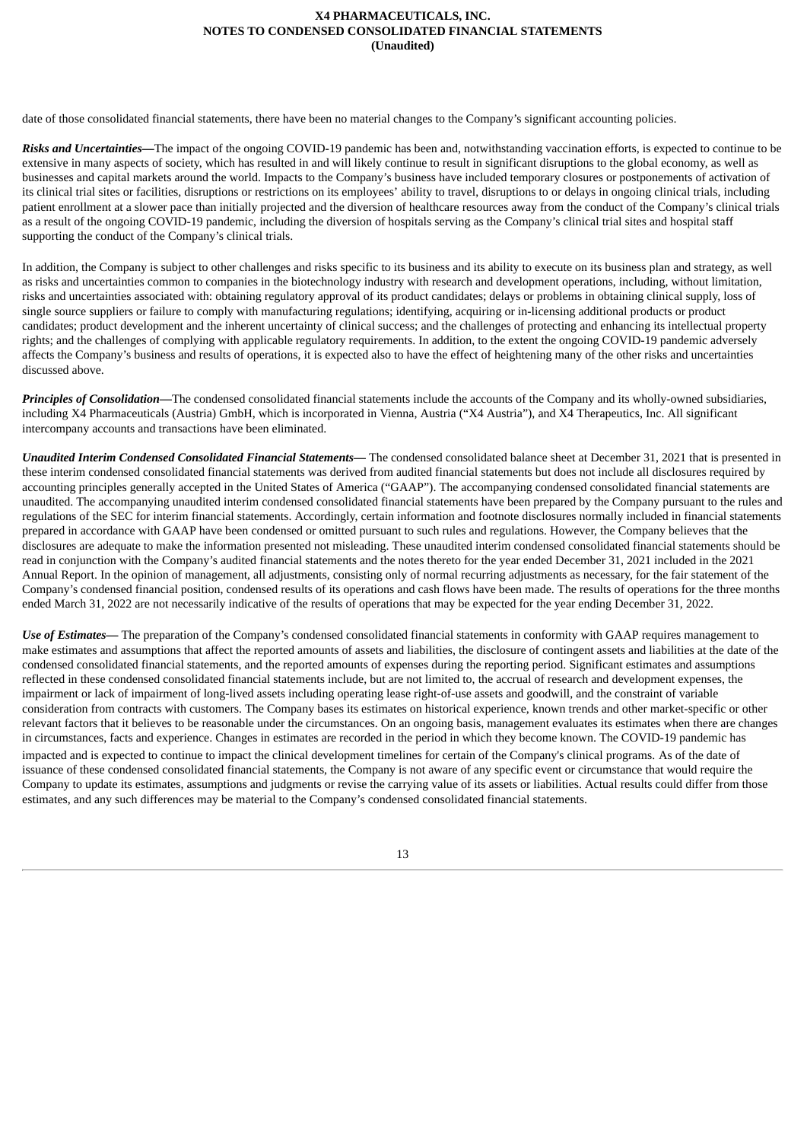date of those consolidated financial statements, there have been no material changes to the Company's significant accounting policies.

*Risks and Uncertainties—*The impact of the ongoing COVID-19 pandemic has been and, notwithstanding vaccination efforts, is expected to continue to be extensive in many aspects of society, which has resulted in and will likely continue to result in significant disruptions to the global economy, as well as businesses and capital markets around the world. Impacts to the Company's business have included temporary closures or postponements of activation of its clinical trial sites or facilities, disruptions or restrictions on its employees' ability to travel, disruptions to or delays in ongoing clinical trials, including patient enrollment at a slower pace than initially projected and the diversion of healthcare resources away from the conduct of the Company's clinical trials as a result of the ongoing COVID-19 pandemic, including the diversion of hospitals serving as the Company's clinical trial sites and hospital staff supporting the conduct of the Company's clinical trials.

In addition, the Company is subject to other challenges and risks specific to its business and its ability to execute on its business plan and strategy, as well as risks and uncertainties common to companies in the biotechnology industry with research and development operations, including, without limitation, risks and uncertainties associated with: obtaining regulatory approval of its product candidates; delays or problems in obtaining clinical supply, loss of single source suppliers or failure to comply with manufacturing regulations; identifying, acquiring or in-licensing additional products or product candidates; product development and the inherent uncertainty of clinical success; and the challenges of protecting and enhancing its intellectual property rights; and the challenges of complying with applicable regulatory requirements. In addition, to the extent the ongoing COVID-19 pandemic adversely affects the Company's business and results of operations, it is expected also to have the effect of heightening many of the other risks and uncertainties discussed above.

*Principles of Consolidation—*The condensed consolidated financial statements include the accounts of the Company and its wholly-owned subsidiaries, including X4 Pharmaceuticals (Austria) GmbH, which is incorporated in Vienna, Austria ("X4 Austria"), and X4 Therapeutics, Inc. All significant intercompany accounts and transactions have been eliminated.

*Unaudited Interim Condensed Consolidated Financial Statements—* The condensed consolidated balance sheet at December 31, 2021 that is presented in these interim condensed consolidated financial statements was derived from audited financial statements but does not include all disclosures required by accounting principles generally accepted in the United States of America ("GAAP"). The accompanying condensed consolidated financial statements are unaudited. The accompanying unaudited interim condensed consolidated financial statements have been prepared by the Company pursuant to the rules and regulations of the SEC for interim financial statements. Accordingly, certain information and footnote disclosures normally included in financial statements prepared in accordance with GAAP have been condensed or omitted pursuant to such rules and regulations. However, the Company believes that the disclosures are adequate to make the information presented not misleading. These unaudited interim condensed consolidated financial statements should be read in conjunction with the Company's audited financial statements and the notes thereto for the year ended December 31, 2021 included in the 2021 Annual Report. In the opinion of management, all adjustments, consisting only of normal recurring adjustments as necessary, for the fair statement of the Company's condensed financial position, condensed results of its operations and cash flows have been made. The results of operations for the three months ended March 31, 2022 are not necessarily indicative of the results of operations that may be expected for the year ending December 31, 2022.

*Use of Estimates—* The preparation of the Company's condensed consolidated financial statements in conformity with GAAP requires management to make estimates and assumptions that affect the reported amounts of assets and liabilities, the disclosure of contingent assets and liabilities at the date of the condensed consolidated financial statements, and the reported amounts of expenses during the reporting period. Significant estimates and assumptions reflected in these condensed consolidated financial statements include, but are not limited to, the accrual of research and development expenses, the impairment or lack of impairment of long-lived assets including operating lease right-of-use assets and goodwill, and the constraint of variable consideration from contracts with customers. The Company bases its estimates on historical experience, known trends and other market-specific or other relevant factors that it believes to be reasonable under the circumstances. On an ongoing basis, management evaluates its estimates when there are changes in circumstances, facts and experience. Changes in estimates are recorded in the period in which they become known. The COVID-19 pandemic has impacted and is expected to continue to impact the clinical development timelines for certain of the Company's clinical programs. As of the date of issuance of these condensed consolidated financial statements, the Company is not aware of any specific event or circumstance that would require the Company to update its estimates, assumptions and judgments or revise the carrying value of its assets or liabilities. Actual results could differ from those estimates, and any such differences may be material to the Company's condensed consolidated financial statements.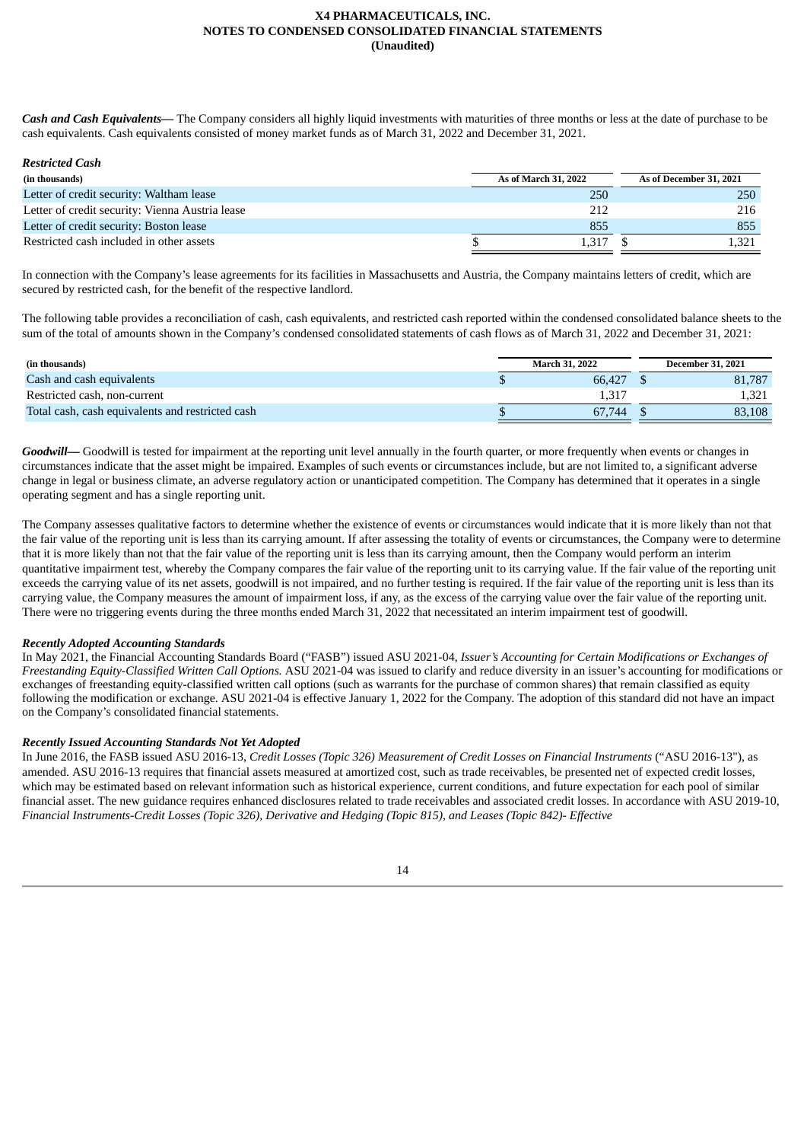*Cash and Cash Equivalents—* The Company considers all highly liquid investments with maturities of three months or less at the date of purchase to be cash equivalents. Cash equivalents consisted of money market funds as of March 31, 2022 and December 31, 2021.

| <b>Restricted Cash</b>                          |                      |                         |
|-------------------------------------------------|----------------------|-------------------------|
| (in thousands)                                  | As of March 31, 2022 | As of December 31, 2021 |
| Letter of credit security: Waltham lease        | 250                  | 250                     |
| Letter of credit security: Vienna Austria lease | 212                  | 216                     |
| Letter of credit security: Boston lease         | 855                  | 855                     |
| Restricted cash included in other assets        | 1,317                | 1,321                   |

In connection with the Company's lease agreements for its facilities in Massachusetts and Austria, the Company maintains letters of credit, which are secured by restricted cash, for the benefit of the respective landlord.

The following table provides a reconciliation of cash, cash equivalents, and restricted cash reported within the condensed consolidated balance sheets to the sum of the total of amounts shown in the Company's condensed consolidated statements of cash flows as of March 31, 2022 and December 31, 2021:

| (in thousands)                                   | <b>March 31, 2022</b> |        | <b>December 31, 2021</b> |
|--------------------------------------------------|-----------------------|--------|--------------------------|
| Cash and cash equivalents                        |                       | 66,427 | 81,787                   |
| Restricted cash, non-current                     |                       | 1,317  | 1,321                    |
| Total cash, cash equivalents and restricted cash |                       | 67,744 | 83.108                   |

*Goodwill—* Goodwill is tested for impairment at the reporting unit level annually in the fourth quarter, or more frequently when events or changes in circumstances indicate that the asset might be impaired. Examples of such events or circumstances include, but are not limited to, a significant adverse change in legal or business climate, an adverse regulatory action or unanticipated competition. The Company has determined that it operates in a single operating segment and has a single reporting unit.

The Company assesses qualitative factors to determine whether the existence of events or circumstances would indicate that it is more likely than not that the fair value of the reporting unit is less than its carrying amount. If after assessing the totality of events or circumstances, the Company were to determine that it is more likely than not that the fair value of the reporting unit is less than its carrying amount, then the Company would perform an interim quantitative impairment test, whereby the Company compares the fair value of the reporting unit to its carrying value. If the fair value of the reporting unit exceeds the carrying value of its net assets, goodwill is not impaired, and no further testing is required. If the fair value of the reporting unit is less than its carrying value, the Company measures the amount of impairment loss, if any, as the excess of the carrying value over the fair value of the reporting unit. There were no triggering events during the three months ended March 31, 2022 that necessitated an interim impairment test of goodwill.

## *Recently Adopted Accounting Standards*

In May 2021, the Financial Accounting Standards Board ("FASB") issued ASU 2021-04, *Issuer's Accounting for Certain Modifications or Exchanges of Freestanding Equity-Classified Written Call Options.* ASU 2021-04 was issued to clarify and reduce diversity in an issuer's accounting for modifications or exchanges of freestanding equity-classified written call options (such as warrants for the purchase of common shares) that remain classified as equity following the modification or exchange. ASU 2021-04 is effective January 1, 2022 for the Company. The adoption of this standard did not have an impact on the Company's consolidated financial statements.

## *Recently Issued Accounting Standards Not Yet Adopted*

In June 2016, the FASB issued ASU 2016-13, *Credit Losses (Topic 326) Measurement of Credit Losses on Financial Instruments* ("ASU 2016-13"), as amended. ASU 2016-13 requires that financial assets measured at amortized cost, such as trade receivables, be presented net of expected credit losses, which may be estimated based on relevant information such as historical experience, current conditions, and future expectation for each pool of similar financial asset. The new guidance requires enhanced disclosures related to trade receivables and associated credit losses. In accordance with ASU 2019-10, *Financial Instruments-Credit Losses (Topic 326), Derivative and Hedging (Topic 815), and Leases (Topic 842)- Effective*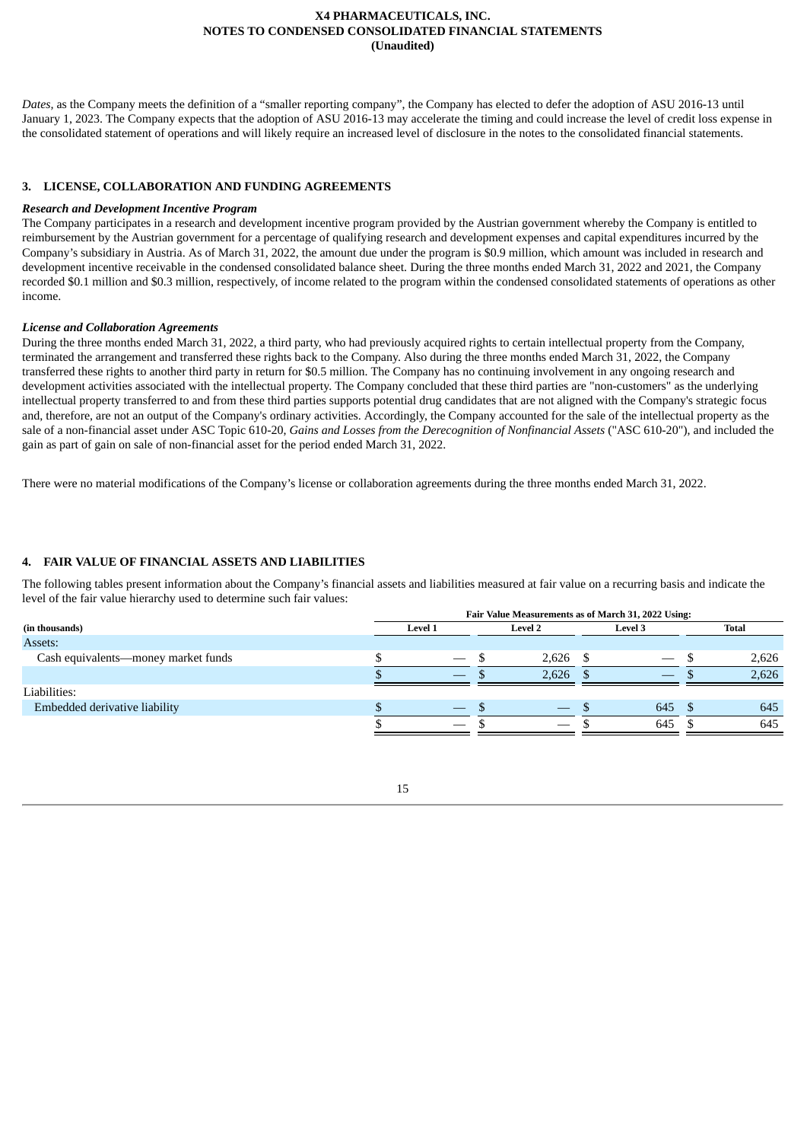*Dates,* as the Company meets the definition of a "smaller reporting company", the Company has elected to defer the adoption of ASU 2016-13 until January 1, 2023. The Company expects that the adoption of ASU 2016-13 may accelerate the timing and could increase the level of credit loss expense in the consolidated statement of operations and will likely require an increased level of disclosure in the notes to the consolidated financial statements.

# **3. LICENSE, COLLABORATION AND FUNDING AGREEMENTS**

## *Research and Development Incentive Program*

The Company participates in a research and development incentive program provided by the Austrian government whereby the Company is entitled to reimbursement by the Austrian government for a percentage of qualifying research and development expenses and capital expenditures incurred by the Company's subsidiary in Austria. As of March 31, 2022, the amount due under the program is \$0.9 million, which amount was included in research and development incentive receivable in the condensed consolidated balance sheet. During the three months ended March 31, 2022 and 2021, the Company recorded \$0.1 million and \$0.3 million, respectively, of income related to the program within the condensed consolidated statements of operations as other income.

#### *License and Collaboration Agreements*

During the three months ended March 31, 2022, a third party, who had previously acquired rights to certain intellectual property from the Company, terminated the arrangement and transferred these rights back to the Company. Also during the three months ended March 31, 2022, the Company transferred these rights to another third party in return for \$0.5 million. The Company has no continuing involvement in any ongoing research and development activities associated with the intellectual property. The Company concluded that these third parties are "non-customers" as the underlying intellectual property transferred to and from these third parties supports potential drug candidates that are not aligned with the Company's strategic focus and, therefore, are not an output of the Company's ordinary activities. Accordingly, the Company accounted for the sale of the intellectual property as the sale of a non-financial asset under ASC Topic 610-20, *Gains and Losses from the Derecognition of Nonfinancial Assets* ("ASC 610-20"), and included the gain as part of gain on sale of non-financial asset for the period ended March 31, 2022.

There were no material modifications of the Company's license or collaboration agreements during the three months ended March 31, 2022.

## **4. FAIR VALUE OF FINANCIAL ASSETS AND LIABILITIES**

The following tables present information about the Company's financial assets and liabilities measured at fair value on a recurring basis and indicate the level of the fair value hierarchy used to determine such fair values:

|                                     |                          |                          | Fair Value Measurements as of March 31, 2022 Using: |              |
|-------------------------------------|--------------------------|--------------------------|-----------------------------------------------------|--------------|
| (in thousands)                      | Level 1                  | Level 2                  | <b>Level 3</b>                                      | <b>Total</b> |
| Assets:                             |                          |                          |                                                     |              |
| Cash equivalents—money market funds | $\overline{\phantom{m}}$ | 2,626                    |                                                     | 2,626        |
|                                     | $\overline{\phantom{m}}$ | 2.626                    |                                                     | 2,626        |
| Liabilities:                        |                          |                          |                                                     |              |
| Embedded derivative liability       | $\frac{1}{2}$            | $\overline{\phantom{m}}$ | 645 \$                                              | 645          |
|                                     |                          | $\overline{\phantom{a}}$ | 645                                                 | 645          |
|                                     |                          |                          |                                                     |              |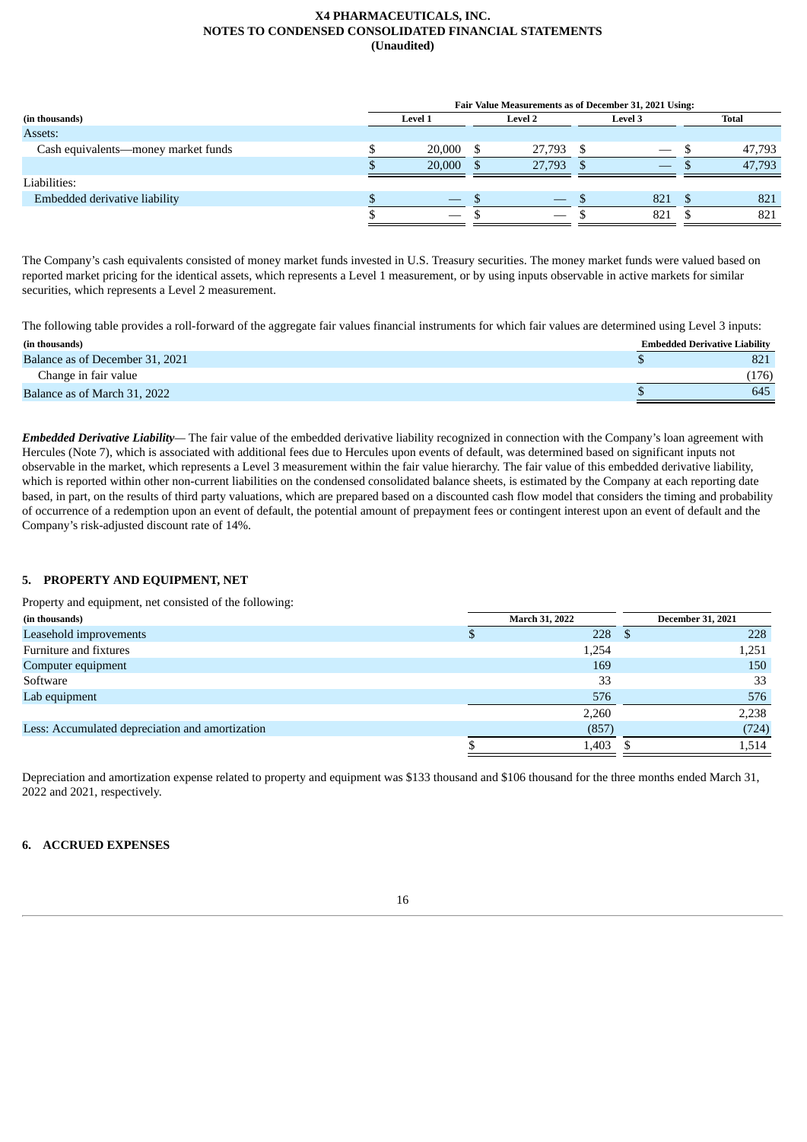|                                     | Fair Value Measurements as of December 31, 2021 Using: |         |         |        |         |                          |  |        |
|-------------------------------------|--------------------------------------------------------|---------|---------|--------|---------|--------------------------|--|--------|
| (in thousands)                      |                                                        | Level 1 | Level 2 |        | Level 3 |                          |  | Total  |
| Assets:                             |                                                        |         |         |        |         |                          |  |        |
| Cash equivalents—money market funds |                                                        | 20,000  |         | 27,793 |         |                          |  | 47,793 |
|                                     |                                                        | 20,000  |         | 27,793 |         | $\overline{\phantom{m}}$ |  | 47,793 |
| Liabilities:                        |                                                        |         |         |        |         |                          |  |        |
| Embedded derivative liability       |                                                        |         |         |        |         | 821                      |  | 821    |
|                                     |                                                        | _       |         |        |         | 821                      |  | 821    |

The Company's cash equivalents consisted of money market funds invested in U.S. Treasury securities. The money market funds were valued based on reported market pricing for the identical assets, which represents a Level 1 measurement, or by using inputs observable in active markets for similar securities, which represents a Level 2 measurement.

The following table provides a roll-forward of the aggregate fair values financial instruments for which fair values are determined using Level 3 inputs:

| (in thousands)                  | <b>Embedded Derivative Liability</b> |
|---------------------------------|--------------------------------------|
| Balance as of December 31, 2021 | 821                                  |
| Change in fair value            | (176)                                |
| Balance as of March 31, 2022    | 645                                  |

*Embedded Derivative Liability—* The fair value of the embedded derivative liability recognized in connection with the Company's loan agreement with Hercules (Note 7), which is associated with additional fees due to Hercules upon events of default, was determined based on significant inputs not observable in the market, which represents a Level 3 measurement within the fair value hierarchy. The fair value of this embedded derivative liability, which is reported within other non-current liabilities on the condensed consolidated balance sheets, is estimated by the Company at each reporting date based, in part, on the results of third party valuations, which are prepared based on a discounted cash flow model that considers the timing and probability of occurrence of a redemption upon an event of default, the potential amount of prepayment fees or contingent interest upon an event of default and the Company's risk-adjusted discount rate of 14%.

# **5. PROPERTY AND EQUIPMENT, NET**

Property and equipment, net consisted of the following:

| (in thousands)                                  | March 31, 2022 |       |    | <b>December 31, 2021</b> |
|-------------------------------------------------|----------------|-------|----|--------------------------|
| Leasehold improvements                          |                | 228   | -5 | 228                      |
| Furniture and fixtures                          |                | 1,254 |    | 1,251                    |
| Computer equipment                              |                | 169   |    | 150                      |
| Software                                        |                | 33    |    | 33                       |
| Lab equipment                                   |                | 576   |    | 576                      |
|                                                 |                | 2,260 |    | 2,238                    |
| Less: Accumulated depreciation and amortization |                | (857) |    | (724)                    |
|                                                 |                | 1,403 |    | 1,514                    |

Depreciation and amortization expense related to property and equipment was \$133 thousand and \$106 thousand for the three months ended March 31, 2022 and 2021, respectively.

## **6. ACCRUED EXPENSES**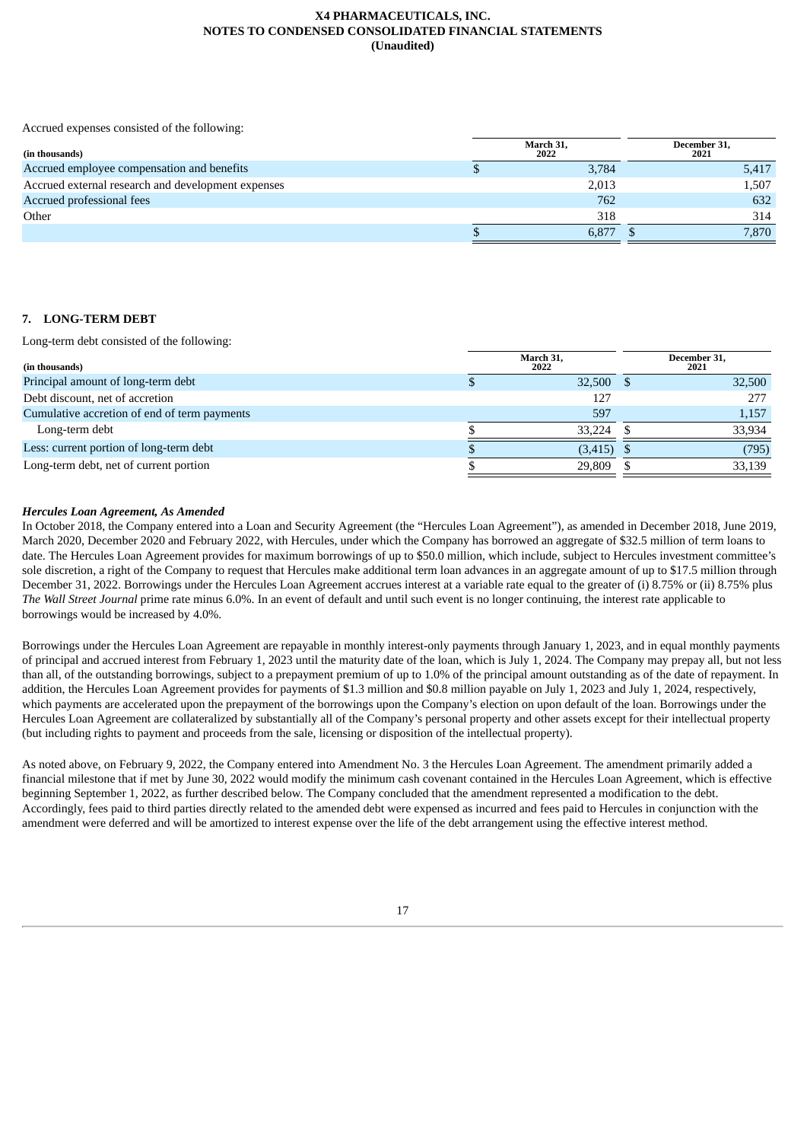Accrued expenses consisted of the following:

| (in thousands)                                     | March 31,<br>2022 |       |       |       | December 31,<br>2021 |  |
|----------------------------------------------------|-------------------|-------|-------|-------|----------------------|--|
| Accrued employee compensation and benefits         |                   | 3,784 | 5,417 |       |                      |  |
| Accrued external research and development expenses |                   | 2,013 |       | 1,507 |                      |  |
| Accrued professional fees                          |                   | 762   |       | 632   |                      |  |
| Other                                              |                   | 318   |       | 314   |                      |  |
|                                                    |                   | 6,877 |       | 7,870 |                      |  |

## **7. LONG-TERM DEBT**

Long-term debt consisted of the following:

| (in thousands)                               | March 31,<br>2022 |              | December 31,<br>2021 |
|----------------------------------------------|-------------------|--------------|----------------------|
| Principal amount of long-term debt           |                   | 32,500       | 32,500               |
| Debt discount, net of accretion              |                   | 127          | 277                  |
| Cumulative accretion of end of term payments |                   | 597          | 1,157                |
| Long-term debt                               |                   | 33.224       | 33,934               |
| Less: current portion of long-term debt      |                   | $(3,415)$ \$ | (795)                |
| Long-term debt, net of current portion       |                   | 29,809       | 33,139               |

## *Hercules Loan Agreement, As Amended*

In October 2018, the Company entered into a Loan and Security Agreement (the "Hercules Loan Agreement"), as amended in December 2018, June 2019, March 2020, December 2020 and February 2022, with Hercules, under which the Company has borrowed an aggregate of \$32.5 million of term loans to date. The Hercules Loan Agreement provides for maximum borrowings of up to \$50.0 million, which include, subject to Hercules investment committee's sole discretion, a right of the Company to request that Hercules make additional term loan advances in an aggregate amount of up to \$17.5 million through December 31, 2022. Borrowings under the Hercules Loan Agreement accrues interest at a variable rate equal to the greater of (i) 8.75% or (ii) 8.75% plus *The Wall Street Journal* prime rate minus 6.0%. In an event of default and until such event is no longer continuing, the interest rate applicable to borrowings would be increased by 4.0%.

Borrowings under the Hercules Loan Agreement are repayable in monthly interest-only payments through January 1, 2023, and in equal monthly payments of principal and accrued interest from February 1, 2023 until the maturity date of the loan, which is July 1, 2024. The Company may prepay all, but not less than all, of the outstanding borrowings, subject to a prepayment premium of up to 1.0% of the principal amount outstanding as of the date of repayment. In addition, the Hercules Loan Agreement provides for payments of \$1.3 million and \$0.8 million payable on July 1, 2023 and July 1, 2024, respectively, which payments are accelerated upon the prepayment of the borrowings upon the Company's election on upon default of the loan. Borrowings under the Hercules Loan Agreement are collateralized by substantially all of the Company's personal property and other assets except for their intellectual property (but including rights to payment and proceeds from the sale, licensing or disposition of the intellectual property).

As noted above, on February 9, 2022, the Company entered into Amendment No. 3 the Hercules Loan Agreement. The amendment primarily added a financial milestone that if met by June 30, 2022 would modify the minimum cash covenant contained in the Hercules Loan Agreement, which is effective beginning September 1, 2022, as further described below. The Company concluded that the amendment represented a modification to the debt. Accordingly, fees paid to third parties directly related to the amended debt were expensed as incurred and fees paid to Hercules in conjunction with the amendment were deferred and will be amortized to interest expense over the life of the debt arrangement using the effective interest method.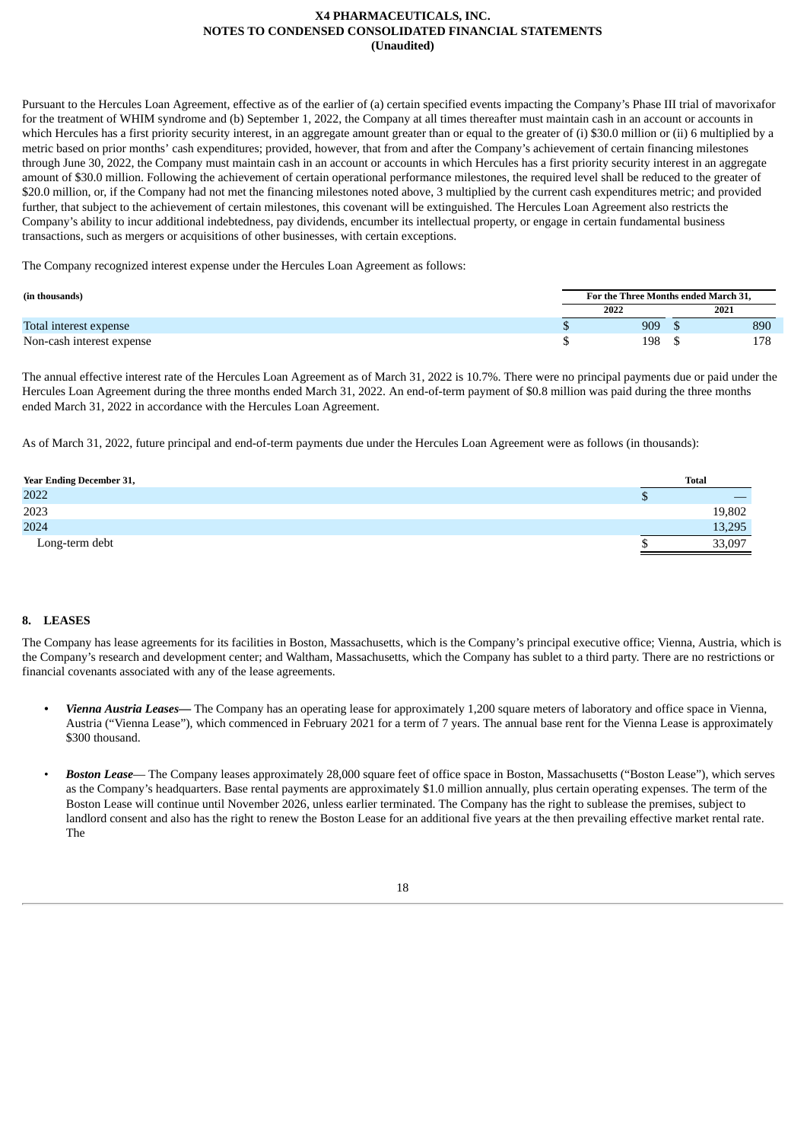Pursuant to the Hercules Loan Agreement, effective as of the earlier of (a) certain specified events impacting the Company's Phase III trial of mavorixafor for the treatment of WHIM syndrome and (b) September 1, 2022, the Company at all times thereafter must maintain cash in an account or accounts in which Hercules has a first priority security interest, in an aggregate amount greater than or equal to the greater of (i) \$30.0 million or (ii) 6 multiplied by a metric based on prior months' cash expenditures; provided, however, that from and after the Company's achievement of certain financing milestones through June 30, 2022, the Company must maintain cash in an account or accounts in which Hercules has a first priority security interest in an aggregate amount of \$30.0 million. Following the achievement of certain operational performance milestones, the required level shall be reduced to the greater of \$20.0 million, or, if the Company had not met the financing milestones noted above, 3 multiplied by the current cash expenditures metric; and provided further, that subject to the achievement of certain milestones, this covenant will be extinguished. The Hercules Loan Agreement also restricts the Company's ability to incur additional indebtedness, pay dividends, encumber its intellectual property, or engage in certain fundamental business transactions, such as mergers or acquisitions of other businesses, with certain exceptions.

The Company recognized interest expense under the Hercules Loan Agreement as follows:

| (in thousands)            | For the Three Months ended March 31. |     |  |      |
|---------------------------|--------------------------------------|-----|--|------|
|                           | 2022                                 |     |  | 2021 |
| Total interest expense    |                                      | 909 |  | 890  |
| Non-cash interest expense |                                      | 198 |  | 178  |

The annual effective interest rate of the Hercules Loan Agreement as of March 31, 2022 is 10.7%. There were no principal payments due or paid under the Hercules Loan Agreement during the three months ended March 31, 2022. An end-of-term payment of \$0.8 million was paid during the three months ended March 31, 2022 in accordance with the Hercules Loan Agreement.

As of March 31, 2022, future principal and end-of-term payments due under the Hercules Loan Agreement were as follows (in thousands):

| <b>Year Ending December 31,</b> |   | <b>Total</b> |
|---------------------------------|---|--------------|
| 2022                            | ш |              |
| 2023                            |   | 19,802       |
| 2024                            |   | 13,295       |
| Long-term debt                  |   | 33,097       |

## **8. LEASES**

The Company has lease agreements for its facilities in Boston, Massachusetts, which is the Company's principal executive office; Vienna, Austria, which is the Company's research and development center; and Waltham, Massachusetts, which the Company has sublet to a third party. There are no restrictions or financial covenants associated with any of the lease agreements.

- *• Vienna Austria Leases—* The Company has an operating lease for approximately 1,200 square meters of laboratory and office space in Vienna, Austria ("Vienna Lease"), which commenced in February 2021 for a term of 7 years. The annual base rent for the Vienna Lease is approximately \$300 thousand.
- *Boston Lease* The Company leases approximately 28,000 square feet of office space in Boston, Massachusetts ("Boston Lease"), which serves as the Company's headquarters. Base rental payments are approximately \$1.0 million annually, plus certain operating expenses. The term of the Boston Lease will continue until November 2026, unless earlier terminated. The Company has the right to sublease the premises, subject to landlord consent and also has the right to renew the Boston Lease for an additional five years at the then prevailing effective market rental rate. The

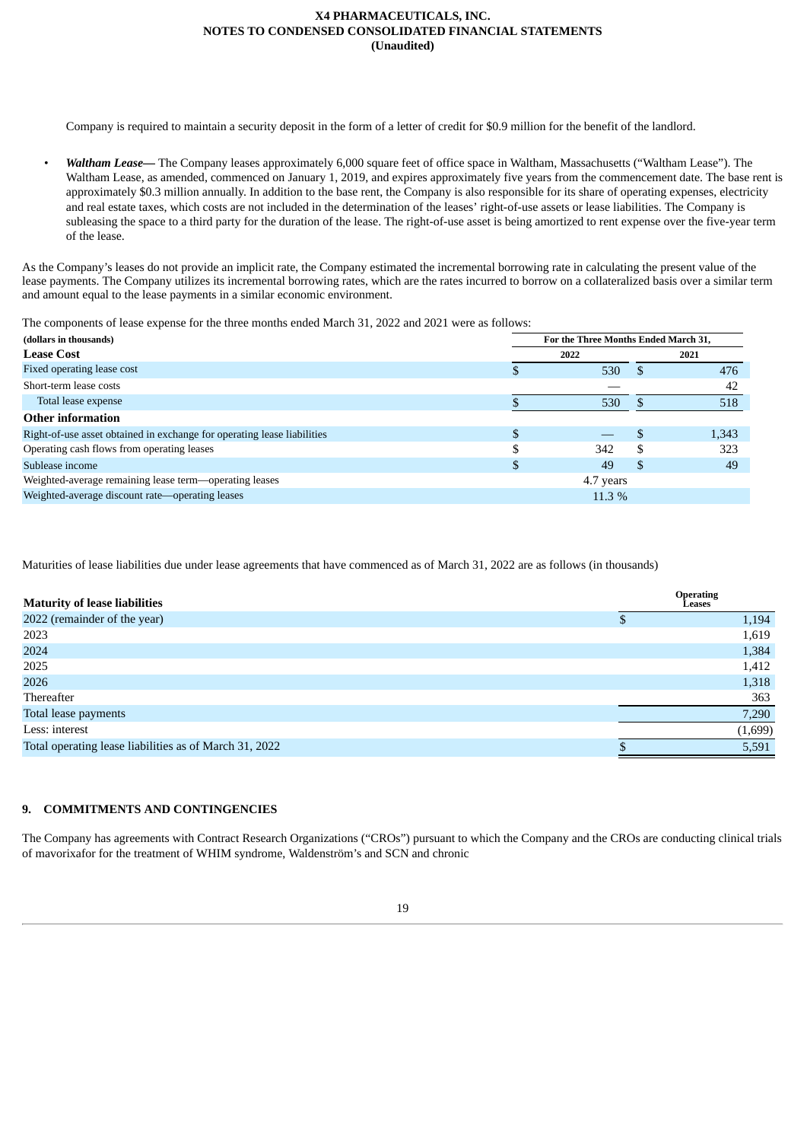Company is required to maintain a security deposit in the form of a letter of credit for \$0.9 million for the benefit of the landlord.

• *Waltham Lease—* The Company leases approximately 6,000 square feet of office space in Waltham, Massachusetts ("Waltham Lease"). The Waltham Lease, as amended, commenced on January 1, 2019, and expires approximately five years from the commencement date. The base rent is approximately \$0.3 million annually. In addition to the base rent, the Company is also responsible for its share of operating expenses, electricity and real estate taxes, which costs are not included in the determination of the leases' right-of-use assets or lease liabilities. The Company is subleasing the space to a third party for the duration of the lease. The right-of-use asset is being amortized to rent expense over the five-year term of the lease.

As the Company's leases do not provide an implicit rate, the Company estimated the incremental borrowing rate in calculating the present value of the lease payments. The Company utilizes its incremental borrowing rates, which are the rates incurred to borrow on a collateralized basis over a similar term and amount equal to the lease payments in a similar economic environment.

The components of lease expense for the three months ended March 31, 2022 and 2021 were as follows:

| (dollars in thousands)                                                  | For the Three Months Ended March 31, |     |     |       |
|-------------------------------------------------------------------------|--------------------------------------|-----|-----|-------|
| <b>Lease Cost</b>                                                       | 2022<br>2021                         |     |     |       |
| Fixed operating lease cost                                              |                                      | 530 | Ъ   | 476   |
| Short-term lease costs                                                  |                                      |     |     | 42    |
| Total lease expense                                                     |                                      | 530 |     | 518   |
| <b>Other information</b>                                                |                                      |     |     |       |
| Right-of-use asset obtained in exchange for operating lease liabilities |                                      |     |     | 1,343 |
| Operating cash flows from operating leases                              |                                      | 342 | S   | 323   |
| Sublease income                                                         | S.                                   | 49  | \$. | 49    |
| Weighted-average remaining lease term—operating leases                  | 4.7 years                            |     |     |       |
| Weighted-average discount rate—operating leases                         | 11.3 %                               |     |     |       |

Maturities of lease liabilities due under lease agreements that have commenced as of March 31, 2022 are as follows (in thousands)

| <b>Maturity of lease liabilities</b>                   | <b>Operating</b><br>Leases |
|--------------------------------------------------------|----------------------------|
| 2022 (remainder of the year)                           | 1,194                      |
| 2023                                                   | 1,619                      |
| 2024                                                   | 1,384                      |
| 2025                                                   | 1,412                      |
| 2026                                                   | 1,318                      |
| Thereafter                                             | 363                        |
| Total lease payments                                   | 7,290                      |
| Less: interest                                         | (1,699)                    |
| Total operating lease liabilities as of March 31, 2022 | 5,591                      |

# **9. COMMITMENTS AND CONTINGENCIES**

The Company has agreements with Contract Research Organizations ("CROs") pursuant to which the Company and the CROs are conducting clinical trials of mavorixafor for the treatment of WHIM syndrome, Waldenström's and SCN and chronic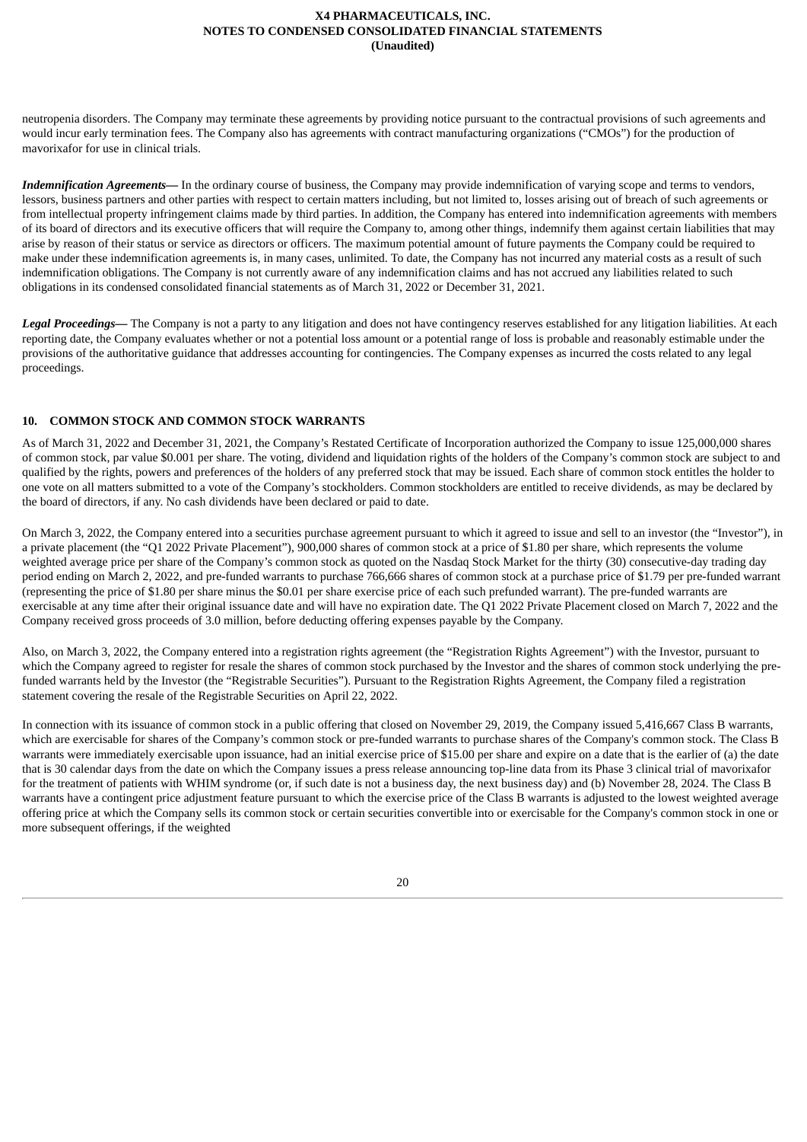neutropenia disorders. The Company may terminate these agreements by providing notice pursuant to the contractual provisions of such agreements and would incur early termination fees. The Company also has agreements with contract manufacturing organizations ("CMOs") for the production of mavorixafor for use in clinical trials.

*Indemnification Agreements—* In the ordinary course of business, the Company may provide indemnification of varying scope and terms to vendors, lessors, business partners and other parties with respect to certain matters including, but not limited to, losses arising out of breach of such agreements or from intellectual property infringement claims made by third parties. In addition, the Company has entered into indemnification agreements with members of its board of directors and its executive officers that will require the Company to, among other things, indemnify them against certain liabilities that may arise by reason of their status or service as directors or officers. The maximum potential amount of future payments the Company could be required to make under these indemnification agreements is, in many cases, unlimited. To date, the Company has not incurred any material costs as a result of such indemnification obligations. The Company is not currently aware of any indemnification claims and has not accrued any liabilities related to such obligations in its condensed consolidated financial statements as of March 31, 2022 or December 31, 2021.

*Legal Proceedings—* The Company is not a party to any litigation and does not have contingency reserves established for any litigation liabilities. At each reporting date, the Company evaluates whether or not a potential loss amount or a potential range of loss is probable and reasonably estimable under the provisions of the authoritative guidance that addresses accounting for contingencies. The Company expenses as incurred the costs related to any legal proceedings.

## **10. COMMON STOCK AND COMMON STOCK WARRANTS**

As of March 31, 2022 and December 31, 2021, the Company's Restated Certificate of Incorporation authorized the Company to issue 125,000,000 shares of common stock, par value \$0.001 per share. The voting, dividend and liquidation rights of the holders of the Company's common stock are subject to and qualified by the rights, powers and preferences of the holders of any preferred stock that may be issued. Each share of common stock entitles the holder to one vote on all matters submitted to a vote of the Company's stockholders. Common stockholders are entitled to receive dividends, as may be declared by the board of directors, if any. No cash dividends have been declared or paid to date.

On March 3, 2022, the Company entered into a securities purchase agreement pursuant to which it agreed to issue and sell to an investor (the "Investor"), in a private placement (the "Q1 2022 Private Placement"), 900,000 shares of common stock at a price of \$1.80 per share, which represents the volume weighted average price per share of the Company's common stock as quoted on the Nasdaq Stock Market for the thirty (30) consecutive-day trading day period ending on March 2, 2022, and pre-funded warrants to purchase 766,666 shares of common stock at a purchase price of \$1.79 per pre-funded warrant (representing the price of \$1.80 per share minus the \$0.01 per share exercise price of each such prefunded warrant). The pre-funded warrants are exercisable at any time after their original issuance date and will have no expiration date. The Q1 2022 Private Placement closed on March 7, 2022 and the Company received gross proceeds of 3.0 million, before deducting offering expenses payable by the Company.

Also, on March 3, 2022, the Company entered into a registration rights agreement (the "Registration Rights Agreement") with the Investor, pursuant to which the Company agreed to register for resale the shares of common stock purchased by the Investor and the shares of common stock underlying the prefunded warrants held by the Investor (the "Registrable Securities"). Pursuant to the Registration Rights Agreement, the Company filed a registration statement covering the resale of the Registrable Securities on April 22, 2022.

In connection with its issuance of common stock in a public offering that closed on November 29, 2019, the Company issued 5,416,667 Class B warrants, which are exercisable for shares of the Company's common stock or pre-funded warrants to purchase shares of the Company's common stock. The Class B warrants were immediately exercisable upon issuance, had an initial exercise price of \$15.00 per share and expire on a date that is the earlier of (a) the date that is 30 calendar days from the date on which the Company issues a press release announcing top-line data from its Phase 3 clinical trial of mavorixafor for the treatment of patients with WHIM syndrome (or, if such date is not a business day, the next business day) and (b) November 28, 2024. The Class B warrants have a contingent price adjustment feature pursuant to which the exercise price of the Class B warrants is adjusted to the lowest weighted average offering price at which the Company sells its common stock or certain securities convertible into or exercisable for the Company's common stock in one or more subsequent offerings, if the weighted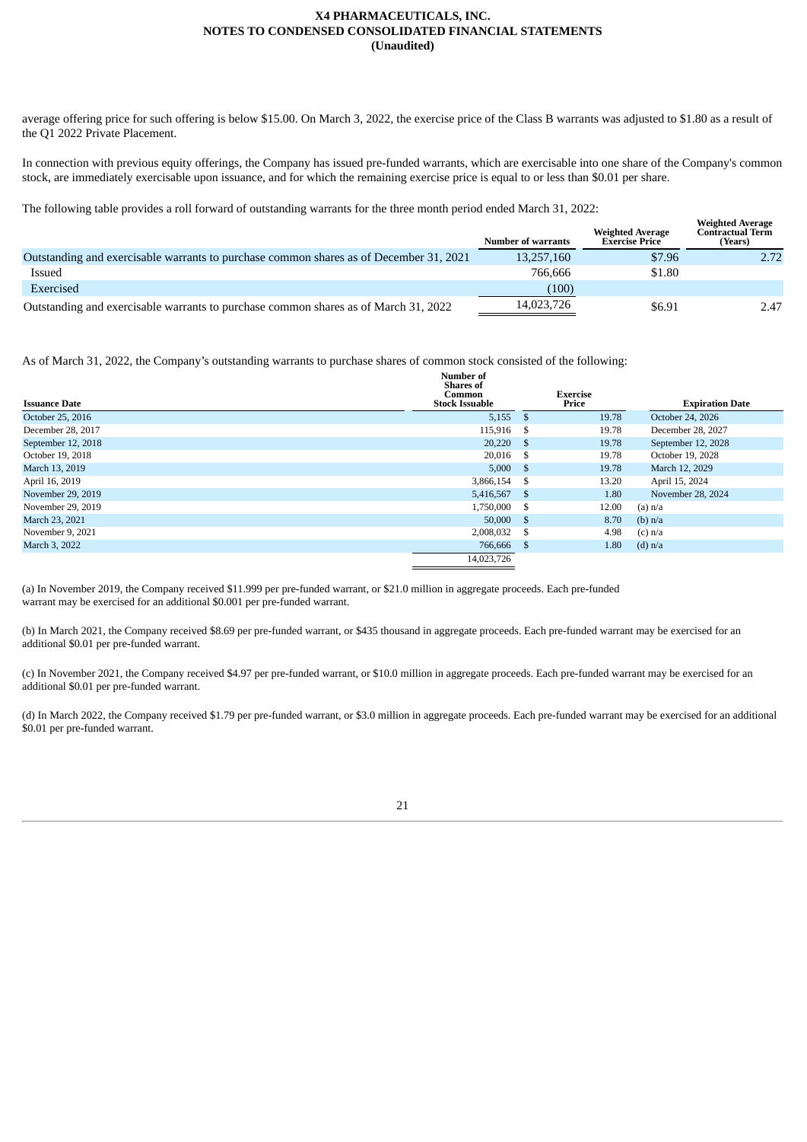average offering price for such offering is below \$15.00. On March 3, 2022, the exercise price of the Class B warrants was adjusted to \$1.80 as a result of the Q1 2022 Private Placement.

In connection with previous equity offerings, the Company has issued pre-funded warrants, which are exercisable into one share of the Company's common stock, are immediately exercisable upon issuance, and for which the remaining exercise price is equal to or less than \$0.01 per share.

The following table provides a roll forward of outstanding warrants for the three month period ended March 31, 2022:

|                                                                                        | <b>Number of warrants</b> | <b>Weighted Average</b><br><b>Exercise Price</b> | weighted Average<br><b>Contractual Term</b><br>(Years) |
|----------------------------------------------------------------------------------------|---------------------------|--------------------------------------------------|--------------------------------------------------------|
| Outstanding and exercisable warrants to purchase common shares as of December 31, 2021 | 13,257,160                | \$7.96                                           | 2.72                                                   |
| Issued                                                                                 | 766.666                   | \$1.80                                           |                                                        |
| Exercised                                                                              | (100)                     |                                                  |                                                        |
| Outstanding and exercisable warrants to purchase common shares as of March 31, 2022    | 14,023,726                | \$6.91                                           | 2.47                                                   |

**Weighted Average**

As of March 31, 2022, the Company's outstanding warrants to purchase shares of common stock consisted of the following:

|                      | Number of<br><b>Shares</b> of<br>Common |              | <b>Exercise</b> |                        |
|----------------------|-----------------------------------------|--------------|-----------------|------------------------|
| <b>Issuance Date</b> | <b>Stock Issuable</b>                   |              | Price           | <b>Expiration Date</b> |
| October 25, 2016     | 5,155                                   | $\mathbb{S}$ | 19.78           | October 24, 2026       |
| December 28, 2017    | 115,916                                 | \$           | 19.78           | December 28, 2027      |
| September 12, 2018   | 20,220                                  | $\mathbb{S}$ | 19.78           | September 12, 2028     |
| October 19, 2018     | 20,016                                  | \$           | 19.78           | October 19, 2028       |
| March 13, 2019       | 5,000                                   | -S           | 19.78           | March 12, 2029         |
| April 16, 2019       | 3,866,154                               | S.           | 13.20           | April 15, 2024         |
| November 29, 2019    | 5,416,567                               | -S           | 1.80            | November 28, 2024      |
| November 29, 2019    | 1,750,000                               | \$           | 12.00           | $(a)$ n/a              |
| March 23, 2021       | 50,000                                  | -S           | 8.70            | (b) $n/a$              |
| November 9, 2021     | 2,008,032                               | -S           | 4.98            | $(c)$ n/a              |
| March 3, 2022        | 766,666                                 | -S           | 1.80            | $(d)$ n/a              |
|                      | 14,023,726                              |              |                 |                        |

(a) In November 2019, the Company received \$11.999 per pre-funded warrant, or \$21.0 million in aggregate proceeds. Each pre-funded warrant may be exercised for an additional \$0.001 per pre-funded warrant.

(b) In March 2021, the Company received \$8.69 per pre-funded warrant, or \$435 thousand in aggregate proceeds. Each pre-funded warrant may be exercised for an additional \$0.01 per pre-funded warrant.

(c) In November 2021, the Company received \$4.97 per pre-funded warrant, or \$10.0 million in aggregate proceeds. Each pre-funded warrant may be exercised for an additional \$0.01 per pre-funded warrant.

(d) In March 2022, the Company received \$1.79 per pre-funded warrant, or \$3.0 million in aggregate proceeds. Each pre-funded warrant may be exercised for an additional \$0.01 per pre-funded warrant.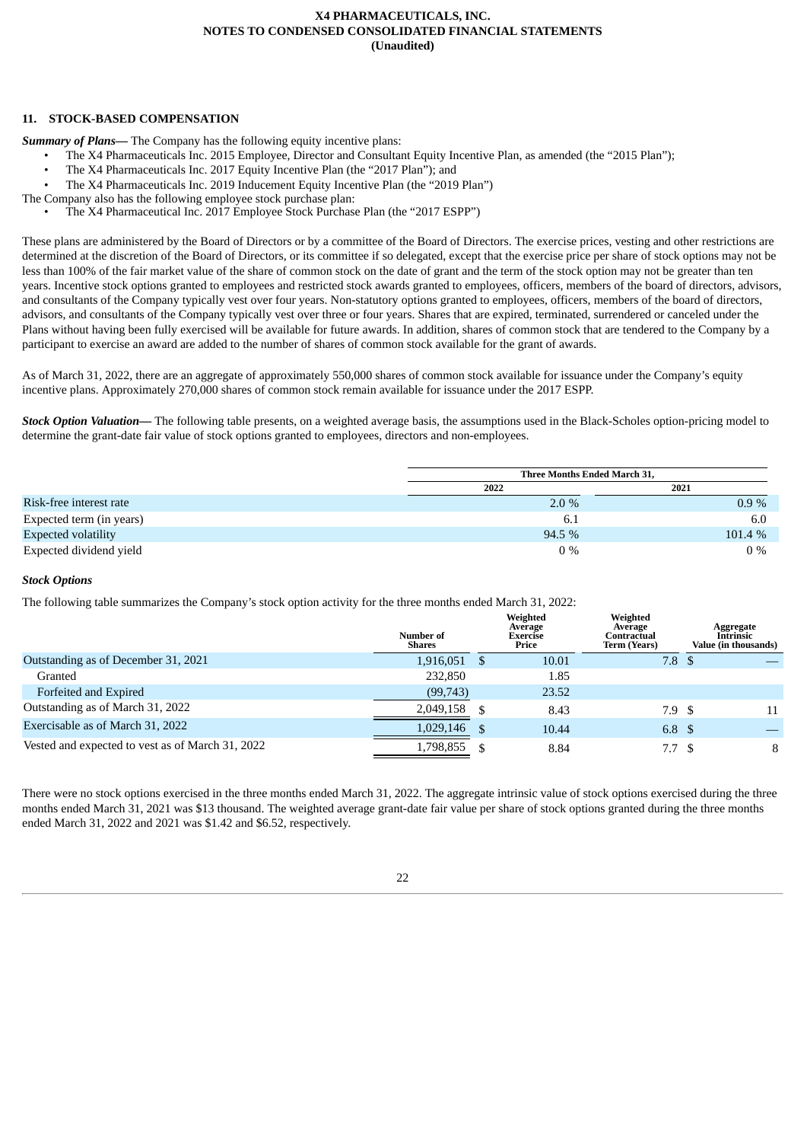## **11. STOCK-BASED COMPENSATION**

*Summary of Plans—* The Company has the following equity incentive plans:

- The X4 Pharmaceuticals Inc. 2015 Employee, Director and Consultant Equity Incentive Plan, as amended (the "2015 Plan");<br>• The X4 Pharmaceuticals Inc. 2017 Equity Incentive Plan (the "2017 Plan"); and
	- The X4 Pharmaceuticals Inc. 2017 Equity Incentive Plan (the "2017 Plan"); and
- The X4 Pharmaceuticals Inc. 2019 Inducement Equity Incentive Plan (the "2019 Plan")
- The Company also has the following employee stock purchase plan:
	- The X4 Pharmaceutical Inc. 2017 Employee Stock Purchase Plan (the "2017 ESPP")

These plans are administered by the Board of Directors or by a committee of the Board of Directors. The exercise prices, vesting and other restrictions are determined at the discretion of the Board of Directors, or its committee if so delegated, except that the exercise price per share of stock options may not be less than 100% of the fair market value of the share of common stock on the date of grant and the term of the stock option may not be greater than ten years. Incentive stock options granted to employees and restricted stock awards granted to employees, officers, members of the board of directors, advisors, and consultants of the Company typically vest over four years. Non-statutory options granted to employees, officers, members of the board of directors, advisors, and consultants of the Company typically vest over three or four years. Shares that are expired, terminated, surrendered or canceled under the Plans without having been fully exercised will be available for future awards. In addition, shares of common stock that are tendered to the Company by a participant to exercise an award are added to the number of shares of common stock available for the grant of awards.

As of March 31, 2022, there are an aggregate of approximately 550,000 shares of common stock available for issuance under the Company's equity incentive plans. Approximately 270,000 shares of common stock remain available for issuance under the 2017 ESPP.

*Stock Option Valuation—* The following table presents, on a weighted average basis, the assumptions used in the Black-Scholes option-pricing model to determine the grant-date fair value of stock options granted to employees, directors and non-employees.

|                            | Three Months Ended March 31, |         |  |
|----------------------------|------------------------------|---------|--|
|                            | 2022                         | 2021    |  |
| Risk-free interest rate    | $2.0\%$                      | $0.9\%$ |  |
| Expected term (in years)   | 6.1                          | 6.0     |  |
| <b>Expected volatility</b> | 94.5 %                       | 101.4 % |  |
| Expected dividend yield    | $0\%$                        | $0\%$   |  |

## *Stock Options*

The following table summarizes the Company's stock option activity for the three months ended March 31, 2022:

|                                                  | Number of<br><b>Shares</b> | Weighted<br>Average<br>Exercise<br>Price | Weighted<br>Average<br>Contractual<br><b>Term (Years)</b> | Aggregate<br><b>Intrinsic</b><br>Value (in thousands) |
|--------------------------------------------------|----------------------------|------------------------------------------|-----------------------------------------------------------|-------------------------------------------------------|
| Outstanding as of December 31, 2021              | 1,916,051                  | 10.01                                    | 7.8 \$                                                    |                                                       |
| Granted                                          | 232,850                    | 1.85                                     |                                                           |                                                       |
| Forfeited and Expired                            | (99, 743)                  | 23.52                                    |                                                           |                                                       |
| Outstanding as of March 31, 2022                 | 2,049,158                  | 8.43                                     | 7.9 \$                                                    | 11                                                    |
| Exercisable as of March 31, 2022                 | 1,029,146                  | 10.44                                    | 6.8 $$$                                                   |                                                       |
| Vested and expected to vest as of March 31, 2022 | 1,798,855                  | 8.84                                     | 7.7 \$                                                    | 8                                                     |

There were no stock options exercised in the three months ended March 31, 2022. The aggregate intrinsic value of stock options exercised during the three months ended March 31, 2021 was \$13 thousand. The weighted average grant-date fair value per share of stock options granted during the three months ended March 31, 2022 and 2021 was \$1.42 and \$6.52, respectively.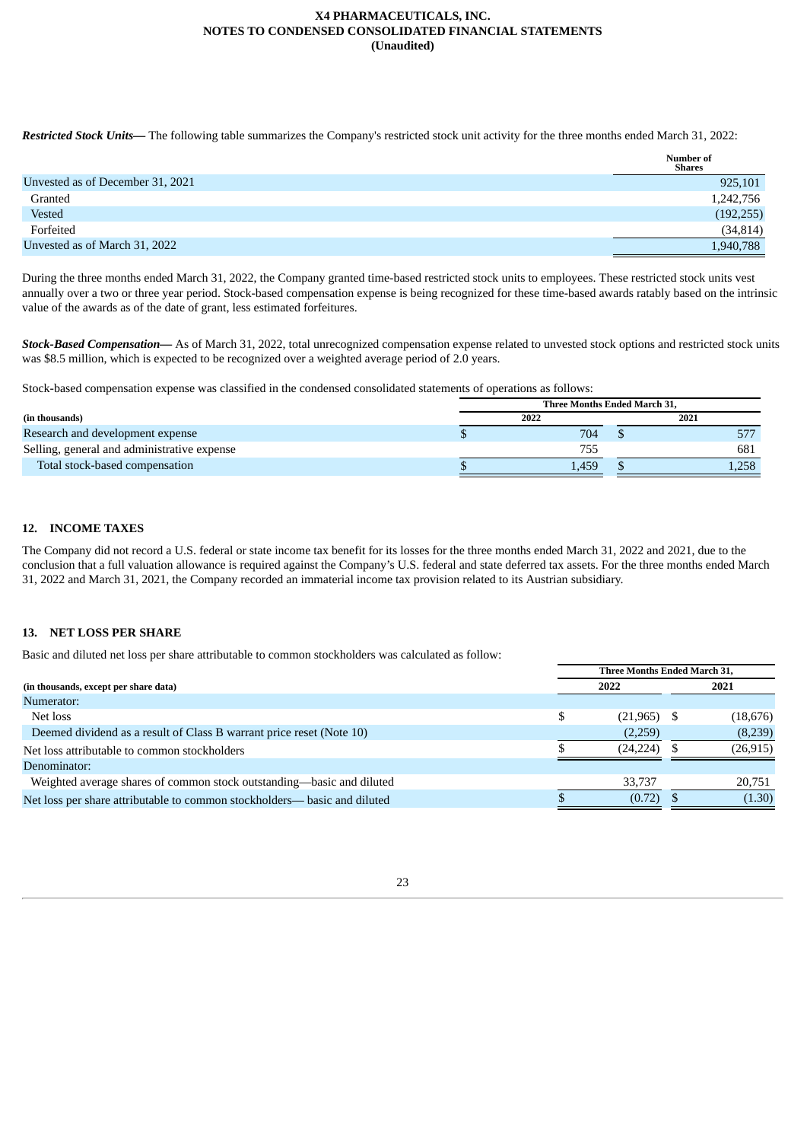*Restricted Stock Units—* The following table summarizes the Company's restricted stock unit activity for the three months ended March 31, 2022:

|                                  | <b>Number of</b><br>Shares |
|----------------------------------|----------------------------|
| Unvested as of December 31, 2021 | 925,101                    |
| Granted                          | 1,242,756                  |
| <b>Vested</b>                    | (192, 255)                 |
| Forfeited                        | (34, 814)                  |
| Unvested as of March 31, 2022    | 1,940,788                  |

During the three months ended March 31, 2022, the Company granted time-based restricted stock units to employees. These restricted stock units vest annually over a two or three year period. Stock-based compensation expense is being recognized for these time-based awards ratably based on the intrinsic value of the awards as of the date of grant, less estimated forfeitures.

*Stock-Based Compensation—* As of March 31, 2022, total unrecognized compensation expense related to unvested stock options and restricted stock units was \$8.5 million, which is expected to be recognized over a weighted average period of 2.0 years.

Stock-based compensation expense was classified in the condensed consolidated statements of operations as follows:

|                                             | Three Months Ended March 31. |       |  |       |  |  |
|---------------------------------------------|------------------------------|-------|--|-------|--|--|
| (in thousands)                              |                              | 2022  |  | 2021  |  |  |
| Research and development expense            |                              | 704   |  |       |  |  |
| Selling, general and administrative expense |                              | 755   |  | 681   |  |  |
| Total stock-based compensation              |                              | 1.459 |  | 1,258 |  |  |

# **12. INCOME TAXES**

The Company did not record a U.S. federal or state income tax benefit for its losses for the three months ended March 31, 2022 and 2021, due to the conclusion that a full valuation allowance is required against the Company's U.S. federal and state deferred tax assets. For the three months ended March 31, 2022 and March 31, 2021, the Company recorded an immaterial income tax provision related to its Austrian subsidiary.

# **13. NET LOSS PER SHARE**

Basic and diluted net loss per share attributable to common stockholders was calculated as follow:

|                                                                           | Three Months Ended March 31, |               |      |           |  |  |  |
|---------------------------------------------------------------------------|------------------------------|---------------|------|-----------|--|--|--|
| (in thousands, except per share data)                                     |                              | 2022          | 2021 |           |  |  |  |
| Numerator:                                                                |                              |               |      |           |  |  |  |
| Net loss                                                                  | S                            | $(21,965)$ \$ |      | (18, 676) |  |  |  |
| Deemed dividend as a result of Class B warrant price reset (Note 10)      |                              | (2,259)       |      | (8,239)   |  |  |  |
| Net loss attributable to common stockholders                              |                              | (24, 224)     |      | (26, 915) |  |  |  |
| Denominator:                                                              |                              |               |      |           |  |  |  |
| Weighted average shares of common stock outstanding—basic and diluted     |                              | 33,737        |      | 20.751    |  |  |  |
| Net loss per share attributable to common stockholders— basic and diluted |                              | (0.72)        |      | (1.30)    |  |  |  |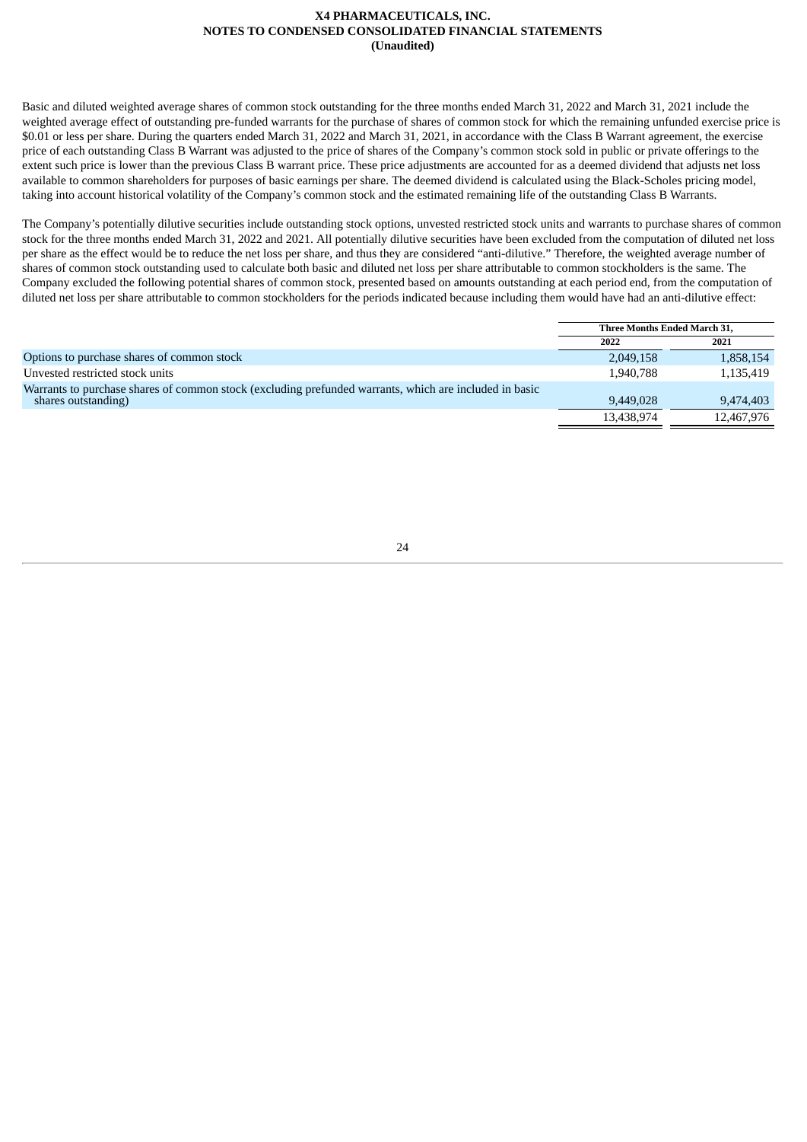Basic and diluted weighted average shares of common stock outstanding for the three months ended March 31, 2022 and March 31, 2021 include the weighted average effect of outstanding pre-funded warrants for the purchase of shares of common stock for which the remaining unfunded exercise price is \$0.01 or less per share. During the quarters ended March 31, 2022 and March 31, 2021, in accordance with the Class B Warrant agreement, the exercise price of each outstanding Class B Warrant was adjusted to the price of shares of the Company's common stock sold in public or private offerings to the extent such price is lower than the previous Class B warrant price. These price adjustments are accounted for as a deemed dividend that adjusts net loss available to common shareholders for purposes of basic earnings per share. The deemed dividend is calculated using the Black-Scholes pricing model, taking into account historical volatility of the Company's common stock and the estimated remaining life of the outstanding Class B Warrants.

The Company's potentially dilutive securities include outstanding stock options, unvested restricted stock units and warrants to purchase shares of common stock for the three months ended March 31, 2022 and 2021. All potentially dilutive securities have been excluded from the computation of diluted net loss per share as the effect would be to reduce the net loss per share, and thus they are considered "anti-dilutive." Therefore, the weighted average number of shares of common stock outstanding used to calculate both basic and diluted net loss per share attributable to common stockholders is the same. The Company excluded the following potential shares of common stock, presented based on amounts outstanding at each period end, from the computation of diluted net loss per share attributable to common stockholders for the periods indicated because including them would have had an anti-dilutive effect:

<span id="page-23-0"></span>

|                                                                                                        | Three Months Ended March 31, |            |  |  |
|--------------------------------------------------------------------------------------------------------|------------------------------|------------|--|--|
|                                                                                                        | 2022                         | 2021       |  |  |
| Options to purchase shares of common stock                                                             | 2,049,158                    | 1,858,154  |  |  |
| Unvested restricted stock units                                                                        | 1.940.788                    | 1,135,419  |  |  |
| Warrants to purchase shares of common stock (excluding prefunded warrants, which are included in basic |                              |            |  |  |
| shares outstanding)                                                                                    | 9.449.028                    | 9,474,403  |  |  |
|                                                                                                        | 13.438.974                   | 12.467.976 |  |  |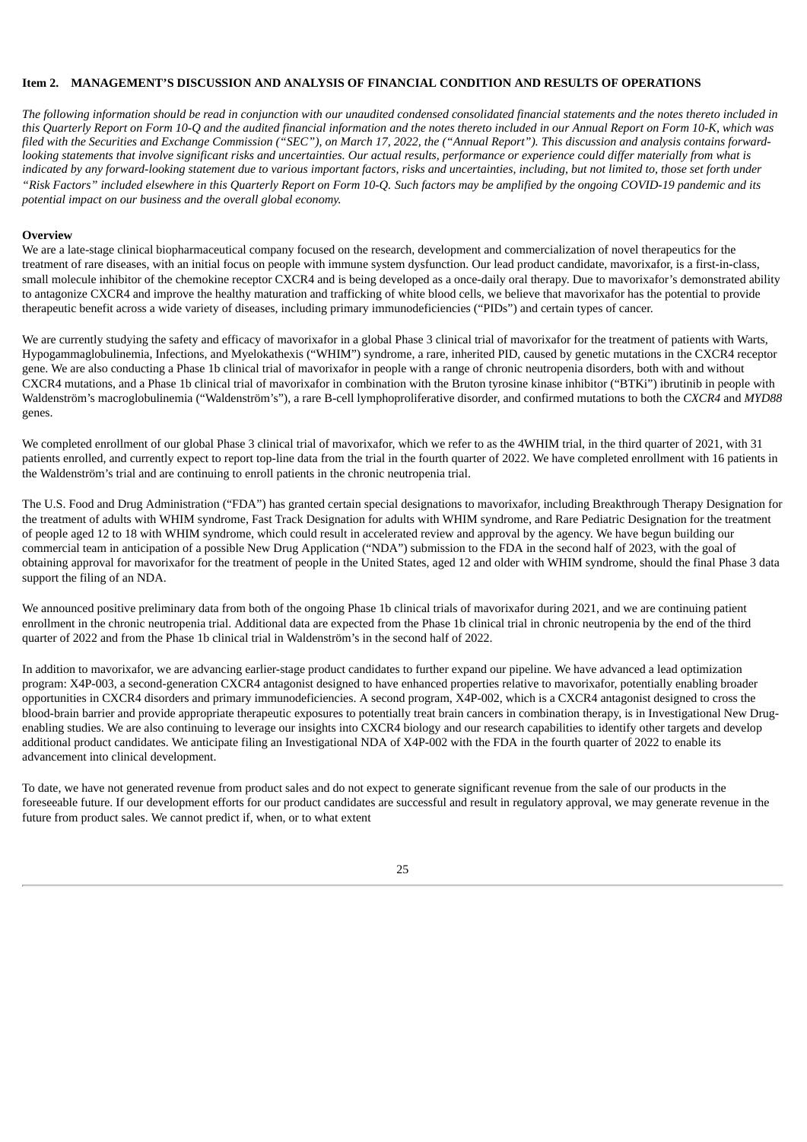#### **Item 2. MANAGEMENT'S DISCUSSION AND ANALYSIS OF FINANCIAL CONDITION AND RESULTS OF OPERATIONS**

The following information should be read in conjunction with our unaudited condensed consolidated financial statements and the notes thereto included in this Quarterly Report on Form 10-Q and the audited financial information and the notes thereto included in our Annual Report on Form 10-K, which was filed with the Securities and Exchange Commission ("SEC"), on March 17, 2022, the ("Annual Report"). This discussion and analysis contains forwardlooking statements that involve significant risks and uncertainties. Our actual results, performance or experience could differ materially from what is indicated by any forward-looking statement due to various important factors, risks and uncertainties, including, but not limited to, those set forth under "Risk Factors" included elsewhere in this Quarterly Report on Form 10-Q. Such factors may be amplified by the ongoing COVID-19 pandemic and its *potential impact on our business and the overall global economy.*

#### **Overview**

We are a late-stage clinical biopharmaceutical company focused on the research, development and commercialization of novel therapeutics for the treatment of rare diseases, with an initial focus on people with immune system dysfunction. Our lead product candidate, mavorixafor, is a first-in-class, small molecule inhibitor of the chemokine receptor CXCR4 and is being developed as a once-daily oral therapy. Due to mavorixafor's demonstrated ability to antagonize CXCR4 and improve the healthy maturation and trafficking of white blood cells, we believe that mavorixafor has the potential to provide therapeutic benefit across a wide variety of diseases, including primary immunodeficiencies ("PIDs") and certain types of cancer.

We are currently studying the safety and efficacy of mavorixafor in a global Phase 3 clinical trial of mavorixafor for the treatment of patients with Warts, Hypogammaglobulinemia, Infections, and Myelokathexis ("WHIM") syndrome, a rare, inherited PID, caused by genetic mutations in the CXCR4 receptor gene. We are also conducting a Phase 1b clinical trial of mavorixafor in people with a range of chronic neutropenia disorders, both with and without CXCR4 mutations, and a Phase 1b clinical trial of mavorixafor in combination with the Bruton tyrosine kinase inhibitor ("BTKi") ibrutinib in people with Waldenström's macroglobulinemia ("Waldenström's"), a rare B-cell lymphoproliferative disorder, and confirmed mutations to both the *CXCR4* and *MYD88* genes.

We completed enrollment of our global Phase 3 clinical trial of mavorixafor, which we refer to as the 4WHIM trial, in the third quarter of 2021, with 31 patients enrolled, and currently expect to report top-line data from the trial in the fourth quarter of 2022. We have completed enrollment with 16 patients in the Waldenström's trial and are continuing to enroll patients in the chronic neutropenia trial.

The U.S. Food and Drug Administration ("FDA") has granted certain special designations to mavorixafor, including Breakthrough Therapy Designation for the treatment of adults with WHIM syndrome, Fast Track Designation for adults with WHIM syndrome, and Rare Pediatric Designation for the treatment of people aged 12 to 18 with WHIM syndrome, which could result in accelerated review and approval by the agency. We have begun building our commercial team in anticipation of a possible New Drug Application ("NDA") submission to the FDA in the second half of 2023, with the goal of obtaining approval for mavorixafor for the treatment of people in the United States, aged 12 and older with WHIM syndrome, should the final Phase 3 data support the filing of an NDA.

We announced positive preliminary data from both of the ongoing Phase 1b clinical trials of mavorixafor during 2021, and we are continuing patient enrollment in the chronic neutropenia trial. Additional data are expected from the Phase 1b clinical trial in chronic neutropenia by the end of the third quarter of 2022 and from the Phase 1b clinical trial in Waldenström's in the second half of 2022.

In addition to mavorixafor, we are advancing earlier-stage product candidates to further expand our pipeline. We have advanced a lead optimization program: X4P-003, a second-generation CXCR4 antagonist designed to have enhanced properties relative to mavorixafor, potentially enabling broader opportunities in CXCR4 disorders and primary immunodeficiencies. A second program, X4P-002, which is a CXCR4 antagonist designed to cross the blood-brain barrier and provide appropriate therapeutic exposures to potentially treat brain cancers in combination therapy, is in Investigational New Drugenabling studies. We are also continuing to leverage our insights into CXCR4 biology and our research capabilities to identify other targets and develop additional product candidates. We anticipate filing an Investigational NDA of X4P-002 with the FDA in the fourth quarter of 2022 to enable its advancement into clinical development.

To date, we have not generated revenue from product sales and do not expect to generate significant revenue from the sale of our products in the foreseeable future. If our development efforts for our product candidates are successful and result in regulatory approval, we may generate revenue in the future from product sales. We cannot predict if, when, or to what extent

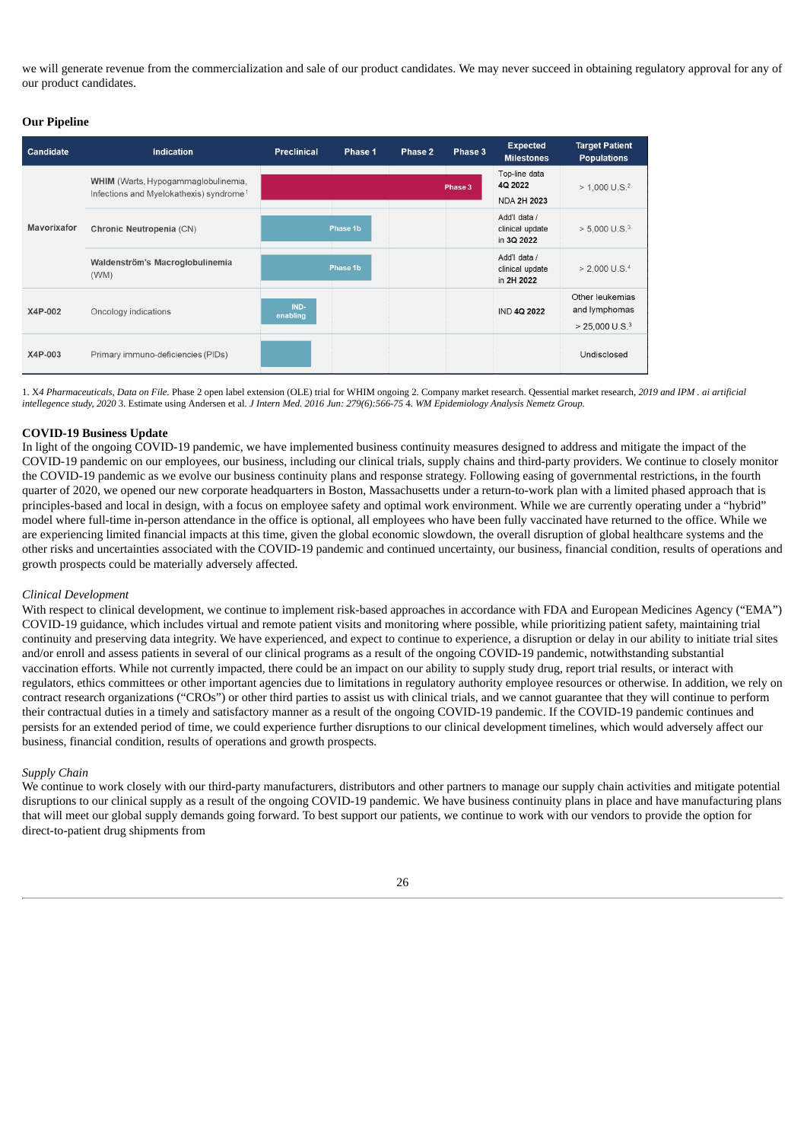we will generate revenue from the commercialization and sale of our product candidates. We may never succeed in obtaining regulatory approval for any of our product candidates.

## **Our Pipeline**

| Candidate   | <b>Indication</b>                                                                          | <b>Preclinical</b> | Phase 1  | Phase 2 | Phase 3 | <b>Expected</b><br><b>Milestones</b>           | <b>Target Patient</b><br><b>Populations</b>                      |
|-------------|--------------------------------------------------------------------------------------------|--------------------|----------|---------|---------|------------------------------------------------|------------------------------------------------------------------|
|             | WHIM (Warts, Hypogammaglobulinemia,<br>Infections and Myelokathexis) syndrome <sup>1</sup> |                    |          |         | Phase 3 | Top-line data<br>4Q 2022<br><b>NDA 2H 2023</b> | $> 1,000$ U.S. <sup>2</sup>                                      |
| Mavorixafor | Chronic Neutropenia (CN)                                                                   |                    | Phase 1b |         |         | Add'I data /<br>clinical update<br>in 3Q 2022  | $> 5,000$ U.S. <sup>3</sup>                                      |
|             | Waldenström's Macroglobulinemia<br>(WM)                                                    |                    | Phase 1b |         |         | Add'I data /<br>clinical update<br>in 2H 2022  | $> 2,000$ U.S. <sup>4</sup>                                      |
| X4P-002     | Oncology indications                                                                       | IND-<br>enabling   |          |         |         | <b>IND 4Q 2022</b>                             | Other leukemias<br>and lymphomas<br>$> 25,000$ U.S. <sup>3</sup> |
| X4P-003     | Primary immuno-deficiencies (PIDs)                                                         |                    |          |         |         |                                                | Undisclosed                                                      |

1. X4 Pharmaceuticals, Data on File. Phase 2 open label extension (OLE) trial for WHIM ongoing 2. Company market research. Qessential market research, 2019 and IPM . ai artificial intellegence study, 2020 3. Estimate using Andersen et al. J Intern Med. 2016 Jun: 279(6):566-75 4. WM Epidemiology Analysis Nemetz Group.

#### **COVID-19 Business Update**

In light of the ongoing COVID-19 pandemic, we have implemented business continuity measures designed to address and mitigate the impact of the COVID-19 pandemic on our employees, our business, including our clinical trials, supply chains and third-party providers. We continue to closely monitor the COVID-19 pandemic as we evolve our business continuity plans and response strategy. Following easing of governmental restrictions, in the fourth quarter of 2020, we opened our new corporate headquarters in Boston, Massachusetts under a return-to-work plan with a limited phased approach that is principles-based and local in design, with a focus on employee safety and optimal work environment. While we are currently operating under a "hybrid" model where full-time in-person attendance in the office is optional, all employees who have been fully vaccinated have returned to the office. While we are experiencing limited financial impacts at this time, given the global economic slowdown, the overall disruption of global healthcare systems and the other risks and uncertainties associated with the COVID-19 pandemic and continued uncertainty, our business, financial condition, results of operations and growth prospects could be materially adversely affected.

#### *Clinical Development*

With respect to clinical development, we continue to implement risk-based approaches in accordance with FDA and European Medicines Agency ("EMA") COVID-19 guidance, which includes virtual and remote patient visits and monitoring where possible, while prioritizing patient safety, maintaining trial continuity and preserving data integrity. We have experienced, and expect to continue to experience, a disruption or delay in our ability to initiate trial sites and/or enroll and assess patients in several of our clinical programs as a result of the ongoing COVID-19 pandemic, notwithstanding substantial vaccination efforts. While not currently impacted, there could be an impact on our ability to supply study drug, report trial results, or interact with regulators, ethics committees or other important agencies due to limitations in regulatory authority employee resources or otherwise. In addition, we rely on contract research organizations ("CROs") or other third parties to assist us with clinical trials, and we cannot guarantee that they will continue to perform their contractual duties in a timely and satisfactory manner as a result of the ongoing COVID-19 pandemic. If the COVID-19 pandemic continues and persists for an extended period of time, we could experience further disruptions to our clinical development timelines, which would adversely affect our business, financial condition, results of operations and growth prospects.

#### *Supply Chain*

We continue to work closely with our third-party manufacturers, distributors and other partners to manage our supply chain activities and mitigate potential disruptions to our clinical supply as a result of the ongoing COVID-19 pandemic. We have business continuity plans in place and have manufacturing plans that will meet our global supply demands going forward. To best support our patients, we continue to work with our vendors to provide the option for direct-to-patient drug shipments from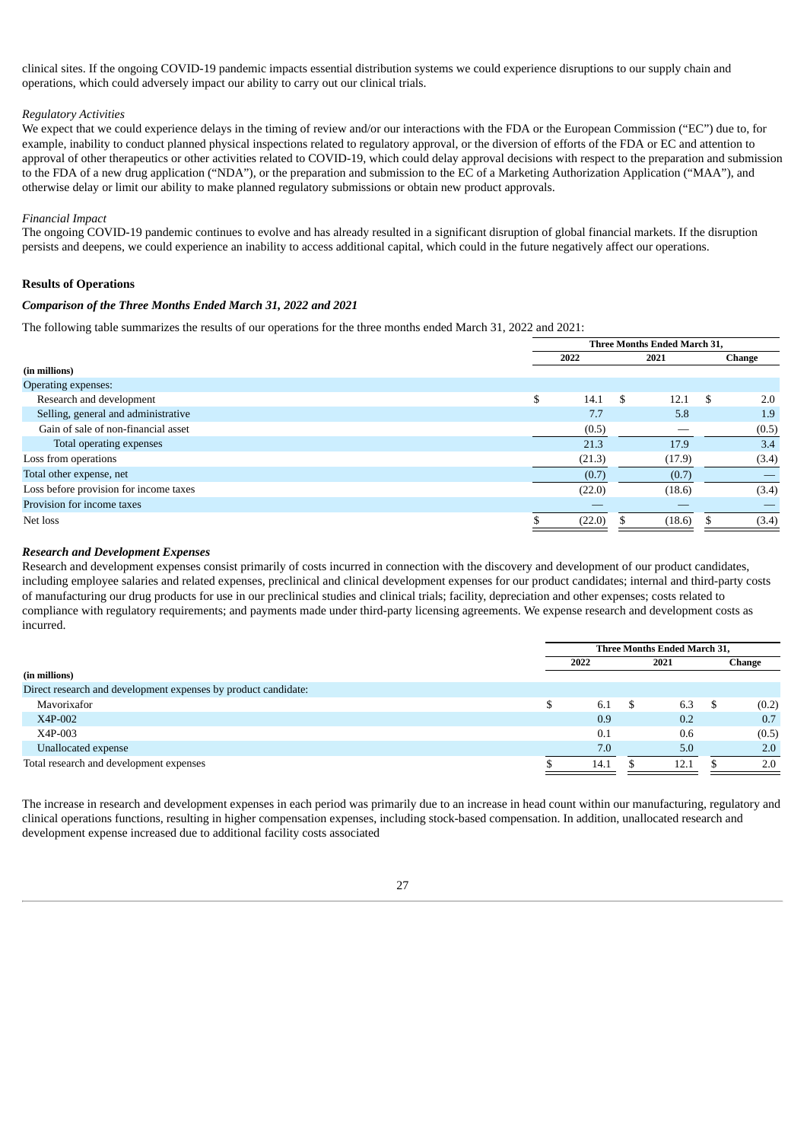clinical sites. If the ongoing COVID-19 pandemic impacts essential distribution systems we could experience disruptions to our supply chain and operations, which could adversely impact our ability to carry out our clinical trials.

#### *Regulatory Activities*

We expect that we could experience delays in the timing of review and/or our interactions with the FDA or the European Commission ("EC") due to, for example, inability to conduct planned physical inspections related to regulatory approval, or the diversion of efforts of the FDA or EC and attention to approval of other therapeutics or other activities related to COVID-19, which could delay approval decisions with respect to the preparation and submission to the FDA of a new drug application ("NDA"), or the preparation and submission to the EC of a Marketing Authorization Application ("MAA"), and otherwise delay or limit our ability to make planned regulatory submissions or obtain new product approvals.

#### *Financial Impact*

The ongoing COVID-19 pandemic continues to evolve and has already resulted in a significant disruption of global financial markets. If the disruption persists and deepens, we could experience an inability to access additional capital, which could in the future negatively affect our operations.

#### **Results of Operations**

#### *Comparison of the Three Months Ended March 31, 2022 and 2021*

The following table summarizes the results of our operations for the three months ended March 31, 2022 and 2021:

|                                        | <b>Three Months Ended March 31,</b> |    |        |     |        |  |  |
|----------------------------------------|-------------------------------------|----|--------|-----|--------|--|--|
|                                        |                                     |    |        |     |        |  |  |
|                                        | 2022                                |    | 2021   |     | Change |  |  |
| (in millions)                          |                                     |    |        |     |        |  |  |
| Operating expenses:                    |                                     |    |        |     |        |  |  |
| Research and development               | \$<br>14.1                          | \$ | 12.1   | -\$ | 2.0    |  |  |
| Selling, general and administrative    | 7.7                                 |    | 5.8    |     | 1.9    |  |  |
| Gain of sale of non-financial asset    | (0.5)                               |    |        |     | (0.5)  |  |  |
| Total operating expenses               | 21.3                                |    | 17.9   |     | 3.4    |  |  |
| Loss from operations                   | (21.3)                              |    | (17.9) |     | (3.4)  |  |  |
| Total other expense, net               | (0.7)                               |    | (0.7)  |     |        |  |  |
| Loss before provision for income taxes | (22.0)                              |    | (18.6) |     | (3.4)  |  |  |
| Provision for income taxes             |                                     |    |        |     |        |  |  |
| Net loss                               | (22.0)                              |    | (18.6) |     | (3.4)  |  |  |
|                                        |                                     |    |        |     |        |  |  |

#### *Research and Development Expenses*

Research and development expenses consist primarily of costs incurred in connection with the discovery and development of our product candidates, including employee salaries and related expenses, preclinical and clinical development expenses for our product candidates; internal and third-party costs of manufacturing our drug products for use in our preclinical studies and clinical trials; facility, depreciation and other expenses; costs related to compliance with regulatory requirements; and payments made under third-party licensing agreements. We expense research and development costs as incurred.

|                                                                | Three Months Ended March 31, |      |  |      |    |        |  |  |
|----------------------------------------------------------------|------------------------------|------|--|------|----|--------|--|--|
|                                                                |                              | 2022 |  | 2021 |    | Change |  |  |
| (in millions)                                                  |                              |      |  |      |    |        |  |  |
| Direct research and development expenses by product candidate: |                              |      |  |      |    |        |  |  |
| Mavorixafor                                                    |                              | 6.1  |  | 6.3  | -S | (0.2)  |  |  |
| X4P-002                                                        |                              | 0.9  |  | 0.2  |    | 0.7    |  |  |
| X4P-003                                                        |                              | 0.1  |  | 0.6  |    | (0.5)  |  |  |
| Unallocated expense                                            |                              | 7.0  |  | 5.0  |    | 2.0    |  |  |
| Total research and development expenses                        |                              | 14.1 |  | 12.1 |    | 2.0    |  |  |
|                                                                |                              |      |  |      |    |        |  |  |

The increase in research and development expenses in each period was primarily due to an increase in head count within our manufacturing, regulatory and clinical operations functions, resulting in higher compensation expenses, including stock-based compensation. In addition, unallocated research and development expense increased due to additional facility costs associated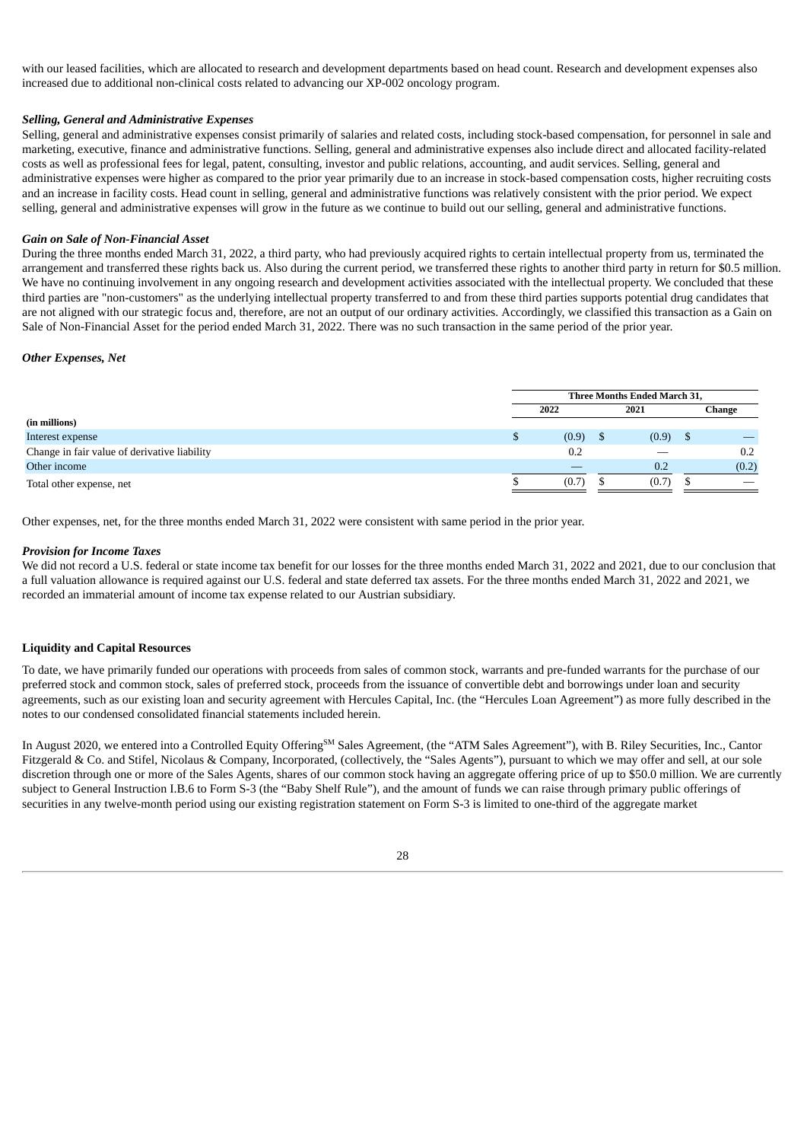with our leased facilities, which are allocated to research and development departments based on head count. Research and development expenses also increased due to additional non-clinical costs related to advancing our XP-002 oncology program.

#### *Selling, General and Administrative Expenses*

Selling, general and administrative expenses consist primarily of salaries and related costs, including stock-based compensation, for personnel in sale and marketing, executive, finance and administrative functions. Selling, general and administrative expenses also include direct and allocated facility-related costs as well as professional fees for legal, patent, consulting, investor and public relations, accounting, and audit services. Selling, general and administrative expenses were higher as compared to the prior year primarily due to an increase in stock-based compensation costs, higher recruiting costs and an increase in facility costs. Head count in selling, general and administrative functions was relatively consistent with the prior period. We expect selling, general and administrative expenses will grow in the future as we continue to build out our selling, general and administrative functions.

#### *Gain on Sale of Non-Financial Asset*

During the three months ended March 31, 2022, a third party, who had previously acquired rights to certain intellectual property from us, terminated the arrangement and transferred these rights back us. Also during the current period, we transferred these rights to another third party in return for \$0.5 million. We have no continuing involvement in any ongoing research and development activities associated with the intellectual property. We concluded that these third parties are "non-customers" as the underlying intellectual property transferred to and from these third parties supports potential drug candidates that are not aligned with our strategic focus and, therefore, are not an output of our ordinary activities. Accordingly, we classified this transaction as a Gain on Sale of Non-Financial Asset for the period ended March 31, 2022. There was no such transaction in the same period of the prior year.

#### *Other Expenses, Net*

|                                              | Three Months Ended March 31, |       |  |        |   |       |
|----------------------------------------------|------------------------------|-------|--|--------|---|-------|
|                                              | 2022<br>2021                 |       |  | Change |   |       |
| (in millions)                                |                              |       |  |        |   |       |
| Interest expense                             | D                            | (0.9) |  | (0.9)  | D |       |
| Change in fair value of derivative liability |                              | 0.2   |  |        |   | 0.2   |
| Other income                                 |                              |       |  | 0.2    |   | (0.2) |
| Total other expense, net                     |                              | (0.7) |  | (0.7)  |   |       |

Other expenses, net, for the three months ended March 31, 2022 were consistent with same period in the prior year.

#### *Provision for Income Taxes*

We did not record a U.S. federal or state income tax benefit for our losses for the three months ended March 31, 2022 and 2021, due to our conclusion that a full valuation allowance is required against our U.S. federal and state deferred tax assets. For the three months ended March 31, 2022 and 2021, we recorded an immaterial amount of income tax expense related to our Austrian subsidiary.

#### **Liquidity and Capital Resources**

To date, we have primarily funded our operations with proceeds from sales of common stock, warrants and pre-funded warrants for the purchase of our preferred stock and common stock, sales of preferred stock, proceeds from the issuance of convertible debt and borrowings under loan and security agreements, such as our existing loan and security agreement with Hercules Capital, Inc. (the "Hercules Loan Agreement") as more fully described in the notes to our condensed consolidated financial statements included herein.

In August 2020, we entered into a Controlled Equity Offering<sup>SM</sup> Sales Agreement, (the "ATM Sales Agreement"), with B. Riley Securities, Inc., Cantor Fitzgerald & Co. and Stifel, Nicolaus & Company, Incorporated, (collectively, the "Sales Agents"), pursuant to which we may offer and sell, at our sole discretion through one or more of the Sales Agents, shares of our common stock having an aggregate offering price of up to \$50.0 million. We are currently subject to General Instruction I.B.6 to Form S-3 (the "Baby Shelf Rule"), and the amount of funds we can raise through primary public offerings of securities in any twelve-month period using our existing registration statement on Form S-3 is limited to one-third of the aggregate market

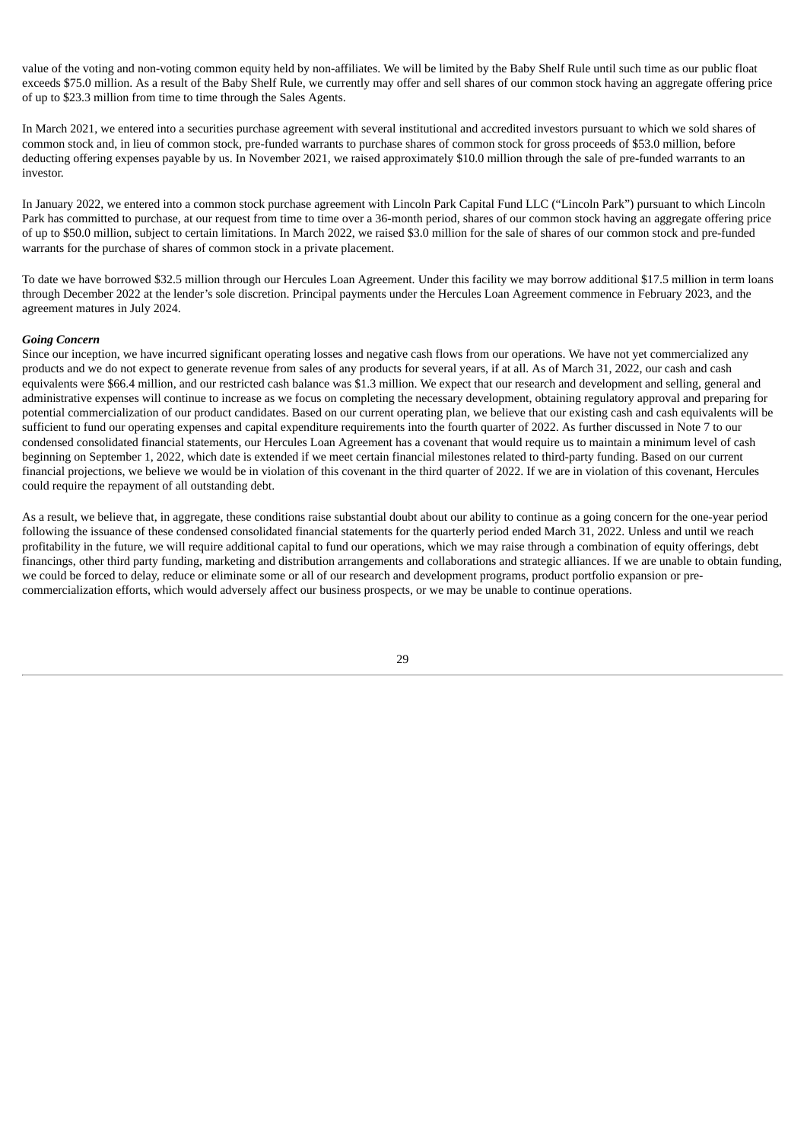value of the voting and non-voting common equity held by non-affiliates. We will be limited by the Baby Shelf Rule until such time as our public float exceeds \$75.0 million. As a result of the Baby Shelf Rule, we currently may offer and sell shares of our common stock having an aggregate offering price of up to \$23.3 million from time to time through the Sales Agents.

In March 2021, we entered into a securities purchase agreement with several institutional and accredited investors pursuant to which we sold shares of common stock and, in lieu of common stock, pre-funded warrants to purchase shares of common stock for gross proceeds of \$53.0 million, before deducting offering expenses payable by us. In November 2021, we raised approximately \$10.0 million through the sale of pre-funded warrants to an investor.

In January 2022, we entered into a common stock purchase agreement with Lincoln Park Capital Fund LLC ("Lincoln Park") pursuant to which Lincoln Park has committed to purchase, at our request from time to time over a 36-month period, shares of our common stock having an aggregate offering price of up to \$50.0 million, subject to certain limitations. In March 2022, we raised \$3.0 million for the sale of shares of our common stock and pre-funded warrants for the purchase of shares of common stock in a private placement.

To date we have borrowed \$32.5 million through our Hercules Loan Agreement. Under this facility we may borrow additional \$17.5 million in term loans through December 2022 at the lender's sole discretion. Principal payments under the Hercules Loan Agreement commence in February 2023, and the agreement matures in July 2024.

#### *Going Concern*

Since our inception, we have incurred significant operating losses and negative cash flows from our operations. We have not yet commercialized any products and we do not expect to generate revenue from sales of any products for several years, if at all. As of March 31, 2022, our cash and cash equivalents were \$66.4 million, and our restricted cash balance was \$1.3 million. We expect that our research and development and selling, general and administrative expenses will continue to increase as we focus on completing the necessary development, obtaining regulatory approval and preparing for potential commercialization of our product candidates. Based on our current operating plan, we believe that our existing cash and cash equivalents will be sufficient to fund our operating expenses and capital expenditure requirements into the fourth quarter of 2022. As further discussed in Note 7 to our condensed consolidated financial statements, our Hercules Loan Agreement has a covenant that would require us to maintain a minimum level of cash beginning on September 1, 2022, which date is extended if we meet certain financial milestones related to third-party funding. Based on our current financial projections, we believe we would be in violation of this covenant in the third quarter of 2022. If we are in violation of this covenant, Hercules could require the repayment of all outstanding debt.

As a result, we believe that, in aggregate, these conditions raise substantial doubt about our ability to continue as a going concern for the one-year period following the issuance of these condensed consolidated financial statements for the quarterly period ended March 31, 2022. Unless and until we reach profitability in the future, we will require additional capital to fund our operations, which we may raise through a combination of equity offerings, debt financings, other third party funding, marketing and distribution arrangements and collaborations and strategic alliances. If we are unable to obtain funding, we could be forced to delay, reduce or eliminate some or all of our research and development programs, product portfolio expansion or precommercialization efforts, which would adversely affect our business prospects, or we may be unable to continue operations.

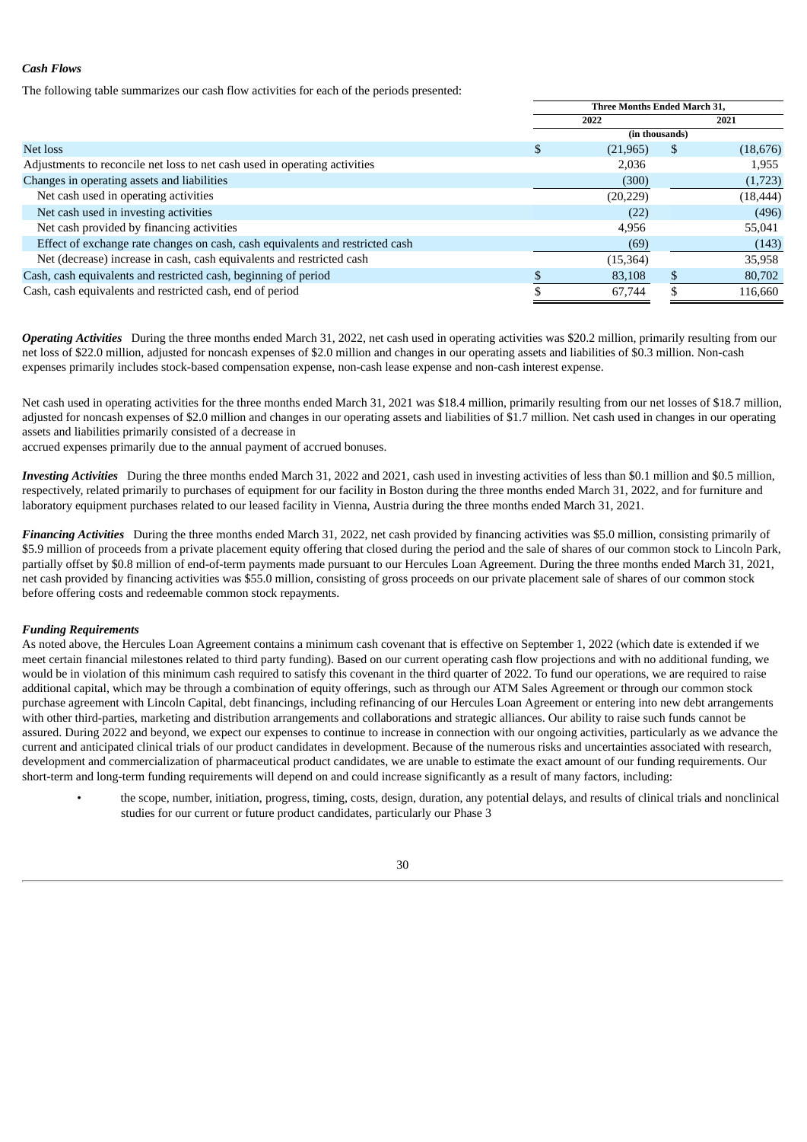# *Cash Flows*

The following table summarizes our cash flow activities for each of the periods presented:

|                                                                               |     | <b>Three Months Ended March 31.</b> |    |           |  |  |
|-------------------------------------------------------------------------------|-----|-------------------------------------|----|-----------|--|--|
|                                                                               |     | 2022                                |    |           |  |  |
|                                                                               |     | (in thousands)                      |    |           |  |  |
| Net loss                                                                      | \$. | (21,965)                            | \$ | (18, 676) |  |  |
| Adjustments to reconcile net loss to net cash used in operating activities    |     | 2,036                               |    | 1,955     |  |  |
| Changes in operating assets and liabilities                                   |     | (300)                               |    | (1,723)   |  |  |
| Net cash used in operating activities                                         |     | (20, 229)                           |    | (18, 444) |  |  |
| Net cash used in investing activities                                         |     | (22)                                |    | (496)     |  |  |
| Net cash provided by financing activities                                     |     | 4,956                               |    | 55,041    |  |  |
| Effect of exchange rate changes on cash, cash equivalents and restricted cash |     | (69)                                |    | (143)     |  |  |
| Net (decrease) increase in cash, cash equivalents and restricted cash         |     | (15,364)                            |    | 35,958    |  |  |
| Cash, cash equivalents and restricted cash, beginning of period               |     | 83,108                              |    | 80,702    |  |  |
| Cash, cash equivalents and restricted cash, end of period                     |     | 67,744                              |    | 116,660   |  |  |
|                                                                               |     |                                     |    |           |  |  |

*Operating Activities* During the three months ended March 31, 2022, net cash used in operating activities was \$20.2 million, primarily resulting from our net loss of \$22.0 million, adjusted for noncash expenses of \$2.0 million and changes in our operating assets and liabilities of \$0.3 million. Non-cash expenses primarily includes stock-based compensation expense, non-cash lease expense and non-cash interest expense.

Net cash used in operating activities for the three months ended March 31, 2021 was \$18.4 million, primarily resulting from our net losses of \$18.7 million, adjusted for noncash expenses of \$2.0 million and changes in our operating assets and liabilities of \$1.7 million. Net cash used in changes in our operating assets and liabilities primarily consisted of a decrease in

accrued expenses primarily due to the annual payment of accrued bonuses.

*Investing Activities* During the three months ended March 31, 2022 and 2021, cash used in investing activities of less than \$0.1 million and \$0.5 million, respectively, related primarily to purchases of equipment for our facility in Boston during the three months ended March 31, 2022, and for furniture and laboratory equipment purchases related to our leased facility in Vienna, Austria during the three months ended March 31, 2021.

*Financing Activities* During the three months ended March 31, 2022, net cash provided by financing activities was \$5.0 million, consisting primarily of \$5.9 million of proceeds from a private placement equity offering that closed during the period and the sale of shares of our common stock to Lincoln Park, partially offset by \$0.8 million of end-of-term payments made pursuant to our Hercules Loan Agreement. During the three months ended March 31, 2021, net cash provided by financing activities was \$55.0 million, consisting of gross proceeds on our private placement sale of shares of our common stock before offering costs and redeemable common stock repayments.

#### *Funding Requirements*

As noted above, the Hercules Loan Agreement contains a minimum cash covenant that is effective on September 1, 2022 (which date is extended if we meet certain financial milestones related to third party funding). Based on our current operating cash flow projections and with no additional funding, we would be in violation of this minimum cash required to satisfy this covenant in the third quarter of 2022. To fund our operations, we are required to raise additional capital, which may be through a combination of equity offerings, such as through our ATM Sales Agreement or through our common stock purchase agreement with Lincoln Capital, debt financings, including refinancing of our Hercules Loan Agreement or entering into new debt arrangements with other third-parties, marketing and distribution arrangements and collaborations and strategic alliances. Our ability to raise such funds cannot be assured. During 2022 and beyond, we expect our expenses to continue to increase in connection with our ongoing activities, particularly as we advance the current and anticipated clinical trials of our product candidates in development. Because of the numerous risks and uncertainties associated with research, development and commercialization of pharmaceutical product candidates, we are unable to estimate the exact amount of our funding requirements. Our short-term and long-term funding requirements will depend on and could increase significantly as a result of many factors, including:

• the scope, number, initiation, progress, timing, costs, design, duration, any potential delays, and results of clinical trials and nonclinical studies for our current or future product candidates, particularly our Phase 3

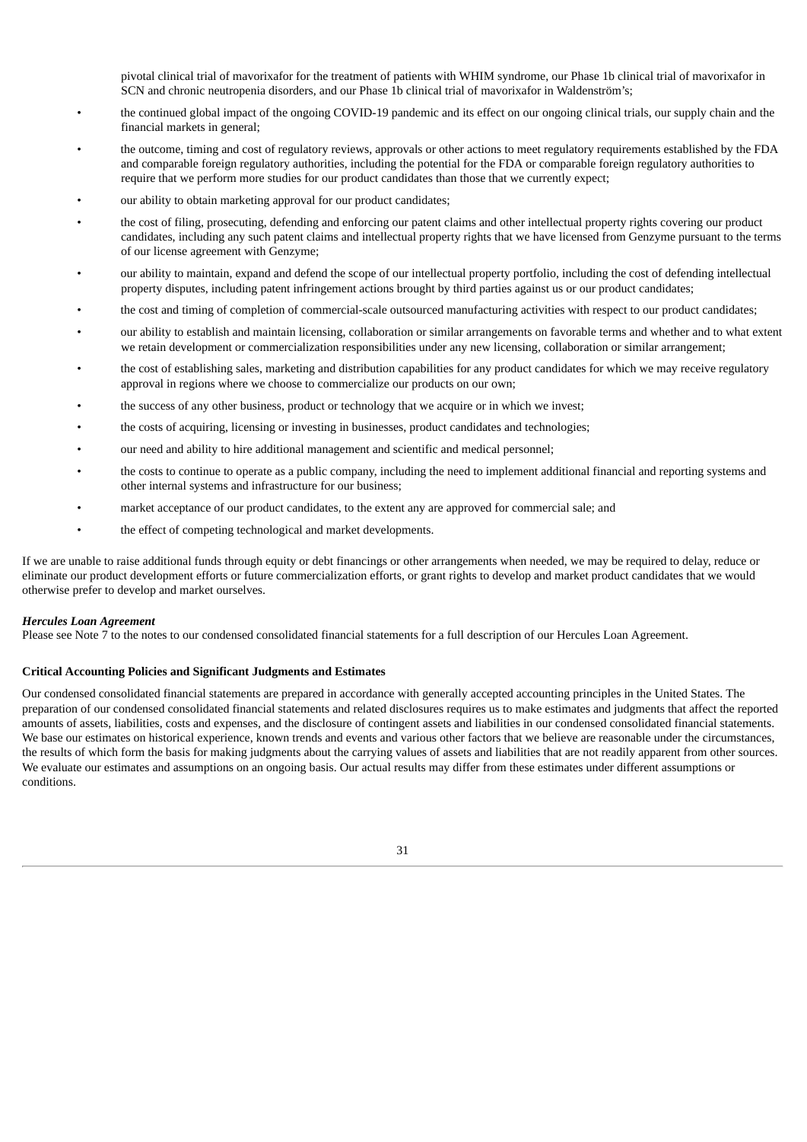pivotal clinical trial of mavorixafor for the treatment of patients with WHIM syndrome, our Phase 1b clinical trial of mavorixafor in SCN and chronic neutropenia disorders, and our Phase 1b clinical trial of mavorixafor in Waldenström's;

- the continued global impact of the ongoing COVID-19 pandemic and its effect on our ongoing clinical trials, our supply chain and the financial markets in general;
- the outcome, timing and cost of regulatory reviews, approvals or other actions to meet regulatory requirements established by the FDA and comparable foreign regulatory authorities, including the potential for the FDA or comparable foreign regulatory authorities to require that we perform more studies for our product candidates than those that we currently expect;
- our ability to obtain marketing approval for our product candidates;
- the cost of filing, prosecuting, defending and enforcing our patent claims and other intellectual property rights covering our product candidates, including any such patent claims and intellectual property rights that we have licensed from Genzyme pursuant to the terms of our license agreement with Genzyme;
- our ability to maintain, expand and defend the scope of our intellectual property portfolio, including the cost of defending intellectual property disputes, including patent infringement actions brought by third parties against us or our product candidates;
- the cost and timing of completion of commercial-scale outsourced manufacturing activities with respect to our product candidates;
- our ability to establish and maintain licensing, collaboration or similar arrangements on favorable terms and whether and to what extent we retain development or commercialization responsibilities under any new licensing, collaboration or similar arrangement;
- the cost of establishing sales, marketing and distribution capabilities for any product candidates for which we may receive regulatory approval in regions where we choose to commercialize our products on our own;
- the success of any other business, product or technology that we acquire or in which we invest;
- the costs of acquiring, licensing or investing in businesses, product candidates and technologies;
- our need and ability to hire additional management and scientific and medical personnel;
- the costs to continue to operate as a public company, including the need to implement additional financial and reporting systems and other internal systems and infrastructure for our business;
- market acceptance of our product candidates, to the extent any are approved for commercial sale; and
- the effect of competing technological and market developments.

If we are unable to raise additional funds through equity or debt financings or other arrangements when needed, we may be required to delay, reduce or eliminate our product development efforts or future commercialization efforts, or grant rights to develop and market product candidates that we would otherwise prefer to develop and market ourselves.

#### *Hercules Loan Agreement*

Please see Note 7 to the notes to our condensed consolidated financial statements for a full description of our Hercules Loan Agreement.

#### **Critical Accounting Policies and Significant Judgments and Estimates**

Our condensed consolidated financial statements are prepared in accordance with generally accepted accounting principles in the United States. The preparation of our condensed consolidated financial statements and related disclosures requires us to make estimates and judgments that affect the reported amounts of assets, liabilities, costs and expenses, and the disclosure of contingent assets and liabilities in our condensed consolidated financial statements. We base our estimates on historical experience, known trends and events and various other factors that we believe are reasonable under the circumstances, the results of which form the basis for making judgments about the carrying values of assets and liabilities that are not readily apparent from other sources. We evaluate our estimates and assumptions on an ongoing basis. Our actual results may differ from these estimates under different assumptions or conditions.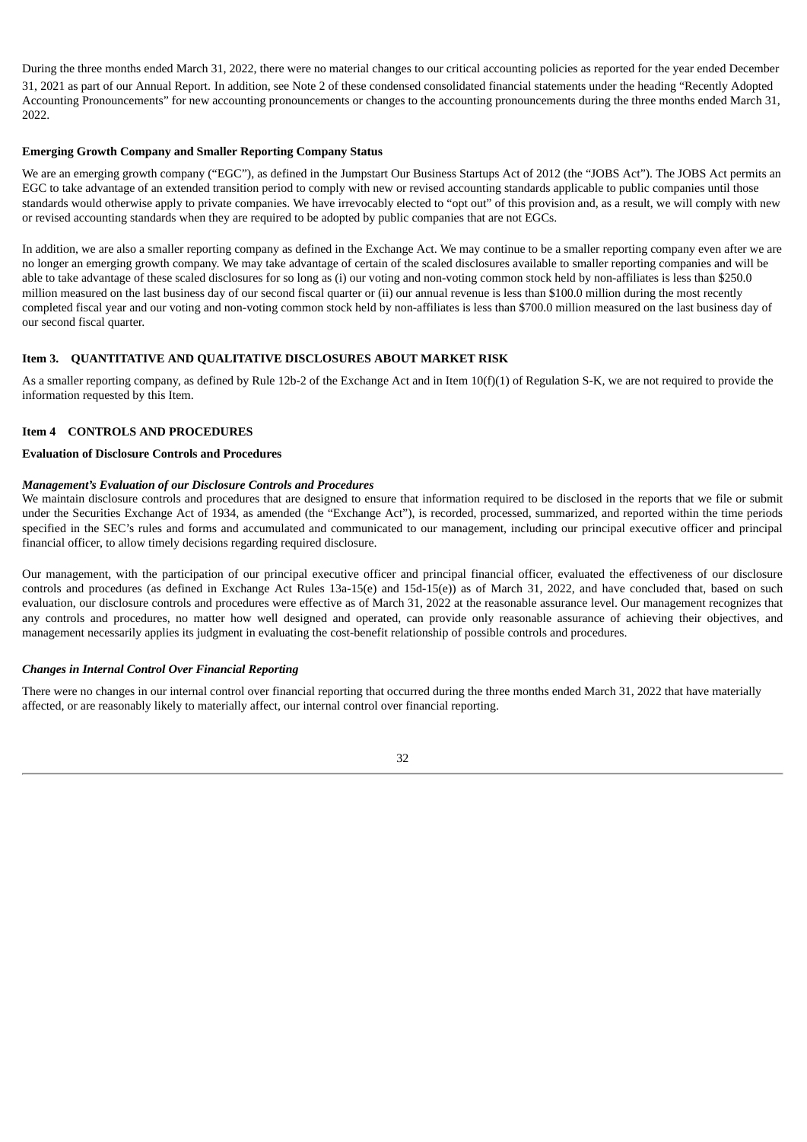During the three months ended March 31, 2022, there were no material changes to our critical accounting policies as reported for the year ended December 31, 2021 as part of our Annual Report. In addition, see Note 2 of these condensed consolidated financial statements under the heading "Recently Adopted Accounting Pronouncements" for new accounting pronouncements or changes to the accounting pronouncements during the three months ended March 31, 2022.

#### **Emerging Growth Company and Smaller Reporting Company Status**

We are an emerging growth company ("EGC"), as defined in the Jumpstart Our Business Startups Act of 2012 (the "JOBS Act"). The JOBS Act permits an EGC to take advantage of an extended transition period to comply with new or revised accounting standards applicable to public companies until those standards would otherwise apply to private companies. We have irrevocably elected to "opt out" of this provision and, as a result, we will comply with new or revised accounting standards when they are required to be adopted by public companies that are not EGCs.

In addition, we are also a smaller reporting company as defined in the Exchange Act. We may continue to be a smaller reporting company even after we are no longer an emerging growth company. We may take advantage of certain of the scaled disclosures available to smaller reporting companies and will be able to take advantage of these scaled disclosures for so long as (i) our voting and non-voting common stock held by non-affiliates is less than \$250.0 million measured on the last business day of our second fiscal quarter or (ii) our annual revenue is less than \$100.0 million during the most recently completed fiscal year and our voting and non-voting common stock held by non-affiliates is less than \$700.0 million measured on the last business day of our second fiscal quarter.

## <span id="page-31-0"></span>**Item 3. QUANTITATIVE AND QUALITATIVE DISCLOSURES ABOUT MARKET RISK**

As a smaller reporting company, as defined by Rule 12b-2 of the Exchange Act and in Item 10(f)(1) of Regulation S-K, we are not required to provide the information requested by this Item.

## <span id="page-31-1"></span>**Item 4 CONTROLS AND PROCEDURES**

# **Evaluation of Disclosure Controls and Procedures**

# *Management's Evaluation of our Disclosure Controls and Procedures*

We maintain disclosure controls and procedures that are designed to ensure that information required to be disclosed in the reports that we file or submit under the Securities Exchange Act of 1934, as amended (the "Exchange Act"), is recorded, processed, summarized, and reported within the time periods specified in the SEC's rules and forms and accumulated and communicated to our management, including our principal executive officer and principal financial officer, to allow timely decisions regarding required disclosure.

Our management, with the participation of our principal executive officer and principal financial officer, evaluated the effectiveness of our disclosure controls and procedures (as defined in Exchange Act Rules 13a-15(e) and 15d-15(e)) as of March 31, 2022, and have concluded that, based on such evaluation, our disclosure controls and procedures were effective as of March 31, 2022 at the reasonable assurance level. Our management recognizes that any controls and procedures, no matter how well designed and operated, can provide only reasonable assurance of achieving their objectives, and management necessarily applies its judgment in evaluating the cost-benefit relationship of possible controls and procedures.

## *Changes in Internal Control Over Financial Reporting*

<span id="page-31-2"></span>There were no changes in our internal control over financial reporting that occurred during the three months ended March 31, 2022 that have materially affected, or are reasonably likely to materially affect, our internal control over financial reporting.

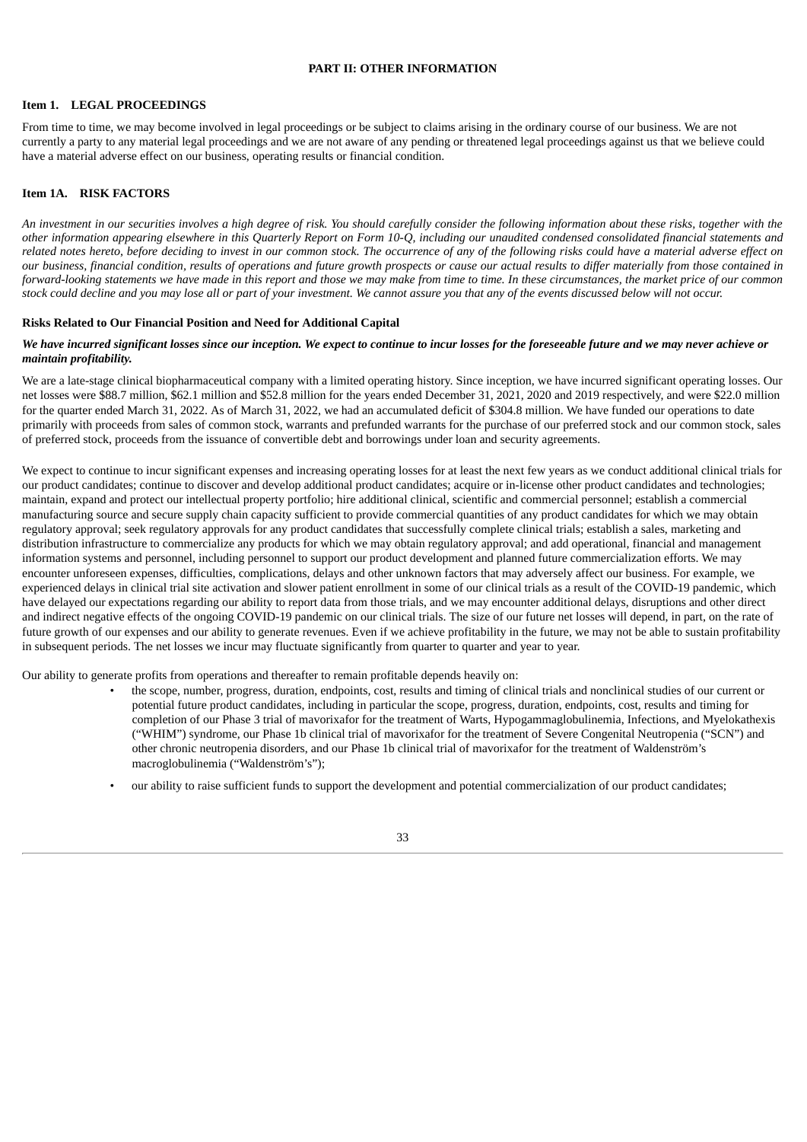#### **PART II: OTHER INFORMATION**

#### <span id="page-32-0"></span>**Item 1. LEGAL PROCEEDINGS**

From time to time, we may become involved in legal proceedings or be subject to claims arising in the ordinary course of our business. We are not currently a party to any material legal proceedings and we are not aware of any pending or threatened legal proceedings against us that we believe could have a material adverse effect on our business, operating results or financial condition.

#### <span id="page-32-1"></span>**Item 1A. RISK FACTORS**

An investment in our securities involves a high degree of risk. You should carefully consider the following information about these risks, together with the other information appearing elsewhere in this Quarterly Report on Form 10-Q, including our unaudited condensed consolidated financial statements and related notes hereto, before deciding to invest in our common stock. The occurrence of any of the following risks could have a material adverse effect on our business, financial condition, results of operations and future growth prospects or cause our actual results to differ materially from those contained in forward-looking statements we have made in this report and those we may make from time to time. In these circumstances, the market price of our common stock could decline and you may lose all or part of your investment. We cannot assure you that any of the events discussed below will not occur.

#### **Risks Related to Our Financial Position and Need for Additional Capital**

#### We have incurred significant losses since our inception. We expect to continue to incur losses for the foreseeable future and we may never achieve or *maintain profitability.*

We are a late-stage clinical biopharmaceutical company with a limited operating history. Since inception, we have incurred significant operating losses. Our net losses were \$88.7 million, \$62.1 million and \$52.8 million for the years ended December 31, 2021, 2020 and 2019 respectively, and were \$22.0 million for the quarter ended March 31, 2022. As of March 31, 2022, we had an accumulated deficit of \$304.8 million. We have funded our operations to date primarily with proceeds from sales of common stock, warrants and prefunded warrants for the purchase of our preferred stock and our common stock, sales of preferred stock, proceeds from the issuance of convertible debt and borrowings under loan and security agreements.

We expect to continue to incur significant expenses and increasing operating losses for at least the next few years as we conduct additional clinical trials for our product candidates; continue to discover and develop additional product candidates; acquire or in-license other product candidates and technologies; maintain, expand and protect our intellectual property portfolio; hire additional clinical, scientific and commercial personnel; establish a commercial manufacturing source and secure supply chain capacity sufficient to provide commercial quantities of any product candidates for which we may obtain regulatory approval; seek regulatory approvals for any product candidates that successfully complete clinical trials; establish a sales, marketing and distribution infrastructure to commercialize any products for which we may obtain regulatory approval; and add operational, financial and management information systems and personnel, including personnel to support our product development and planned future commercialization efforts. We may encounter unforeseen expenses, difficulties, complications, delays and other unknown factors that may adversely affect our business. For example, we experienced delays in clinical trial site activation and slower patient enrollment in some of our clinical trials as a result of the COVID-19 pandemic, which have delayed our expectations regarding our ability to report data from those trials, and we may encounter additional delays, disruptions and other direct and indirect negative effects of the ongoing COVID-19 pandemic on our clinical trials. The size of our future net losses will depend, in part, on the rate of future growth of our expenses and our ability to generate revenues. Even if we achieve profitability in the future, we may not be able to sustain profitability in subsequent periods. The net losses we incur may fluctuate significantly from quarter to quarter and year to year.

Our ability to generate profits from operations and thereafter to remain profitable depends heavily on:

- the scope, number, progress, duration, endpoints, cost, results and timing of clinical trials and nonclinical studies of our current or potential future product candidates, including in particular the scope, progress, duration, endpoints, cost, results and timing for completion of our Phase 3 trial of mavorixafor for the treatment of Warts, Hypogammaglobulinemia, Infections, and Myelokathexis ("WHIM") syndrome, our Phase 1b clinical trial of mavorixafor for the treatment of Severe Congenital Neutropenia ("SCN") and other chronic neutropenia disorders, and our Phase 1b clinical trial of mavorixafor for the treatment of Waldenström's macroglobulinemia ("Waldenström's");
- our ability to raise sufficient funds to support the development and potential commercialization of our product candidates;

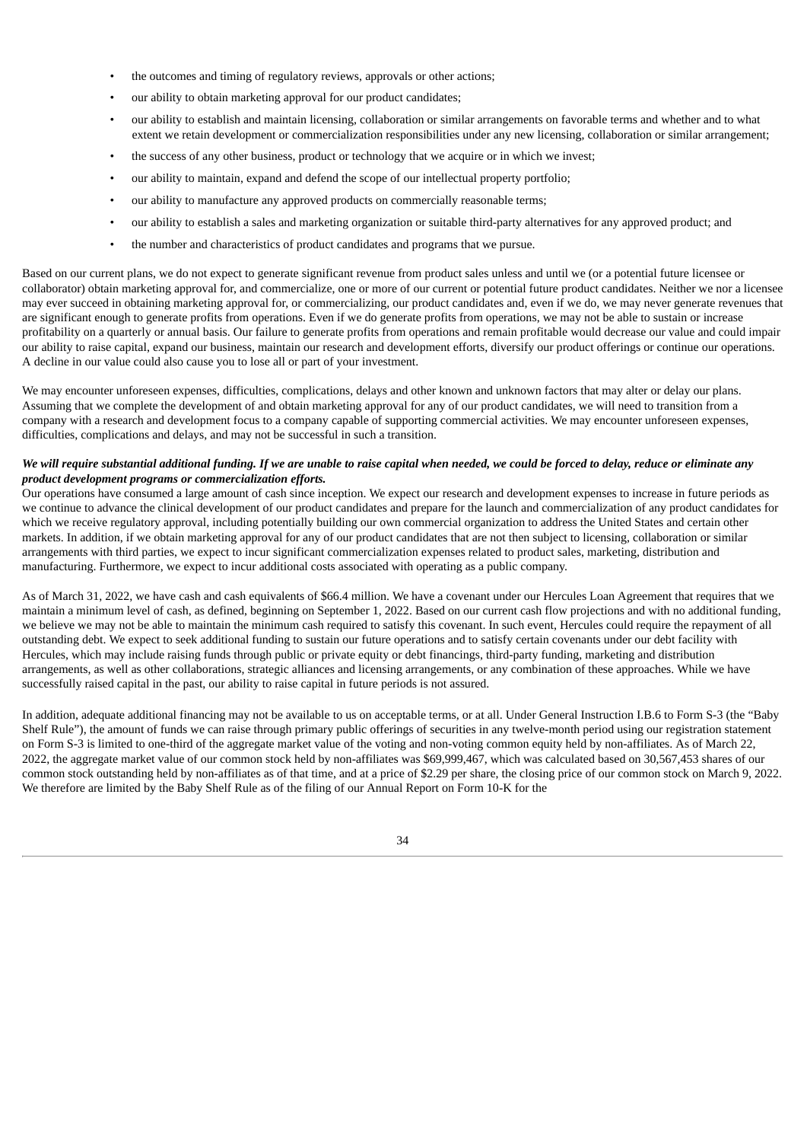- the outcomes and timing of regulatory reviews, approvals or other actions;
- our ability to obtain marketing approval for our product candidates;
- our ability to establish and maintain licensing, collaboration or similar arrangements on favorable terms and whether and to what extent we retain development or commercialization responsibilities under any new licensing, collaboration or similar arrangement;
- the success of any other business, product or technology that we acquire or in which we invest;
- our ability to maintain, expand and defend the scope of our intellectual property portfolio;
- our ability to manufacture any approved products on commercially reasonable terms;
- our ability to establish a sales and marketing organization or suitable third-party alternatives for any approved product; and
- the number and characteristics of product candidates and programs that we pursue.

Based on our current plans, we do not expect to generate significant revenue from product sales unless and until we (or a potential future licensee or collaborator) obtain marketing approval for, and commercialize, one or more of our current or potential future product candidates. Neither we nor a licensee may ever succeed in obtaining marketing approval for, or commercializing, our product candidates and, even if we do, we may never generate revenues that are significant enough to generate profits from operations. Even if we do generate profits from operations, we may not be able to sustain or increase profitability on a quarterly or annual basis. Our failure to generate profits from operations and remain profitable would decrease our value and could impair our ability to raise capital, expand our business, maintain our research and development efforts, diversify our product offerings or continue our operations. A decline in our value could also cause you to lose all or part of your investment.

We may encounter unforeseen expenses, difficulties, complications, delays and other known and unknown factors that may alter or delay our plans. Assuming that we complete the development of and obtain marketing approval for any of our product candidates, we will need to transition from a company with a research and development focus to a company capable of supporting commercial activities. We may encounter unforeseen expenses, difficulties, complications and delays, and may not be successful in such a transition.

#### We will require substantial additional funding. If we are unable to raise capital when needed, we could be forced to delay, reduce or eliminate any *product development programs or commercialization efforts.*

Our operations have consumed a large amount of cash since inception. We expect our research and development expenses to increase in future periods as we continue to advance the clinical development of our product candidates and prepare for the launch and commercialization of any product candidates for which we receive regulatory approval, including potentially building our own commercial organization to address the United States and certain other markets. In addition, if we obtain marketing approval for any of our product candidates that are not then subject to licensing, collaboration or similar arrangements with third parties, we expect to incur significant commercialization expenses related to product sales, marketing, distribution and manufacturing. Furthermore, we expect to incur additional costs associated with operating as a public company.

As of March 31, 2022, we have cash and cash equivalents of \$66.4 million. We have a covenant under our Hercules Loan Agreement that requires that we maintain a minimum level of cash, as defined, beginning on September 1, 2022. Based on our current cash flow projections and with no additional funding, we believe we may not be able to maintain the minimum cash required to satisfy this covenant. In such event, Hercules could require the repayment of all outstanding debt. We expect to seek additional funding to sustain our future operations and to satisfy certain covenants under our debt facility with Hercules, which may include raising funds through public or private equity or debt financings, third-party funding, marketing and distribution arrangements, as well as other collaborations, strategic alliances and licensing arrangements, or any combination of these approaches. While we have successfully raised capital in the past, our ability to raise capital in future periods is not assured.

In addition, adequate additional financing may not be available to us on acceptable terms, or at all. Under General Instruction I.B.6 to Form S-3 (the "Baby Shelf Rule"), the amount of funds we can raise through primary public offerings of securities in any twelve-month period using our registration statement on Form S-3 is limited to one-third of the aggregate market value of the voting and non-voting common equity held by non-affiliates. As of March 22, 2022, the aggregate market value of our common stock held by non-affiliates was \$69,999,467, which was calculated based on 30,567,453 shares of our common stock outstanding held by non-affiliates as of that time, and at a price of \$2.29 per share, the closing price of our common stock on March 9, 2022. We therefore are limited by the Baby Shelf Rule as of the filing of our Annual Report on Form 10-K for the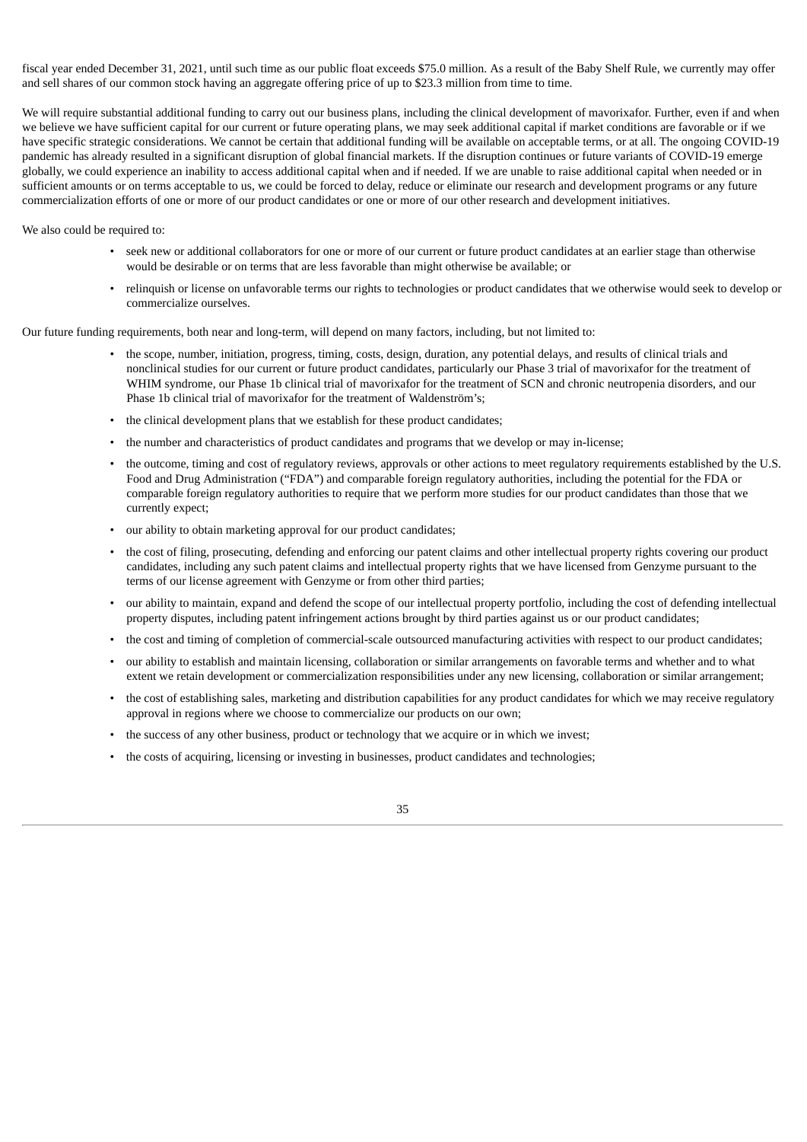fiscal year ended December 31, 2021, until such time as our public float exceeds \$75.0 million. As a result of the Baby Shelf Rule, we currently may offer and sell shares of our common stock having an aggregate offering price of up to \$23.3 million from time to time.

We will require substantial additional funding to carry out our business plans, including the clinical development of mavorixafor. Further, even if and when we believe we have sufficient capital for our current or future operating plans, we may seek additional capital if market conditions are favorable or if we have specific strategic considerations. We cannot be certain that additional funding will be available on acceptable terms, or at all. The ongoing COVID-19 pandemic has already resulted in a significant disruption of global financial markets. If the disruption continues or future variants of COVID-19 emerge globally, we could experience an inability to access additional capital when and if needed. If we are unable to raise additional capital when needed or in sufficient amounts or on terms acceptable to us, we could be forced to delay, reduce or eliminate our research and development programs or any future commercialization efforts of one or more of our product candidates or one or more of our other research and development initiatives.

#### We also could be required to:

- seek new or additional collaborators for one or more of our current or future product candidates at an earlier stage than otherwise would be desirable or on terms that are less favorable than might otherwise be available; or
- relinquish or license on unfavorable terms our rights to technologies or product candidates that we otherwise would seek to develop or commercialize ourselves.

Our future funding requirements, both near and long-term, will depend on many factors, including, but not limited to:

- the scope, number, initiation, progress, timing, costs, design, duration, any potential delays, and results of clinical trials and nonclinical studies for our current or future product candidates, particularly our Phase 3 trial of mavorixafor for the treatment of WHIM syndrome, our Phase 1b clinical trial of mavorixafor for the treatment of SCN and chronic neutropenia disorders, and our Phase 1b clinical trial of mavorixafor for the treatment of Waldenström's;
- the clinical development plans that we establish for these product candidates;
- the number and characteristics of product candidates and programs that we develop or may in-license;
- the outcome, timing and cost of regulatory reviews, approvals or other actions to meet regulatory requirements established by the U.S. Food and Drug Administration ("FDA") and comparable foreign regulatory authorities, including the potential for the FDA or comparable foreign regulatory authorities to require that we perform more studies for our product candidates than those that we currently expect;
- our ability to obtain marketing approval for our product candidates;
- the cost of filing, prosecuting, defending and enforcing our patent claims and other intellectual property rights covering our product candidates, including any such patent claims and intellectual property rights that we have licensed from Genzyme pursuant to the terms of our license agreement with Genzyme or from other third parties;
- our ability to maintain, expand and defend the scope of our intellectual property portfolio, including the cost of defending intellectual property disputes, including patent infringement actions brought by third parties against us or our product candidates;
- the cost and timing of completion of commercial-scale outsourced manufacturing activities with respect to our product candidates;
- our ability to establish and maintain licensing, collaboration or similar arrangements on favorable terms and whether and to what extent we retain development or commercialization responsibilities under any new licensing, collaboration or similar arrangement;
- the cost of establishing sales, marketing and distribution capabilities for any product candidates for which we may receive regulatory approval in regions where we choose to commercialize our products on our own;
- the success of any other business, product or technology that we acquire or in which we invest;
- the costs of acquiring, licensing or investing in businesses, product candidates and technologies;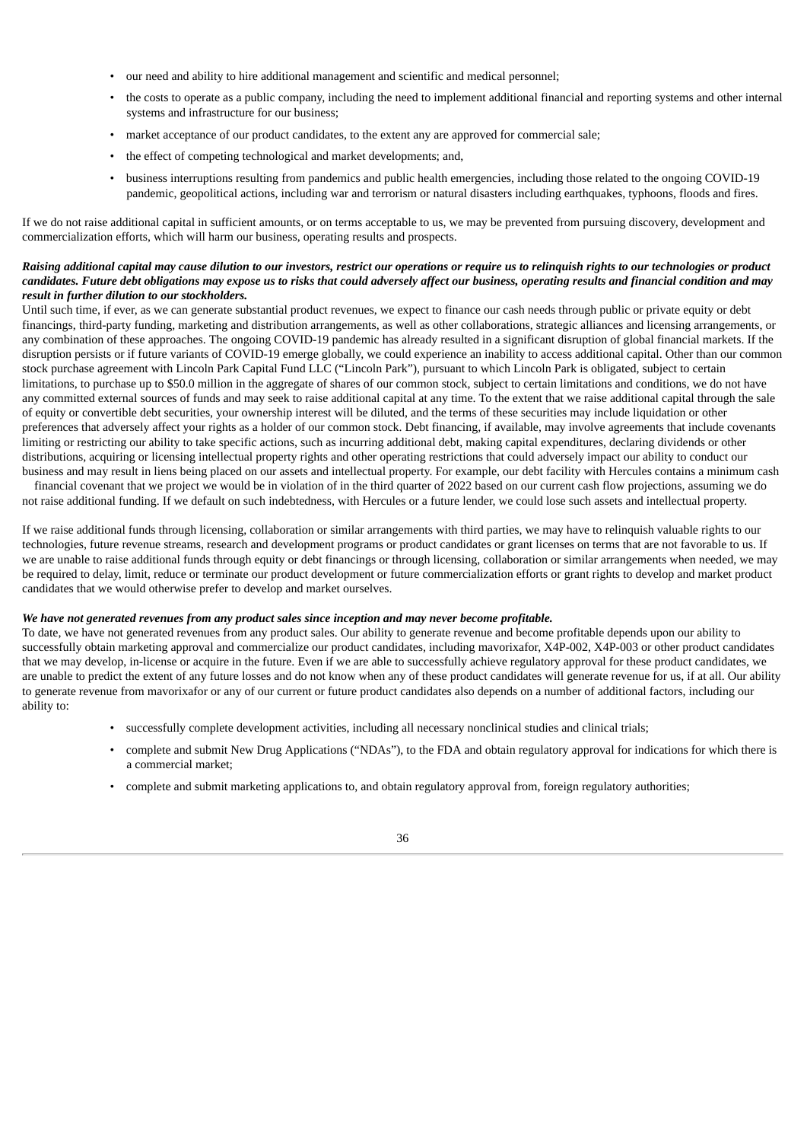- our need and ability to hire additional management and scientific and medical personnel;
- the costs to operate as a public company, including the need to implement additional financial and reporting systems and other internal systems and infrastructure for our business;
- market acceptance of our product candidates, to the extent any are approved for commercial sale;
- the effect of competing technological and market developments; and,
- business interruptions resulting from pandemics and public health emergencies, including those related to the ongoing COVID-19 pandemic, geopolitical actions, including war and terrorism or natural disasters including earthquakes, typhoons, floods and fires.

If we do not raise additional capital in sufficient amounts, or on terms acceptable to us, we may be prevented from pursuing discovery, development and commercialization efforts, which will harm our business, operating results and prospects.

## Raising additional capital may cause dilution to our investors, restrict our operations or require us to relinguish rights to our technologies or product candidates. Future debt obligations may expose us to risks that could adversely affect our business, operating results and financial condition and may *result in further dilution to our stockholders.*

Until such time, if ever, as we can generate substantial product revenues, we expect to finance our cash needs through public or private equity or debt financings, third-party funding, marketing and distribution arrangements, as well as other collaborations, strategic alliances and licensing arrangements, or any combination of these approaches. The ongoing COVID-19 pandemic has already resulted in a significant disruption of global financial markets. If the disruption persists or if future variants of COVID-19 emerge globally, we could experience an inability to access additional capital. Other than our common stock purchase agreement with Lincoln Park Capital Fund LLC ("Lincoln Park"), pursuant to which Lincoln Park is obligated, subject to certain limitations, to purchase up to \$50.0 million in the aggregate of shares of our common stock, subject to certain limitations and conditions, we do not have any committed external sources of funds and may seek to raise additional capital at any time. To the extent that we raise additional capital through the sale of equity or convertible debt securities, your ownership interest will be diluted, and the terms of these securities may include liquidation or other preferences that adversely affect your rights as a holder of our common stock. Debt financing, if available, may involve agreements that include covenants limiting or restricting our ability to take specific actions, such as incurring additional debt, making capital expenditures, declaring dividends or other distributions, acquiring or licensing intellectual property rights and other operating restrictions that could adversely impact our ability to conduct our business and may result in liens being placed on our assets and intellectual property. For example, our debt facility with Hercules contains a minimum cash

financial covenant that we project we would be in violation of in the third quarter of 2022 based on our current cash flow projections, assuming we do not raise additional funding. If we default on such indebtedness, with Hercules or a future lender, we could lose such assets and intellectual property.

If we raise additional funds through licensing, collaboration or similar arrangements with third parties, we may have to relinquish valuable rights to our technologies, future revenue streams, research and development programs or product candidates or grant licenses on terms that are not favorable to us. If we are unable to raise additional funds through equity or debt financings or through licensing, collaboration or similar arrangements when needed, we may be required to delay, limit, reduce or terminate our product development or future commercialization efforts or grant rights to develop and market product candidates that we would otherwise prefer to develop and market ourselves.

## *We have not generated revenues from any product sales since inception and may never become profitable.*

To date, we have not generated revenues from any product sales. Our ability to generate revenue and become profitable depends upon our ability to successfully obtain marketing approval and commercialize our product candidates, including mavorixafor, X4P-002, X4P-003 or other product candidates that we may develop, in-license or acquire in the future. Even if we are able to successfully achieve regulatory approval for these product candidates, we are unable to predict the extent of any future losses and do not know when any of these product candidates will generate revenue for us, if at all. Our ability to generate revenue from mavorixafor or any of our current or future product candidates also depends on a number of additional factors, including our ability to:

- successfully complete development activities, including all necessary nonclinical studies and clinical trials;
- complete and submit New Drug Applications ("NDAs"), to the FDA and obtain regulatory approval for indications for which there is a commercial market;
- complete and submit marketing applications to, and obtain regulatory approval from, foreign regulatory authorities;

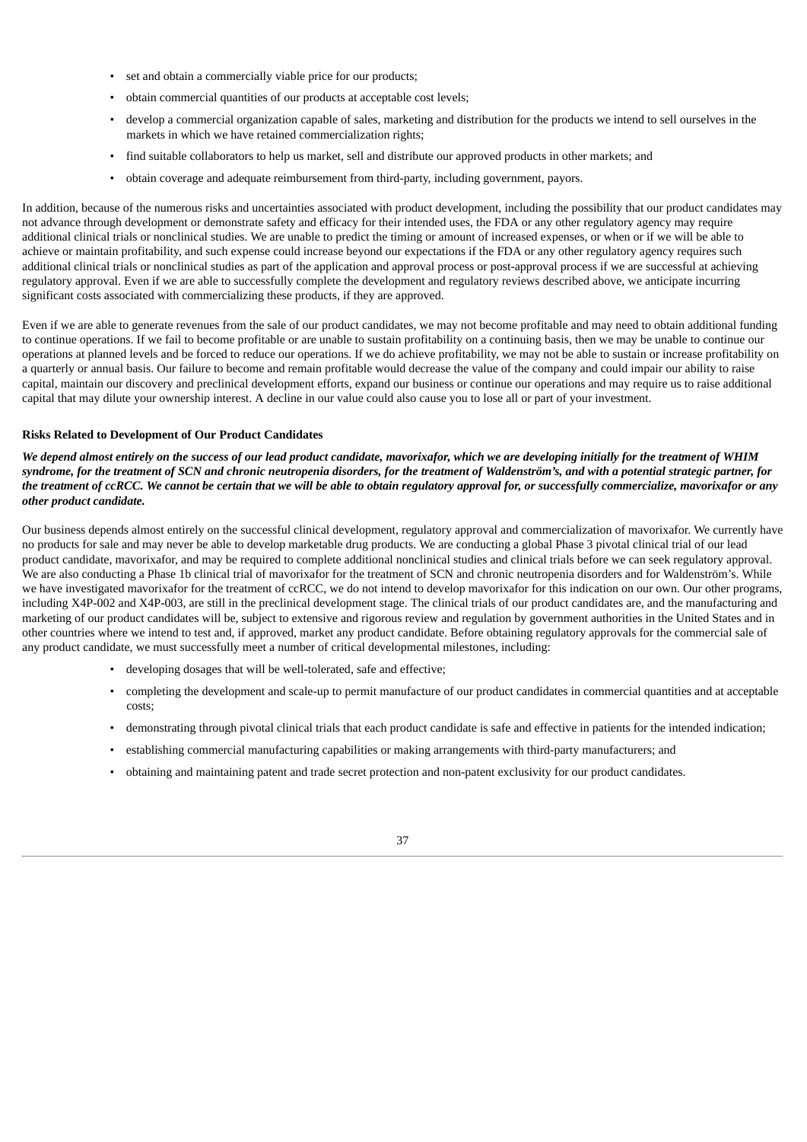- set and obtain a commercially viable price for our products;
- obtain commercial quantities of our products at acceptable cost levels;
- develop a commercial organization capable of sales, marketing and distribution for the products we intend to sell ourselves in the markets in which we have retained commercialization rights;
- find suitable collaborators to help us market, sell and distribute our approved products in other markets; and
- obtain coverage and adequate reimbursement from third-party, including government, payors.

In addition, because of the numerous risks and uncertainties associated with product development, including the possibility that our product candidates may not advance through development or demonstrate safety and efficacy for their intended uses, the FDA or any other regulatory agency may require additional clinical trials or nonclinical studies. We are unable to predict the timing or amount of increased expenses, or when or if we will be able to achieve or maintain profitability, and such expense could increase beyond our expectations if the FDA or any other regulatory agency requires such additional clinical trials or nonclinical studies as part of the application and approval process or post-approval process if we are successful at achieving regulatory approval. Even if we are able to successfully complete the development and regulatory reviews described above, we anticipate incurring significant costs associated with commercializing these products, if they are approved.

Even if we are able to generate revenues from the sale of our product candidates, we may not become profitable and may need to obtain additional funding to continue operations. If we fail to become profitable or are unable to sustain profitability on a continuing basis, then we may be unable to continue our operations at planned levels and be forced to reduce our operations. If we do achieve profitability, we may not be able to sustain or increase profitability on a quarterly or annual basis. Our failure to become and remain profitable would decrease the value of the company and could impair our ability to raise capital, maintain our discovery and preclinical development efforts, expand our business or continue our operations and may require us to raise additional capital that may dilute your ownership interest. A decline in our value could also cause you to lose all or part of your investment.

#### **Risks Related to Development of Our Product Candidates**

We depend almost entirely on the success of our lead product candidate, mayorixafor, which we are developing initially for the treatment of WHIM syndrome, for the treatment of SCN and chronic neutropenia disorders, for the treatment of Waldenström's, and with a potential strategic partner, for the treatment of ccRCC. We cannot be certain that we will be able to obtain regulatory approval for, or successfully commercialize, mayorixafor or any *other product candidate.*

Our business depends almost entirely on the successful clinical development, regulatory approval and commercialization of mavorixafor. We currently have no products for sale and may never be able to develop marketable drug products. We are conducting a global Phase 3 pivotal clinical trial of our lead product candidate, mavorixafor, and may be required to complete additional nonclinical studies and clinical trials before we can seek regulatory approval. We are also conducting a Phase 1b clinical trial of mavorixafor for the treatment of SCN and chronic neutropenia disorders and for Waldenström's. While we have investigated mavorixafor for the treatment of ccRCC, we do not intend to develop mavorixafor for this indication on our own. Our other programs, including X4P-002 and X4P-003, are still in the preclinical development stage. The clinical trials of our product candidates are, and the manufacturing and marketing of our product candidates will be, subject to extensive and rigorous review and regulation by government authorities in the United States and in other countries where we intend to test and, if approved, market any product candidate. Before obtaining regulatory approvals for the commercial sale of any product candidate, we must successfully meet a number of critical developmental milestones, including:

- developing dosages that will be well-tolerated, safe and effective;
- completing the development and scale-up to permit manufacture of our product candidates in commercial quantities and at acceptable costs;
- demonstrating through pivotal clinical trials that each product candidate is safe and effective in patients for the intended indication;
- establishing commercial manufacturing capabilities or making arrangements with third-party manufacturers; and
- obtaining and maintaining patent and trade secret protection and non-patent exclusivity for our product candidates.

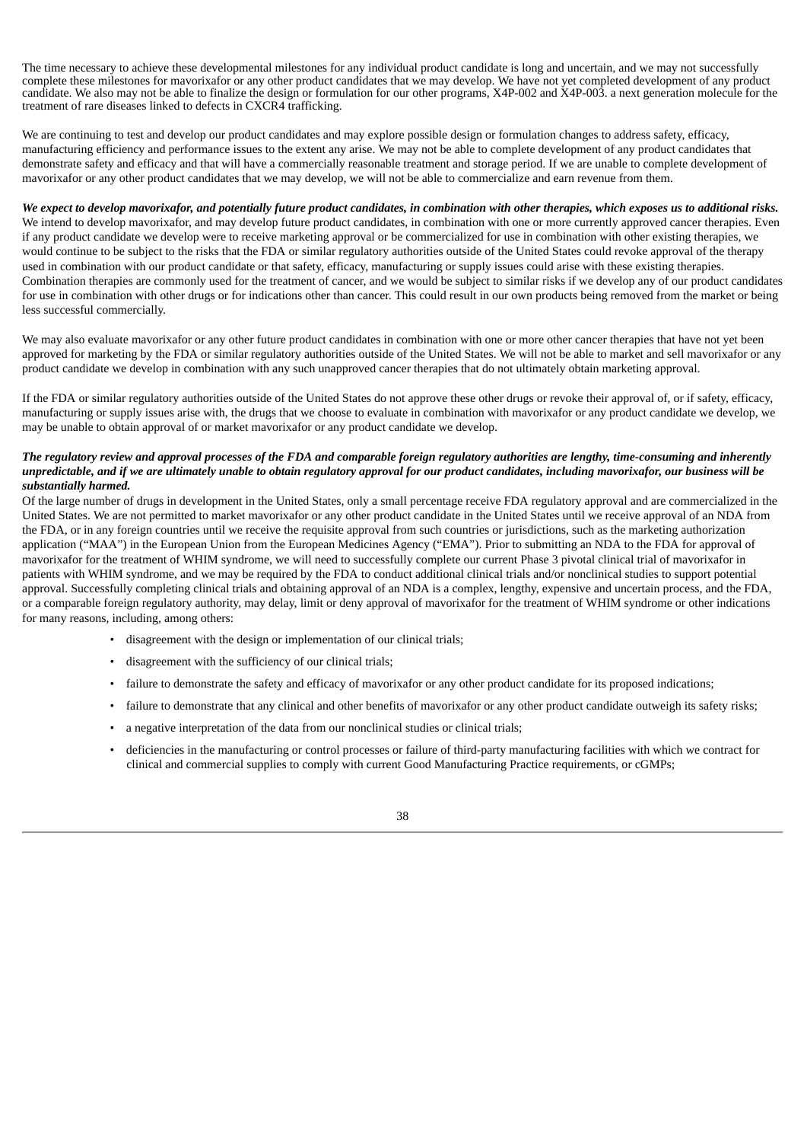The time necessary to achieve these developmental milestones for any individual product candidate is long and uncertain, and we may not successfully complete these milestones for mavorixafor or any other product candidates that we may develop. We have not yet completed development of any product candidate. We also may not be able to finalize the design or formulation for our other programs, X4P-002 and X4P-003. a next generation molecule for the treatment of rare diseases linked to defects in CXCR4 trafficking.

We are continuing to test and develop our product candidates and may explore possible design or formulation changes to address safety, efficacy, manufacturing efficiency and performance issues to the extent any arise. We may not be able to complete development of any product candidates that demonstrate safety and efficacy and that will have a commercially reasonable treatment and storage period. If we are unable to complete development of mavorixafor or any other product candidates that we may develop, we will not be able to commercialize and earn revenue from them.

#### We expect to develop mavorixafor, and potentially future product candidates, in combination with other therapies, which exposes us to additional risks.

We intend to develop mavorixafor, and may develop future product candidates, in combination with one or more currently approved cancer therapies. Even if any product candidate we develop were to receive marketing approval or be commercialized for use in combination with other existing therapies, we would continue to be subject to the risks that the FDA or similar regulatory authorities outside of the United States could revoke approval of the therapy used in combination with our product candidate or that safety, efficacy, manufacturing or supply issues could arise with these existing therapies. Combination therapies are commonly used for the treatment of cancer, and we would be subject to similar risks if we develop any of our product candidates for use in combination with other drugs or for indications other than cancer. This could result in our own products being removed from the market or being less successful commercially.

We may also evaluate mavorixafor or any other future product candidates in combination with one or more other cancer therapies that have not yet been approved for marketing by the FDA or similar regulatory authorities outside of the United States. We will not be able to market and sell mavorixafor or any product candidate we develop in combination with any such unapproved cancer therapies that do not ultimately obtain marketing approval.

If the FDA or similar regulatory authorities outside of the United States do not approve these other drugs or revoke their approval of, or if safety, efficacy, manufacturing or supply issues arise with, the drugs that we choose to evaluate in combination with mavorixafor or any product candidate we develop, we may be unable to obtain approval of or market mavorixafor or any product candidate we develop.

#### The regulatory review and approval processes of the FDA and comparable foreign regulatory authorities are lengthy, time-consuming and inherently unpredictable, and if we are ultimately unable to obtain regulatory approval for our product candidates, including mavorixafor, our business will be *substantially harmed.*

Of the large number of drugs in development in the United States, only a small percentage receive FDA regulatory approval and are commercialized in the United States. We are not permitted to market mavorixafor or any other product candidate in the United States until we receive approval of an NDA from the FDA, or in any foreign countries until we receive the requisite approval from such countries or jurisdictions, such as the marketing authorization application ("MAA") in the European Union from the European Medicines Agency ("EMA"). Prior to submitting an NDA to the FDA for approval of mavorixafor for the treatment of WHIM syndrome, we will need to successfully complete our current Phase 3 pivotal clinical trial of mavorixafor in patients with WHIM syndrome, and we may be required by the FDA to conduct additional clinical trials and/or nonclinical studies to support potential approval. Successfully completing clinical trials and obtaining approval of an NDA is a complex, lengthy, expensive and uncertain process, and the FDA, or a comparable foreign regulatory authority, may delay, limit or deny approval of mavorixafor for the treatment of WHIM syndrome or other indications for many reasons, including, among others:

- disagreement with the design or implementation of our clinical trials;
- disagreement with the sufficiency of our clinical trials;
- failure to demonstrate the safety and efficacy of mavorixafor or any other product candidate for its proposed indications;
- failure to demonstrate that any clinical and other benefits of mavorixafor or any other product candidate outweigh its safety risks;
- a negative interpretation of the data from our nonclinical studies or clinical trials;
- deficiencies in the manufacturing or control processes or failure of third-party manufacturing facilities with which we contract for clinical and commercial supplies to comply with current Good Manufacturing Practice requirements, or cGMPs;

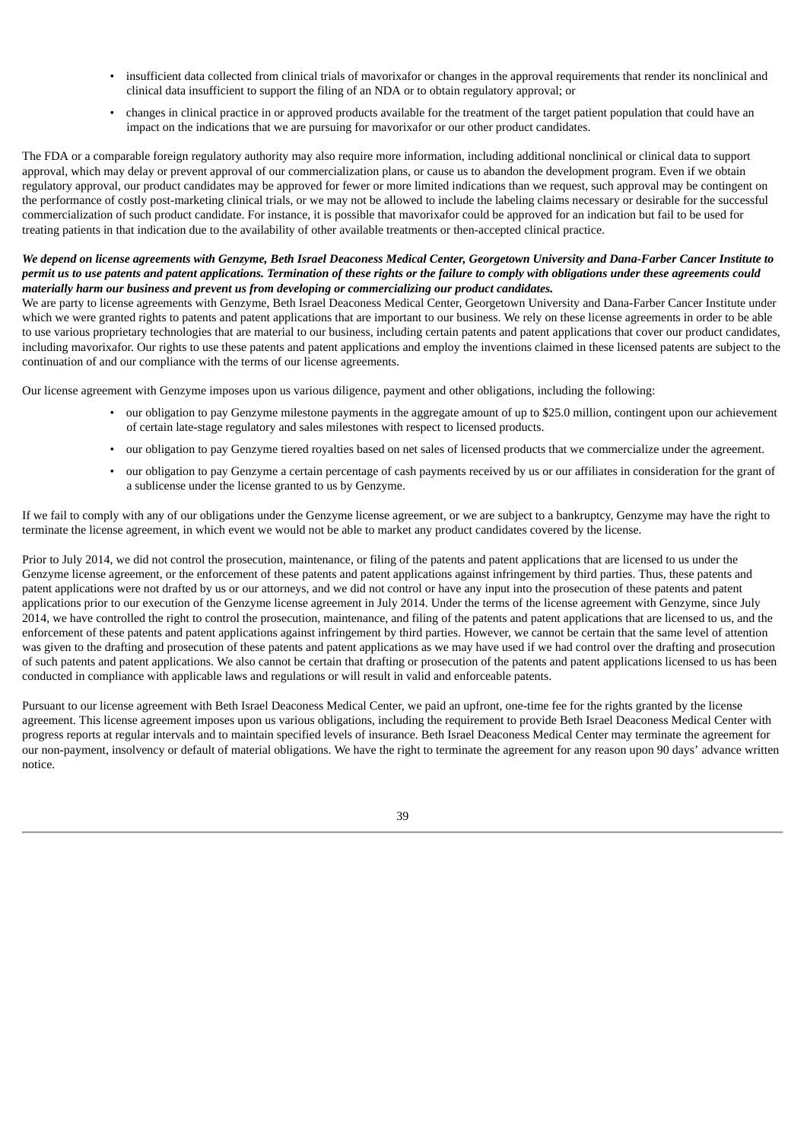- insufficient data collected from clinical trials of mavorixafor or changes in the approval requirements that render its nonclinical and clinical data insufficient to support the filing of an NDA or to obtain regulatory approval; or
- changes in clinical practice in or approved products available for the treatment of the target patient population that could have an impact on the indications that we are pursuing for mavorixafor or our other product candidates.

The FDA or a comparable foreign regulatory authority may also require more information, including additional nonclinical or clinical data to support approval, which may delay or prevent approval of our commercialization plans, or cause us to abandon the development program. Even if we obtain regulatory approval, our product candidates may be approved for fewer or more limited indications than we request, such approval may be contingent on the performance of costly post-marketing clinical trials, or we may not be allowed to include the labeling claims necessary or desirable for the successful commercialization of such product candidate. For instance, it is possible that mavorixafor could be approved for an indication but fail to be used for treating patients in that indication due to the availability of other available treatments or then-accepted clinical practice.

# We depend on license agreements with Genzyme, Beth Israel Deaconess Medical Center, Georgetown University and Dana-Farber Cancer Institute to permit us to use patents and patent applications. Termination of these rights or the failure to comply with obligations under these agreements could *materially harm our business and prevent us from developing or commercializing our product candidates.*

We are party to license agreements with Genzyme, Beth Israel Deaconess Medical Center, Georgetown University and Dana-Farber Cancer Institute under which we were granted rights to patents and patent applications that are important to our business. We rely on these license agreements in order to be able to use various proprietary technologies that are material to our business, including certain patents and patent applications that cover our product candidates, including mavorixafor. Our rights to use these patents and patent applications and employ the inventions claimed in these licensed patents are subject to the continuation of and our compliance with the terms of our license agreements.

Our license agreement with Genzyme imposes upon us various diligence, payment and other obligations, including the following:

- our obligation to pay Genzyme milestone payments in the aggregate amount of up to \$25.0 million, contingent upon our achievement of certain late-stage regulatory and sales milestones with respect to licensed products.
- our obligation to pay Genzyme tiered royalties based on net sales of licensed products that we commercialize under the agreement.
- our obligation to pay Genzyme a certain percentage of cash payments received by us or our affiliates in consideration for the grant of a sublicense under the license granted to us by Genzyme.

If we fail to comply with any of our obligations under the Genzyme license agreement, or we are subject to a bankruptcy, Genzyme may have the right to terminate the license agreement, in which event we would not be able to market any product candidates covered by the license.

Prior to July 2014, we did not control the prosecution, maintenance, or filing of the patents and patent applications that are licensed to us under the Genzyme license agreement, or the enforcement of these patents and patent applications against infringement by third parties. Thus, these patents and patent applications were not drafted by us or our attorneys, and we did not control or have any input into the prosecution of these patents and patent applications prior to our execution of the Genzyme license agreement in July 2014. Under the terms of the license agreement with Genzyme, since July 2014, we have controlled the right to control the prosecution, maintenance, and filing of the patents and patent applications that are licensed to us, and the enforcement of these patents and patent applications against infringement by third parties. However, we cannot be certain that the same level of attention was given to the drafting and prosecution of these patents and patent applications as we may have used if we had control over the drafting and prosecution of such patents and patent applications. We also cannot be certain that drafting or prosecution of the patents and patent applications licensed to us has been conducted in compliance with applicable laws and regulations or will result in valid and enforceable patents.

Pursuant to our license agreement with Beth Israel Deaconess Medical Center, we paid an upfront, one-time fee for the rights granted by the license agreement. This license agreement imposes upon us various obligations, including the requirement to provide Beth Israel Deaconess Medical Center with progress reports at regular intervals and to maintain specified levels of insurance. Beth Israel Deaconess Medical Center may terminate the agreement for our non-payment, insolvency or default of material obligations. We have the right to terminate the agreement for any reason upon 90 days' advance written notice.

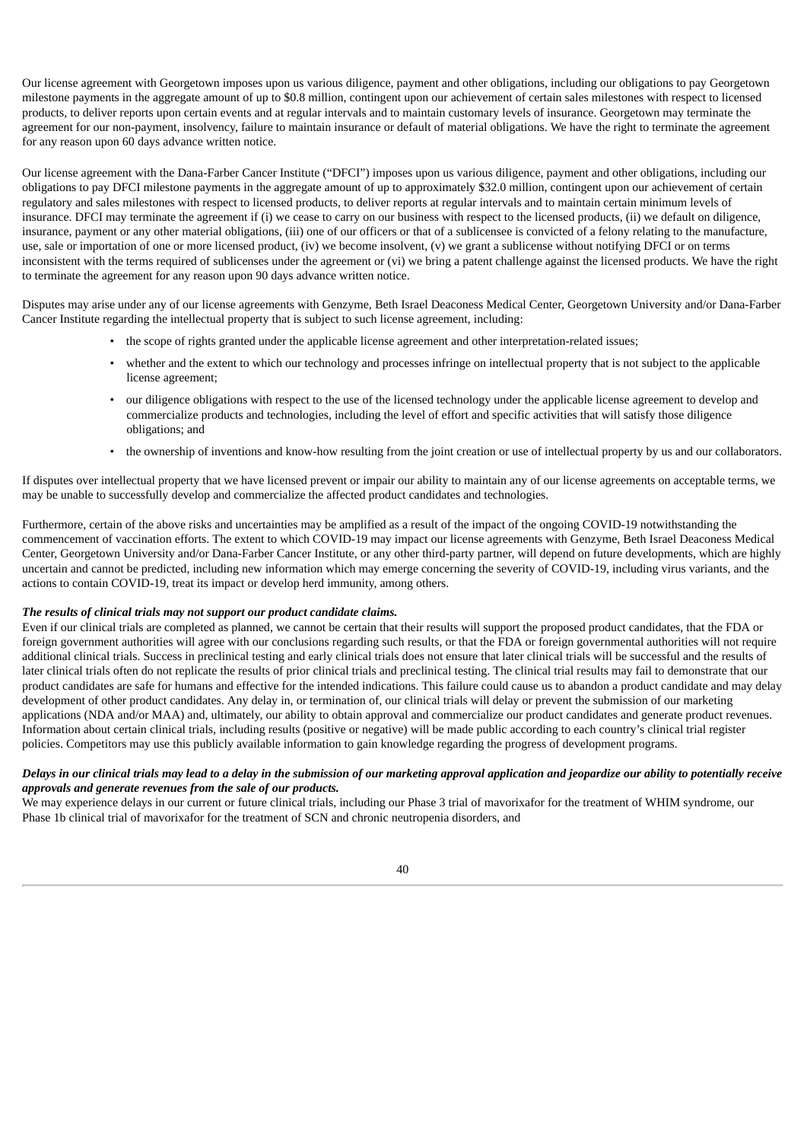Our license agreement with Georgetown imposes upon us various diligence, payment and other obligations, including our obligations to pay Georgetown milestone payments in the aggregate amount of up to \$0.8 million, contingent upon our achievement of certain sales milestones with respect to licensed products, to deliver reports upon certain events and at regular intervals and to maintain customary levels of insurance. Georgetown may terminate the agreement for our non-payment, insolvency, failure to maintain insurance or default of material obligations. We have the right to terminate the agreement for any reason upon 60 days advance written notice.

Our license agreement with the Dana-Farber Cancer Institute ("DFCI") imposes upon us various diligence, payment and other obligations, including our obligations to pay DFCI milestone payments in the aggregate amount of up to approximately \$32.0 million, contingent upon our achievement of certain regulatory and sales milestones with respect to licensed products, to deliver reports at regular intervals and to maintain certain minimum levels of insurance. DFCI may terminate the agreement if (i) we cease to carry on our business with respect to the licensed products, (ii) we default on diligence, insurance, payment or any other material obligations, (iii) one of our officers or that of a sublicensee is convicted of a felony relating to the manufacture, use, sale or importation of one or more licensed product, (iv) we become insolvent, (v) we grant a sublicense without notifying DFCI or on terms inconsistent with the terms required of sublicenses under the agreement or (vi) we bring a patent challenge against the licensed products. We have the right to terminate the agreement for any reason upon 90 days advance written notice.

Disputes may arise under any of our license agreements with Genzyme, Beth Israel Deaconess Medical Center, Georgetown University and/or Dana-Farber Cancer Institute regarding the intellectual property that is subject to such license agreement, including:

- the scope of rights granted under the applicable license agreement and other interpretation-related issues;
- whether and the extent to which our technology and processes infringe on intellectual property that is not subject to the applicable license agreement;
- our diligence obligations with respect to the use of the licensed technology under the applicable license agreement to develop and commercialize products and technologies, including the level of effort and specific activities that will satisfy those diligence obligations; and
- the ownership of inventions and know-how resulting from the joint creation or use of intellectual property by us and our collaborators.

If disputes over intellectual property that we have licensed prevent or impair our ability to maintain any of our license agreements on acceptable terms, we may be unable to successfully develop and commercialize the affected product candidates and technologies.

Furthermore, certain of the above risks and uncertainties may be amplified as a result of the impact of the ongoing COVID-19 notwithstanding the commencement of vaccination efforts. The extent to which COVID-19 may impact our license agreements with Genzyme, Beth Israel Deaconess Medical Center, Georgetown University and/or Dana-Farber Cancer Institute, or any other third-party partner, will depend on future developments, which are highly uncertain and cannot be predicted, including new information which may emerge concerning the severity of COVID-19, including virus variants, and the actions to contain COVID-19, treat its impact or develop herd immunity, among others.

#### *The results of clinical trials may not support our product candidate claims.*

Even if our clinical trials are completed as planned, we cannot be certain that their results will support the proposed product candidates, that the FDA or foreign government authorities will agree with our conclusions regarding such results, or that the FDA or foreign governmental authorities will not require additional clinical trials. Success in preclinical testing and early clinical trials does not ensure that later clinical trials will be successful and the results of later clinical trials often do not replicate the results of prior clinical trials and preclinical testing. The clinical trial results may fail to demonstrate that our product candidates are safe for humans and effective for the intended indications. This failure could cause us to abandon a product candidate and may delay development of other product candidates. Any delay in, or termination of, our clinical trials will delay or prevent the submission of our marketing applications (NDA and/or MAA) and, ultimately, our ability to obtain approval and commercialize our product candidates and generate product revenues. Information about certain clinical trials, including results (positive or negative) will be made public according to each country's clinical trial register policies. Competitors may use this publicly available information to gain knowledge regarding the progress of development programs.

#### Delays in our clinical trials may lead to a delay in the submission of our marketing approval application and jeopardize our ability to potentially receive *approvals and generate revenues from the sale of our products.*

We may experience delays in our current or future clinical trials, including our Phase 3 trial of mavorixafor for the treatment of WHIM syndrome, our Phase 1b clinical trial of mavorixafor for the treatment of SCN and chronic neutropenia disorders, and

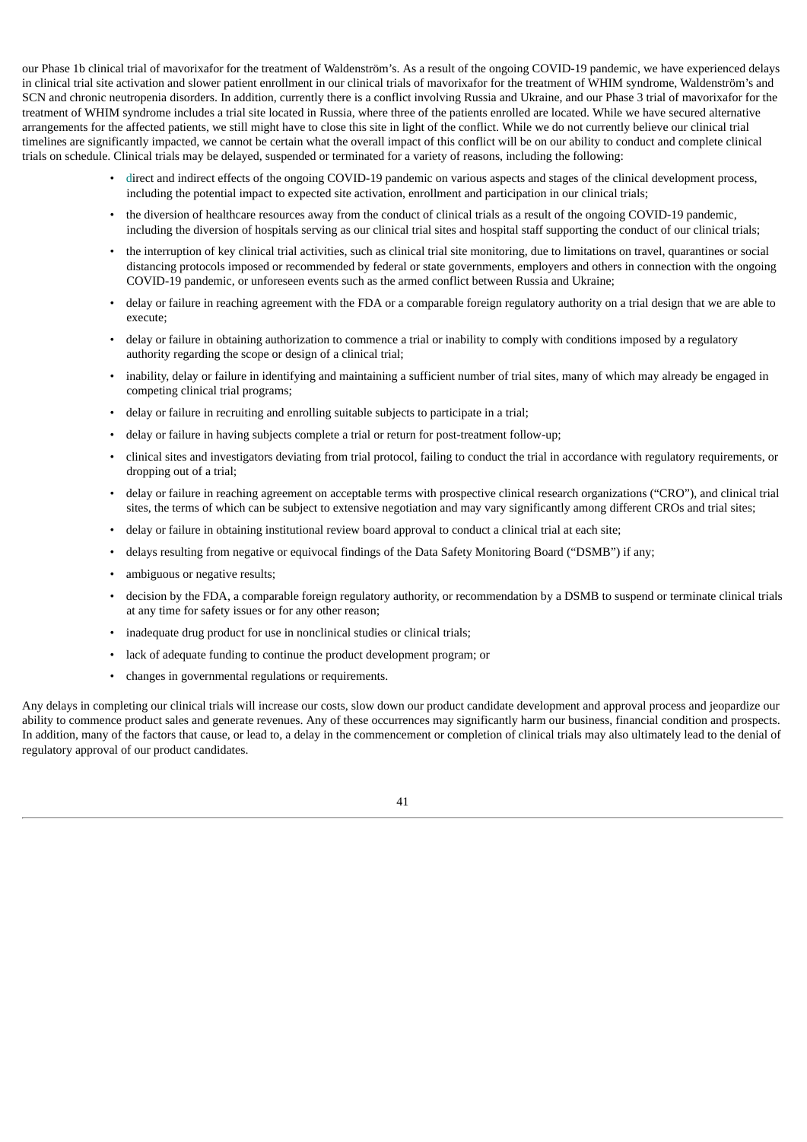our Phase 1b clinical trial of mavorixafor for the treatment of Waldenström's. As a result of the ongoing COVID-19 pandemic, we have experienced delays in clinical trial site activation and slower patient enrollment in our clinical trials of mavorixafor for the treatment of WHIM syndrome, Waldenström's and SCN and chronic neutropenia disorders. In addition, currently there is a conflict involving Russia and Ukraine, and our Phase 3 trial of mavorixafor for the treatment of WHIM syndrome includes a trial site located in Russia, where three of the patients enrolled are located. While we have secured alternative arrangements for the affected patients, we still might have to close this site in light of the conflict. While we do not currently believe our clinical trial timelines are significantly impacted, we cannot be certain what the overall impact of this conflict will be on our ability to conduct and complete clinical trials on schedule. Clinical trials may be delayed, suspended or terminated for a variety of reasons, including the following:

- direct and indirect effects of the ongoing COVID-19 pandemic on various aspects and stages of the clinical development process, including the potential impact to expected site activation, enrollment and participation in our clinical trials;
- the diversion of healthcare resources away from the conduct of clinical trials as a result of the ongoing COVID-19 pandemic, including the diversion of hospitals serving as our clinical trial sites and hospital staff supporting the conduct of our clinical trials;
- the interruption of key clinical trial activities, such as clinical trial site monitoring, due to limitations on travel, quarantines or social distancing protocols imposed or recommended by federal or state governments, employers and others in connection with the ongoing COVID-19 pandemic, or unforeseen events such as the armed conflict between Russia and Ukraine;
- delay or failure in reaching agreement with the FDA or a comparable foreign regulatory authority on a trial design that we are able to execute;
- delay or failure in obtaining authorization to commence a trial or inability to comply with conditions imposed by a regulatory authority regarding the scope or design of a clinical trial;
- inability, delay or failure in identifying and maintaining a sufficient number of trial sites, many of which may already be engaged in competing clinical trial programs;
- delay or failure in recruiting and enrolling suitable subjects to participate in a trial;
- delay or failure in having subjects complete a trial or return for post-treatment follow-up;
- clinical sites and investigators deviating from trial protocol, failing to conduct the trial in accordance with regulatory requirements, or dropping out of a trial;
- delay or failure in reaching agreement on acceptable terms with prospective clinical research organizations ("CRO"), and clinical trial sites, the terms of which can be subject to extensive negotiation and may vary significantly among different CROs and trial sites;
- delay or failure in obtaining institutional review board approval to conduct a clinical trial at each site;
- delays resulting from negative or equivocal findings of the Data Safety Monitoring Board ("DSMB") if any;
- ambiguous or negative results;
- decision by the FDA, a comparable foreign regulatory authority, or recommendation by a DSMB to suspend or terminate clinical trials at any time for safety issues or for any other reason;
- inadequate drug product for use in nonclinical studies or clinical trials;
- lack of adequate funding to continue the product development program; or
- changes in governmental regulations or requirements.

Any delays in completing our clinical trials will increase our costs, slow down our product candidate development and approval process and jeopardize our ability to commence product sales and generate revenues. Any of these occurrences may significantly harm our business, financial condition and prospects. In addition, many of the factors that cause, or lead to, a delay in the commencement or completion of clinical trials may also ultimately lead to the denial of regulatory approval of our product candidates.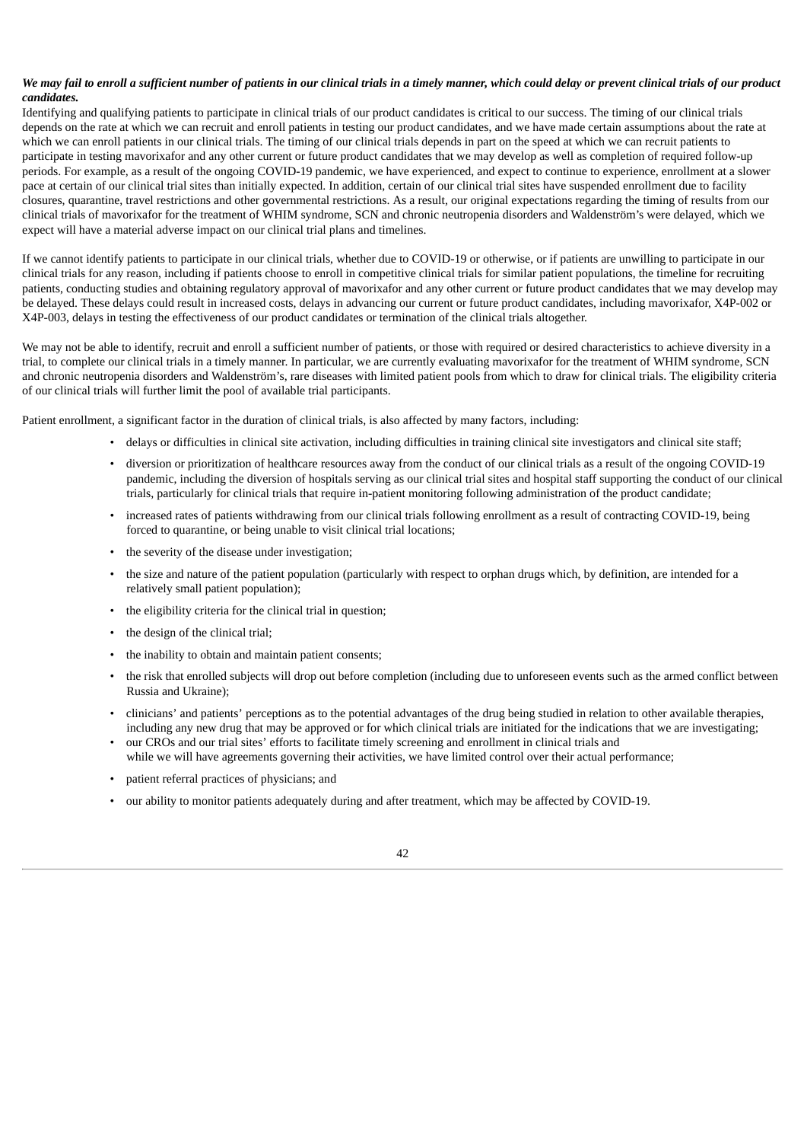# We may fail to enroll a sufficient number of patients in our clinical trials in a timely manner, which could delay or prevent clinical trials of our product *candidates.*

Identifying and qualifying patients to participate in clinical trials of our product candidates is critical to our success. The timing of our clinical trials depends on the rate at which we can recruit and enroll patients in testing our product candidates, and we have made certain assumptions about the rate at which we can enroll patients in our clinical trials. The timing of our clinical trials depends in part on the speed at which we can recruit patients to participate in testing mavorixafor and any other current or future product candidates that we may develop as well as completion of required follow-up periods. For example, as a result of the ongoing COVID-19 pandemic, we have experienced, and expect to continue to experience, enrollment at a slower pace at certain of our clinical trial sites than initially expected. In addition, certain of our clinical trial sites have suspended enrollment due to facility closures, quarantine, travel restrictions and other governmental restrictions. As a result, our original expectations regarding the timing of results from our clinical trials of mavorixafor for the treatment of WHIM syndrome, SCN and chronic neutropenia disorders and Waldenström's were delayed, which we expect will have a material adverse impact on our clinical trial plans and timelines.

If we cannot identify patients to participate in our clinical trials, whether due to COVID-19 or otherwise, or if patients are unwilling to participate in our clinical trials for any reason, including if patients choose to enroll in competitive clinical trials for similar patient populations, the timeline for recruiting patients, conducting studies and obtaining regulatory approval of mavorixafor and any other current or future product candidates that we may develop may be delayed. These delays could result in increased costs, delays in advancing our current or future product candidates, including mavorixafor, X4P-002 or X4P-003, delays in testing the effectiveness of our product candidates or termination of the clinical trials altogether.

We may not be able to identify, recruit and enroll a sufficient number of patients, or those with required or desired characteristics to achieve diversity in a trial, to complete our clinical trials in a timely manner. In particular, we are currently evaluating mavorixafor for the treatment of WHIM syndrome, SCN and chronic neutropenia disorders and Waldenström's, rare diseases with limited patient pools from which to draw for clinical trials. The eligibility criteria of our clinical trials will further limit the pool of available trial participants.

Patient enrollment, a significant factor in the duration of clinical trials, is also affected by many factors, including:

- delays or difficulties in clinical site activation, including difficulties in training clinical site investigators and clinical site staff;
- diversion or prioritization of healthcare resources away from the conduct of our clinical trials as a result of the ongoing COVID-19 pandemic, including the diversion of hospitals serving as our clinical trial sites and hospital staff supporting the conduct of our clinical trials, particularly for clinical trials that require in-patient monitoring following administration of the product candidate;
- increased rates of patients withdrawing from our clinical trials following enrollment as a result of contracting COVID-19, being forced to quarantine, or being unable to visit clinical trial locations;
- the severity of the disease under investigation;
- the size and nature of the patient population (particularly with respect to orphan drugs which, by definition, are intended for a relatively small patient population);
- the eligibility criteria for the clinical trial in question;
- the design of the clinical trial;
- the inability to obtain and maintain patient consents;
- the risk that enrolled subjects will drop out before completion (including due to unforeseen events such as the armed conflict between Russia and Ukraine);
- clinicians' and patients' perceptions as to the potential advantages of the drug being studied in relation to other available therapies, including any new drug that may be approved or for which clinical trials are initiated for the indications that we are investigating;
- our CROs and our trial sites' efforts to facilitate timely screening and enrollment in clinical trials and while we will have agreements governing their activities, we have limited control over their actual performance;
- patient referral practices of physicians; and
- our ability to monitor patients adequately during and after treatment, which may be affected by COVID-19.

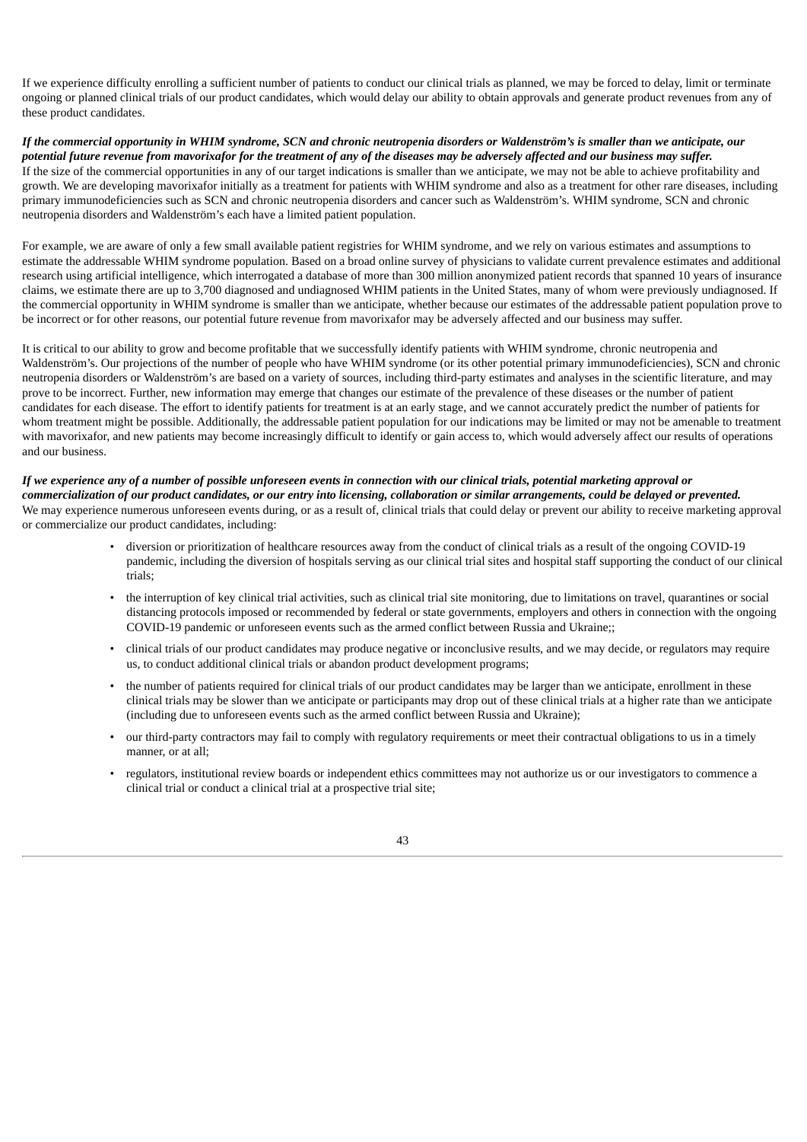If we experience difficulty enrolling a sufficient number of patients to conduct our clinical trials as planned, we may be forced to delay, limit or terminate ongoing or planned clinical trials of our product candidates, which would delay our ability to obtain approvals and generate product revenues from any of these product candidates.

# If the commercial opportunity in WHIM syndrome, SCN and chronic neutropenia disorders or Waldenström's is smaller than we anticipate, our potential future revenue from mavorixafor for the treatment of any of the diseases may be adversely affected and our business may suffer. If the size of the commercial opportunities in any of our target indications is smaller than we anticipate, we may not be able to achieve profitability and growth. We are developing mavorixafor initially as a treatment for patients with WHIM syndrome and also as a treatment for other rare diseases, including primary immunodeficiencies such as SCN and chronic neutropenia disorders and cancer such as Waldenström's. WHIM syndrome, SCN and chronic neutropenia disorders and Waldenström's each have a limited patient population.

For example, we are aware of only a few small available patient registries for WHIM syndrome, and we rely on various estimates and assumptions to estimate the addressable WHIM syndrome population. Based on a broad online survey of physicians to validate current prevalence estimates and additional research using artificial intelligence, which interrogated a database of more than 300 million anonymized patient records that spanned 10 years of insurance claims, we estimate there are up to 3,700 diagnosed and undiagnosed WHIM patients in the United States, many of whom were previously undiagnosed. If the commercial opportunity in WHIM syndrome is smaller than we anticipate, whether because our estimates of the addressable patient population prove to be incorrect or for other reasons, our potential future revenue from mavorixafor may be adversely affected and our business may suffer.

It is critical to our ability to grow and become profitable that we successfully identify patients with WHIM syndrome, chronic neutropenia and Waldenström's. Our projections of the number of people who have WHIM syndrome (or its other potential primary immunodeficiencies), SCN and chronic neutropenia disorders or Waldenström's are based on a variety of sources, including third-party estimates and analyses in the scientific literature, and may prove to be incorrect. Further, new information may emerge that changes our estimate of the prevalence of these diseases or the number of patient candidates for each disease. The effort to identify patients for treatment is at an early stage, and we cannot accurately predict the number of patients for whom treatment might be possible. Additionally, the addressable patient population for our indications may be limited or may not be amenable to treatment with mavorixafor, and new patients may become increasingly difficult to identify or gain access to, which would adversely affect our results of operations and our business.

# If we experience any of a number of possible unforeseen events in connection with our clinical trials, potential marketing approval or

commercialization of our product candidates, or our entry into licensing, collaboration or similar arrangements, could be delayed or prevented. We may experience numerous unforeseen events during, or as a result of, clinical trials that could delay or prevent our ability to receive marketing approval or commercialize our product candidates, including:

- diversion or prioritization of healthcare resources away from the conduct of clinical trials as a result of the ongoing COVID-19 pandemic, including the diversion of hospitals serving as our clinical trial sites and hospital staff supporting the conduct of our clinical trials;
- the interruption of key clinical trial activities, such as clinical trial site monitoring, due to limitations on travel, quarantines or social distancing protocols imposed or recommended by federal or state governments, employers and others in connection with the ongoing COVID-19 pandemic or unforeseen events such as the armed conflict between Russia and Ukraine;;
- clinical trials of our product candidates may produce negative or inconclusive results, and we may decide, or regulators may require us, to conduct additional clinical trials or abandon product development programs;
- the number of patients required for clinical trials of our product candidates may be larger than we anticipate, enrollment in these clinical trials may be slower than we anticipate or participants may drop out of these clinical trials at a higher rate than we anticipate (including due to unforeseen events such as the armed conflict between Russia and Ukraine);
- our third-party contractors may fail to comply with regulatory requirements or meet their contractual obligations to us in a timely manner, or at all;
- regulators, institutional review boards or independent ethics committees may not authorize us or our investigators to commence a clinical trial or conduct a clinical trial at a prospective trial site;

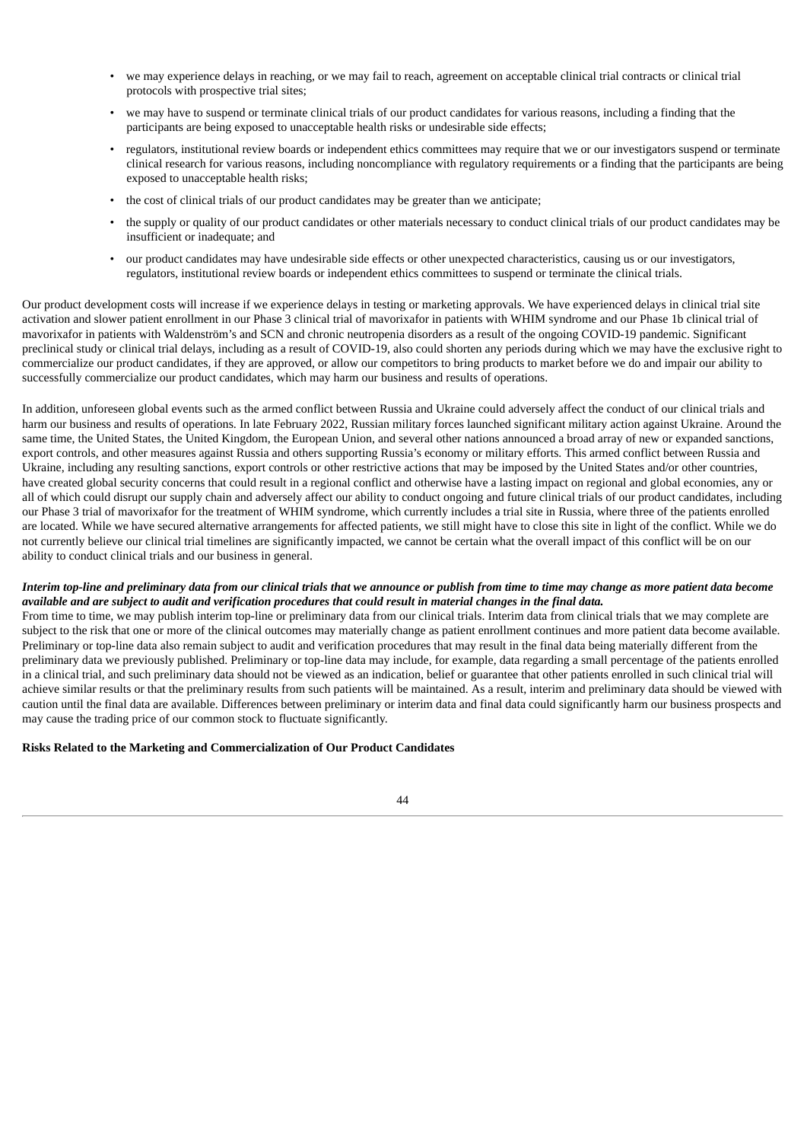- we may experience delays in reaching, or we may fail to reach, agreement on acceptable clinical trial contracts or clinical trial protocols with prospective trial sites;
- we may have to suspend or terminate clinical trials of our product candidates for various reasons, including a finding that the participants are being exposed to unacceptable health risks or undesirable side effects;
- regulators, institutional review boards or independent ethics committees may require that we or our investigators suspend or terminate clinical research for various reasons, including noncompliance with regulatory requirements or a finding that the participants are being exposed to unacceptable health risks;
- the cost of clinical trials of our product candidates may be greater than we anticipate;
- the supply or quality of our product candidates or other materials necessary to conduct clinical trials of our product candidates may be insufficient or inadequate; and
- our product candidates may have undesirable side effects or other unexpected characteristics, causing us or our investigators, regulators, institutional review boards or independent ethics committees to suspend or terminate the clinical trials.

Our product development costs will increase if we experience delays in testing or marketing approvals. We have experienced delays in clinical trial site activation and slower patient enrollment in our Phase 3 clinical trial of mavorixafor in patients with WHIM syndrome and our Phase 1b clinical trial of mavorixafor in patients with Waldenström's and SCN and chronic neutropenia disorders as a result of the ongoing COVID-19 pandemic. Significant preclinical study or clinical trial delays, including as a result of COVID-19, also could shorten any periods during which we may have the exclusive right to commercialize our product candidates, if they are approved, or allow our competitors to bring products to market before we do and impair our ability to successfully commercialize our product candidates, which may harm our business and results of operations.

In addition, unforeseen global events such as the armed conflict between Russia and Ukraine could adversely affect the conduct of our clinical trials and harm our business and results of operations. In late February 2022, Russian military forces launched significant military action against Ukraine. Around the same time, the United States, the United Kingdom, the European Union, and several other nations announced a broad array of new or expanded sanctions, export controls, and other measures against Russia and others supporting Russia's economy or military efforts. This armed conflict between Russia and Ukraine, including any resulting sanctions, export controls or other restrictive actions that may be imposed by the United States and/or other countries, have created global security concerns that could result in a regional conflict and otherwise have a lasting impact on regional and global economies, any or all of which could disrupt our supply chain and adversely affect our ability to conduct ongoing and future clinical trials of our product candidates, including our Phase 3 trial of mavorixafor for the treatment of WHIM syndrome, which currently includes a trial site in Russia, where three of the patients enrolled are located. While we have secured alternative arrangements for affected patients, we still might have to close this site in light of the conflict. While we do not currently believe our clinical trial timelines are significantly impacted, we cannot be certain what the overall impact of this conflict will be on our ability to conduct clinical trials and our business in general.

# Interim top-line and preliminary data from our clinical trials that we announce or publish from time to time may change as more patient data become available and are subject to audit and verification procedures that could result in material changes in the final data.

From time to time, we may publish interim top-line or preliminary data from our clinical trials. Interim data from clinical trials that we may complete are subject to the risk that one or more of the clinical outcomes may materially change as patient enrollment continues and more patient data become available. Preliminary or top-line data also remain subject to audit and verification procedures that may result in the final data being materially different from the preliminary data we previously published. Preliminary or top-line data may include, for example, data regarding a small percentage of the patients enrolled in a clinical trial, and such preliminary data should not be viewed as an indication, belief or guarantee that other patients enrolled in such clinical trial will achieve similar results or that the preliminary results from such patients will be maintained. As a result, interim and preliminary data should be viewed with caution until the final data are available. Differences between preliminary or interim data and final data could significantly harm our business prospects and may cause the trading price of our common stock to fluctuate significantly.

44

# **Risks Related to the Marketing and Commercialization of Our Product Candidates**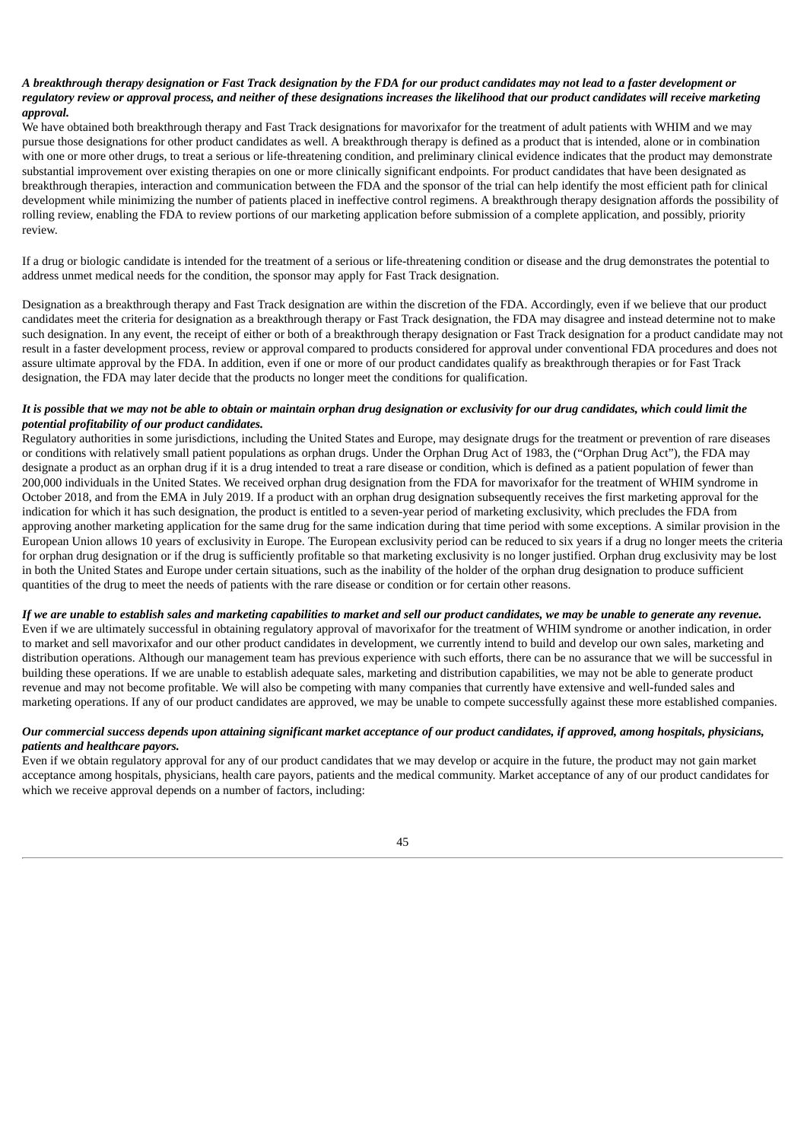#### A breakthrough therapy designation or Fast Track designation by the FDA for our product candidates may not lead to a faster development or requiatory review or approval process, and neither of these designations increases the likelihood that our product candidates will receive marketing *approval.*

We have obtained both breakthrough therapy and Fast Track designations for mavorixafor for the treatment of adult patients with WHIM and we may pursue those designations for other product candidates as well. A breakthrough therapy is defined as a product that is intended, alone or in combination with one or more other drugs, to treat a serious or life-threatening condition, and preliminary clinical evidence indicates that the product may demonstrate substantial improvement over existing therapies on one or more clinically significant endpoints. For product candidates that have been designated as breakthrough therapies, interaction and communication between the FDA and the sponsor of the trial can help identify the most efficient path for clinical development while minimizing the number of patients placed in ineffective control regimens. A breakthrough therapy designation affords the possibility of rolling review, enabling the FDA to review portions of our marketing application before submission of a complete application, and possibly, priority review.

If a drug or biologic candidate is intended for the treatment of a serious or life-threatening condition or disease and the drug demonstrates the potential to address unmet medical needs for the condition, the sponsor may apply for Fast Track designation.

Designation as a breakthrough therapy and Fast Track designation are within the discretion of the FDA. Accordingly, even if we believe that our product candidates meet the criteria for designation as a breakthrough therapy or Fast Track designation, the FDA may disagree and instead determine not to make such designation. In any event, the receipt of either or both of a breakthrough therapy designation or Fast Track designation for a product candidate may not result in a faster development process, review or approval compared to products considered for approval under conventional FDA procedures and does not assure ultimate approval by the FDA. In addition, even if one or more of our product candidates qualify as breakthrough therapies or for Fast Track designation, the FDA may later decide that the products no longer meet the conditions for qualification.

# It is possible that we may not be able to obtain or maintain orphan drug designation or exclusivity for our drug candidates, which could limit the *potential profitability of our product candidates.*

Regulatory authorities in some jurisdictions, including the United States and Europe, may designate drugs for the treatment or prevention of rare diseases or conditions with relatively small patient populations as orphan drugs. Under the Orphan Drug Act of 1983, the ("Orphan Drug Act"), the FDA may designate a product as an orphan drug if it is a drug intended to treat a rare disease or condition, which is defined as a patient population of fewer than 200,000 individuals in the United States. We received orphan drug designation from the FDA for mavorixafor for the treatment of WHIM syndrome in October 2018, and from the EMA in July 2019. If a product with an orphan drug designation subsequently receives the first marketing approval for the indication for which it has such designation, the product is entitled to a seven-year period of marketing exclusivity, which precludes the FDA from approving another marketing application for the same drug for the same indication during that time period with some exceptions. A similar provision in the European Union allows 10 years of exclusivity in Europe. The European exclusivity period can be reduced to six years if a drug no longer meets the criteria for orphan drug designation or if the drug is sufficiently profitable so that marketing exclusivity is no longer justified. Orphan drug exclusivity may be lost in both the United States and Europe under certain situations, such as the inability of the holder of the orphan drug designation to produce sufficient quantities of the drug to meet the needs of patients with the rare disease or condition or for certain other reasons.

# If we are unable to establish sales and marketing capabilities to market and sell our product candidates, we may be unable to generate any revenue.

Even if we are ultimately successful in obtaining regulatory approval of mavorixafor for the treatment of WHIM syndrome or another indication, in order to market and sell mavorixafor and our other product candidates in development, we currently intend to build and develop our own sales, marketing and distribution operations. Although our management team has previous experience with such efforts, there can be no assurance that we will be successful in building these operations. If we are unable to establish adequate sales, marketing and distribution capabilities, we may not be able to generate product revenue and may not become profitable. We will also be competing with many companies that currently have extensive and well-funded sales and marketing operations. If any of our product candidates are approved, we may be unable to compete successfully against these more established companies.

# Our commercial success depends upon attaining significant market acceptance of our product candidates, if approved, among hospitals, physicians, *patients and healthcare payors.*

Even if we obtain regulatory approval for any of our product candidates that we may develop or acquire in the future, the product may not gain market acceptance among hospitals, physicians, health care payors, patients and the medical community. Market acceptance of any of our product candidates for which we receive approval depends on a number of factors, including:

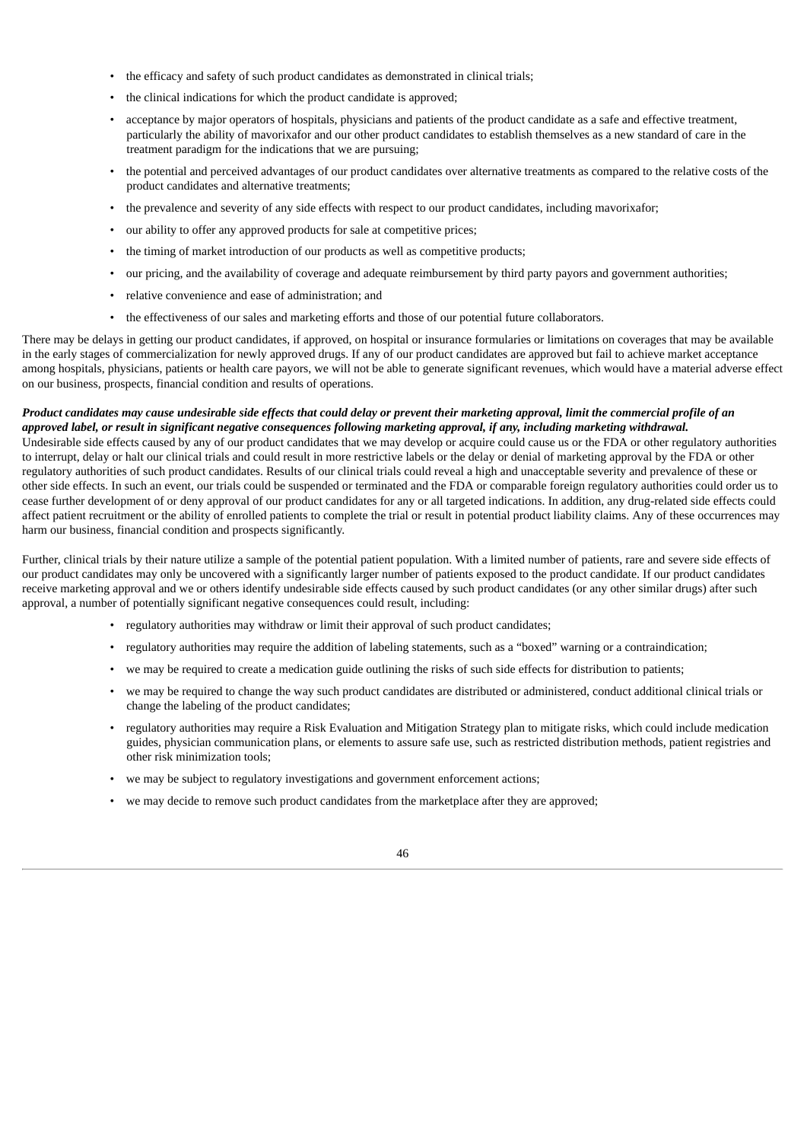- the efficacy and safety of such product candidates as demonstrated in clinical trials;
- the clinical indications for which the product candidate is approved;
- acceptance by major operators of hospitals, physicians and patients of the product candidate as a safe and effective treatment, particularly the ability of mavorixafor and our other product candidates to establish themselves as a new standard of care in the treatment paradigm for the indications that we are pursuing;
- the potential and perceived advantages of our product candidates over alternative treatments as compared to the relative costs of the product candidates and alternative treatments;
- the prevalence and severity of any side effects with respect to our product candidates, including mavorixafor;
- our ability to offer any approved products for sale at competitive prices;
- the timing of market introduction of our products as well as competitive products;
- our pricing, and the availability of coverage and adequate reimbursement by third party payors and government authorities;
- relative convenience and ease of administration; and
- the effectiveness of our sales and marketing efforts and those of our potential future collaborators.

There may be delays in getting our product candidates, if approved, on hospital or insurance formularies or limitations on coverages that may be available in the early stages of commercialization for newly approved drugs. If any of our product candidates are approved but fail to achieve market acceptance among hospitals, physicians, patients or health care payors, we will not be able to generate significant revenues, which would have a material adverse effect on our business, prospects, financial condition and results of operations.

# Product candidates may cause undesirable side effects that could delay or prevent their marketing approval, limit the commercial profile of an approved label, or result in significant negative consequences following marketing approval, if any, including marketing withdrawal.

Undesirable side effects caused by any of our product candidates that we may develop or acquire could cause us or the FDA or other regulatory authorities to interrupt, delay or halt our clinical trials and could result in more restrictive labels or the delay or denial of marketing approval by the FDA or other regulatory authorities of such product candidates. Results of our clinical trials could reveal a high and unacceptable severity and prevalence of these or other side effects. In such an event, our trials could be suspended or terminated and the FDA or comparable foreign regulatory authorities could order us to cease further development of or deny approval of our product candidates for any or all targeted indications. In addition, any drug-related side effects could affect patient recruitment or the ability of enrolled patients to complete the trial or result in potential product liability claims. Any of these occurrences may harm our business, financial condition and prospects significantly.

Further, clinical trials by their nature utilize a sample of the potential patient population. With a limited number of patients, rare and severe side effects of our product candidates may only be uncovered with a significantly larger number of patients exposed to the product candidate. If our product candidates receive marketing approval and we or others identify undesirable side effects caused by such product candidates (or any other similar drugs) after such approval, a number of potentially significant negative consequences could result, including:

- regulatory authorities may withdraw or limit their approval of such product candidates;
- regulatory authorities may require the addition of labeling statements, such as a "boxed" warning or a contraindication;
- we may be required to create a medication guide outlining the risks of such side effects for distribution to patients;
- we may be required to change the way such product candidates are distributed or administered, conduct additional clinical trials or change the labeling of the product candidates;
- regulatory authorities may require a Risk Evaluation and Mitigation Strategy plan to mitigate risks, which could include medication guides, physician communication plans, or elements to assure safe use, such as restricted distribution methods, patient registries and other risk minimization tools;
- we may be subject to regulatory investigations and government enforcement actions;
- we may decide to remove such product candidates from the marketplace after they are approved;

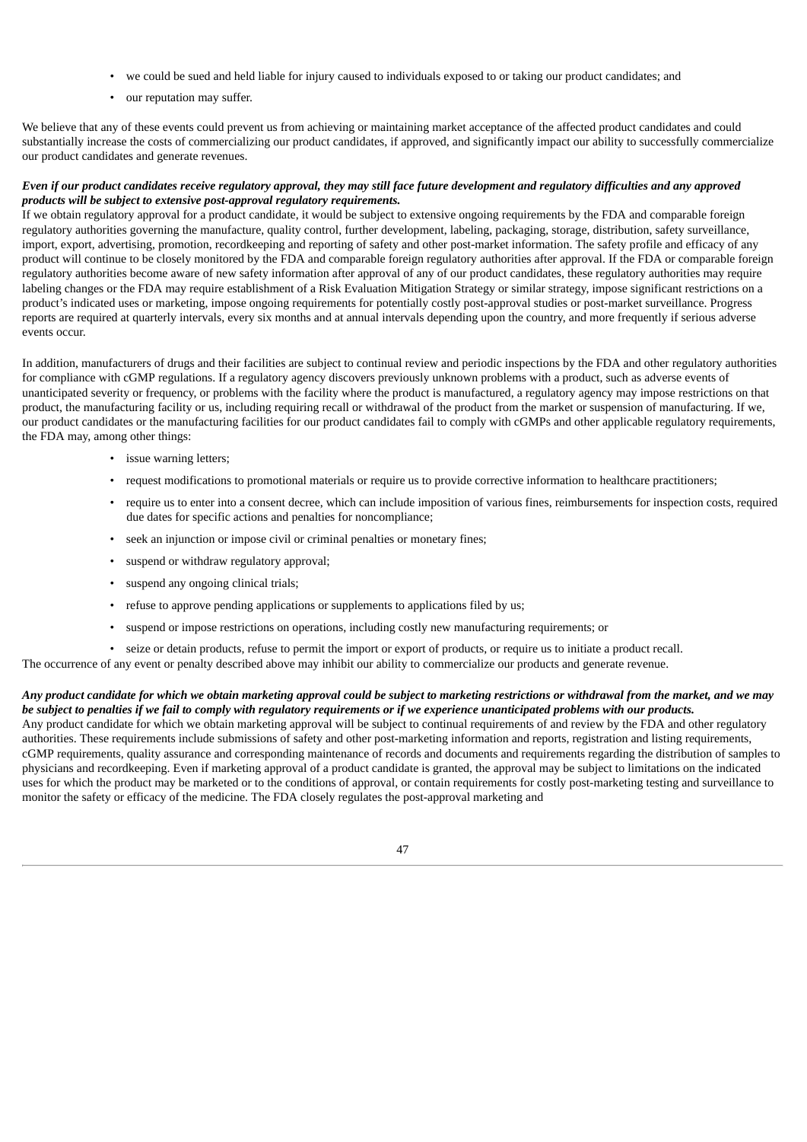- we could be sued and held liable for injury caused to individuals exposed to or taking our product candidates; and
- our reputation may suffer.

We believe that any of these events could prevent us from achieving or maintaining market acceptance of the affected product candidates and could substantially increase the costs of commercializing our product candidates, if approved, and significantly impact our ability to successfully commercialize our product candidates and generate revenues.

## Even if our product candidates receive regulatory approval, they may still face future development and regulatory difficulties and any approved *products will be subject to extensive post-approval regulatory requirements.*

If we obtain regulatory approval for a product candidate, it would be subject to extensive ongoing requirements by the FDA and comparable foreign regulatory authorities governing the manufacture, quality control, further development, labeling, packaging, storage, distribution, safety surveillance, import, export, advertising, promotion, recordkeeping and reporting of safety and other post-market information. The safety profile and efficacy of any product will continue to be closely monitored by the FDA and comparable foreign regulatory authorities after approval. If the FDA or comparable foreign regulatory authorities become aware of new safety information after approval of any of our product candidates, these regulatory authorities may require labeling changes or the FDA may require establishment of a Risk Evaluation Mitigation Strategy or similar strategy, impose significant restrictions on a product's indicated uses or marketing, impose ongoing requirements for potentially costly post-approval studies or post-market surveillance. Progress reports are required at quarterly intervals, every six months and at annual intervals depending upon the country, and more frequently if serious adverse events occur.

In addition, manufacturers of drugs and their facilities are subject to continual review and periodic inspections by the FDA and other regulatory authorities for compliance with cGMP regulations. If a regulatory agency discovers previously unknown problems with a product, such as adverse events of unanticipated severity or frequency, or problems with the facility where the product is manufactured, a regulatory agency may impose restrictions on that product, the manufacturing facility or us, including requiring recall or withdrawal of the product from the market or suspension of manufacturing. If we, our product candidates or the manufacturing facilities for our product candidates fail to comply with cGMPs and other applicable regulatory requirements, the FDA may, among other things:

- issue warning letters;
- request modifications to promotional materials or require us to provide corrective information to healthcare practitioners;
- require us to enter into a consent decree, which can include imposition of various fines, reimbursements for inspection costs, required due dates for specific actions and penalties for noncompliance;
- seek an injunction or impose civil or criminal penalties or monetary fines;
- suspend or withdraw regulatory approval;
- suspend any ongoing clinical trials;
- refuse to approve pending applications or supplements to applications filed by us;
- suspend or impose restrictions on operations, including costly new manufacturing requirements; or
- seize or detain products, refuse to permit the import or export of products, or require us to initiate a product recall.
- The occurrence of any event or penalty described above may inhibit our ability to commercialize our products and generate revenue.

#### Any product candidate for which we obtain marketing approval could be subject to marketing restrictions or withdrawal from the market, and we may be subject to penalties if we fail to comply with regulatory requirements or if we experience unanticipated problems with our products. Any product candidate for which we obtain marketing approval will be subject to continual requirements of and review by the FDA and other regulatory

authorities. These requirements include submissions of safety and other post-marketing information and reports, registration and listing requirements, cGMP requirements, quality assurance and corresponding maintenance of records and documents and requirements regarding the distribution of samples to physicians and recordkeeping. Even if marketing approval of a product candidate is granted, the approval may be subject to limitations on the indicated uses for which the product may be marketed or to the conditions of approval, or contain requirements for costly post-marketing testing and surveillance to monitor the safety or efficacy of the medicine. The FDA closely regulates the post-approval marketing and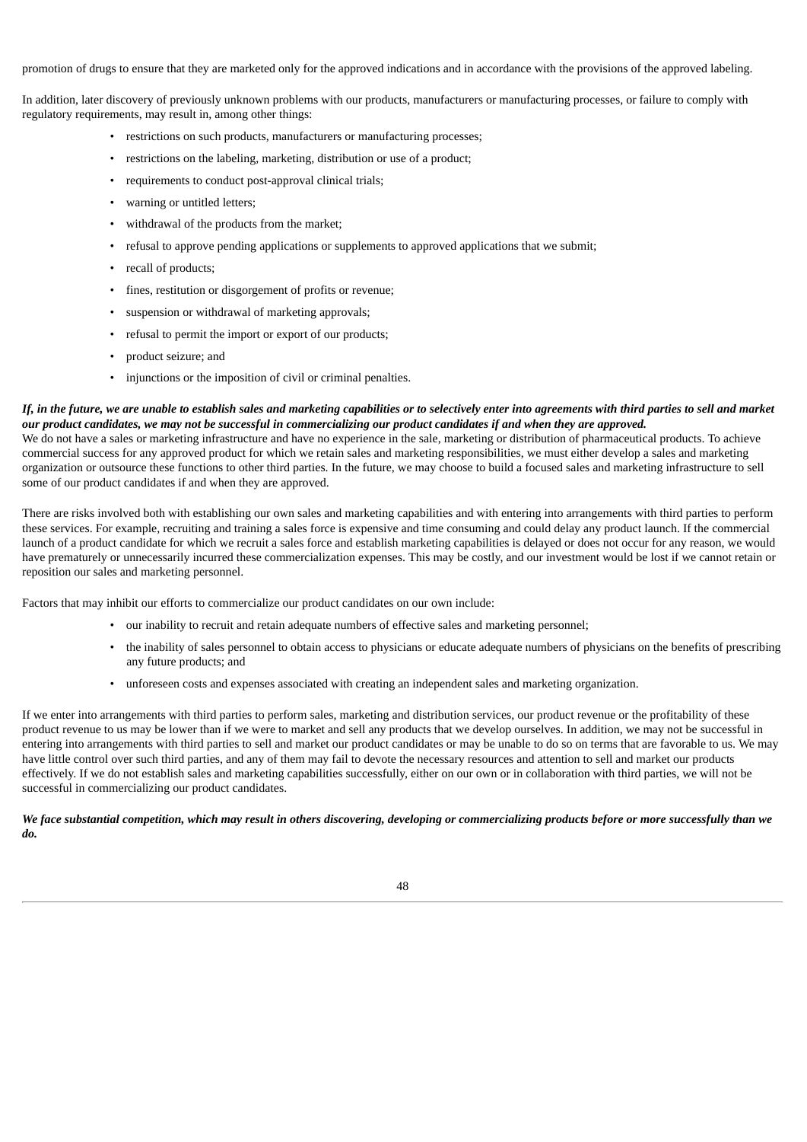promotion of drugs to ensure that they are marketed only for the approved indications and in accordance with the provisions of the approved labeling.

In addition, later discovery of previously unknown problems with our products, manufacturers or manufacturing processes, or failure to comply with regulatory requirements, may result in, among other things:

- restrictions on such products, manufacturers or manufacturing processes;
- restrictions on the labeling, marketing, distribution or use of a product;
- requirements to conduct post-approval clinical trials;
- warning or untitled letters;
- withdrawal of the products from the market;
- refusal to approve pending applications or supplements to approved applications that we submit;
- recall of products;
- fines, restitution or disgorgement of profits or revenue;
- suspension or withdrawal of marketing approvals;
- refusal to permit the import or export of our products;
- product seizure; and
- injunctions or the imposition of civil or criminal penalties.

# If, in the future, we are unable to establish sales and marketing capabilities or to selectively enter into agreements with third parties to sell and market our product candidates, we may not be successful in commercializing our product candidates if and when they are approved.

We do not have a sales or marketing infrastructure and have no experience in the sale, marketing or distribution of pharmaceutical products. To achieve commercial success for any approved product for which we retain sales and marketing responsibilities, we must either develop a sales and marketing organization or outsource these functions to other third parties. In the future, we may choose to build a focused sales and marketing infrastructure to sell some of our product candidates if and when they are approved.

There are risks involved both with establishing our own sales and marketing capabilities and with entering into arrangements with third parties to perform these services. For example, recruiting and training a sales force is expensive and time consuming and could delay any product launch. If the commercial launch of a product candidate for which we recruit a sales force and establish marketing capabilities is delayed or does not occur for any reason, we would have prematurely or unnecessarily incurred these commercialization expenses. This may be costly, and our investment would be lost if we cannot retain or reposition our sales and marketing personnel.

Factors that may inhibit our efforts to commercialize our product candidates on our own include:

- our inability to recruit and retain adequate numbers of effective sales and marketing personnel;
- the inability of sales personnel to obtain access to physicians or educate adequate numbers of physicians on the benefits of prescribing any future products; and
- unforeseen costs and expenses associated with creating an independent sales and marketing organization.

If we enter into arrangements with third parties to perform sales, marketing and distribution services, our product revenue or the profitability of these product revenue to us may be lower than if we were to market and sell any products that we develop ourselves. In addition, we may not be successful in entering into arrangements with third parties to sell and market our product candidates or may be unable to do so on terms that are favorable to us. We may have little control over such third parties, and any of them may fail to devote the necessary resources and attention to sell and market our products effectively. If we do not establish sales and marketing capabilities successfully, either on our own or in collaboration with third parties, we will not be successful in commercializing our product candidates.

We face substantial competition, which may result in others discovering, developing or commercializing products before or more successfully than we *do.*

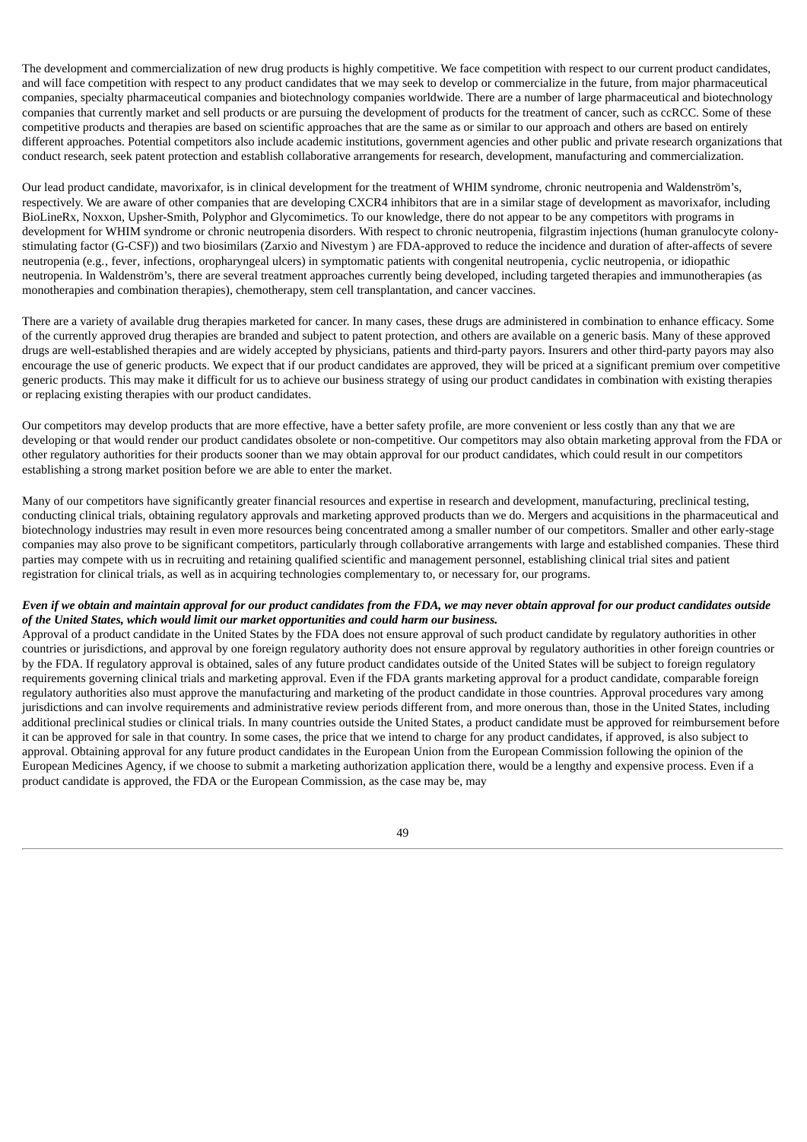The development and commercialization of new drug products is highly competitive. We face competition with respect to our current product candidates, and will face competition with respect to any product candidates that we may seek to develop or commercialize in the future, from major pharmaceutical companies, specialty pharmaceutical companies and biotechnology companies worldwide. There are a number of large pharmaceutical and biotechnology companies that currently market and sell products or are pursuing the development of products for the treatment of cancer, such as ccRCC. Some of these competitive products and therapies are based on scientific approaches that are the same as or similar to our approach and others are based on entirely different approaches. Potential competitors also include academic institutions, government agencies and other public and private research organizations that conduct research, seek patent protection and establish collaborative arrangements for research, development, manufacturing and commercialization.

Our lead product candidate, mavorixafor, is in clinical development for the treatment of WHIM syndrome, chronic neutropenia and Waldenström's, respectively. We are aware of other companies that are developing CXCR4 inhibitors that are in a similar stage of development as mavorixafor, including BioLineRx, Noxxon, Upsher-Smith, Polyphor and Glycomimetics. To our knowledge, there do not appear to be any competitors with programs in development for WHIM syndrome or chronic neutropenia disorders. With respect to chronic neutropenia, filgrastim injections (human granulocyte colonystimulating factor (G-CSF)) and two biosimilars (Zarxio and Nivestym ) are FDA-approved to reduce the incidence and duration of after-affects of severe neutropenia (e.g., fever, infections, oropharyngeal ulcers) in symptomatic patients with congenital neutropenia, cyclic neutropenia, or idiopathic neutropenia. In Waldenström's, there are several treatment approaches currently being developed, including targeted therapies and immunotherapies (as monotherapies and combination therapies), chemotherapy, stem cell transplantation, and cancer vaccines.

There are a variety of available drug therapies marketed for cancer. In many cases, these drugs are administered in combination to enhance efficacy. Some of the currently approved drug therapies are branded and subject to patent protection, and others are available on a generic basis. Many of these approved drugs are well-established therapies and are widely accepted by physicians, patients and third-party payors. Insurers and other third-party payors may also encourage the use of generic products. We expect that if our product candidates are approved, they will be priced at a significant premium over competitive generic products. This may make it difficult for us to achieve our business strategy of using our product candidates in combination with existing therapies or replacing existing therapies with our product candidates.

Our competitors may develop products that are more effective, have a better safety profile, are more convenient or less costly than any that we are developing or that would render our product candidates obsolete or non-competitive. Our competitors may also obtain marketing approval from the FDA or other regulatory authorities for their products sooner than we may obtain approval for our product candidates, which could result in our competitors establishing a strong market position before we are able to enter the market.

Many of our competitors have significantly greater financial resources and expertise in research and development, manufacturing, preclinical testing, conducting clinical trials, obtaining regulatory approvals and marketing approved products than we do. Mergers and acquisitions in the pharmaceutical and biotechnology industries may result in even more resources being concentrated among a smaller number of our competitors. Smaller and other early-stage companies may also prove to be significant competitors, particularly through collaborative arrangements with large and established companies. These third parties may compete with us in recruiting and retaining qualified scientific and management personnel, establishing clinical trial sites and patient registration for clinical trials, as well as in acquiring technologies complementary to, or necessary for, our programs.

# Even if we obtain and maintain approval for our product candidates from the FDA, we may never obtain approval for our product candidates outside *of the United States, which would limit our market opportunities and could harm our business.*

Approval of a product candidate in the United States by the FDA does not ensure approval of such product candidate by regulatory authorities in other countries or jurisdictions, and approval by one foreign regulatory authority does not ensure approval by regulatory authorities in other foreign countries or by the FDA. If regulatory approval is obtained, sales of any future product candidates outside of the United States will be subject to foreign regulatory requirements governing clinical trials and marketing approval. Even if the FDA grants marketing approval for a product candidate, comparable foreign regulatory authorities also must approve the manufacturing and marketing of the product candidate in those countries. Approval procedures vary among jurisdictions and can involve requirements and administrative review periods different from, and more onerous than, those in the United States, including additional preclinical studies or clinical trials. In many countries outside the United States, a product candidate must be approved for reimbursement before it can be approved for sale in that country. In some cases, the price that we intend to charge for any product candidates, if approved, is also subject to approval. Obtaining approval for any future product candidates in the European Union from the European Commission following the opinion of the European Medicines Agency, if we choose to submit a marketing authorization application there, would be a lengthy and expensive process. Even if a product candidate is approved, the FDA or the European Commission, as the case may be, may

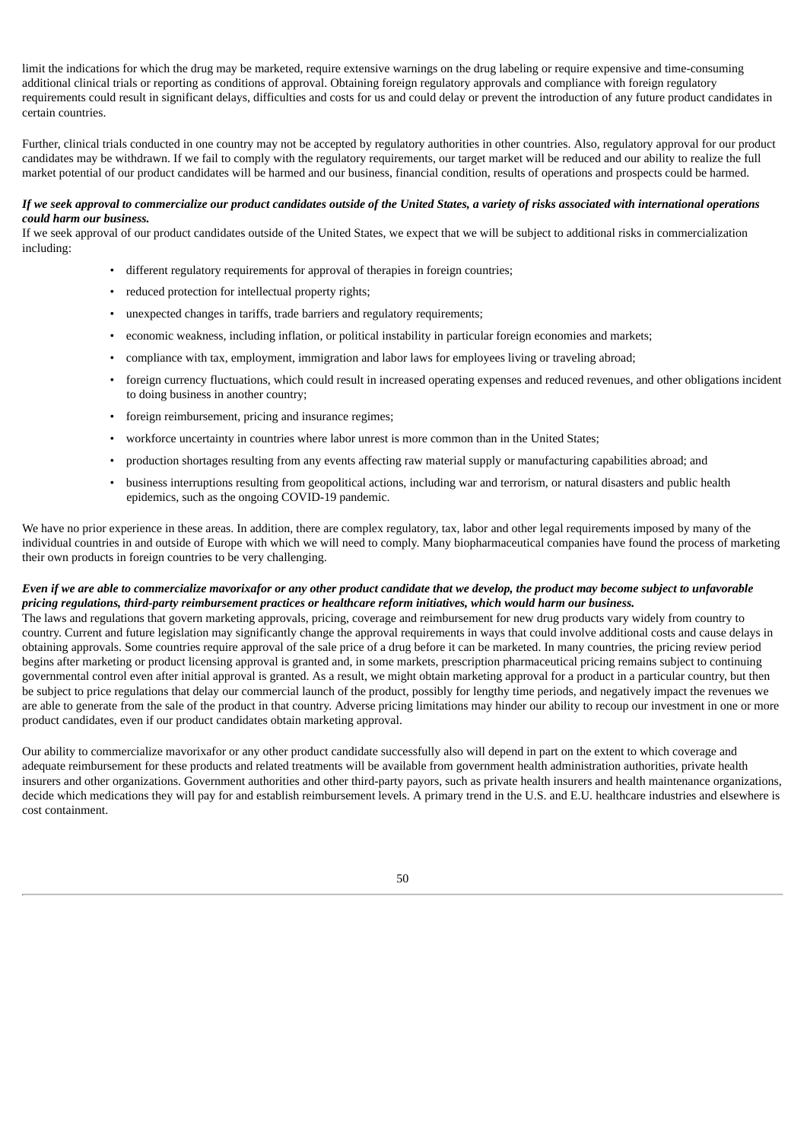limit the indications for which the drug may be marketed, require extensive warnings on the drug labeling or require expensive and time-consuming additional clinical trials or reporting as conditions of approval. Obtaining foreign regulatory approvals and compliance with foreign regulatory requirements could result in significant delays, difficulties and costs for us and could delay or prevent the introduction of any future product candidates in certain countries.

Further, clinical trials conducted in one country may not be accepted by regulatory authorities in other countries. Also, regulatory approval for our product candidates may be withdrawn. If we fail to comply with the regulatory requirements, our target market will be reduced and our ability to realize the full market potential of our product candidates will be harmed and our business, financial condition, results of operations and prospects could be harmed.

## If we seek approval to commercialize our product candidates outside of the United States, a variety of risks associated with international operations *could harm our business.*

If we seek approval of our product candidates outside of the United States, we expect that we will be subject to additional risks in commercialization including:

- different regulatory requirements for approval of therapies in foreign countries;
- reduced protection for intellectual property rights;
- unexpected changes in tariffs, trade barriers and regulatory requirements;
- economic weakness, including inflation, or political instability in particular foreign economies and markets;
- compliance with tax, employment, immigration and labor laws for employees living or traveling abroad;
- foreign currency fluctuations, which could result in increased operating expenses and reduced revenues, and other obligations incident to doing business in another country;
- foreign reimbursement, pricing and insurance regimes;
- workforce uncertainty in countries where labor unrest is more common than in the United States;
- production shortages resulting from any events affecting raw material supply or manufacturing capabilities abroad; and
- business interruptions resulting from geopolitical actions, including war and terrorism, or natural disasters and public health epidemics, such as the ongoing COVID-19 pandemic.

We have no prior experience in these areas. In addition, there are complex regulatory, tax, labor and other legal requirements imposed by many of the individual countries in and outside of Europe with which we will need to comply. Many biopharmaceutical companies have found the process of marketing their own products in foreign countries to be very challenging.

#### Even if we are able to commercialize mavorixafor or any other product candidate that we develop, the product may become subject to unfavorable *pricing regulations, third-party reimbursement practices or healthcare reform initiatives, which would harm our business.*

The laws and regulations that govern marketing approvals, pricing, coverage and reimbursement for new drug products vary widely from country to country. Current and future legislation may significantly change the approval requirements in ways that could involve additional costs and cause delays in obtaining approvals. Some countries require approval of the sale price of a drug before it can be marketed. In many countries, the pricing review period begins after marketing or product licensing approval is granted and, in some markets, prescription pharmaceutical pricing remains subject to continuing governmental control even after initial approval is granted. As a result, we might obtain marketing approval for a product in a particular country, but then be subject to price regulations that delay our commercial launch of the product, possibly for lengthy time periods, and negatively impact the revenues we are able to generate from the sale of the product in that country. Adverse pricing limitations may hinder our ability to recoup our investment in one or more product candidates, even if our product candidates obtain marketing approval.

Our ability to commercialize mavorixafor or any other product candidate successfully also will depend in part on the extent to which coverage and adequate reimbursement for these products and related treatments will be available from government health administration authorities, private health insurers and other organizations. Government authorities and other third-party payors, such as private health insurers and health maintenance organizations, decide which medications they will pay for and establish reimbursement levels. A primary trend in the U.S. and E.U. healthcare industries and elsewhere is cost containment.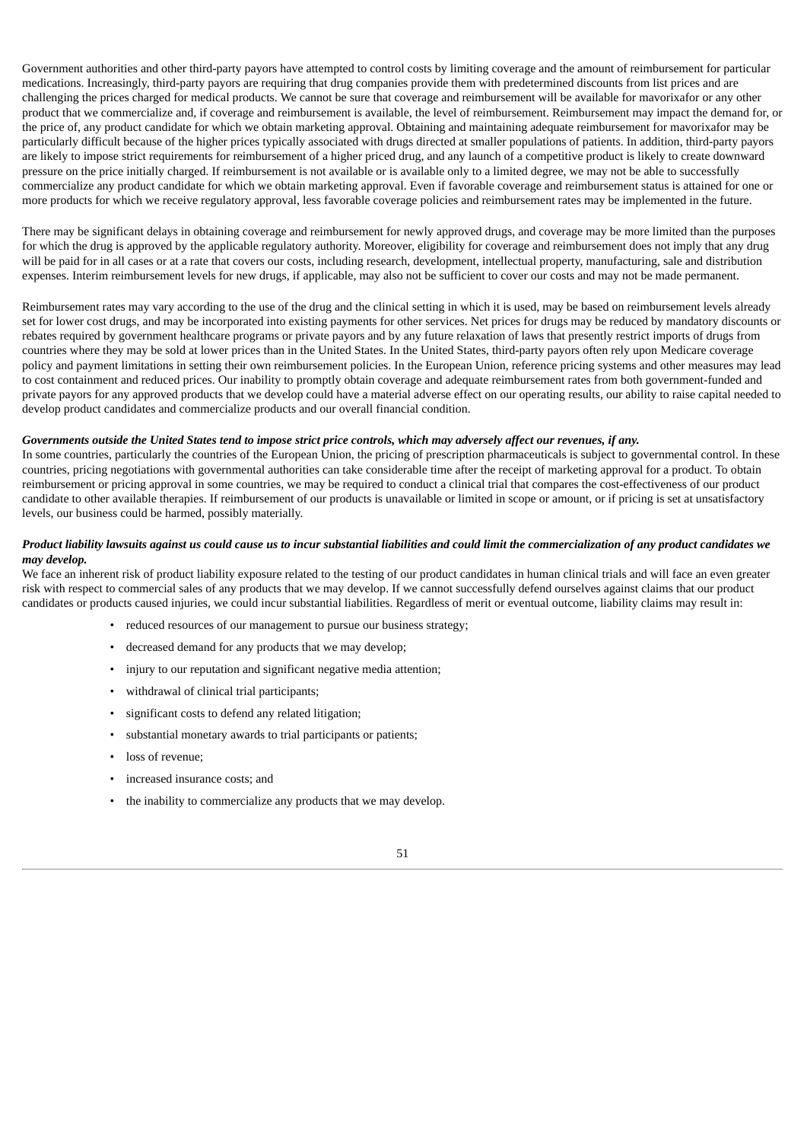Government authorities and other third-party payors have attempted to control costs by limiting coverage and the amount of reimbursement for particular medications. Increasingly, third-party payors are requiring that drug companies provide them with predetermined discounts from list prices and are challenging the prices charged for medical products. We cannot be sure that coverage and reimbursement will be available for mavorixafor or any other product that we commercialize and, if coverage and reimbursement is available, the level of reimbursement. Reimbursement may impact the demand for, or the price of, any product candidate for which we obtain marketing approval. Obtaining and maintaining adequate reimbursement for mavorixafor may be particularly difficult because of the higher prices typically associated with drugs directed at smaller populations of patients. In addition, third-party payors are likely to impose strict requirements for reimbursement of a higher priced drug, and any launch of a competitive product is likely to create downward pressure on the price initially charged. If reimbursement is not available or is available only to a limited degree, we may not be able to successfully commercialize any product candidate for which we obtain marketing approval. Even if favorable coverage and reimbursement status is attained for one or more products for which we receive regulatory approval, less favorable coverage policies and reimbursement rates may be implemented in the future.

There may be significant delays in obtaining coverage and reimbursement for newly approved drugs, and coverage may be more limited than the purposes for which the drug is approved by the applicable regulatory authority. Moreover, eligibility for coverage and reimbursement does not imply that any drug will be paid for in all cases or at a rate that covers our costs, including research, development, intellectual property, manufacturing, sale and distribution expenses. Interim reimbursement levels for new drugs, if applicable, may also not be sufficient to cover our costs and may not be made permanent.

Reimbursement rates may vary according to the use of the drug and the clinical setting in which it is used, may be based on reimbursement levels already set for lower cost drugs, and may be incorporated into existing payments for other services. Net prices for drugs may be reduced by mandatory discounts or rebates required by government healthcare programs or private payors and by any future relaxation of laws that presently restrict imports of drugs from countries where they may be sold at lower prices than in the United States. In the United States, third-party payors often rely upon Medicare coverage policy and payment limitations in setting their own reimbursement policies. In the European Union, reference pricing systems and other measures may lead to cost containment and reduced prices. Our inability to promptly obtain coverage and adequate reimbursement rates from both government-funded and private payors for any approved products that we develop could have a material adverse effect on our operating results, our ability to raise capital needed to develop product candidates and commercialize products and our overall financial condition.

#### Governments outside the United States tend to impose strict price controls, which may adversely affect our revenues, if any.

In some countries, particularly the countries of the European Union, the pricing of prescription pharmaceuticals is subject to governmental control. In these countries, pricing negotiations with governmental authorities can take considerable time after the receipt of marketing approval for a product. To obtain reimbursement or pricing approval in some countries, we may be required to conduct a clinical trial that compares the cost-effectiveness of our product candidate to other available therapies. If reimbursement of our products is unavailable or limited in scope or amount, or if pricing is set at unsatisfactory levels, our business could be harmed, possibly materially.

#### Product liability lawsuits against us could cause us to incur substantial liabilities and could limit the commercialization of any product candidates we *may develop.*

We face an inherent risk of product liability exposure related to the testing of our product candidates in human clinical trials and will face an even greater risk with respect to commercial sales of any products that we may develop. If we cannot successfully defend ourselves against claims that our product candidates or products caused injuries, we could incur substantial liabilities. Regardless of merit or eventual outcome, liability claims may result in:

- reduced resources of our management to pursue our business strategy;
- decreased demand for any products that we may develop;
- injury to our reputation and significant negative media attention;
- withdrawal of clinical trial participants;
- significant costs to defend any related litigation;
- substantial monetary awards to trial participants or patients;
- loss of revenue;
- increased insurance costs; and
- the inability to commercialize any products that we may develop.

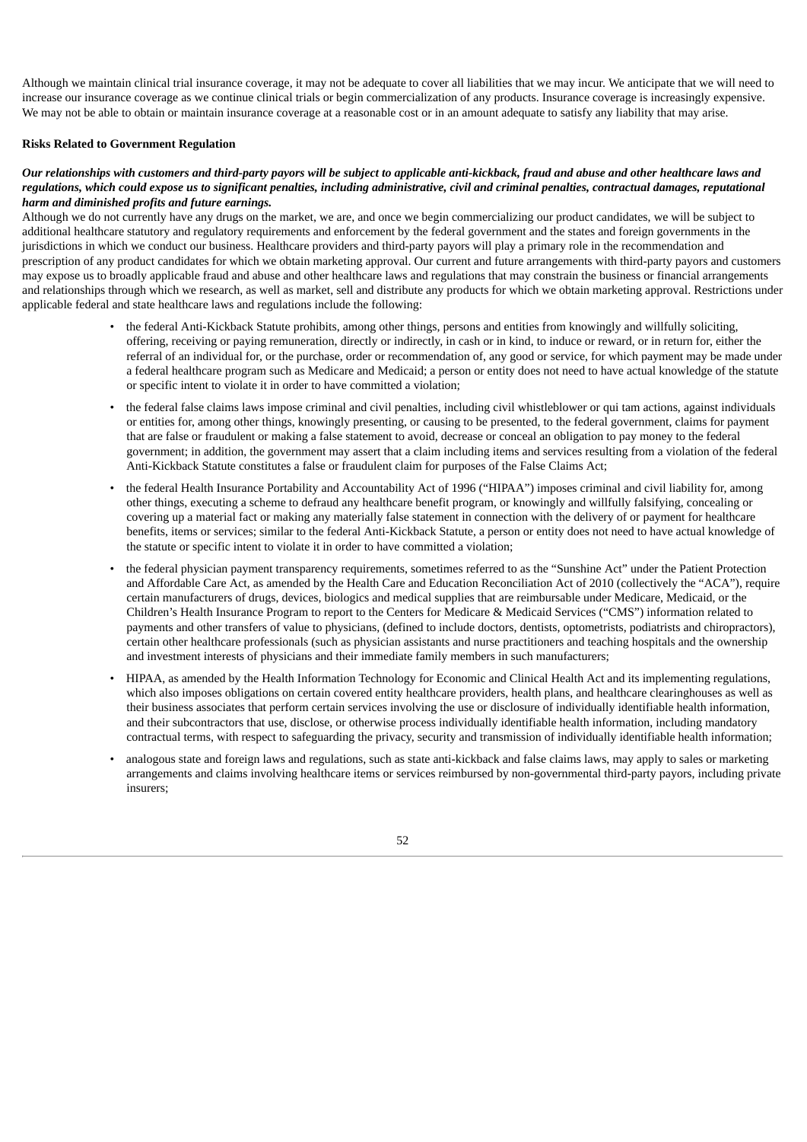Although we maintain clinical trial insurance coverage, it may not be adequate to cover all liabilities that we may incur. We anticipate that we will need to increase our insurance coverage as we continue clinical trials or begin commercialization of any products. Insurance coverage is increasingly expensive. We may not be able to obtain or maintain insurance coverage at a reasonable cost or in an amount adequate to satisfy any liability that may arise.

#### **Risks Related to Government Regulation**

# Our relationships with customers and third-party payors will be subject to applicable anti-kickback, fraud and abuse and other healthcare laws and regulations, which could expose us to significant penalties, including administrative, civil and criminal penalties, contractual damages, reputational *harm and diminished profits and future earnings.*

Although we do not currently have any drugs on the market, we are, and once we begin commercializing our product candidates, we will be subject to additional healthcare statutory and regulatory requirements and enforcement by the federal government and the states and foreign governments in the jurisdictions in which we conduct our business. Healthcare providers and third-party payors will play a primary role in the recommendation and prescription of any product candidates for which we obtain marketing approval. Our current and future arrangements with third-party payors and customers may expose us to broadly applicable fraud and abuse and other healthcare laws and regulations that may constrain the business or financial arrangements and relationships through which we research, as well as market, sell and distribute any products for which we obtain marketing approval. Restrictions under applicable federal and state healthcare laws and regulations include the following:

- the federal Anti-Kickback Statute prohibits, among other things, persons and entities from knowingly and willfully soliciting, offering, receiving or paying remuneration, directly or indirectly, in cash or in kind, to induce or reward, or in return for, either the referral of an individual for, or the purchase, order or recommendation of, any good or service, for which payment may be made under a federal healthcare program such as Medicare and Medicaid; a person or entity does not need to have actual knowledge of the statute or specific intent to violate it in order to have committed a violation;
- the federal false claims laws impose criminal and civil penalties, including civil whistleblower or qui tam actions, against individuals or entities for, among other things, knowingly presenting, or causing to be presented, to the federal government, claims for payment that are false or fraudulent or making a false statement to avoid, decrease or conceal an obligation to pay money to the federal government; in addition, the government may assert that a claim including items and services resulting from a violation of the federal Anti-Kickback Statute constitutes a false or fraudulent claim for purposes of the False Claims Act;
- the federal Health Insurance Portability and Accountability Act of 1996 ("HIPAA") imposes criminal and civil liability for, among other things, executing a scheme to defraud any healthcare benefit program, or knowingly and willfully falsifying, concealing or covering up a material fact or making any materially false statement in connection with the delivery of or payment for healthcare benefits, items or services; similar to the federal Anti-Kickback Statute, a person or entity does not need to have actual knowledge of the statute or specific intent to violate it in order to have committed a violation;
- the federal physician payment transparency requirements, sometimes referred to as the "Sunshine Act" under the Patient Protection and Affordable Care Act, as amended by the Health Care and Education Reconciliation Act of 2010 (collectively the "ACA"), require certain manufacturers of drugs, devices, biologics and medical supplies that are reimbursable under Medicare, Medicaid, or the Children's Health Insurance Program to report to the Centers for Medicare & Medicaid Services ("CMS") information related to payments and other transfers of value to physicians, (defined to include doctors, dentists, optometrists, podiatrists and chiropractors), certain other healthcare professionals (such as physician assistants and nurse practitioners and teaching hospitals and the ownership and investment interests of physicians and their immediate family members in such manufacturers;
- HIPAA, as amended by the Health Information Technology for Economic and Clinical Health Act and its implementing regulations, which also imposes obligations on certain covered entity healthcare providers, health plans, and healthcare clearinghouses as well as their business associates that perform certain services involving the use or disclosure of individually identifiable health information, and their subcontractors that use, disclose, or otherwise process individually identifiable health information, including mandatory contractual terms, with respect to safeguarding the privacy, security and transmission of individually identifiable health information;
- analogous state and foreign laws and regulations, such as state anti-kickback and false claims laws, may apply to sales or marketing arrangements and claims involving healthcare items or services reimbursed by non-governmental third-party payors, including private insurers;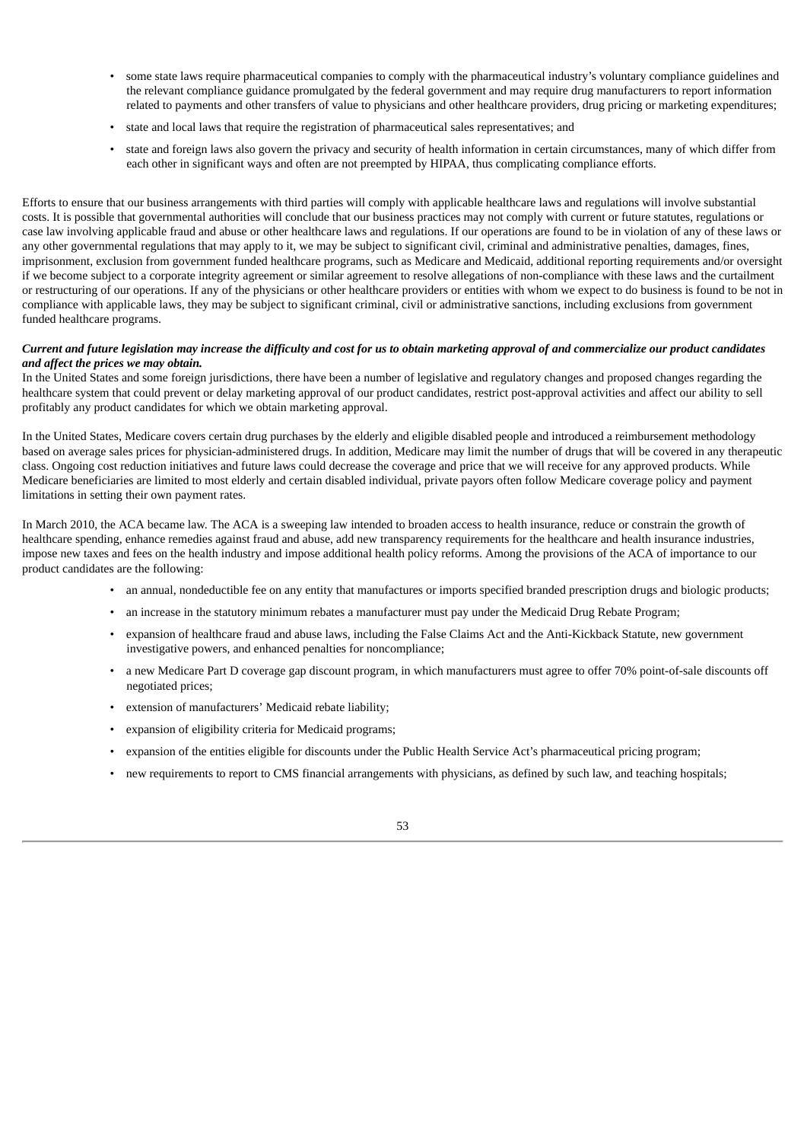- some state laws require pharmaceutical companies to comply with the pharmaceutical industry's voluntary compliance guidelines and the relevant compliance guidance promulgated by the federal government and may require drug manufacturers to report information related to payments and other transfers of value to physicians and other healthcare providers, drug pricing or marketing expenditures;
- state and local laws that require the registration of pharmaceutical sales representatives; and
- state and foreign laws also govern the privacy and security of health information in certain circumstances, many of which differ from each other in significant ways and often are not preempted by HIPAA, thus complicating compliance efforts.

Efforts to ensure that our business arrangements with third parties will comply with applicable healthcare laws and regulations will involve substantial costs. It is possible that governmental authorities will conclude that our business practices may not comply with current or future statutes, regulations or case law involving applicable fraud and abuse or other healthcare laws and regulations. If our operations are found to be in violation of any of these laws or any other governmental regulations that may apply to it, we may be subject to significant civil, criminal and administrative penalties, damages, fines, imprisonment, exclusion from government funded healthcare programs, such as Medicare and Medicaid, additional reporting requirements and/or oversight if we become subject to a corporate integrity agreement or similar agreement to resolve allegations of non-compliance with these laws and the curtailment or restructuring of our operations. If any of the physicians or other healthcare providers or entities with whom we expect to do business is found to be not in compliance with applicable laws, they may be subject to significant criminal, civil or administrative sanctions, including exclusions from government funded healthcare programs.

# Current and future legislation may increase the difficulty and cost for us to obtain marketing approval of and commercialize our product candidates *and affect the prices we may obtain.*

In the United States and some foreign jurisdictions, there have been a number of legislative and regulatory changes and proposed changes regarding the healthcare system that could prevent or delay marketing approval of our product candidates, restrict post-approval activities and affect our ability to sell profitably any product candidates for which we obtain marketing approval.

In the United States, Medicare covers certain drug purchases by the elderly and eligible disabled people and introduced a reimbursement methodology based on average sales prices for physician-administered drugs. In addition, Medicare may limit the number of drugs that will be covered in any therapeutic class. Ongoing cost reduction initiatives and future laws could decrease the coverage and price that we will receive for any approved products. While Medicare beneficiaries are limited to most elderly and certain disabled individual, private payors often follow Medicare coverage policy and payment limitations in setting their own payment rates.

In March 2010, the ACA became law. The ACA is a sweeping law intended to broaden access to health insurance, reduce or constrain the growth of healthcare spending, enhance remedies against fraud and abuse, add new transparency requirements for the healthcare and health insurance industries, impose new taxes and fees on the health industry and impose additional health policy reforms. Among the provisions of the ACA of importance to our product candidates are the following:

- an annual, nondeductible fee on any entity that manufactures or imports specified branded prescription drugs and biologic products;
- an increase in the statutory minimum rebates a manufacturer must pay under the Medicaid Drug Rebate Program;
- expansion of healthcare fraud and abuse laws, including the False Claims Act and the Anti-Kickback Statute, new government investigative powers, and enhanced penalties for noncompliance;
- a new Medicare Part D coverage gap discount program, in which manufacturers must agree to offer 70% point-of-sale discounts off negotiated prices;
- extension of manufacturers' Medicaid rebate liability;
- expansion of eligibility criteria for Medicaid programs;
- expansion of the entities eligible for discounts under the Public Health Service Act's pharmaceutical pricing program;
- new requirements to report to CMS financial arrangements with physicians, as defined by such law, and teaching hospitals;

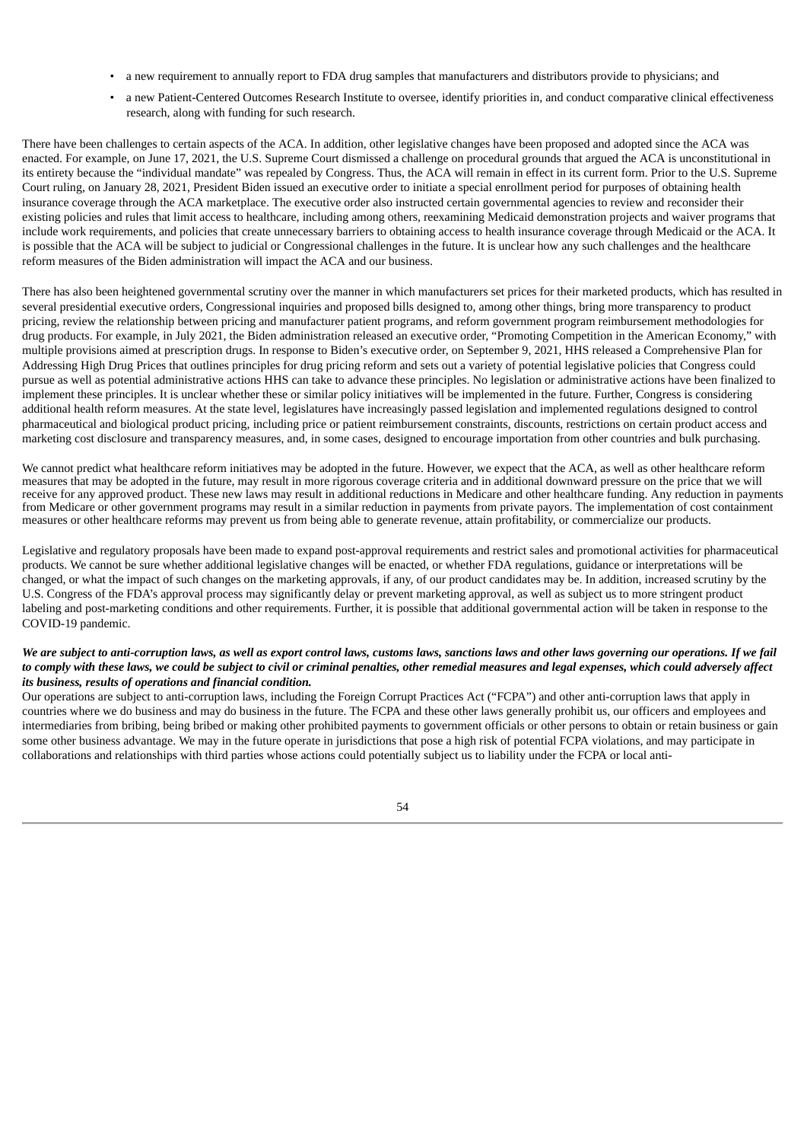- a new requirement to annually report to FDA drug samples that manufacturers and distributors provide to physicians; and
- a new Patient-Centered Outcomes Research Institute to oversee, identify priorities in, and conduct comparative clinical effectiveness research, along with funding for such research.

There have been challenges to certain aspects of the ACA. In addition, other legislative changes have been proposed and adopted since the ACA was enacted. For example, on June 17, 2021, the U.S. Supreme Court dismissed a challenge on procedural grounds that argued the ACA is unconstitutional in its entirety because the "individual mandate" was repealed by Congress. Thus, the ACA will remain in effect in its current form. Prior to the U.S. Supreme Court ruling, on January 28, 2021, President Biden issued an executive order to initiate a special enrollment period for purposes of obtaining health insurance coverage through the ACA marketplace. The executive order also instructed certain governmental agencies to review and reconsider their existing policies and rules that limit access to healthcare, including among others, reexamining Medicaid demonstration projects and waiver programs that include work requirements, and policies that create unnecessary barriers to obtaining access to health insurance coverage through Medicaid or the ACA. It is possible that the ACA will be subject to judicial or Congressional challenges in the future. It is unclear how any such challenges and the healthcare reform measures of the Biden administration will impact the ACA and our business.

There has also been heightened governmental scrutiny over the manner in which manufacturers set prices for their marketed products, which has resulted in several presidential executive orders, Congressional inquiries and proposed bills designed to, among other things, bring more transparency to product pricing, review the relationship between pricing and manufacturer patient programs, and reform government program reimbursement methodologies for drug products. For example, in July 2021, the Biden administration released an executive order, "Promoting Competition in the American Economy," with multiple provisions aimed at prescription drugs. In response to Biden's executive order, on September 9, 2021, HHS released a Comprehensive Plan for Addressing High Drug Prices that outlines principles for drug pricing reform and sets out a variety of potential legislative policies that Congress could pursue as well as potential administrative actions HHS can take to advance these principles. No legislation or administrative actions have been finalized to implement these principles. It is unclear whether these or similar policy initiatives will be implemented in the future. Further, Congress is considering additional health reform measures. At the state level, legislatures have increasingly passed legislation and implemented regulations designed to control pharmaceutical and biological product pricing, including price or patient reimbursement constraints, discounts, restrictions on certain product access and marketing cost disclosure and transparency measures, and, in some cases, designed to encourage importation from other countries and bulk purchasing.

We cannot predict what healthcare reform initiatives may be adopted in the future. However, we expect that the ACA, as well as other healthcare reform measures that may be adopted in the future, may result in more rigorous coverage criteria and in additional downward pressure on the price that we will receive for any approved product. These new laws may result in additional reductions in Medicare and other healthcare funding. Any reduction in payments from Medicare or other government programs may result in a similar reduction in payments from private payors. The implementation of cost containment measures or other healthcare reforms may prevent us from being able to generate revenue, attain profitability, or commercialize our products.

Legislative and regulatory proposals have been made to expand post-approval requirements and restrict sales and promotional activities for pharmaceutical products. We cannot be sure whether additional legislative changes will be enacted, or whether FDA regulations, guidance or interpretations will be changed, or what the impact of such changes on the marketing approvals, if any, of our product candidates may be. In addition, increased scrutiny by the U.S. Congress of the FDA's approval process may significantly delay or prevent marketing approval, as well as subject us to more stringent product labeling and post-marketing conditions and other requirements. Further, it is possible that additional governmental action will be taken in response to the COVID-19 pandemic.

# We are subject to anti-corruption laws, as well as export control laws, customs laws, sanctions laws and other laws governing our operations. If we fail to comply with these laws, we could be subject to civil or criminal penalties, other remedial measures and leaal expenses, which could adversely affect *its business, results of operations and financial condition.*

Our operations are subject to anti-corruption laws, including the Foreign Corrupt Practices Act ("FCPA") and other anti-corruption laws that apply in countries where we do business and may do business in the future. The FCPA and these other laws generally prohibit us, our officers and employees and intermediaries from bribing, being bribed or making other prohibited payments to government officials or other persons to obtain or retain business or gain some other business advantage. We may in the future operate in jurisdictions that pose a high risk of potential FCPA violations, and may participate in collaborations and relationships with third parties whose actions could potentially subject us to liability under the FCPA or local anti-

54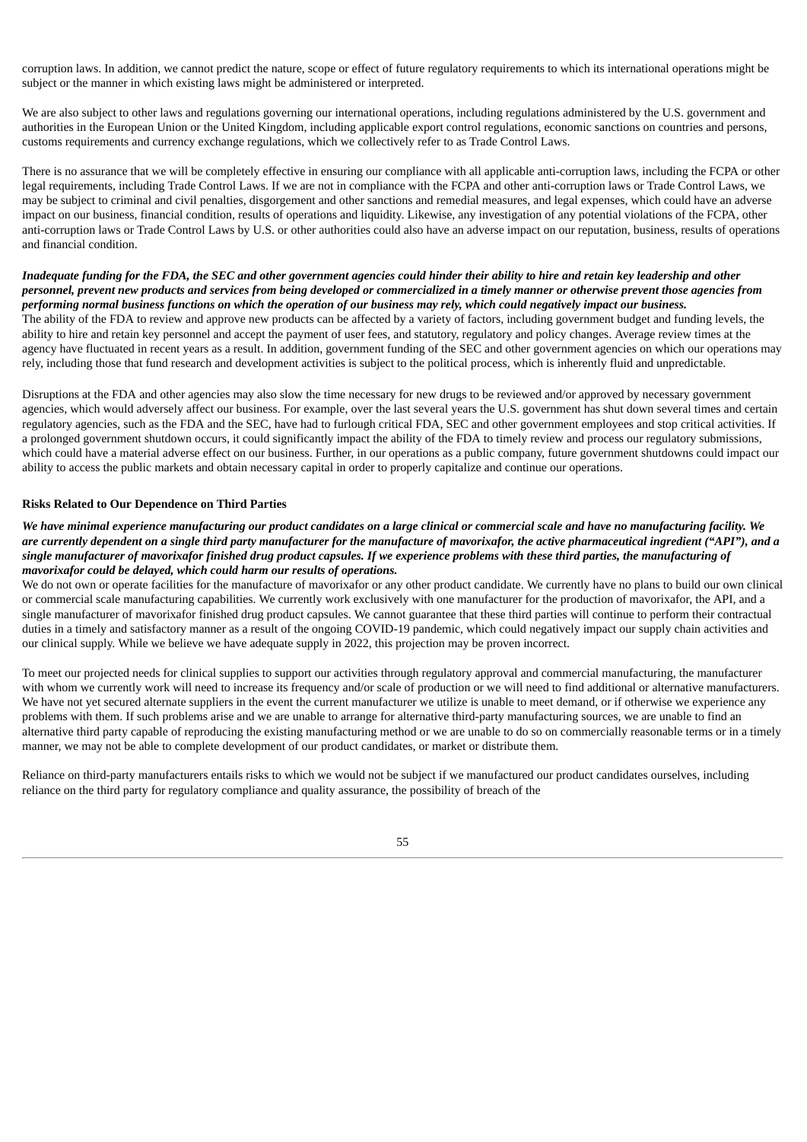corruption laws. In addition, we cannot predict the nature, scope or effect of future regulatory requirements to which its international operations might be subject or the manner in which existing laws might be administered or interpreted.

We are also subject to other laws and regulations governing our international operations, including regulations administered by the U.S. government and authorities in the European Union or the United Kingdom, including applicable export control regulations, economic sanctions on countries and persons, customs requirements and currency exchange regulations, which we collectively refer to as Trade Control Laws.

There is no assurance that we will be completely effective in ensuring our compliance with all applicable anti-corruption laws, including the FCPA or other legal requirements, including Trade Control Laws. If we are not in compliance with the FCPA and other anti-corruption laws or Trade Control Laws, we may be subject to criminal and civil penalties, disgorgement and other sanctions and remedial measures, and legal expenses, which could have an adverse impact on our business, financial condition, results of operations and liquidity. Likewise, any investigation of any potential violations of the FCPA, other anti-corruption laws or Trade Control Laws by U.S. or other authorities could also have an adverse impact on our reputation, business, results of operations and financial condition.

# Inadequate funding for the FDA, the SEC and other government agencies could hinder their ability to hire and retain key leadership and other personnel, prevent new products and services from being developed or commercialized in a timely manner or otherwise prevent those agencies from performing normal business functions on which the operation of our business may rely, which could negatively impact our business.

The ability of the FDA to review and approve new products can be affected by a variety of factors, including government budget and funding levels, the ability to hire and retain key personnel and accept the payment of user fees, and statutory, regulatory and policy changes. Average review times at the agency have fluctuated in recent years as a result. In addition, government funding of the SEC and other government agencies on which our operations may rely, including those that fund research and development activities is subject to the political process, which is inherently fluid and unpredictable.

Disruptions at the FDA and other agencies may also slow the time necessary for new drugs to be reviewed and/or approved by necessary government agencies, which would adversely affect our business. For example, over the last several years the U.S. government has shut down several times and certain regulatory agencies, such as the FDA and the SEC, have had to furlough critical FDA, SEC and other government employees and stop critical activities. If a prolonged government shutdown occurs, it could significantly impact the ability of the FDA to timely review and process our regulatory submissions, which could have a material adverse effect on our business. Further, in our operations as a public company, future government shutdowns could impact our ability to access the public markets and obtain necessary capital in order to properly capitalize and continue our operations.

# **Risks Related to Our Dependence on Third Parties**

We have minimal experience manufacturing our product candidates on a large clinical or commercial scale and have no manufacturing facility. We are currently dependent on a single third party manufacturer for the manufacture of mavorixafor, the active pharmaceutical ingredient ("API"), and a single manufacturer of mavorixafor finished drug product capsules. If we experience problems with these third parties, the manufacturing of *mavorixafor could be delayed, which could harm our results of operations.*

We do not own or operate facilities for the manufacture of mavorixafor or any other product candidate. We currently have no plans to build our own clinical or commercial scale manufacturing capabilities. We currently work exclusively with one manufacturer for the production of mavorixafor, the API, and a single manufacturer of mavorixafor finished drug product capsules. We cannot guarantee that these third parties will continue to perform their contractual duties in a timely and satisfactory manner as a result of the ongoing COVID-19 pandemic, which could negatively impact our supply chain activities and our clinical supply. While we believe we have adequate supply in 2022, this projection may be proven incorrect.

To meet our projected needs for clinical supplies to support our activities through regulatory approval and commercial manufacturing, the manufacturer with whom we currently work will need to increase its frequency and/or scale of production or we will need to find additional or alternative manufacturers. We have not yet secured alternate suppliers in the event the current manufacturer we utilize is unable to meet demand, or if otherwise we experience any problems with them. If such problems arise and we are unable to arrange for alternative third-party manufacturing sources, we are unable to find an alternative third party capable of reproducing the existing manufacturing method or we are unable to do so on commercially reasonable terms or in a timely manner, we may not be able to complete development of our product candidates, or market or distribute them.

Reliance on third-party manufacturers entails risks to which we would not be subject if we manufactured our product candidates ourselves, including reliance on the third party for regulatory compliance and quality assurance, the possibility of breach of the

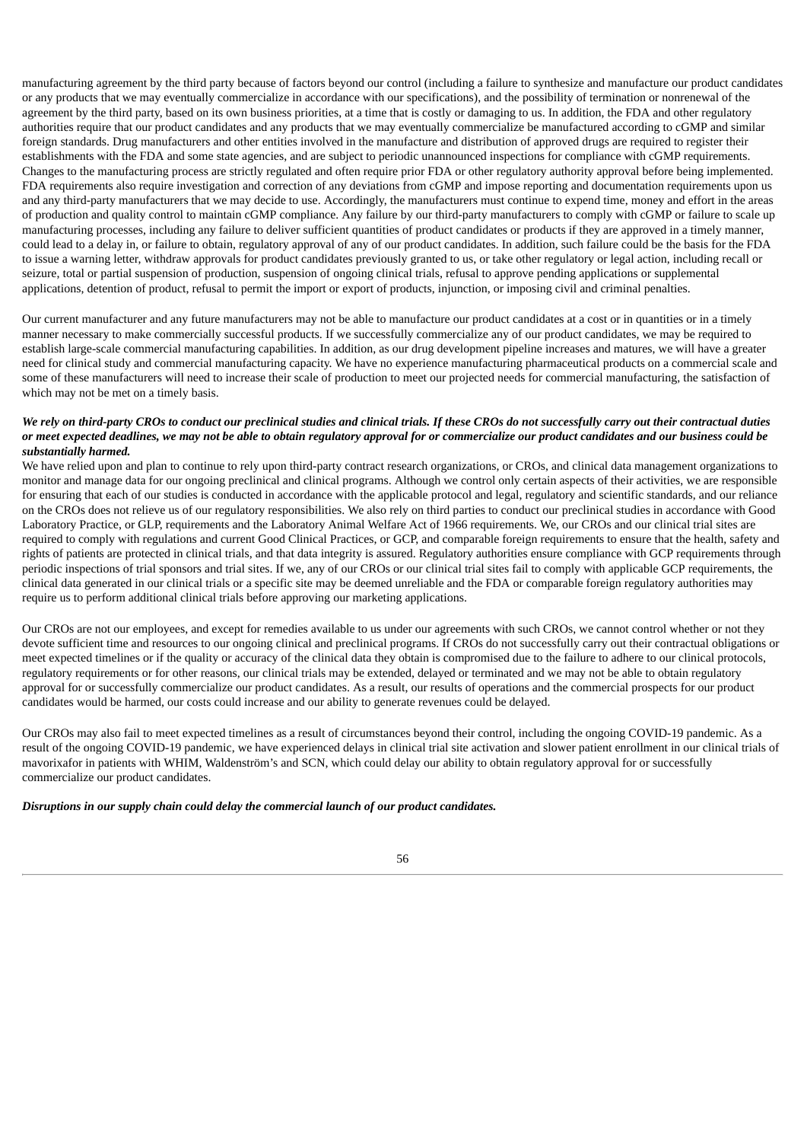manufacturing agreement by the third party because of factors beyond our control (including a failure to synthesize and manufacture our product candidates or any products that we may eventually commercialize in accordance with our specifications), and the possibility of termination or nonrenewal of the agreement by the third party, based on its own business priorities, at a time that is costly or damaging to us. In addition, the FDA and other regulatory authorities require that our product candidates and any products that we may eventually commercialize be manufactured according to cGMP and similar foreign standards. Drug manufacturers and other entities involved in the manufacture and distribution of approved drugs are required to register their establishments with the FDA and some state agencies, and are subject to periodic unannounced inspections for compliance with cGMP requirements. Changes to the manufacturing process are strictly regulated and often require prior FDA or other regulatory authority approval before being implemented. FDA requirements also require investigation and correction of any deviations from cGMP and impose reporting and documentation requirements upon us and any third-party manufacturers that we may decide to use. Accordingly, the manufacturers must continue to expend time, money and effort in the areas of production and quality control to maintain cGMP compliance. Any failure by our third-party manufacturers to comply with cGMP or failure to scale up manufacturing processes, including any failure to deliver sufficient quantities of product candidates or products if they are approved in a timely manner, could lead to a delay in, or failure to obtain, regulatory approval of any of our product candidates. In addition, such failure could be the basis for the FDA to issue a warning letter, withdraw approvals for product candidates previously granted to us, or take other regulatory or legal action, including recall or seizure, total or partial suspension of production, suspension of ongoing clinical trials, refusal to approve pending applications or supplemental applications, detention of product, refusal to permit the import or export of products, injunction, or imposing civil and criminal penalties.

Our current manufacturer and any future manufacturers may not be able to manufacture our product candidates at a cost or in quantities or in a timely manner necessary to make commercially successful products. If we successfully commercialize any of our product candidates, we may be required to establish large-scale commercial manufacturing capabilities. In addition, as our drug development pipeline increases and matures, we will have a greater need for clinical study and commercial manufacturing capacity. We have no experience manufacturing pharmaceutical products on a commercial scale and some of these manufacturers will need to increase their scale of production to meet our projected needs for commercial manufacturing, the satisfaction of which may not be met on a timely basis.

#### We rely on third-party CROs to conduct our preclinical studies and clinical trials. If these CROs do not successfully carry out their contractual duties or meet expected deadlines, we may not be able to obtain regulatory approval for or commercialize our product candidates and our business could be *substantially harmed.*

We have relied upon and plan to continue to rely upon third-party contract research organizations, or CROs, and clinical data management organizations to monitor and manage data for our ongoing preclinical and clinical programs. Although we control only certain aspects of their activities, we are responsible for ensuring that each of our studies is conducted in accordance with the applicable protocol and legal, regulatory and scientific standards, and our reliance on the CROs does not relieve us of our regulatory responsibilities. We also rely on third parties to conduct our preclinical studies in accordance with Good Laboratory Practice, or GLP, requirements and the Laboratory Animal Welfare Act of 1966 requirements. We, our CROs and our clinical trial sites are required to comply with regulations and current Good Clinical Practices, or GCP, and comparable foreign requirements to ensure that the health, safety and rights of patients are protected in clinical trials, and that data integrity is assured. Regulatory authorities ensure compliance with GCP requirements through periodic inspections of trial sponsors and trial sites. If we, any of our CROs or our clinical trial sites fail to comply with applicable GCP requirements, the clinical data generated in our clinical trials or a specific site may be deemed unreliable and the FDA or comparable foreign regulatory authorities may require us to perform additional clinical trials before approving our marketing applications.

Our CROs are not our employees, and except for remedies available to us under our agreements with such CROs, we cannot control whether or not they devote sufficient time and resources to our ongoing clinical and preclinical programs. If CROs do not successfully carry out their contractual obligations or meet expected timelines or if the quality or accuracy of the clinical data they obtain is compromised due to the failure to adhere to our clinical protocols, regulatory requirements or for other reasons, our clinical trials may be extended, delayed or terminated and we may not be able to obtain regulatory approval for or successfully commercialize our product candidates. As a result, our results of operations and the commercial prospects for our product candidates would be harmed, our costs could increase and our ability to generate revenues could be delayed.

Our CROs may also fail to meet expected timelines as a result of circumstances beyond their control, including the ongoing COVID-19 pandemic. As a result of the ongoing COVID-19 pandemic, we have experienced delays in clinical trial site activation and slower patient enrollment in our clinical trials of mavorixafor in patients with WHIM, Waldenström's and SCN, which could delay our ability to obtain regulatory approval for or successfully commercialize our product candidates.

#### *Disruptions in our supply chain could delay the commercial launch of our product candidates.*

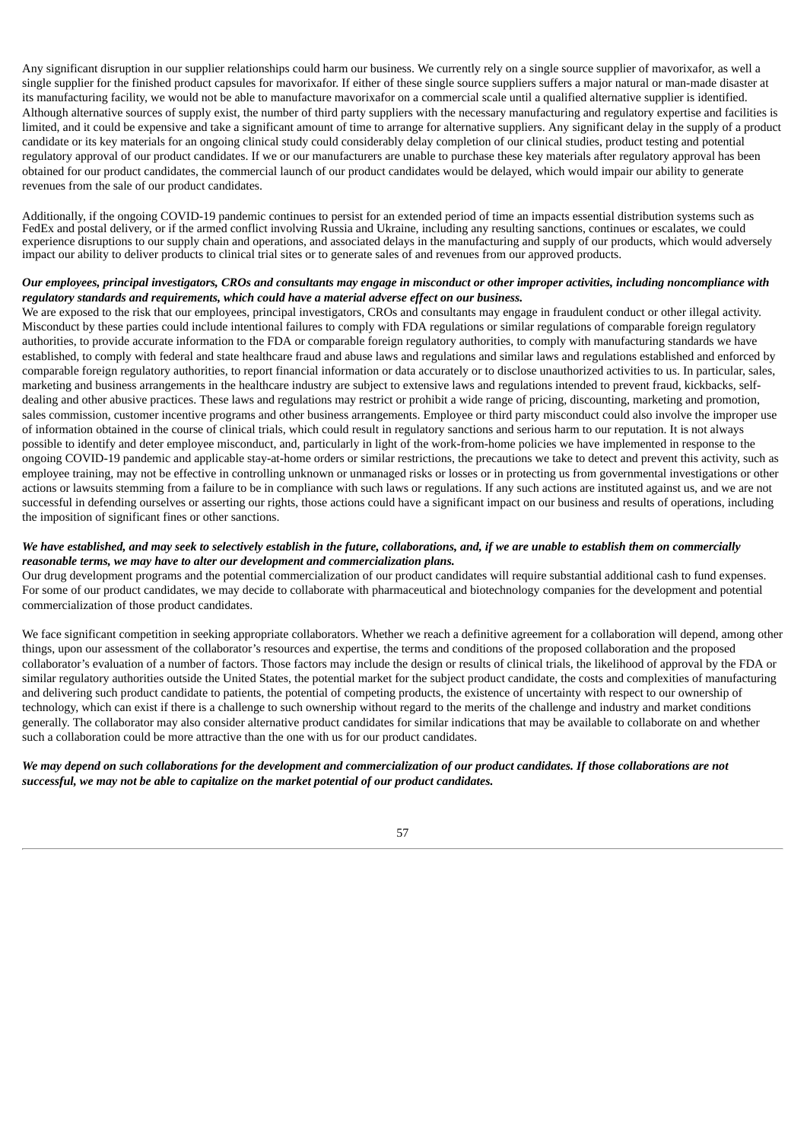Any significant disruption in our supplier relationships could harm our business. We currently rely on a single source supplier of mavorixafor, as well a single supplier for the finished product capsules for mavorixafor. If either of these single source suppliers suffers a major natural or man-made disaster at its manufacturing facility, we would not be able to manufacture mavorixafor on a commercial scale until a qualified alternative supplier is identified. Although alternative sources of supply exist, the number of third party suppliers with the necessary manufacturing and regulatory expertise and facilities is limited, and it could be expensive and take a significant amount of time to arrange for alternative suppliers. Any significant delay in the supply of a product candidate or its key materials for an ongoing clinical study could considerably delay completion of our clinical studies, product testing and potential regulatory approval of our product candidates. If we or our manufacturers are unable to purchase these key materials after regulatory approval has been obtained for our product candidates, the commercial launch of our product candidates would be delayed, which would impair our ability to generate revenues from the sale of our product candidates.

Additionally, if the ongoing COVID-19 pandemic continues to persist for an extended period of time an impacts essential distribution systems such as FedEx and postal delivery, or if the armed conflict involving Russia and Ukraine, including any resulting sanctions, continues or escalates, we could experience disruptions to our supply chain and operations, and associated delays in the manufacturing and supply of our products, which would adversely impact our ability to deliver products to clinical trial sites or to generate sales of and revenues from our approved products.

#### Our employees, principal investigators, CROs and consultants may engage in misconduct or other improper activities, including noncompliance with *regulatory standards and requirements, which could have a material adverse effect on our business.*

We are exposed to the risk that our employees, principal investigators, CROs and consultants may engage in fraudulent conduct or other illegal activity. Misconduct by these parties could include intentional failures to comply with FDA regulations or similar regulations of comparable foreign regulatory authorities, to provide accurate information to the FDA or comparable foreign regulatory authorities, to comply with manufacturing standards we have established, to comply with federal and state healthcare fraud and abuse laws and regulations and similar laws and regulations established and enforced by comparable foreign regulatory authorities, to report financial information or data accurately or to disclose unauthorized activities to us. In particular, sales, marketing and business arrangements in the healthcare industry are subject to extensive laws and regulations intended to prevent fraud, kickbacks, selfdealing and other abusive practices. These laws and regulations may restrict or prohibit a wide range of pricing, discounting, marketing and promotion, sales commission, customer incentive programs and other business arrangements. Employee or third party misconduct could also involve the improper use of information obtained in the course of clinical trials, which could result in regulatory sanctions and serious harm to our reputation. It is not always possible to identify and deter employee misconduct, and, particularly in light of the work-from-home policies we have implemented in response to the ongoing COVID-19 pandemic and applicable stay-at-home orders or similar restrictions, the precautions we take to detect and prevent this activity, such as employee training, may not be effective in controlling unknown or unmanaged risks or losses or in protecting us from governmental investigations or other actions or lawsuits stemming from a failure to be in compliance with such laws or regulations. If any such actions are instituted against us, and we are not successful in defending ourselves or asserting our rights, those actions could have a significant impact on our business and results of operations, including the imposition of significant fines or other sanctions.

# We have established, and may seek to selectively establish in the future, collaborations, and, if we are unable to establish them on commercially *reasonable terms, we may have to alter our development and commercialization plans.*

Our drug development programs and the potential commercialization of our product candidates will require substantial additional cash to fund expenses. For some of our product candidates, we may decide to collaborate with pharmaceutical and biotechnology companies for the development and potential commercialization of those product candidates.

We face significant competition in seeking appropriate collaborators. Whether we reach a definitive agreement for a collaboration will depend, among other things, upon our assessment of the collaborator's resources and expertise, the terms and conditions of the proposed collaboration and the proposed collaborator's evaluation of a number of factors. Those factors may include the design or results of clinical trials, the likelihood of approval by the FDA or similar regulatory authorities outside the United States, the potential market for the subject product candidate, the costs and complexities of manufacturing and delivering such product candidate to patients, the potential of competing products, the existence of uncertainty with respect to our ownership of technology, which can exist if there is a challenge to such ownership without regard to the merits of the challenge and industry and market conditions generally. The collaborator may also consider alternative product candidates for similar indications that may be available to collaborate on and whether such a collaboration could be more attractive than the one with us for our product candidates.

# We may depend on such collaborations for the development and commercialization of our product candidates. If those collaborations are not *successful, we may not be able to capitalize on the market potential of our product candidates.*

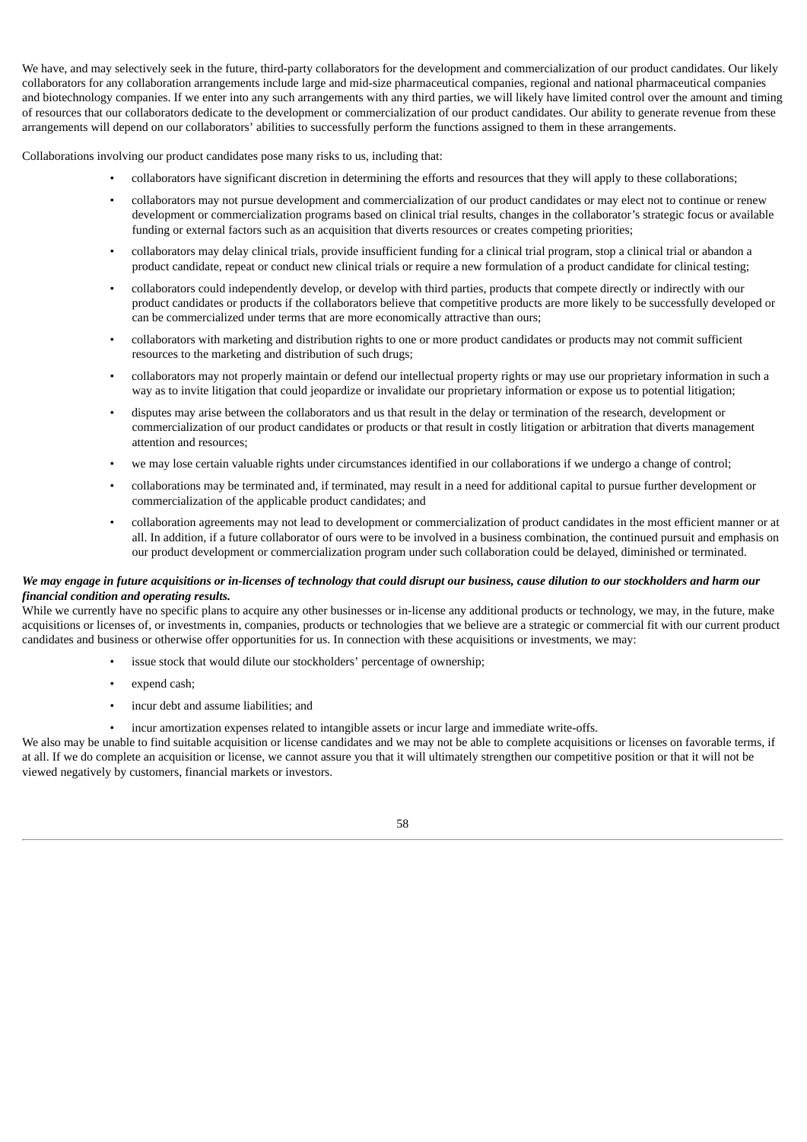We have, and may selectively seek in the future, third-party collaborators for the development and commercialization of our product candidates. Our likely collaborators for any collaboration arrangements include large and mid-size pharmaceutical companies, regional and national pharmaceutical companies and biotechnology companies. If we enter into any such arrangements with any third parties, we will likely have limited control over the amount and timing of resources that our collaborators dedicate to the development or commercialization of our product candidates. Our ability to generate revenue from these arrangements will depend on our collaborators' abilities to successfully perform the functions assigned to them in these arrangements.

Collaborations involving our product candidates pose many risks to us, including that:

- collaborators have significant discretion in determining the efforts and resources that they will apply to these collaborations;
- collaborators may not pursue development and commercialization of our product candidates or may elect not to continue or renew development or commercialization programs based on clinical trial results, changes in the collaborator's strategic focus or available funding or external factors such as an acquisition that diverts resources or creates competing priorities;
- collaborators may delay clinical trials, provide insufficient funding for a clinical trial program, stop a clinical trial or abandon a product candidate, repeat or conduct new clinical trials or require a new formulation of a product candidate for clinical testing;
- collaborators could independently develop, or develop with third parties, products that compete directly or indirectly with our product candidates or products if the collaborators believe that competitive products are more likely to be successfully developed or can be commercialized under terms that are more economically attractive than ours;
- collaborators with marketing and distribution rights to one or more product candidates or products may not commit sufficient resources to the marketing and distribution of such drugs;
- collaborators may not properly maintain or defend our intellectual property rights or may use our proprietary information in such a way as to invite litigation that could jeopardize or invalidate our proprietary information or expose us to potential litigation;
- disputes may arise between the collaborators and us that result in the delay or termination of the research, development or commercialization of our product candidates or products or that result in costly litigation or arbitration that diverts management attention and resources;
- we may lose certain valuable rights under circumstances identified in our collaborations if we undergo a change of control;
- collaborations may be terminated and, if terminated, may result in a need for additional capital to pursue further development or commercialization of the applicable product candidates; and
- collaboration agreements may not lead to development or commercialization of product candidates in the most efficient manner or at all. In addition, if a future collaborator of ours were to be involved in a business combination, the continued pursuit and emphasis on our product development or commercialization program under such collaboration could be delayed, diminished or terminated.

# We may engage in future acquisitions or in-licenses of technology that could disrupt our business, cause dilution to our stockholders and harm our *financial condition and operating results.*

While we currently have no specific plans to acquire any other businesses or in-license any additional products or technology, we may, in the future, make acquisitions or licenses of, or investments in, companies, products or technologies that we believe are a strategic or commercial fit with our current product candidates and business or otherwise offer opportunities for us. In connection with these acquisitions or investments, we may:

- issue stock that would dilute our stockholders' percentage of ownership;
	- expend cash;
	- incur debt and assume liabilities; and
	- incur amortization expenses related to intangible assets or incur large and immediate write-offs.

We also may be unable to find suitable acquisition or license candidates and we may not be able to complete acquisitions or licenses on favorable terms, if at all. If we do complete an acquisition or license, we cannot assure you that it will ultimately strengthen our competitive position or that it will not be viewed negatively by customers, financial markets or investors.

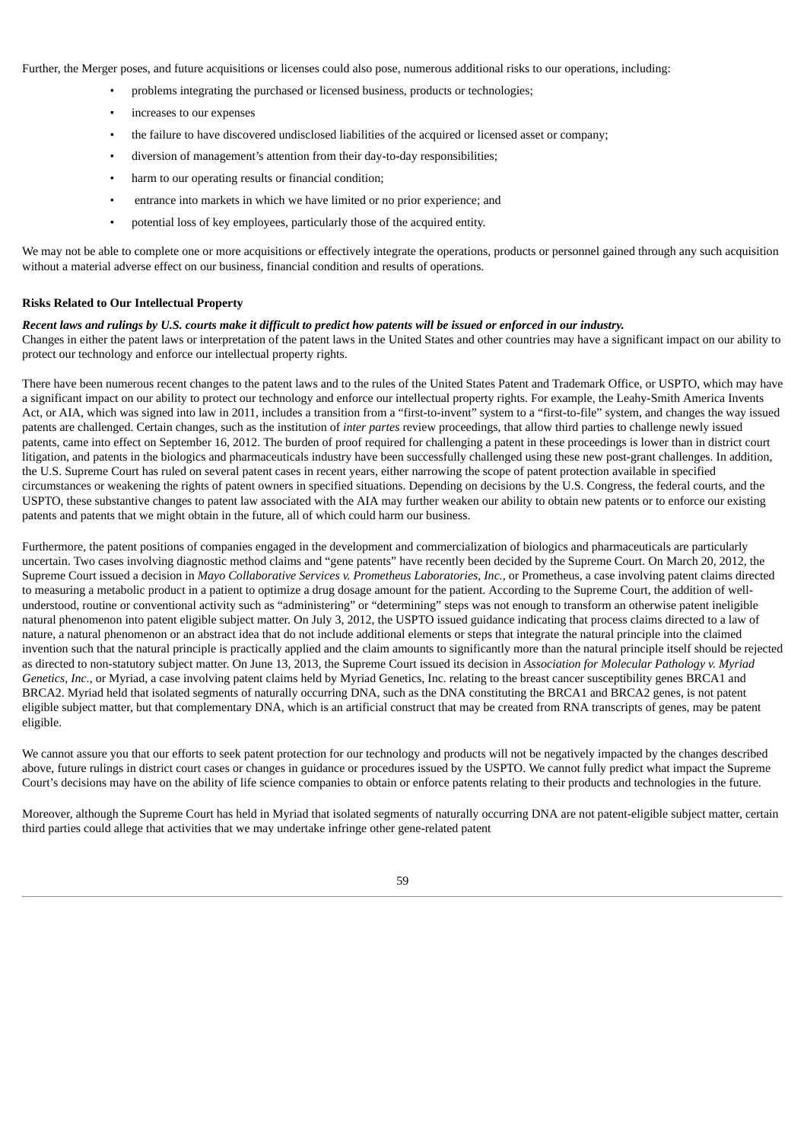Further, the Merger poses, and future acquisitions or licenses could also pose, numerous additional risks to our operations, including:

- problems integrating the purchased or licensed business, products or technologies;
- increases to our expenses
- the failure to have discovered undisclosed liabilities of the acquired or licensed asset or company;
- diversion of management's attention from their day-to-day responsibilities;
- harm to our operating results or financial condition;
- entrance into markets in which we have limited or no prior experience; and
- potential loss of key employees, particularly those of the acquired entity.

We may not be able to complete one or more acquisitions or effectively integrate the operations, products or personnel gained through any such acquisition without a material adverse effect on our business, financial condition and results of operations.

#### **Risks Related to Our Intellectual Property**

#### Recent laws and rulings by U.S. courts make it difficult to predict how patents will be issued or enforced in our industry.

Changes in either the patent laws or interpretation of the patent laws in the United States and other countries may have a significant impact on our ability to protect our technology and enforce our intellectual property rights.

There have been numerous recent changes to the patent laws and to the rules of the United States Patent and Trademark Office, or USPTO, which may have a significant impact on our ability to protect our technology and enforce our intellectual property rights. For example, the Leahy-Smith America Invents Act, or AIA, which was signed into law in 2011, includes a transition from a "first-to-invent" system to a "first-to-file" system, and changes the way issued patents are challenged. Certain changes, such as the institution of *inter partes* review proceedings, that allow third parties to challenge newly issued patents, came into effect on September 16, 2012. The burden of proof required for challenging a patent in these proceedings is lower than in district court litigation, and patents in the biologics and pharmaceuticals industry have been successfully challenged using these new post-grant challenges. In addition, the U.S. Supreme Court has ruled on several patent cases in recent years, either narrowing the scope of patent protection available in specified circumstances or weakening the rights of patent owners in specified situations. Depending on decisions by the U.S. Congress, the federal courts, and the USPTO, these substantive changes to patent law associated with the AIA may further weaken our ability to obtain new patents or to enforce our existing patents and patents that we might obtain in the future, all of which could harm our business.

Furthermore, the patent positions of companies engaged in the development and commercialization of biologics and pharmaceuticals are particularly uncertain. Two cases involving diagnostic method claims and "gene patents" have recently been decided by the Supreme Court. On March 20, 2012, the Supreme Court issued a decision in *Mayo Collaborative Services v. Prometheus Laboratories, Inc.*, or Prometheus, a case involving patent claims directed to measuring a metabolic product in a patient to optimize a drug dosage amount for the patient. According to the Supreme Court, the addition of wellunderstood, routine or conventional activity such as "administering" or "determining" steps was not enough to transform an otherwise patent ineligible natural phenomenon into patent eligible subject matter. On July 3, 2012, the USPTO issued guidance indicating that process claims directed to a law of nature, a natural phenomenon or an abstract idea that do not include additional elements or steps that integrate the natural principle into the claimed invention such that the natural principle is practically applied and the claim amounts to significantly more than the natural principle itself should be rejected as directed to non-statutory subject matter. On June 13, 2013, the Supreme Court issued its decision in *Association for Molecular Pathology v. Myriad Genetics, Inc.*, or Myriad, a case involving patent claims held by Myriad Genetics, Inc. relating to the breast cancer susceptibility genes BRCA1 and BRCA2. Myriad held that isolated segments of naturally occurring DNA, such as the DNA constituting the BRCA1 and BRCA2 genes, is not patent eligible subject matter, but that complementary DNA, which is an artificial construct that may be created from RNA transcripts of genes, may be patent eligible.

We cannot assure you that our efforts to seek patent protection for our technology and products will not be negatively impacted by the changes described above, future rulings in district court cases or changes in guidance or procedures issued by the USPTO. We cannot fully predict what impact the Supreme Court's decisions may have on the ability of life science companies to obtain or enforce patents relating to their products and technologies in the future.

Moreover, although the Supreme Court has held in Myriad that isolated segments of naturally occurring DNA are not patent-eligible subject matter, certain third parties could allege that activities that we may undertake infringe other gene-related patent

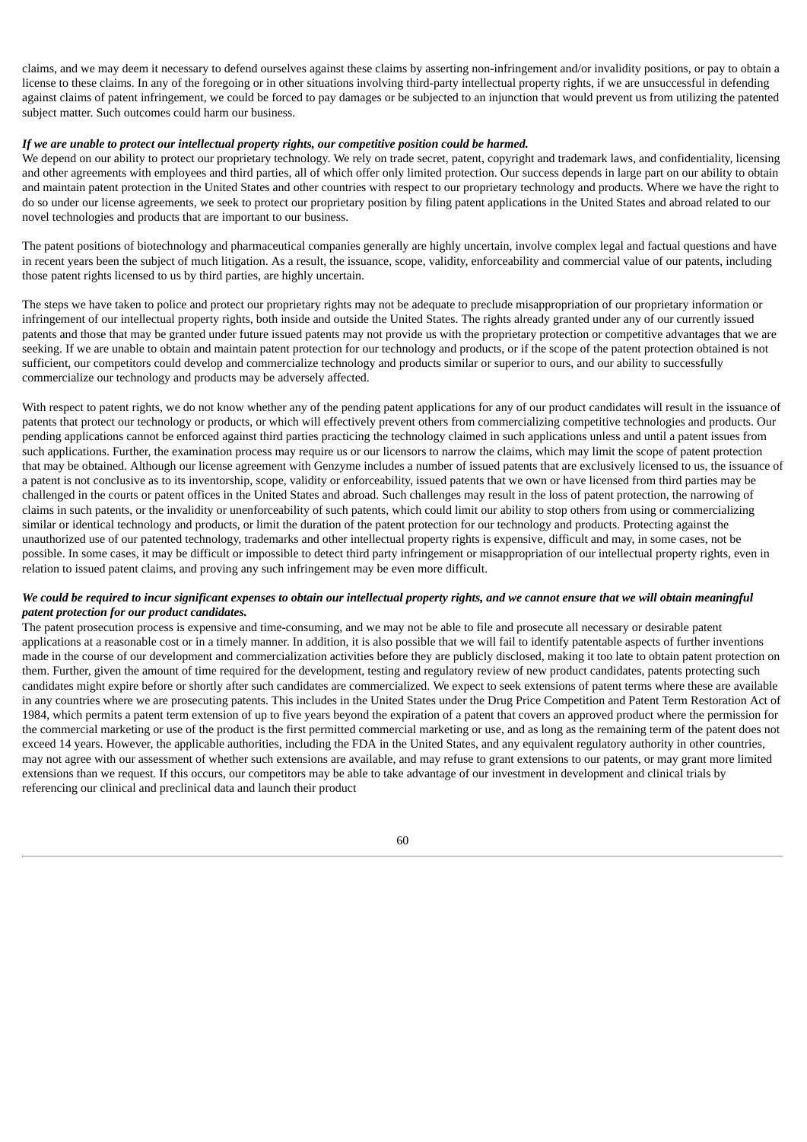claims, and we may deem it necessary to defend ourselves against these claims by asserting non-infringement and/or invalidity positions, or pay to obtain a license to these claims. In any of the foregoing or in other situations involving third-party intellectual property rights, if we are unsuccessful in defending against claims of patent infringement, we could be forced to pay damages or be subjected to an injunction that would prevent us from utilizing the patented subject matter. Such outcomes could harm our business.

#### *If we are unable to protect our intellectual property rights, our competitive position could be harmed.*

We depend on our ability to protect our proprietary technology. We rely on trade secret, patent, copyright and trademark laws, and confidentiality, licensing and other agreements with employees and third parties, all of which offer only limited protection. Our success depends in large part on our ability to obtain and maintain patent protection in the United States and other countries with respect to our proprietary technology and products. Where we have the right to do so under our license agreements, we seek to protect our proprietary position by filing patent applications in the United States and abroad related to our novel technologies and products that are important to our business.

The patent positions of biotechnology and pharmaceutical companies generally are highly uncertain, involve complex legal and factual questions and have in recent years been the subject of much litigation. As a result, the issuance, scope, validity, enforceability and commercial value of our patents, including those patent rights licensed to us by third parties, are highly uncertain.

The steps we have taken to police and protect our proprietary rights may not be adequate to preclude misappropriation of our proprietary information or infringement of our intellectual property rights, both inside and outside the United States. The rights already granted under any of our currently issued patents and those that may be granted under future issued patents may not provide us with the proprietary protection or competitive advantages that we are seeking. If we are unable to obtain and maintain patent protection for our technology and products, or if the scope of the patent protection obtained is not sufficient, our competitors could develop and commercialize technology and products similar or superior to ours, and our ability to successfully commercialize our technology and products may be adversely affected.

With respect to patent rights, we do not know whether any of the pending patent applications for any of our product candidates will result in the issuance of patents that protect our technology or products, or which will effectively prevent others from commercializing competitive technologies and products. Our pending applications cannot be enforced against third parties practicing the technology claimed in such applications unless and until a patent issues from such applications. Further, the examination process may require us or our licensors to narrow the claims, which may limit the scope of patent protection that may be obtained. Although our license agreement with Genzyme includes a number of issued patents that are exclusively licensed to us, the issuance of a patent is not conclusive as to its inventorship, scope, validity or enforceability, issued patents that we own or have licensed from third parties may be challenged in the courts or patent offices in the United States and abroad. Such challenges may result in the loss of patent protection, the narrowing of claims in such patents, or the invalidity or unenforceability of such patents, which could limit our ability to stop others from using or commercializing similar or identical technology and products, or limit the duration of the patent protection for our technology and products. Protecting against the unauthorized use of our patented technology, trademarks and other intellectual property rights is expensive, difficult and may, in some cases, not be possible. In some cases, it may be difficult or impossible to detect third party infringement or misappropriation of our intellectual property rights, even in relation to issued patent claims, and proving any such infringement may be even more difficult.

# We could be required to incur significant expenses to obtain our intellectual property rights, and we cannot ensure that we will obtain meaningful *patent protection for our product candidates.*

The patent prosecution process is expensive and time-consuming, and we may not be able to file and prosecute all necessary or desirable patent applications at a reasonable cost or in a timely manner. In addition, it is also possible that we will fail to identify patentable aspects of further inventions made in the course of our development and commercialization activities before they are publicly disclosed, making it too late to obtain patent protection on them. Further, given the amount of time required for the development, testing and regulatory review of new product candidates, patents protecting such candidates might expire before or shortly after such candidates are commercialized. We expect to seek extensions of patent terms where these are available in any countries where we are prosecuting patents. This includes in the United States under the Drug Price Competition and Patent Term Restoration Act of 1984, which permits a patent term extension of up to five years beyond the expiration of a patent that covers an approved product where the permission for the commercial marketing or use of the product is the first permitted commercial marketing or use, and as long as the remaining term of the patent does not exceed 14 years. However, the applicable authorities, including the FDA in the United States, and any equivalent regulatory authority in other countries, may not agree with our assessment of whether such extensions are available, and may refuse to grant extensions to our patents, or may grant more limited extensions than we request. If this occurs, our competitors may be able to take advantage of our investment in development and clinical trials by referencing our clinical and preclinical data and launch their product

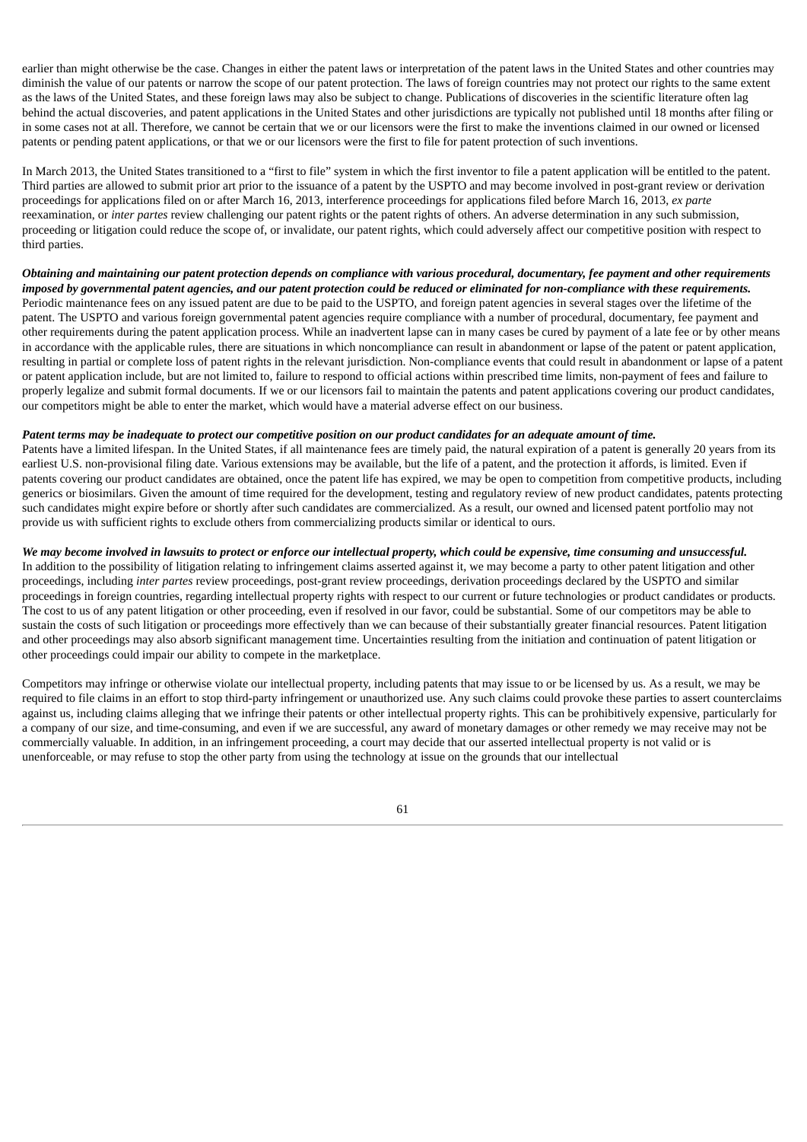earlier than might otherwise be the case. Changes in either the patent laws or interpretation of the patent laws in the United States and other countries may diminish the value of our patents or narrow the scope of our patent protection. The laws of foreign countries may not protect our rights to the same extent as the laws of the United States, and these foreign laws may also be subject to change. Publications of discoveries in the scientific literature often lag behind the actual discoveries, and patent applications in the United States and other jurisdictions are typically not published until 18 months after filing or in some cases not at all. Therefore, we cannot be certain that we or our licensors were the first to make the inventions claimed in our owned or licensed patents or pending patent applications, or that we or our licensors were the first to file for patent protection of such inventions.

In March 2013, the United States transitioned to a "first to file" system in which the first inventor to file a patent application will be entitled to the patent. Third parties are allowed to submit prior art prior to the issuance of a patent by the USPTO and may become involved in post-grant review or derivation proceedings for applications filed on or after March 16, 2013, interference proceedings for applications filed before March 16, 2013, *ex parte* reexamination, or *inter partes* review challenging our patent rights or the patent rights of others. An adverse determination in any such submission, proceeding or litigation could reduce the scope of, or invalidate, our patent rights, which could adversely affect our competitive position with respect to third parties.

# Obtaining and maintaining our patent protection depends on compliance with various procedural, documentary, fee payment and other requirements

imposed by governmental patent agencies, and our patent protection could be reduced or eliminated for non-compliance with these requirements. Periodic maintenance fees on any issued patent are due to be paid to the USPTO, and foreign patent agencies in several stages over the lifetime of the patent. The USPTO and various foreign governmental patent agencies require compliance with a number of procedural, documentary, fee payment and other requirements during the patent application process. While an inadvertent lapse can in many cases be cured by payment of a late fee or by other means in accordance with the applicable rules, there are situations in which noncompliance can result in abandonment or lapse of the patent or patent application, resulting in partial or complete loss of patent rights in the relevant jurisdiction. Non-compliance events that could result in abandonment or lapse of a patent or patent application include, but are not limited to, failure to respond to official actions within prescribed time limits, non-payment of fees and failure to properly legalize and submit formal documents. If we or our licensors fail to maintain the patents and patent applications covering our product candidates, our competitors might be able to enter the market, which would have a material adverse effect on our business.

# Patent terms may be inadequate to protect our competitive position on our product candidates for an adequate amount of time.

Patents have a limited lifespan. In the United States, if all maintenance fees are timely paid, the natural expiration of a patent is generally 20 years from its earliest U.S. non-provisional filing date. Various extensions may be available, but the life of a patent, and the protection it affords, is limited. Even if patents covering our product candidates are obtained, once the patent life has expired, we may be open to competition from competitive products, including generics or biosimilars. Given the amount of time required for the development, testing and regulatory review of new product candidates, patents protecting such candidates might expire before or shortly after such candidates are commercialized. As a result, our owned and licensed patent portfolio may not provide us with sufficient rights to exclude others from commercializing products similar or identical to ours.

# We may become involved in lawsuits to protect or enforce our intellectual property, which could be expensive, time consuming and unsuccessful.

In addition to the possibility of litigation relating to infringement claims asserted against it, we may become a party to other patent litigation and other proceedings, including *inter partes* review proceedings, post-grant review proceedings, derivation proceedings declared by the USPTO and similar proceedings in foreign countries, regarding intellectual property rights with respect to our current or future technologies or product candidates or products. The cost to us of any patent litigation or other proceeding, even if resolved in our favor, could be substantial. Some of our competitors may be able to sustain the costs of such litigation or proceedings more effectively than we can because of their substantially greater financial resources. Patent litigation and other proceedings may also absorb significant management time. Uncertainties resulting from the initiation and continuation of patent litigation or other proceedings could impair our ability to compete in the marketplace.

Competitors may infringe or otherwise violate our intellectual property, including patents that may issue to or be licensed by us. As a result, we may be required to file claims in an effort to stop third-party infringement or unauthorized use. Any such claims could provoke these parties to assert counterclaims against us, including claims alleging that we infringe their patents or other intellectual property rights. This can be prohibitively expensive, particularly for a company of our size, and time-consuming, and even if we are successful, any award of monetary damages or other remedy we may receive may not be commercially valuable. In addition, in an infringement proceeding, a court may decide that our asserted intellectual property is not valid or is unenforceable, or may refuse to stop the other party from using the technology at issue on the grounds that our intellectual

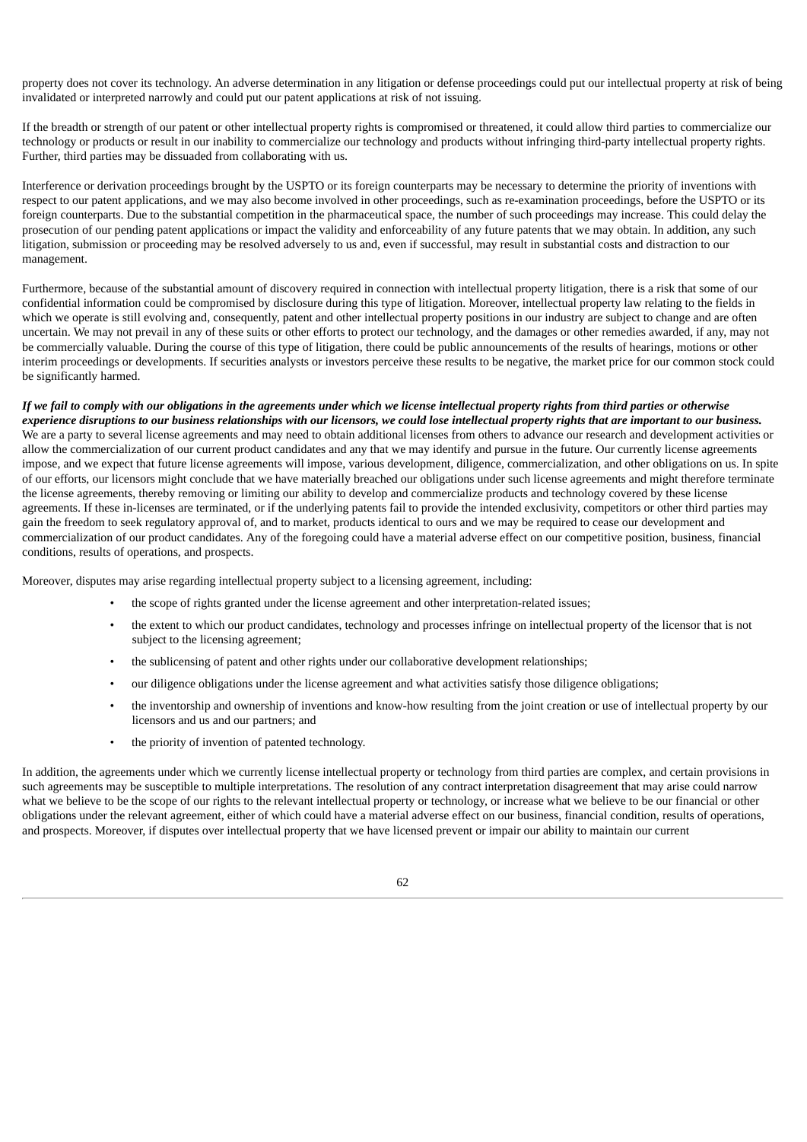property does not cover its technology. An adverse determination in any litigation or defense proceedings could put our intellectual property at risk of being invalidated or interpreted narrowly and could put our patent applications at risk of not issuing.

If the breadth or strength of our patent or other intellectual property rights is compromised or threatened, it could allow third parties to commercialize our technology or products or result in our inability to commercialize our technology and products without infringing third-party intellectual property rights. Further, third parties may be dissuaded from collaborating with us.

Interference or derivation proceedings brought by the USPTO or its foreign counterparts may be necessary to determine the priority of inventions with respect to our patent applications, and we may also become involved in other proceedings, such as re-examination proceedings, before the USPTO or its foreign counterparts. Due to the substantial competition in the pharmaceutical space, the number of such proceedings may increase. This could delay the prosecution of our pending patent applications or impact the validity and enforceability of any future patents that we may obtain. In addition, any such litigation, submission or proceeding may be resolved adversely to us and, even if successful, may result in substantial costs and distraction to our management.

Furthermore, because of the substantial amount of discovery required in connection with intellectual property litigation, there is a risk that some of our confidential information could be compromised by disclosure during this type of litigation. Moreover, intellectual property law relating to the fields in which we operate is still evolving and, consequently, patent and other intellectual property positions in our industry are subject to change and are often uncertain. We may not prevail in any of these suits or other efforts to protect our technology, and the damages or other remedies awarded, if any, may not be commercially valuable. During the course of this type of litigation, there could be public announcements of the results of hearings, motions or other interim proceedings or developments. If securities analysts or investors perceive these results to be negative, the market price for our common stock could be significantly harmed.

If we fail to comply with our obligations in the agreements under which we license intellectual property rights from third parties or otherwise experience disruptions to our business relationships with our licensors, we could lose intellectual property rights that are important to our business. We are a party to several license agreements and may need to obtain additional licenses from others to advance our research and development activities or allow the commercialization of our current product candidates and any that we may identify and pursue in the future. Our currently license agreements impose, and we expect that future license agreements will impose, various development, diligence, commercialization, and other obligations on us. In spite of our efforts, our licensors might conclude that we have materially breached our obligations under such license agreements and might therefore terminate the license agreements, thereby removing or limiting our ability to develop and commercialize products and technology covered by these license agreements. If these in-licenses are terminated, or if the underlying patents fail to provide the intended exclusivity, competitors or other third parties may gain the freedom to seek regulatory approval of, and to market, products identical to ours and we may be required to cease our development and commercialization of our product candidates. Any of the foregoing could have a material adverse effect on our competitive position, business, financial conditions, results of operations, and prospects.

Moreover, disputes may arise regarding intellectual property subject to a licensing agreement, including:

- the scope of rights granted under the license agreement and other interpretation-related issues;
- the extent to which our product candidates, technology and processes infringe on intellectual property of the licensor that is not subject to the licensing agreement;
- the sublicensing of patent and other rights under our collaborative development relationships;
- our diligence obligations under the license agreement and what activities satisfy those diligence obligations;
- the inventorship and ownership of inventions and know-how resulting from the joint creation or use of intellectual property by our licensors and us and our partners; and
- the priority of invention of patented technology.

In addition, the agreements under which we currently license intellectual property or technology from third parties are complex, and certain provisions in such agreements may be susceptible to multiple interpretations. The resolution of any contract interpretation disagreement that may arise could narrow what we believe to be the scope of our rights to the relevant intellectual property or technology, or increase what we believe to be our financial or other obligations under the relevant agreement, either of which could have a material adverse effect on our business, financial condition, results of operations, and prospects. Moreover, if disputes over intellectual property that we have licensed prevent or impair our ability to maintain our current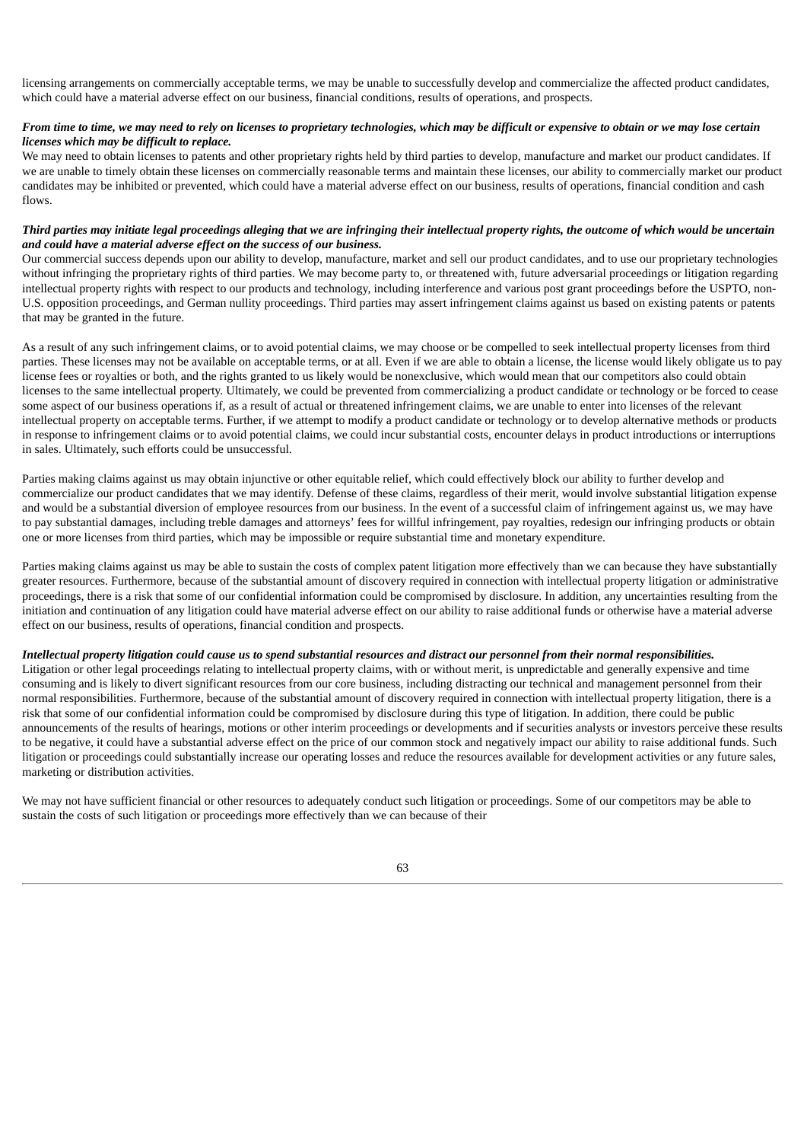licensing arrangements on commercially acceptable terms, we may be unable to successfully develop and commercialize the affected product candidates, which could have a material adverse effect on our business, financial conditions, results of operations, and prospects.

# From time to time, we may need to rely on licenses to proprietary technologies, which may be difficult or expensive to obtain or we may lose certain *licenses which may be difficult to replace.*

We may need to obtain licenses to patents and other proprietary rights held by third parties to develop, manufacture and market our product candidates. If we are unable to timely obtain these licenses on commercially reasonable terms and maintain these licenses, our ability to commercially market our product candidates may be inhibited or prevented, which could have a material adverse effect on our business, results of operations, financial condition and cash flows.

# Third parties may initiate legal proceedings alleging that we are infringing their intellectual property rights, the outcome of which would be uncertain *and could have a material adverse effect on the success of our business.*

Our commercial success depends upon our ability to develop, manufacture, market and sell our product candidates, and to use our proprietary technologies without infringing the proprietary rights of third parties. We may become party to, or threatened with, future adversarial proceedings or litigation regarding intellectual property rights with respect to our products and technology, including interference and various post grant proceedings before the USPTO, non-U.S. opposition proceedings, and German nullity proceedings. Third parties may assert infringement claims against us based on existing patents or patents that may be granted in the future.

As a result of any such infringement claims, or to avoid potential claims, we may choose or be compelled to seek intellectual property licenses from third parties. These licenses may not be available on acceptable terms, or at all. Even if we are able to obtain a license, the license would likely obligate us to pay license fees or royalties or both, and the rights granted to us likely would be nonexclusive, which would mean that our competitors also could obtain licenses to the same intellectual property. Ultimately, we could be prevented from commercializing a product candidate or technology or be forced to cease some aspect of our business operations if, as a result of actual or threatened infringement claims, we are unable to enter into licenses of the relevant intellectual property on acceptable terms. Further, if we attempt to modify a product candidate or technology or to develop alternative methods or products in response to infringement claims or to avoid potential claims, we could incur substantial costs, encounter delays in product introductions or interruptions in sales. Ultimately, such efforts could be unsuccessful.

Parties making claims against us may obtain injunctive or other equitable relief, which could effectively block our ability to further develop and commercialize our product candidates that we may identify. Defense of these claims, regardless of their merit, would involve substantial litigation expense and would be a substantial diversion of employee resources from our business. In the event of a successful claim of infringement against us, we may have to pay substantial damages, including treble damages and attorneys' fees for willful infringement, pay royalties, redesign our infringing products or obtain one or more licenses from third parties, which may be impossible or require substantial time and monetary expenditure.

Parties making claims against us may be able to sustain the costs of complex patent litigation more effectively than we can because they have substantially greater resources. Furthermore, because of the substantial amount of discovery required in connection with intellectual property litigation or administrative proceedings, there is a risk that some of our confidential information could be compromised by disclosure. In addition, any uncertainties resulting from the initiation and continuation of any litigation could have material adverse effect on our ability to raise additional funds or otherwise have a material adverse effect on our business, results of operations, financial condition and prospects.

#### Intellectual property litigation could cause us to spend substantial resources and distract our personnel from their normal responsibilities.

Litigation or other legal proceedings relating to intellectual property claims, with or without merit, is unpredictable and generally expensive and time consuming and is likely to divert significant resources from our core business, including distracting our technical and management personnel from their normal responsibilities. Furthermore, because of the substantial amount of discovery required in connection with intellectual property litigation, there is a risk that some of our confidential information could be compromised by disclosure during this type of litigation. In addition, there could be public announcements of the results of hearings, motions or other interim proceedings or developments and if securities analysts or investors perceive these results to be negative, it could have a substantial adverse effect on the price of our common stock and negatively impact our ability to raise additional funds. Such litigation or proceedings could substantially increase our operating losses and reduce the resources available for development activities or any future sales, marketing or distribution activities.

We may not have sufficient financial or other resources to adequately conduct such litigation or proceedings. Some of our competitors may be able to sustain the costs of such litigation or proceedings more effectively than we can because of their

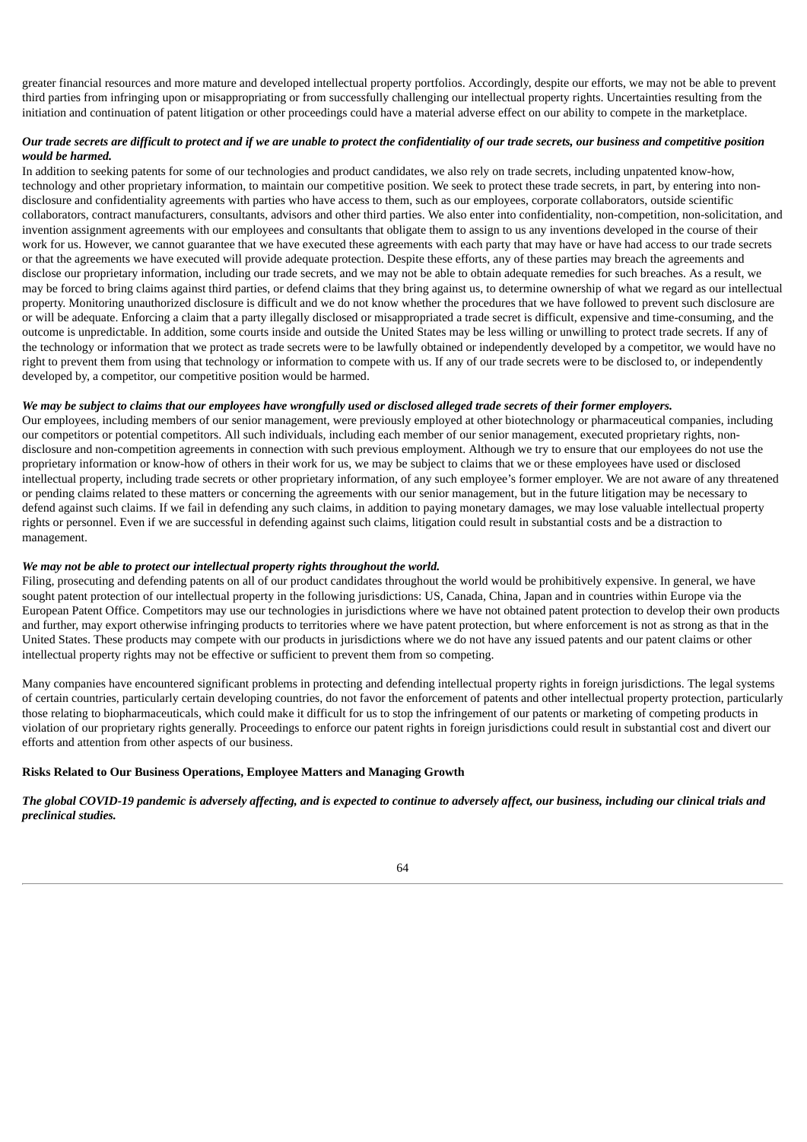greater financial resources and more mature and developed intellectual property portfolios. Accordingly, despite our efforts, we may not be able to prevent third parties from infringing upon or misappropriating or from successfully challenging our intellectual property rights. Uncertainties resulting from the initiation and continuation of patent litigation or other proceedings could have a material adverse effect on our ability to compete in the marketplace.

# Our trade secrets are difficult to protect and if we are unable to protect the confidentiality of our trade secrets, our business and competitive position *would be harmed.*

In addition to seeking patents for some of our technologies and product candidates, we also rely on trade secrets, including unpatented know-how, technology and other proprietary information, to maintain our competitive position. We seek to protect these trade secrets, in part, by entering into nondisclosure and confidentiality agreements with parties who have access to them, such as our employees, corporate collaborators, outside scientific collaborators, contract manufacturers, consultants, advisors and other third parties. We also enter into confidentiality, non-competition, non-solicitation, and invention assignment agreements with our employees and consultants that obligate them to assign to us any inventions developed in the course of their work for us. However, we cannot guarantee that we have executed these agreements with each party that may have or have had access to our trade secrets or that the agreements we have executed will provide adequate protection. Despite these efforts, any of these parties may breach the agreements and disclose our proprietary information, including our trade secrets, and we may not be able to obtain adequate remedies for such breaches. As a result, we may be forced to bring claims against third parties, or defend claims that they bring against us, to determine ownership of what we regard as our intellectual property. Monitoring unauthorized disclosure is difficult and we do not know whether the procedures that we have followed to prevent such disclosure are or will be adequate. Enforcing a claim that a party illegally disclosed or misappropriated a trade secret is difficult, expensive and time-consuming, and the outcome is unpredictable. In addition, some courts inside and outside the United States may be less willing or unwilling to protect trade secrets. If any of the technology or information that we protect as trade secrets were to be lawfully obtained or independently developed by a competitor, we would have no right to prevent them from using that technology or information to compete with us. If any of our trade secrets were to be disclosed to, or independently developed by, a competitor, our competitive position would be harmed.

# We may be subject to claims that our employees have wrongfully used or disclosed alleged trade secrets of their former employers.

Our employees, including members of our senior management, were previously employed at other biotechnology or pharmaceutical companies, including our competitors or potential competitors. All such individuals, including each member of our senior management, executed proprietary rights, nondisclosure and non-competition agreements in connection with such previous employment. Although we try to ensure that our employees do not use the proprietary information or know-how of others in their work for us, we may be subject to claims that we or these employees have used or disclosed intellectual property, including trade secrets or other proprietary information, of any such employee's former employer. We are not aware of any threatened or pending claims related to these matters or concerning the agreements with our senior management, but in the future litigation may be necessary to defend against such claims. If we fail in defending any such claims, in addition to paying monetary damages, we may lose valuable intellectual property rights or personnel. Even if we are successful in defending against such claims, litigation could result in substantial costs and be a distraction to management.

#### *We may not be able to protect our intellectual property rights throughout the world.*

Filing, prosecuting and defending patents on all of our product candidates throughout the world would be prohibitively expensive. In general, we have sought patent protection of our intellectual property in the following jurisdictions: US, Canada, China, Japan and in countries within Europe via the European Patent Office. Competitors may use our technologies in jurisdictions where we have not obtained patent protection to develop their own products and further, may export otherwise infringing products to territories where we have patent protection, but where enforcement is not as strong as that in the United States. These products may compete with our products in jurisdictions where we do not have any issued patents and our patent claims or other intellectual property rights may not be effective or sufficient to prevent them from so competing.

Many companies have encountered significant problems in protecting and defending intellectual property rights in foreign jurisdictions. The legal systems of certain countries, particularly certain developing countries, do not favor the enforcement of patents and other intellectual property protection, particularly those relating to biopharmaceuticals, which could make it difficult for us to stop the infringement of our patents or marketing of competing products in violation of our proprietary rights generally. Proceedings to enforce our patent rights in foreign jurisdictions could result in substantial cost and divert our efforts and attention from other aspects of our business.

#### **Risks Related to Our Business Operations, Employee Matters and Managing Growth**

The global COVID-19 pandemic is adversely affecting, and is expected to continue to adversely affect, our business, including our clinical trials and *preclinical studies.*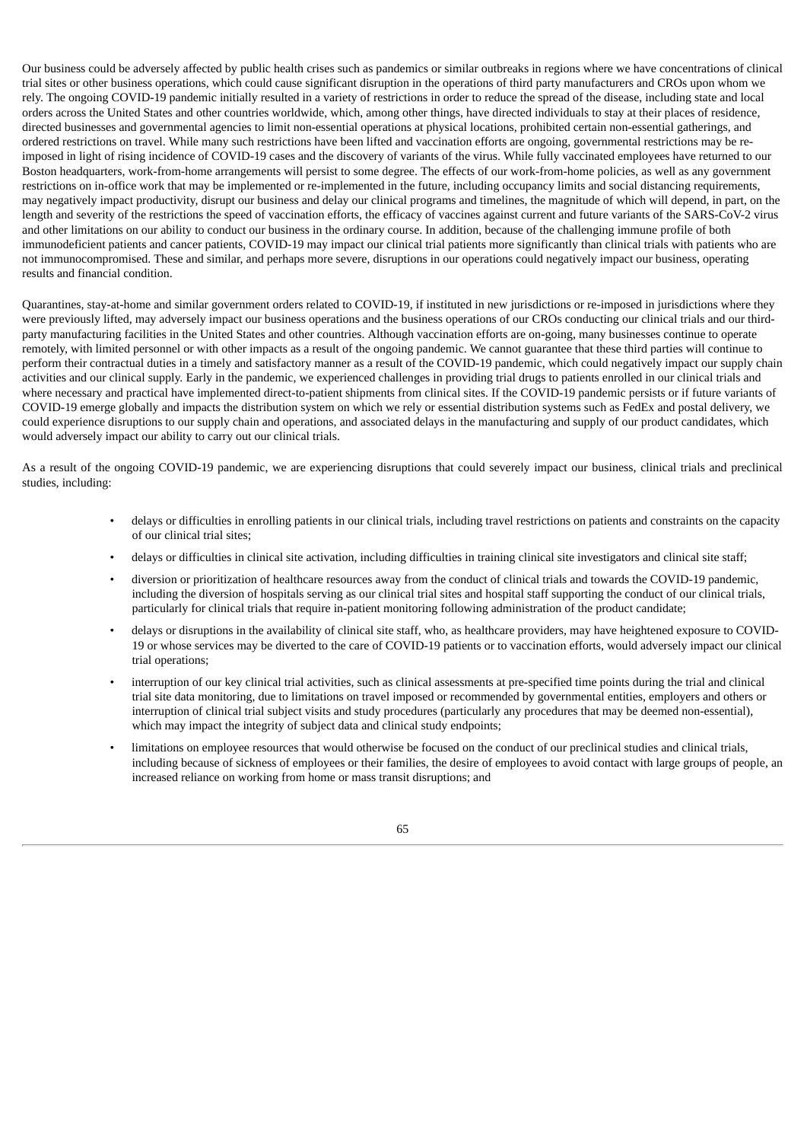Our business could be adversely affected by public health crises such as pandemics or similar outbreaks in regions where we have concentrations of clinical trial sites or other business operations, which could cause significant disruption in the operations of third party manufacturers and CROs upon whom we rely. The ongoing COVID-19 pandemic initially resulted in a variety of restrictions in order to reduce the spread of the disease, including state and local orders across the United States and other countries worldwide, which, among other things, have directed individuals to stay at their places of residence, directed businesses and governmental agencies to limit non-essential operations at physical locations, prohibited certain non-essential gatherings, and ordered restrictions on travel. While many such restrictions have been lifted and vaccination efforts are ongoing, governmental restrictions may be reimposed in light of rising incidence of COVID-19 cases and the discovery of variants of the virus. While fully vaccinated employees have returned to our Boston headquarters, work-from-home arrangements will persist to some degree. The effects of our work-from-home policies, as well as any government restrictions on in-office work that may be implemented or re-implemented in the future, including occupancy limits and social distancing requirements, may negatively impact productivity, disrupt our business and delay our clinical programs and timelines, the magnitude of which will depend, in part, on the length and severity of the restrictions the speed of vaccination efforts, the efficacy of vaccines against current and future variants of the SARS-CoV-2 virus and other limitations on our ability to conduct our business in the ordinary course. In addition, because of the challenging immune profile of both immunodeficient patients and cancer patients, COVID-19 may impact our clinical trial patients more significantly than clinical trials with patients who are not immunocompromised. These and similar, and perhaps more severe, disruptions in our operations could negatively impact our business, operating results and financial condition.

Quarantines, stay-at-home and similar government orders related to COVID-19, if instituted in new jurisdictions or re-imposed in jurisdictions where they were previously lifted, may adversely impact our business operations and the business operations of our CROs conducting our clinical trials and our thirdparty manufacturing facilities in the United States and other countries. Although vaccination efforts are on-going, many businesses continue to operate remotely, with limited personnel or with other impacts as a result of the ongoing pandemic. We cannot guarantee that these third parties will continue to perform their contractual duties in a timely and satisfactory manner as a result of the COVID-19 pandemic, which could negatively impact our supply chain activities and our clinical supply. Early in the pandemic, we experienced challenges in providing trial drugs to patients enrolled in our clinical trials and where necessary and practical have implemented direct-to-patient shipments from clinical sites. If the COVID-19 pandemic persists or if future variants of COVID-19 emerge globally and impacts the distribution system on which we rely or essential distribution systems such as FedEx and postal delivery, we could experience disruptions to our supply chain and operations, and associated delays in the manufacturing and supply of our product candidates, which would adversely impact our ability to carry out our clinical trials.

As a result of the ongoing COVID-19 pandemic, we are experiencing disruptions that could severely impact our business, clinical trials and preclinical studies, including:

- delays or difficulties in enrolling patients in our clinical trials, including travel restrictions on patients and constraints on the capacity of our clinical trial sites;
- delays or difficulties in clinical site activation, including difficulties in training clinical site investigators and clinical site staff;
- diversion or prioritization of healthcare resources away from the conduct of clinical trials and towards the COVID-19 pandemic, including the diversion of hospitals serving as our clinical trial sites and hospital staff supporting the conduct of our clinical trials, particularly for clinical trials that require in-patient monitoring following administration of the product candidate;
- delays or disruptions in the availability of clinical site staff, who, as healthcare providers, may have heightened exposure to COVID-19 or whose services may be diverted to the care of COVID-19 patients or to vaccination efforts, would adversely impact our clinical trial operations;
- interruption of our key clinical trial activities, such as clinical assessments at pre-specified time points during the trial and clinical trial site data monitoring, due to limitations on travel imposed or recommended by governmental entities, employers and others or interruption of clinical trial subject visits and study procedures (particularly any procedures that may be deemed non-essential), which may impact the integrity of subject data and clinical study endpoints;
- limitations on employee resources that would otherwise be focused on the conduct of our preclinical studies and clinical trials, including because of sickness of employees or their families, the desire of employees to avoid contact with large groups of people, an increased reliance on working from home or mass transit disruptions; and

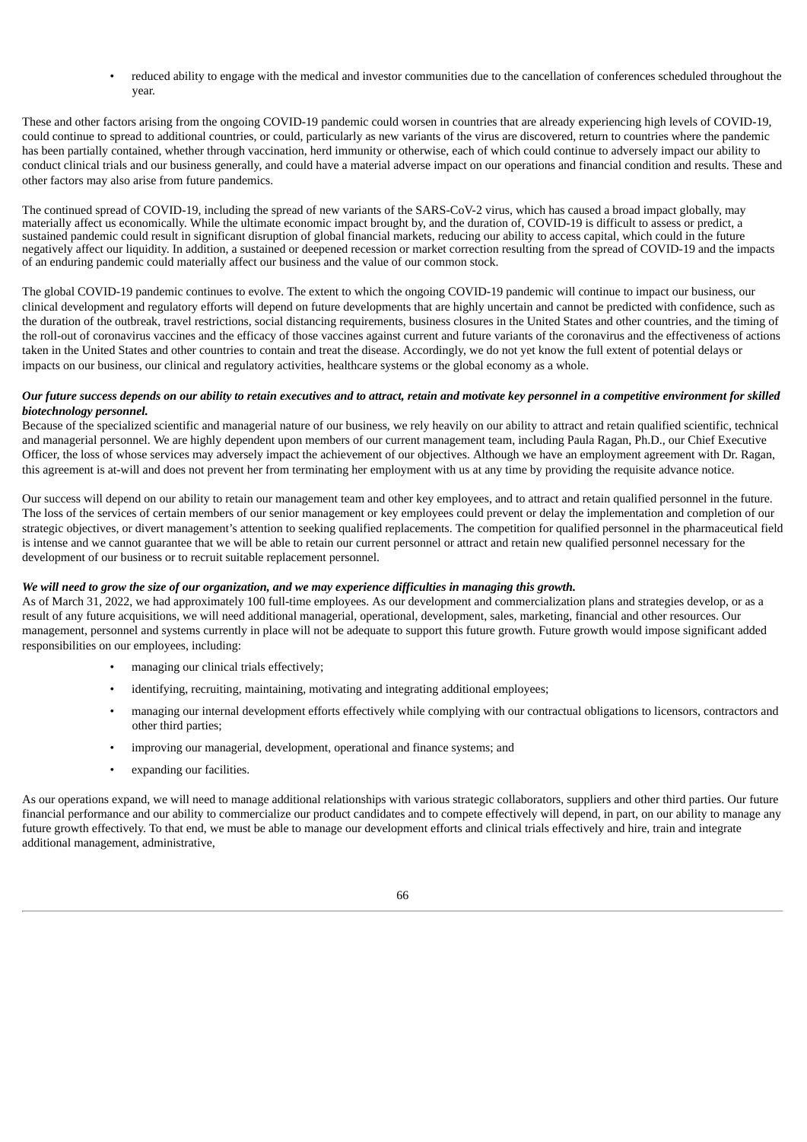• reduced ability to engage with the medical and investor communities due to the cancellation of conferences scheduled throughout the year.

These and other factors arising from the ongoing COVID-19 pandemic could worsen in countries that are already experiencing high levels of COVID-19, could continue to spread to additional countries, or could, particularly as new variants of the virus are discovered, return to countries where the pandemic has been partially contained, whether through vaccination, herd immunity or otherwise, each of which could continue to adversely impact our ability to conduct clinical trials and our business generally, and could have a material adverse impact on our operations and financial condition and results. These and other factors may also arise from future pandemics.

The continued spread of COVID-19, including the spread of new variants of the SARS-CoV-2 virus, which has caused a broad impact globally, may materially affect us economically. While the ultimate economic impact brought by, and the duration of, COVID-19 is difficult to assess or predict, a sustained pandemic could result in significant disruption of global financial markets, reducing our ability to access capital, which could in the future negatively affect our liquidity. In addition, a sustained or deepened recession or market correction resulting from the spread of COVID-19 and the impacts of an enduring pandemic could materially affect our business and the value of our common stock.

The global COVID-19 pandemic continues to evolve. The extent to which the ongoing COVID-19 pandemic will continue to impact our business, our clinical development and regulatory efforts will depend on future developments that are highly uncertain and cannot be predicted with confidence, such as the duration of the outbreak, travel restrictions, social distancing requirements, business closures in the United States and other countries, and the timing of the roll-out of coronavirus vaccines and the efficacy of those vaccines against current and future variants of the coronavirus and the effectiveness of actions taken in the United States and other countries to contain and treat the disease. Accordingly, we do not yet know the full extent of potential delays or impacts on our business, our clinical and regulatory activities, healthcare systems or the global economy as a whole.

#### Our future success depends on our ability to retain executives and to attract, retain and motivate key personnel in a competitive environment for skilled *biotechnology personnel.*

Because of the specialized scientific and managerial nature of our business, we rely heavily on our ability to attract and retain qualified scientific, technical and managerial personnel. We are highly dependent upon members of our current management team, including Paula Ragan, Ph.D., our Chief Executive Officer, the loss of whose services may adversely impact the achievement of our objectives. Although we have an employment agreement with Dr. Ragan, this agreement is at-will and does not prevent her from terminating her employment with us at any time by providing the requisite advance notice.

Our success will depend on our ability to retain our management team and other key employees, and to attract and retain qualified personnel in the future. The loss of the services of certain members of our senior management or key employees could prevent or delay the implementation and completion of our strategic objectives, or divert management's attention to seeking qualified replacements. The competition for qualified personnel in the pharmaceutical field is intense and we cannot guarantee that we will be able to retain our current personnel or attract and retain new qualified personnel necessary for the development of our business or to recruit suitable replacement personnel.

# We will need to arow the size of our organization, and we may experience difficulties in managing this growth.

As of March 31, 2022, we had approximately 100 full-time employees. As our development and commercialization plans and strategies develop, or as a result of any future acquisitions, we will need additional managerial, operational, development, sales, marketing, financial and other resources. Our management, personnel and systems currently in place will not be adequate to support this future growth. Future growth would impose significant added responsibilities on our employees, including:

- managing our clinical trials effectively;
- identifying, recruiting, maintaining, motivating and integrating additional employees;
- managing our internal development efforts effectively while complying with our contractual obligations to licensors, contractors and other third parties;
- improving our managerial, development, operational and finance systems; and
- expanding our facilities.

As our operations expand, we will need to manage additional relationships with various strategic collaborators, suppliers and other third parties. Our future financial performance and our ability to commercialize our product candidates and to compete effectively will depend, in part, on our ability to manage any future growth effectively. To that end, we must be able to manage our development efforts and clinical trials effectively and hire, train and integrate additional management, administrative,

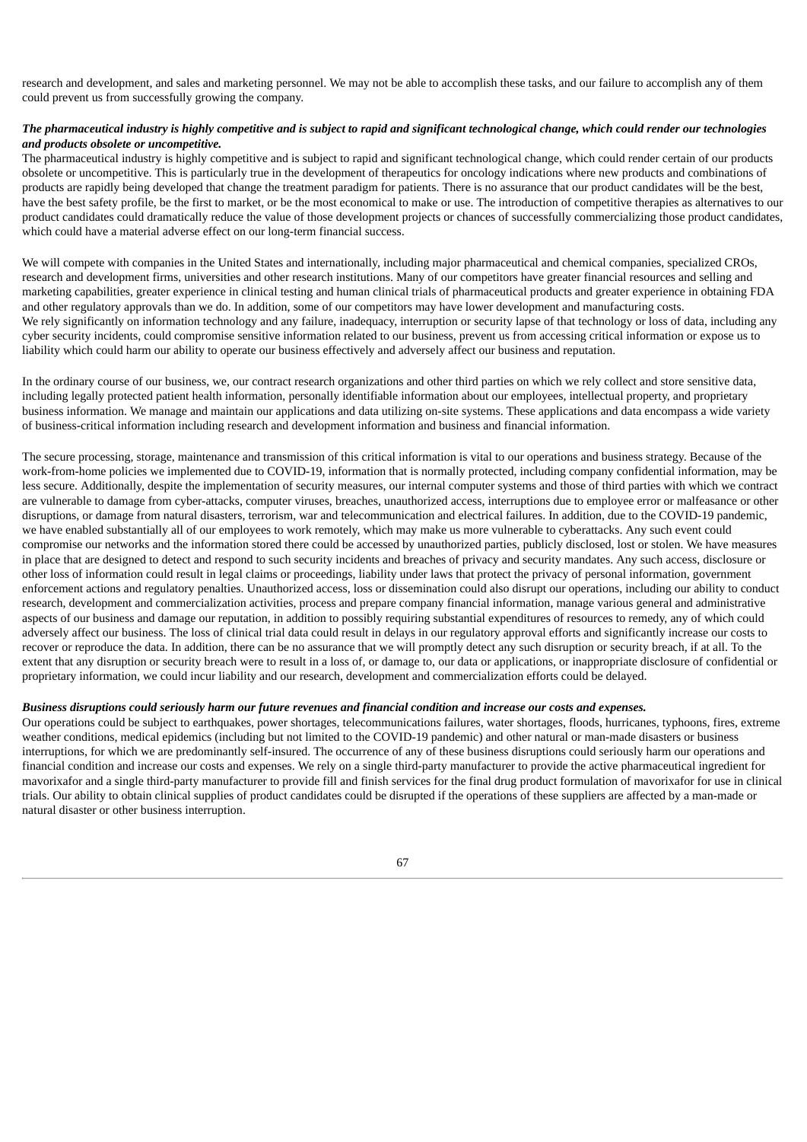research and development, and sales and marketing personnel. We may not be able to accomplish these tasks, and our failure to accomplish any of them could prevent us from successfully growing the company.

## The pharmaceutical industry is highly competitive and is subject to rapid and significant technological change, which could render our technologies *and products obsolete or uncompetitive.*

The pharmaceutical industry is highly competitive and is subject to rapid and significant technological change, which could render certain of our products obsolete or uncompetitive. This is particularly true in the development of therapeutics for oncology indications where new products and combinations of products are rapidly being developed that change the treatment paradigm for patients. There is no assurance that our product candidates will be the best, have the best safety profile, be the first to market, or be the most economical to make or use. The introduction of competitive therapies as alternatives to our product candidates could dramatically reduce the value of those development projects or chances of successfully commercializing those product candidates, which could have a material adverse effect on our long-term financial success.

We will compete with companies in the United States and internationally, including major pharmaceutical and chemical companies, specialized CROs, research and development firms, universities and other research institutions. Many of our competitors have greater financial resources and selling and marketing capabilities, greater experience in clinical testing and human clinical trials of pharmaceutical products and greater experience in obtaining FDA and other regulatory approvals than we do. In addition, some of our competitors may have lower development and manufacturing costs. We rely significantly on information technology and any failure, inadequacy, interruption or security lapse of that technology or loss of data, including any cyber security incidents, could compromise sensitive information related to our business, prevent us from accessing critical information or expose us to liability which could harm our ability to operate our business effectively and adversely affect our business and reputation.

In the ordinary course of our business, we, our contract research organizations and other third parties on which we rely collect and store sensitive data, including legally protected patient health information, personally identifiable information about our employees, intellectual property, and proprietary business information. We manage and maintain our applications and data utilizing on-site systems. These applications and data encompass a wide variety of business-critical information including research and development information and business and financial information.

The secure processing, storage, maintenance and transmission of this critical information is vital to our operations and business strategy. Because of the work-from-home policies we implemented due to COVID-19, information that is normally protected, including company confidential information, may be less secure. Additionally, despite the implementation of security measures, our internal computer systems and those of third parties with which we contract are vulnerable to damage from cyber-attacks, computer viruses, breaches, unauthorized access, interruptions due to employee error or malfeasance or other disruptions, or damage from natural disasters, terrorism, war and telecommunication and electrical failures. In addition, due to the COVID-19 pandemic, we have enabled substantially all of our employees to work remotely, which may make us more vulnerable to cyberattacks. Any such event could compromise our networks and the information stored there could be accessed by unauthorized parties, publicly disclosed, lost or stolen. We have measures in place that are designed to detect and respond to such security incidents and breaches of privacy and security mandates. Any such access, disclosure or other loss of information could result in legal claims or proceedings, liability under laws that protect the privacy of personal information, government enforcement actions and regulatory penalties. Unauthorized access, loss or dissemination could also disrupt our operations, including our ability to conduct research, development and commercialization activities, process and prepare company financial information, manage various general and administrative aspects of our business and damage our reputation, in addition to possibly requiring substantial expenditures of resources to remedy, any of which could adversely affect our business. The loss of clinical trial data could result in delays in our regulatory approval efforts and significantly increase our costs to recover or reproduce the data. In addition, there can be no assurance that we will promptly detect any such disruption or security breach, if at all. To the extent that any disruption or security breach were to result in a loss of, or damage to, our data or applications, or inappropriate disclosure of confidential or proprietary information, we could incur liability and our research, development and commercialization efforts could be delayed.

#### Business disruptions could seriously harm our future revenues and financial condition and increase our costs and expenses.

Our operations could be subject to earthquakes, power shortages, telecommunications failures, water shortages, floods, hurricanes, typhoons, fires, extreme weather conditions, medical epidemics (including but not limited to the COVID-19 pandemic) and other natural or man-made disasters or business interruptions, for which we are predominantly self-insured. The occurrence of any of these business disruptions could seriously harm our operations and financial condition and increase our costs and expenses. We rely on a single third-party manufacturer to provide the active pharmaceutical ingredient for mavorixafor and a single third-party manufacturer to provide fill and finish services for the final drug product formulation of mavorixafor for use in clinical trials. Our ability to obtain clinical supplies of product candidates could be disrupted if the operations of these suppliers are affected by a man-made or natural disaster or other business interruption.

67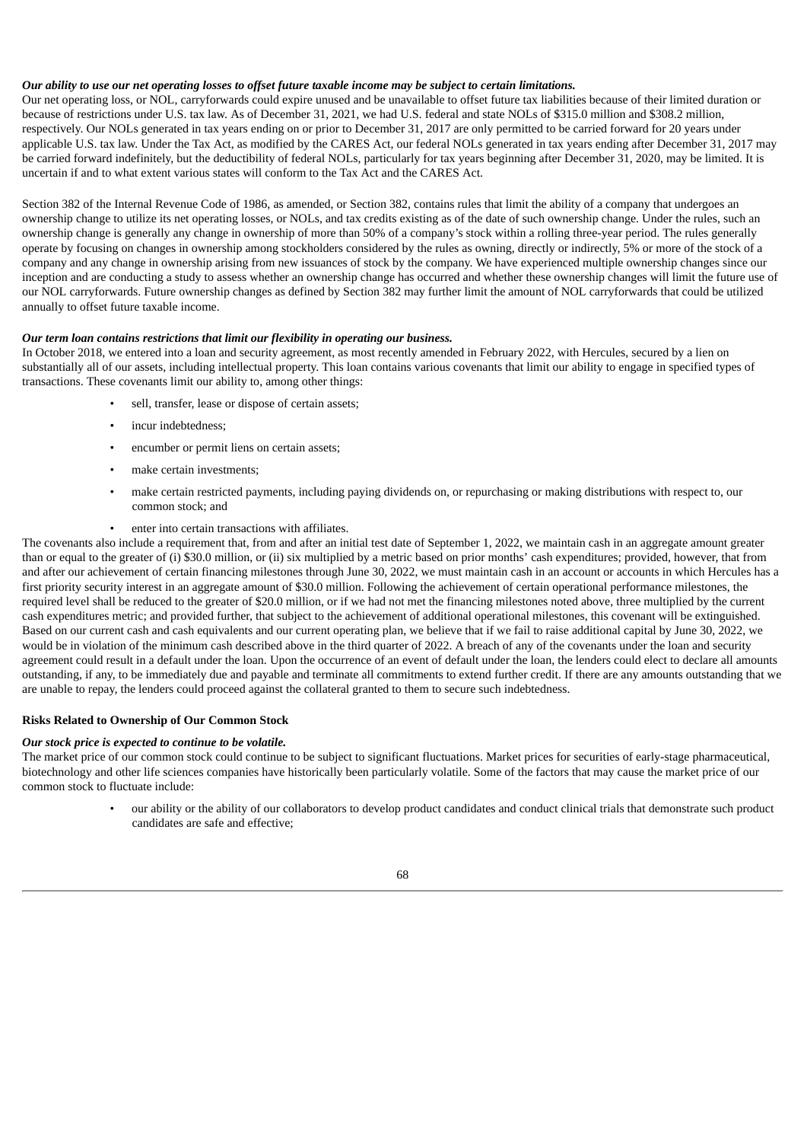#### Our ability to use our net operating losses to offset future taxable income may be subject to certain limitations.

Our net operating loss, or NOL, carryforwards could expire unused and be unavailable to offset future tax liabilities because of their limited duration or because of restrictions under U.S. tax law. As of December 31, 2021, we had U.S. federal and state NOLs of \$315.0 million and \$308.2 million, respectively. Our NOLs generated in tax years ending on or prior to December 31, 2017 are only permitted to be carried forward for 20 years under applicable U.S. tax law. Under the Tax Act, as modified by the CARES Act, our federal NOLs generated in tax years ending after December 31, 2017 may be carried forward indefinitely, but the deductibility of federal NOLs, particularly for tax years beginning after December 31, 2020, may be limited. It is uncertain if and to what extent various states will conform to the Tax Act and the CARES Act.

Section 382 of the Internal Revenue Code of 1986, as amended, or Section 382, contains rules that limit the ability of a company that undergoes an ownership change to utilize its net operating losses, or NOLs, and tax credits existing as of the date of such ownership change. Under the rules, such an ownership change is generally any change in ownership of more than 50% of a company's stock within a rolling three-year period. The rules generally operate by focusing on changes in ownership among stockholders considered by the rules as owning, directly or indirectly, 5% or more of the stock of a company and any change in ownership arising from new issuances of stock by the company. We have experienced multiple ownership changes since our inception and are conducting a study to assess whether an ownership change has occurred and whether these ownership changes will limit the future use of our NOL carryforwards. Future ownership changes as defined by Section 382 may further limit the amount of NOL carryforwards that could be utilized annually to offset future taxable income.

#### *Our term loan contains restrictions that limit our flexibility in operating our business.*

In October 2018, we entered into a loan and security agreement, as most recently amended in February 2022, with Hercules, secured by a lien on substantially all of our assets, including intellectual property. This loan contains various covenants that limit our ability to engage in specified types of transactions. These covenants limit our ability to, among other things:

- sell, transfer, lease or dispose of certain assets;
- incur indebtedness:
- encumber or permit liens on certain assets;
- make certain investments:
- make certain restricted payments, including paying dividends on, or repurchasing or making distributions with respect to, our common stock; and
- enter into certain transactions with affiliates.

The covenants also include a requirement that, from and after an initial test date of September 1, 2022, we maintain cash in an aggregate amount greater than or equal to the greater of (i) \$30.0 million, or (ii) six multiplied by a metric based on prior months' cash expenditures; provided, however, that from and after our achievement of certain financing milestones through June 30, 2022, we must maintain cash in an account or accounts in which Hercules has a first priority security interest in an aggregate amount of \$30.0 million. Following the achievement of certain operational performance milestones, the required level shall be reduced to the greater of \$20.0 million, or if we had not met the financing milestones noted above, three multiplied by the current cash expenditures metric; and provided further, that subject to the achievement of additional operational milestones, this covenant will be extinguished. Based on our current cash and cash equivalents and our current operating plan, we believe that if we fail to raise additional capital by June 30, 2022, we would be in violation of the minimum cash described above in the third quarter of 2022. A breach of any of the covenants under the loan and security agreement could result in a default under the loan. Upon the occurrence of an event of default under the loan, the lenders could elect to declare all amounts outstanding, if any, to be immediately due and payable and terminate all commitments to extend further credit. If there are any amounts outstanding that we are unable to repay, the lenders could proceed against the collateral granted to them to secure such indebtedness.

## **Risks Related to Ownership of Our Common Stock**

#### *Our stock price is expected to continue to be volatile.*

The market price of our common stock could continue to be subject to significant fluctuations. Market prices for securities of early-stage pharmaceutical, biotechnology and other life sciences companies have historically been particularly volatile. Some of the factors that may cause the market price of our common stock to fluctuate include:

> • our ability or the ability of our collaborators to develop product candidates and conduct clinical trials that demonstrate such product candidates are safe and effective;

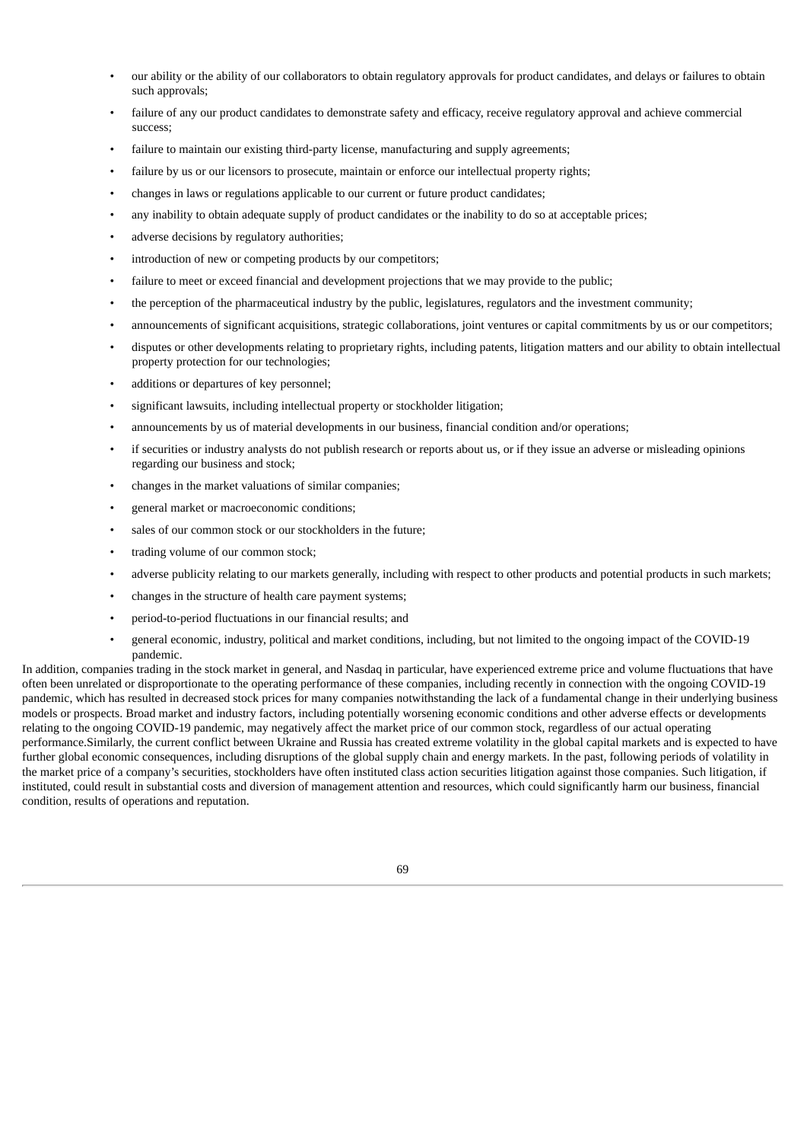- our ability or the ability of our collaborators to obtain regulatory approvals for product candidates, and delays or failures to obtain such approvals;
- failure of any our product candidates to demonstrate safety and efficacy, receive regulatory approval and achieve commercial success;
- failure to maintain our existing third-party license, manufacturing and supply agreements;
- failure by us or our licensors to prosecute, maintain or enforce our intellectual property rights;
- changes in laws or regulations applicable to our current or future product candidates;
- any inability to obtain adequate supply of product candidates or the inability to do so at acceptable prices;
- adverse decisions by regulatory authorities;
- introduction of new or competing products by our competitors;
- failure to meet or exceed financial and development projections that we may provide to the public;
- the perception of the pharmaceutical industry by the public, legislatures, regulators and the investment community;
- announcements of significant acquisitions, strategic collaborations, joint ventures or capital commitments by us or our competitors;
- disputes or other developments relating to proprietary rights, including patents, litigation matters and our ability to obtain intellectual property protection for our technologies;
- additions or departures of key personnel;
- significant lawsuits, including intellectual property or stockholder litigation;
- announcements by us of material developments in our business, financial condition and/or operations;
- if securities or industry analysts do not publish research or reports about us, or if they issue an adverse or misleading opinions regarding our business and stock;
- changes in the market valuations of similar companies;
- general market or macroeconomic conditions;
- sales of our common stock or our stockholders in the future;
- trading volume of our common stock;
- adverse publicity relating to our markets generally, including with respect to other products and potential products in such markets;
- changes in the structure of health care payment systems;
- period-to-period fluctuations in our financial results; and
- general economic, industry, political and market conditions, including, but not limited to the ongoing impact of the COVID-19 pandemic.

In addition, companies trading in the stock market in general, and Nasdaq in particular, have experienced extreme price and volume fluctuations that have often been unrelated or disproportionate to the operating performance of these companies, including recently in connection with the ongoing COVID-19 pandemic, which has resulted in decreased stock prices for many companies notwithstanding the lack of a fundamental change in their underlying business models or prospects. Broad market and industry factors, including potentially worsening economic conditions and other adverse effects or developments relating to the ongoing COVID-19 pandemic, may negatively affect the market price of our common stock, regardless of our actual operating performance.Similarly, the current conflict between Ukraine and Russia has created extreme volatility in the global capital markets and is expected to have further global economic consequences, including disruptions of the global supply chain and energy markets. In the past, following periods of volatility in the market price of a company's securities, stockholders have often instituted class action securities litigation against those companies. Such litigation, if instituted, could result in substantial costs and diversion of management attention and resources, which could significantly harm our business, financial condition, results of operations and reputation.

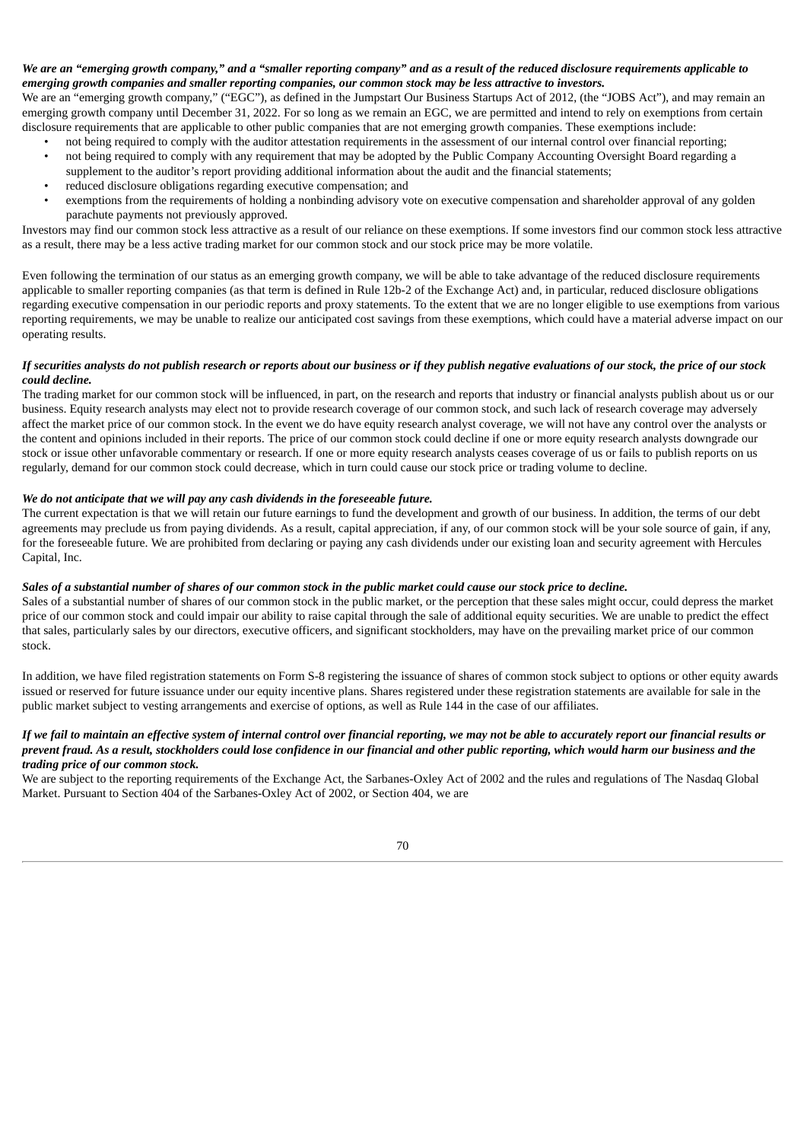#### We are an "emerging growth company," and a "smaller reporting company" and as a result of the reduced disclosure requirements applicable to *emerging growth companies and smaller reporting companies, our common stock may be less attractive to investors.*

We are an "emerging growth company," ("EGC"), as defined in the Jumpstart Our Business Startups Act of 2012, (the "JOBS Act"), and may remain an emerging growth company until December 31, 2022. For so long as we remain an EGC, we are permitted and intend to rely on exemptions from certain disclosure requirements that are applicable to other public companies that are not emerging growth companies. These exemptions include:

- not being required to comply with the auditor attestation requirements in the assessment of our internal control over financial reporting;
- not being required to comply with any requirement that may be adopted by the Public Company Accounting Oversight Board regarding a supplement to the auditor's report providing additional information about the audit and the financial statements;
- reduced disclosure obligations regarding executive compensation; and
- exemptions from the requirements of holding a nonbinding advisory vote on executive compensation and shareholder approval of any golden parachute payments not previously approved.

Investors may find our common stock less attractive as a result of our reliance on these exemptions. If some investors find our common stock less attractive as a result, there may be a less active trading market for our common stock and our stock price may be more volatile.

Even following the termination of our status as an emerging growth company, we will be able to take advantage of the reduced disclosure requirements applicable to smaller reporting companies (as that term is defined in Rule 12b-2 of the Exchange Act) and, in particular, reduced disclosure obligations regarding executive compensation in our periodic reports and proxy statements. To the extent that we are no longer eligible to use exemptions from various reporting requirements, we may be unable to realize our anticipated cost savings from these exemptions, which could have a material adverse impact on our operating results.

# If securities analysts do not publish research or reports about our business or if they publish negative evaluations of our stock, the price of our stock *could decline.*

The trading market for our common stock will be influenced, in part, on the research and reports that industry or financial analysts publish about us or our business. Equity research analysts may elect not to provide research coverage of our common stock, and such lack of research coverage may adversely affect the market price of our common stock. In the event we do have equity research analyst coverage, we will not have any control over the analysts or the content and opinions included in their reports. The price of our common stock could decline if one or more equity research analysts downgrade our stock or issue other unfavorable commentary or research. If one or more equity research analysts ceases coverage of us or fails to publish reports on us regularly, demand for our common stock could decrease, which in turn could cause our stock price or trading volume to decline.

# *We do not anticipate that we will pay any cash dividends in the foreseeable future.*

The current expectation is that we will retain our future earnings to fund the development and growth of our business. In addition, the terms of our debt agreements may preclude us from paying dividends. As a result, capital appreciation, if any, of our common stock will be your sole source of gain, if any, for the foreseeable future. We are prohibited from declaring or paying any cash dividends under our existing loan and security agreement with Hercules Capital, Inc.

#### Sales of a substantial number of shares of our common stock in the public market could cause our stock price to decline.

Sales of a substantial number of shares of our common stock in the public market, or the perception that these sales might occur, could depress the market price of our common stock and could impair our ability to raise capital through the sale of additional equity securities. We are unable to predict the effect that sales, particularly sales by our directors, executive officers, and significant stockholders, may have on the prevailing market price of our common stock.

In addition, we have filed registration statements on Form S-8 registering the issuance of shares of common stock subject to options or other equity awards issued or reserved for future issuance under our equity incentive plans. Shares registered under these registration statements are available for sale in the public market subject to vesting arrangements and exercise of options, as well as Rule 144 in the case of our affiliates.

# If we fail to maintain an effective system of internal control over financial reporting, we may not be able to accurately report our financial results or prevent fraud. As a result, stockholders could lose confidence in our financial and other public reporting, which would harm our business and the *trading price of our common stock.*

We are subject to the reporting requirements of the Exchange Act, the Sarbanes-Oxley Act of 2002 and the rules and regulations of The Nasdaq Global Market. Pursuant to Section 404 of the Sarbanes-Oxley Act of 2002, or Section 404, we are

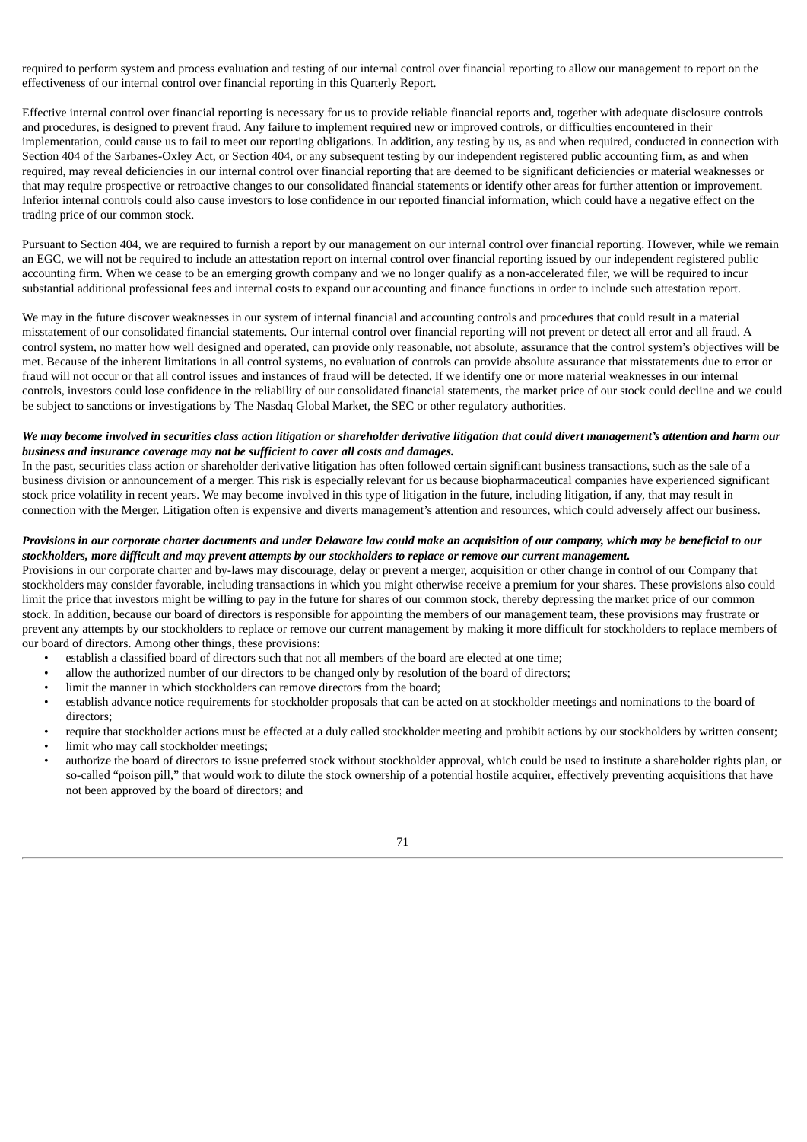required to perform system and process evaluation and testing of our internal control over financial reporting to allow our management to report on the effectiveness of our internal control over financial reporting in this Quarterly Report.

Effective internal control over financial reporting is necessary for us to provide reliable financial reports and, together with adequate disclosure controls and procedures, is designed to prevent fraud. Any failure to implement required new or improved controls, or difficulties encountered in their implementation, could cause us to fail to meet our reporting obligations. In addition, any testing by us, as and when required, conducted in connection with Section 404 of the Sarbanes-Oxley Act, or Section 404, or any subsequent testing by our independent registered public accounting firm, as and when required, may reveal deficiencies in our internal control over financial reporting that are deemed to be significant deficiencies or material weaknesses or that may require prospective or retroactive changes to our consolidated financial statements or identify other areas for further attention or improvement. Inferior internal controls could also cause investors to lose confidence in our reported financial information, which could have a negative effect on the trading price of our common stock.

Pursuant to Section 404, we are required to furnish a report by our management on our internal control over financial reporting. However, while we remain an EGC, we will not be required to include an attestation report on internal control over financial reporting issued by our independent registered public accounting firm. When we cease to be an emerging growth company and we no longer qualify as a non-accelerated filer, we will be required to incur substantial additional professional fees and internal costs to expand our accounting and finance functions in order to include such attestation report.

We may in the future discover weaknesses in our system of internal financial and accounting controls and procedures that could result in a material misstatement of our consolidated financial statements. Our internal control over financial reporting will not prevent or detect all error and all fraud. A control system, no matter how well designed and operated, can provide only reasonable, not absolute, assurance that the control system's objectives will be met. Because of the inherent limitations in all control systems, no evaluation of controls can provide absolute assurance that misstatements due to error or fraud will not occur or that all control issues and instances of fraud will be detected. If we identify one or more material weaknesses in our internal controls, investors could lose confidence in the reliability of our consolidated financial statements, the market price of our stock could decline and we could be subject to sanctions or investigations by The Nasdaq Global Market, the SEC or other regulatory authorities.

#### We may become involved in securities class action litigation or shareholder derivative litigation that could divert management's attention and harm our *business and insurance coverage may not be sufficient to cover all costs and damages.*

In the past, securities class action or shareholder derivative litigation has often followed certain significant business transactions, such as the sale of a business division or announcement of a merger. This risk is especially relevant for us because biopharmaceutical companies have experienced significant stock price volatility in recent years. We may become involved in this type of litigation in the future, including litigation, if any, that may result in connection with the Merger. Litigation often is expensive and diverts management's attention and resources, which could adversely affect our business.

## Provisions in our corporate charter documents and under Delaware law could make an acquisition of our company, which may be beneficial to our stockholders, more difficult and may prevent attempts by our stockholders to replace or remove our current management.

Provisions in our corporate charter and by-laws may discourage, delay or prevent a merger, acquisition or other change in control of our Company that stockholders may consider favorable, including transactions in which you might otherwise receive a premium for your shares. These provisions also could limit the price that investors might be willing to pay in the future for shares of our common stock, thereby depressing the market price of our common stock. In addition, because our board of directors is responsible for appointing the members of our management team, these provisions may frustrate or prevent any attempts by our stockholders to replace or remove our current management by making it more difficult for stockholders to replace members of our board of directors. Among other things, these provisions:

- establish a classified board of directors such that not all members of the board are elected at one time;
- allow the authorized number of our directors to be changed only by resolution of the board of directors;
- limit the manner in which stockholders can remove directors from the board;
- establish advance notice requirements for stockholder proposals that can be acted on at stockholder meetings and nominations to the board of directors<sup>.</sup>
- require that stockholder actions must be effected at a duly called stockholder meeting and prohibit actions by our stockholders by written consent;
- limit who may call stockholder meetings;
- authorize the board of directors to issue preferred stock without stockholder approval, which could be used to institute a shareholder rights plan, or so-called "poison pill," that would work to dilute the stock ownership of a potential hostile acquirer, effectively preventing acquisitions that have not been approved by the board of directors; and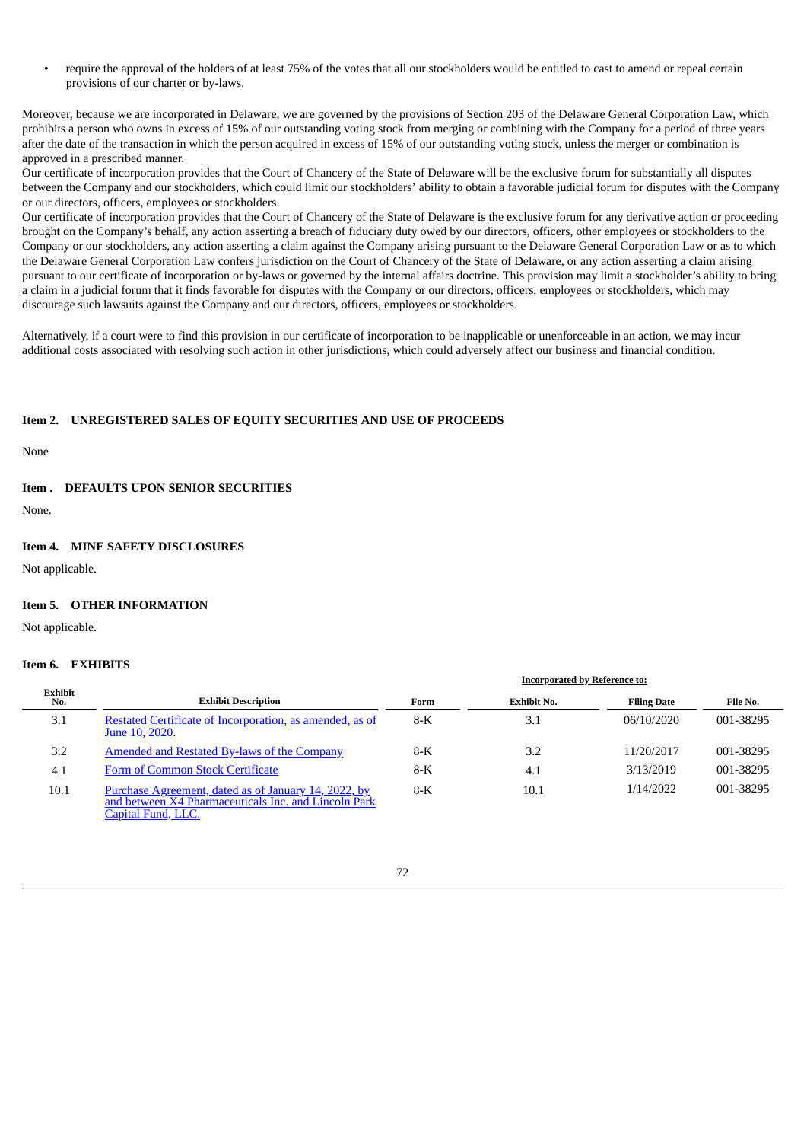• require the approval of the holders of at least 75% of the votes that all our stockholders would be entitled to cast to amend or repeal certain provisions of our charter or by-laws.

Moreover, because we are incorporated in Delaware, we are governed by the provisions of Section 203 of the Delaware General Corporation Law, which prohibits a person who owns in excess of 15% of our outstanding voting stock from merging or combining with the Company for a period of three years after the date of the transaction in which the person acquired in excess of 15% of our outstanding voting stock, unless the merger or combination is approved in a prescribed manner.

Our certificate of incorporation provides that the Court of Chancery of the State of Delaware will be the exclusive forum for substantially all disputes between the Company and our stockholders, which could limit our stockholders' ability to obtain a favorable judicial forum for disputes with the Company or our directors, officers, employees or stockholders.

Our certificate of incorporation provides that the Court of Chancery of the State of Delaware is the exclusive forum for any derivative action or proceeding brought on the Company's behalf, any action asserting a breach of fiduciary duty owed by our directors, officers, other employees or stockholders to the Company or our stockholders, any action asserting a claim against the Company arising pursuant to the Delaware General Corporation Law or as to which the Delaware General Corporation Law confers jurisdiction on the Court of Chancery of the State of Delaware, or any action asserting a claim arising pursuant to our certificate of incorporation or by-laws or governed by the internal affairs doctrine. This provision may limit a stockholder's ability to bring a claim in a judicial forum that it finds favorable for disputes with the Company or our directors, officers, employees or stockholders, which may discourage such lawsuits against the Company and our directors, officers, employees or stockholders.

Alternatively, if a court were to find this provision in our certificate of incorporation to be inapplicable or unenforceable in an action, we may incur additional costs associated with resolving such action in other jurisdictions, which could adversely affect our business and financial condition.

#### **Item 2. UNREGISTERED SALES OF EQUITY SECURITIES AND USE OF PROCEEDS**

None

# **Item . DEFAULTS UPON SENIOR SECURITIES**

None.

# **Item 4. MINE SAFETY DISCLOSURES**

Not applicable.

#### **Item 5. OTHER INFORMATION**

Not applicable.

#### **Item 6. EXHIBITS**

|                |                                                                                                                                           | <b>Incorporated by Reference to:</b> |                    |                    |           |
|----------------|-------------------------------------------------------------------------------------------------------------------------------------------|--------------------------------------|--------------------|--------------------|-----------|
| Exhibit<br>No. | <b>Exhibit Description</b>                                                                                                                | Form                                 | <b>Exhibit No.</b> | <b>Filing Date</b> | File No.  |
| 3.1            | Restated Certificate of Incorporation, as amended, as of<br>June 10, 2020.                                                                | $8-K$                                | 3.1                | 06/10/2020         | 001-38295 |
| 3.2            | Amended and Restated By-laws of the Company                                                                                               | 8-K                                  | 3.2                | 11/20/2017         | 001-38295 |
| 4.1            | Form of Common Stock Certificate                                                                                                          | $8-K$                                | 4.1                | 3/13/2019          | 001-38295 |
| 10.1           | Purchase Agreement, dated as of January 14, 2022, by<br>and between X4 Pharmaceuticals Inc. and Lincoln Park<br><b>Capital Fund, LLC.</b> | $8-K$                                | 10.1               | 1/14/2022          | 001-38295 |

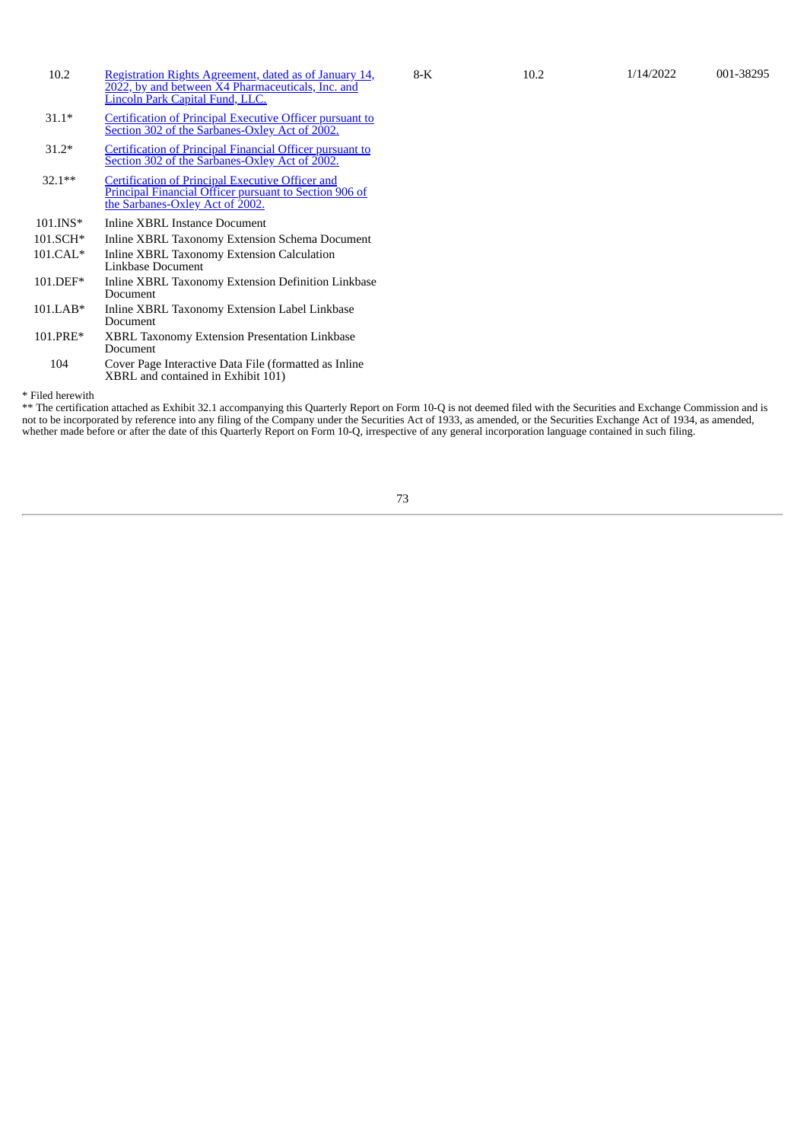| 10.2       | Registration Rights Agreement, dated as of January 14,<br>2022, by and between X4 Pharmaceuticals, Inc. and<br>Lincoln Park Capital Fund, LLC.       | $8-K$ | 10.2 | 1/14/2022 | 001-38295 |
|------------|------------------------------------------------------------------------------------------------------------------------------------------------------|-------|------|-----------|-----------|
| $31.1*$    | Certification of Principal Executive Officer pursuant to<br>Section 302 of the Sarbanes-Oxley Act of 2002.                                           |       |      |           |           |
| $31.2*$    | Certification of Principal Financial Officer pursuant to<br>Section 302 of the Sarbanes-Oxley Act of 2002.                                           |       |      |           |           |
| $32.1***$  | Certification of Principal Executive Officer and<br><b>Principal Financial Officer pursuant to Section 906 of</b><br>the Sarbanes-Oxley Act of 2002. |       |      |           |           |
| $101.INS*$ | Inline XBRL Instance Document                                                                                                                        |       |      |           |           |
| 101.SCH*   | Inline XBRL Taxonomy Extension Schema Document                                                                                                       |       |      |           |           |
| $101.CAL*$ | Inline XBRL Taxonomy Extension Calculation<br><b>Linkbase Document</b>                                                                               |       |      |           |           |
| 101.DEF*   | Inline XBRL Taxonomy Extension Definition Linkbase<br>Document                                                                                       |       |      |           |           |
| $101.LAB*$ | Inline XBRL Taxonomy Extension Label Linkbase<br>Document                                                                                            |       |      |           |           |
| 101.PRE*   | <b>XBRL Taxonomy Extension Presentation Linkbase</b><br>Document                                                                                     |       |      |           |           |
| 104        | Cover Page Interactive Data File (formatted as Inline<br>XBRL and contained in Exhibit 101)                                                          |       |      |           |           |

#### \* Filed herewith

\*\* The certification attached as Exhibit 32.1 accompanying this Quarterly Report on Form 10-Q is not deemed filed with the Securities and Exchange Commission and is not to be incorporated by reference into any filing of the Company under the Securities Act of 1933, as amended, or the Securities Exchange Act of 1934, as amended, whether made before or after the date of this Quarterly Report on Form 10-Q, irrespective of any general incorporation language contained in such filing.

73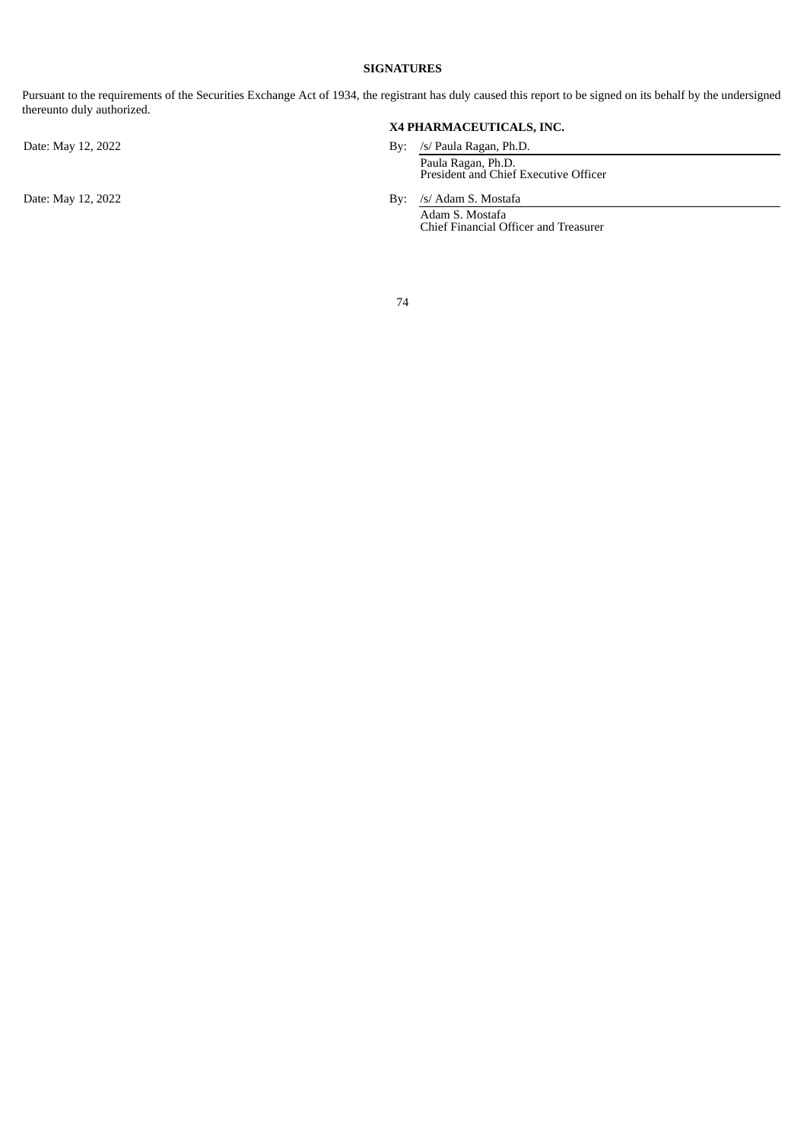## **SIGNATURES**

Pursuant to the requirements of the Securities Exchange Act of 1934, the registrant has duly caused this report to be signed on its behalf by the undersigned thereunto duly authorized.

# **X4 PHARMACEUTICALS, INC.**

Date: May 12, 2022 By: /s/ Paula Ragan, Ph.D. Paula Ragan, Ph.D. President and Chief Executive Officer

Date: May 12, 2022 By: /s/ Adam S. Mostafa

Adam S. Mostafa Chief Financial Officer and Treasurer

74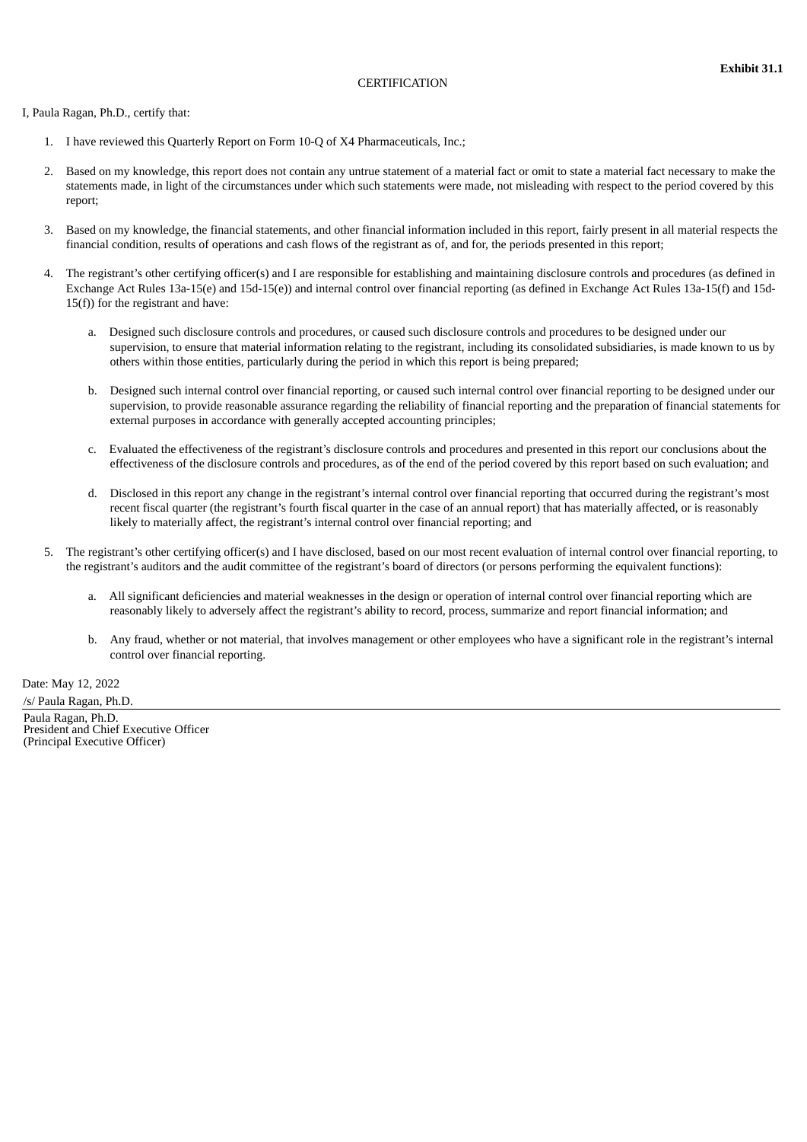### **CERTIFICATION**

<span id="page-74-0"></span>I, Paula Ragan, Ph.D., certify that:

- 1. I have reviewed this Quarterly Report on Form 10-Q of X4 Pharmaceuticals, Inc.;
- 2. Based on my knowledge, this report does not contain any untrue statement of a material fact or omit to state a material fact necessary to make the statements made, in light of the circumstances under which such statements were made, not misleading with respect to the period covered by this report;
- 3. Based on my knowledge, the financial statements, and other financial information included in this report, fairly present in all material respects the financial condition, results of operations and cash flows of the registrant as of, and for, the periods presented in this report;
- 4. The registrant's other certifying officer(s) and I are responsible for establishing and maintaining disclosure controls and procedures (as defined in Exchange Act Rules 13a-15(e) and 15d-15(e)) and internal control over financial reporting (as defined in Exchange Act Rules 13a-15(f) and 15d-15(f)) for the registrant and have:
	- a. Designed such disclosure controls and procedures, or caused such disclosure controls and procedures to be designed under our supervision, to ensure that material information relating to the registrant, including its consolidated subsidiaries, is made known to us by others within those entities, particularly during the period in which this report is being prepared;
	- b. Designed such internal control over financial reporting, or caused such internal control over financial reporting to be designed under our supervision, to provide reasonable assurance regarding the reliability of financial reporting and the preparation of financial statements for external purposes in accordance with generally accepted accounting principles;
	- c. Evaluated the effectiveness of the registrant's disclosure controls and procedures and presented in this report our conclusions about the effectiveness of the disclosure controls and procedures, as of the end of the period covered by this report based on such evaluation; and
	- d. Disclosed in this report any change in the registrant's internal control over financial reporting that occurred during the registrant's most recent fiscal quarter (the registrant's fourth fiscal quarter in the case of an annual report) that has materially affected, or is reasonably likely to materially affect, the registrant's internal control over financial reporting; and
- 5. The registrant's other certifying officer(s) and I have disclosed, based on our most recent evaluation of internal control over financial reporting, to the registrant's auditors and the audit committee of the registrant's board of directors (or persons performing the equivalent functions):
	- a. All significant deficiencies and material weaknesses in the design or operation of internal control over financial reporting which are reasonably likely to adversely affect the registrant's ability to record, process, summarize and report financial information; and
	- b. Any fraud, whether or not material, that involves management or other employees who have a significant role in the registrant's internal control over financial reporting.

Date: May 12, 2022

/s/ Paula Ragan, Ph.D. Paula Ragan, Ph.D. President and Chief Executive Officer (Principal Executive Officer)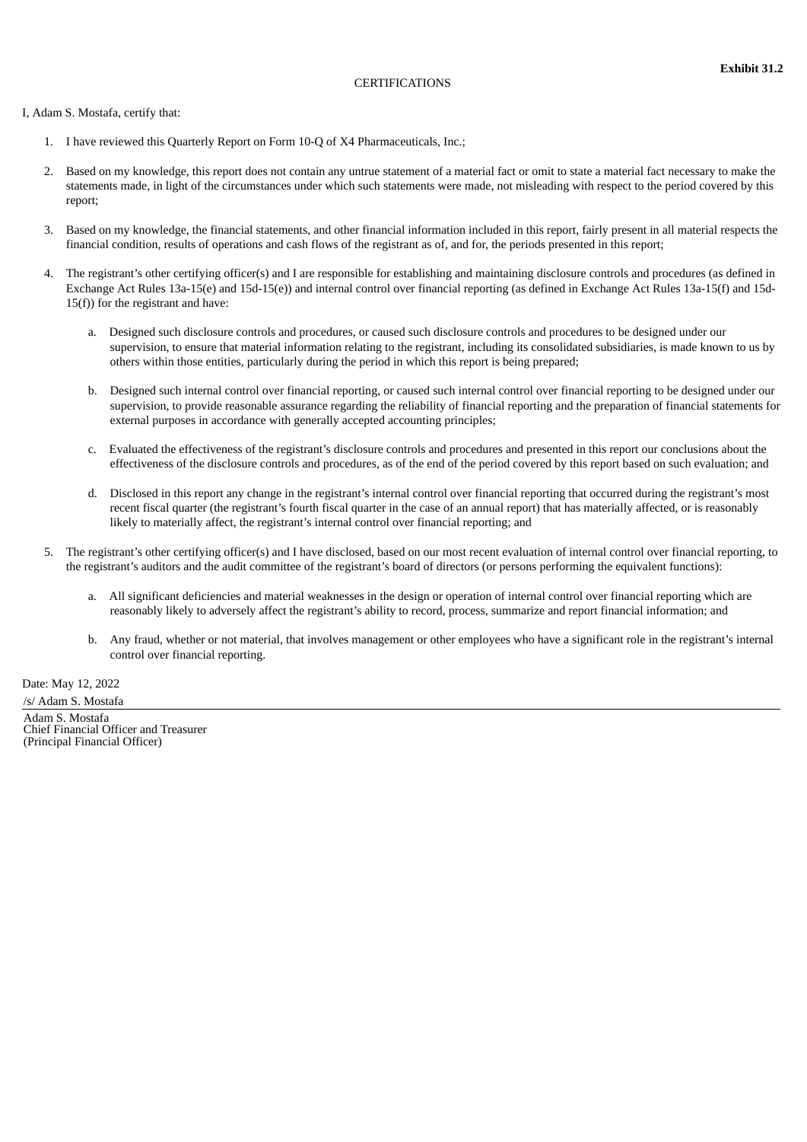### **CERTIFICATIONS**

<span id="page-75-0"></span>I, Adam S. Mostafa, certify that:

- 1. I have reviewed this Quarterly Report on Form 10-Q of X4 Pharmaceuticals, Inc.;
- 2. Based on my knowledge, this report does not contain any untrue statement of a material fact or omit to state a material fact necessary to make the statements made, in light of the circumstances under which such statements were made, not misleading with respect to the period covered by this report;
- 3. Based on my knowledge, the financial statements, and other financial information included in this report, fairly present in all material respects the financial condition, results of operations and cash flows of the registrant as of, and for, the periods presented in this report;
- 4. The registrant's other certifying officer(s) and I are responsible for establishing and maintaining disclosure controls and procedures (as defined in Exchange Act Rules 13a-15(e) and 15d-15(e)) and internal control over financial reporting (as defined in Exchange Act Rules 13a-15(f) and 15d-15(f)) for the registrant and have:
	- a. Designed such disclosure controls and procedures, or caused such disclosure controls and procedures to be designed under our supervision, to ensure that material information relating to the registrant, including its consolidated subsidiaries, is made known to us by others within those entities, particularly during the period in which this report is being prepared;
	- b. Designed such internal control over financial reporting, or caused such internal control over financial reporting to be designed under our supervision, to provide reasonable assurance regarding the reliability of financial reporting and the preparation of financial statements for external purposes in accordance with generally accepted accounting principles;
	- c. Evaluated the effectiveness of the registrant's disclosure controls and procedures and presented in this report our conclusions about the effectiveness of the disclosure controls and procedures, as of the end of the period covered by this report based on such evaluation; and
	- d. Disclosed in this report any change in the registrant's internal control over financial reporting that occurred during the registrant's most recent fiscal quarter (the registrant's fourth fiscal quarter in the case of an annual report) that has materially affected, or is reasonably likely to materially affect, the registrant's internal control over financial reporting; and
- 5. The registrant's other certifying officer(s) and I have disclosed, based on our most recent evaluation of internal control over financial reporting, to the registrant's auditors and the audit committee of the registrant's board of directors (or persons performing the equivalent functions):
	- a. All significant deficiencies and material weaknesses in the design or operation of internal control over financial reporting which are reasonably likely to adversely affect the registrant's ability to record, process, summarize and report financial information; and
	- b. Any fraud, whether or not material, that involves management or other employees who have a significant role in the registrant's internal control over financial reporting.

Date: May 12, 2022

/s/ Adam S. Mostafa Adam S. Mostafa Chief Financial Officer and Treasurer (Principal Financial Officer)